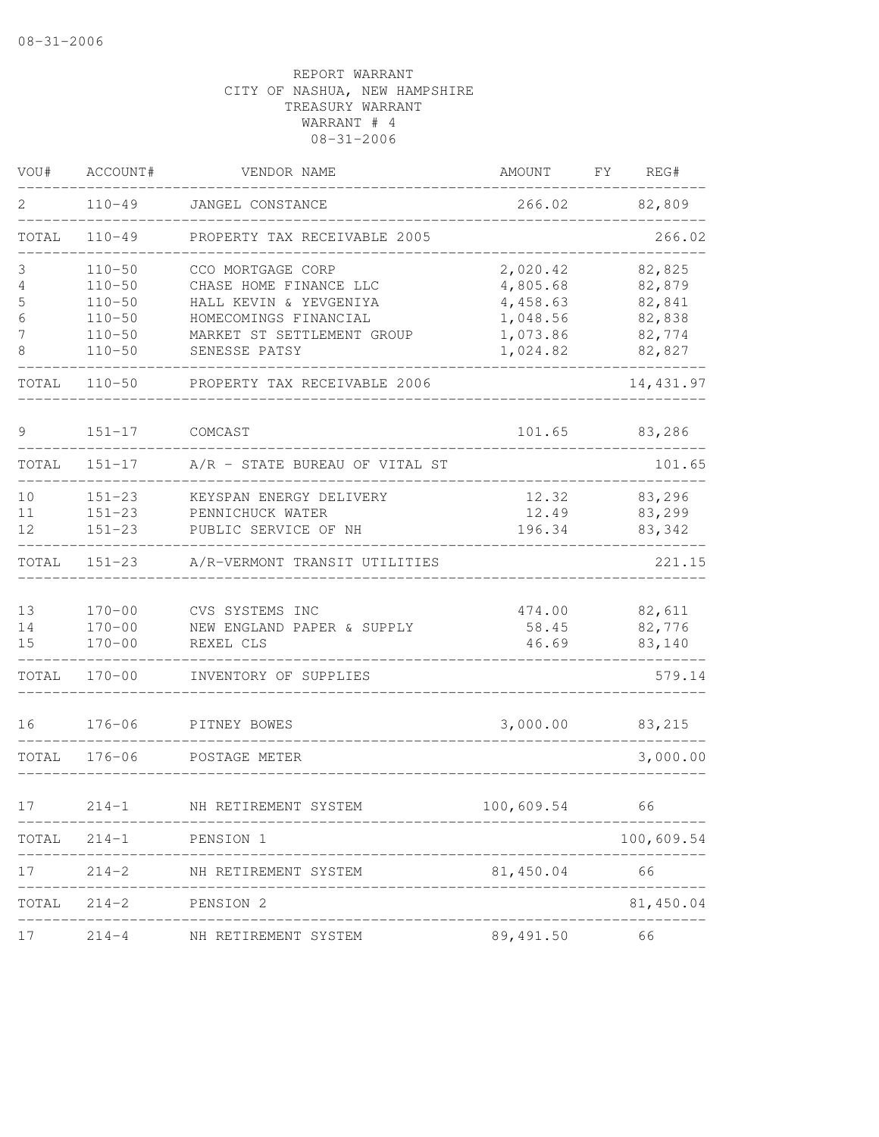| VOU#  | ACCOUNT#   | VENDOR NAME                    | AMOUNT       | FΥ | REG#       |
|-------|------------|--------------------------------|--------------|----|------------|
| 2     | $110 - 49$ | JANGEL CONSTANCE               | 266.02       |    | 82,809     |
| TOTAL | $110 - 49$ | PROPERTY TAX RECEIVABLE 2005   |              |    | 266.02     |
| 3     | $110 - 50$ | CCO MORTGAGE CORP              | 2,020.42     |    | 82,825     |
| 4     | $110 - 50$ | CHASE HOME FINANCE LLC         | 4,805.68     |    | 82,879     |
| 5     | $110 - 50$ | HALL KEVIN & YEVGENIYA         | 4,458.63     |    | 82,841     |
| 6     | $110 - 50$ | HOMECOMINGS FINANCIAL          | 1,048.56     |    | 82,838     |
| 7     | $110 - 50$ | MARKET ST SETTLEMENT GROUP     | 1,073.86     |    | 82,774     |
| 8     | $110 - 50$ | SENESSE PATSY                  | 1,024.82     |    | 82,827     |
| TOTAL | $110 - 50$ | PROPERTY TAX RECEIVABLE 2006   |              |    | 14, 431.97 |
| 9     | $151 - 17$ | COMCAST                        | 101.65       |    | 83,286     |
| TOTAL | $151 - 17$ | A/R - STATE BUREAU OF VITAL ST |              |    | 101.65     |
| 10    | $151 - 23$ | KEYSPAN ENERGY DELIVERY        | 12.32        |    | 83,296     |
| 11    | $151 - 23$ | PENNICHUCK WATER               | 12.49        |    | 83,299     |
| 12    | $151 - 23$ | PUBLIC SERVICE OF NH           | 196.34       |    | 83,342     |
| TOTAL | $151 - 23$ | A/R-VERMONT TRANSIT UTILITIES  |              |    | 221.15     |
| 13    | $170 - 00$ | CVS SYSTEMS INC                | 474.00       |    | 82,611     |
| 14    | $170 - 00$ | NEW ENGLAND PAPER & SUPPLY     | 58.45        |    | 82,776     |
| 15    | $170 - 00$ | REXEL CLS                      | 46.69        |    | 83,140     |
| TOTAL | $170 - 00$ | INVENTORY OF SUPPLIES          |              |    | 579.14     |
| 16    | $176 - 06$ | PITNEY BOWES                   | 3,000.00     |    | 83,215     |
| TOTAL | $176 - 06$ | POSTAGE METER                  |              |    | 3,000.00   |
| 17    | $214 - 1$  | NH RETIREMENT SYSTEM           | 100,609.54   |    | 66         |
| TOTAL |            | 214-1 PENSION 1                |              |    | 100,609.54 |
| 17    | $214 - 2$  | NH RETIREMENT SYSTEM           | 81,450.04 66 |    |            |
| TOTAL | $214 - 2$  | PENSION 2                      |              |    | 81,450.04  |
| 17    | $214 - 4$  | NH RETIREMENT SYSTEM           | 89,491.50    |    | 66         |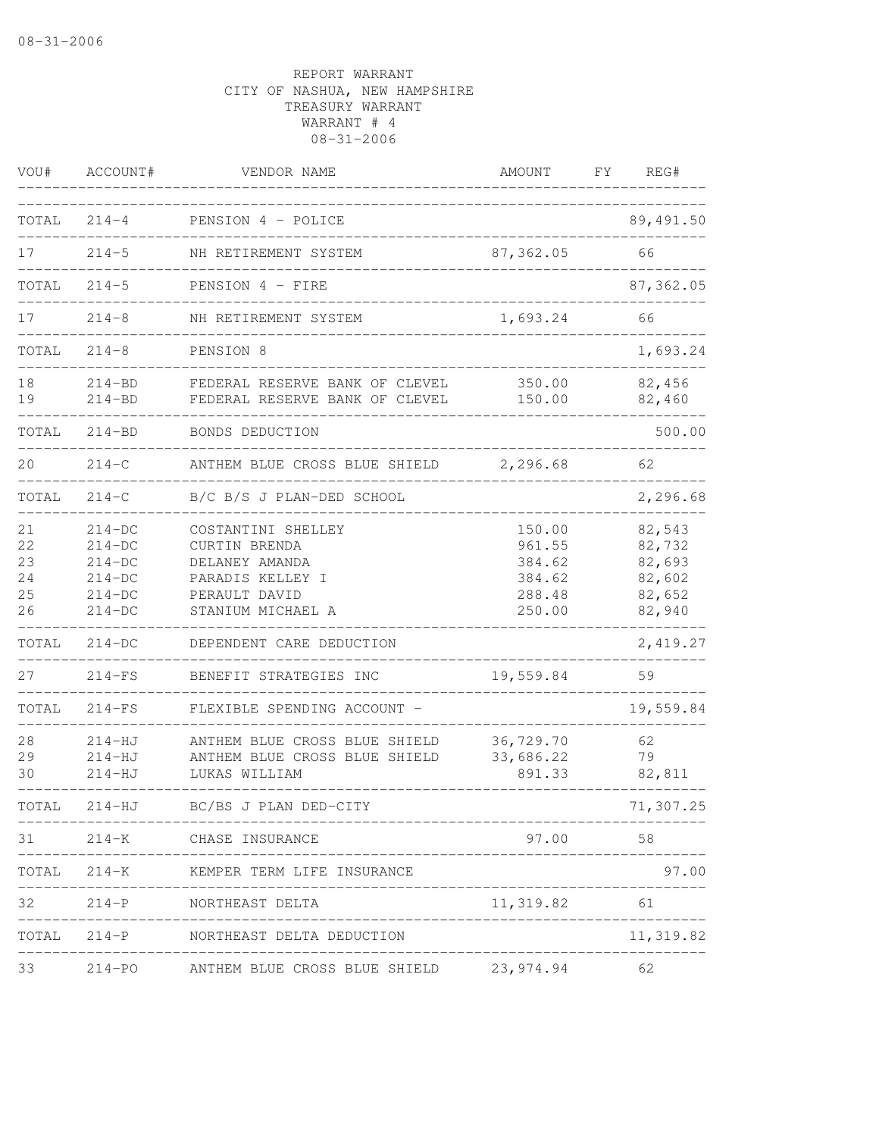| VOU#                             | ACCOUNT#                                                             | VENDOR NAME                                                                                                     | AMOUNT                                                   | FΥ | REG#                                                     |
|----------------------------------|----------------------------------------------------------------------|-----------------------------------------------------------------------------------------------------------------|----------------------------------------------------------|----|----------------------------------------------------------|
| TOTAL                            | $214 - 4$                                                            | PENSION 4 - POLICE                                                                                              |                                                          |    | 89, 491.50                                               |
| 17                               | $214 - 5$                                                            | NH RETIREMENT SYSTEM                                                                                            | 87, 362.05                                               |    | 66                                                       |
| TOTAL                            | $214 - 5$                                                            | PENSION 4 - FIRE                                                                                                |                                                          |    | 87, 362.05                                               |
| 17                               | $214 - 8$                                                            | NH RETIREMENT SYSTEM                                                                                            | 1,693.24                                                 |    | 66                                                       |
| TOTAL                            | $214 - 8$                                                            | PENSION 8                                                                                                       |                                                          |    | 1,693.24                                                 |
| 18<br>19                         | $214 - BD$<br>$214 - BD$                                             | FEDERAL RESERVE BANK OF CLEVEL<br>FEDERAL RESERVE BANK OF CLEVEL                                                | 350.00<br>150.00                                         |    | 82,456<br>82,460                                         |
| TOTAL                            | $214 - BD$                                                           | BONDS DEDUCTION                                                                                                 |                                                          |    | 500.00                                                   |
| 20                               | $214 - C$                                                            | ANTHEM BLUE CROSS BLUE SHIELD                                                                                   | 2,296.68                                                 |    | 62                                                       |
| TOTAL                            | $214 - C$                                                            | B/C B/S J PLAN-DED SCHOOL                                                                                       |                                                          |    | 2,296.68                                                 |
| 21<br>22<br>23<br>24<br>25<br>26 | $214-DC$<br>$214-DC$<br>$214-DC$<br>$214-DC$<br>$214-DC$<br>$214-DC$ | COSTANTINI SHELLEY<br>CURTIN BRENDA<br>DELANEY AMANDA<br>PARADIS KELLEY I<br>PERAULT DAVID<br>STANIUM MICHAEL A | 150.00<br>961.55<br>384.62<br>384.62<br>288.48<br>250.00 |    | 82,543<br>82,732<br>82,693<br>82,602<br>82,652<br>82,940 |
| TOTAL                            | $214-DC$                                                             | DEPENDENT CARE DEDUCTION                                                                                        |                                                          |    | 2,419.27                                                 |
| 27                               | $214-FS$                                                             | BENEFIT STRATEGIES INC                                                                                          | 19,559.84                                                |    | 59                                                       |
| TOTAL                            | $214-FS$                                                             | FLEXIBLE SPENDING ACCOUNT -                                                                                     |                                                          |    | 19,559.84                                                |
| 28<br>29<br>30                   | $214 - HJ$<br>$214-HJ$<br>$214 - HJ$                                 | ANTHEM BLUE CROSS BLUE SHIELD<br>ANTHEM BLUE CROSS BLUE SHIELD<br>LUKAS WILLIAM                                 | 36,729.70<br>33,686.22<br>891.33                         |    | 62<br>79<br>82,811                                       |
| TOTAL                            | $214 - HJ$<br>--------                                               | BC/BS J PLAN DED-CITY<br>_________________________________                                                      |                                                          |    | 71,307.25                                                |
| 31                               |                                                                      | 214-K CHASE INSURANCE                                                                                           | 97.00 58                                                 |    |                                                          |
|                                  |                                                                      | TOTAL 214-K KEMPER TERM LIFE INSURANCE                                                                          |                                                          |    | 97.00                                                    |
| 32                               |                                                                      | 214-P NORTHEAST DELTA<br>_______________________                                                                | 11, 319.82 61                                            |    |                                                          |
|                                  |                                                                      | TOTAL 214-P NORTHEAST DELTA DEDUCTION                                                                           |                                                          |    | 11,319.82                                                |
| 33                               |                                                                      | 214-PO ANTHEM BLUE CROSS BLUE SHIELD 23,974.94                                                                  |                                                          |    | 62                                                       |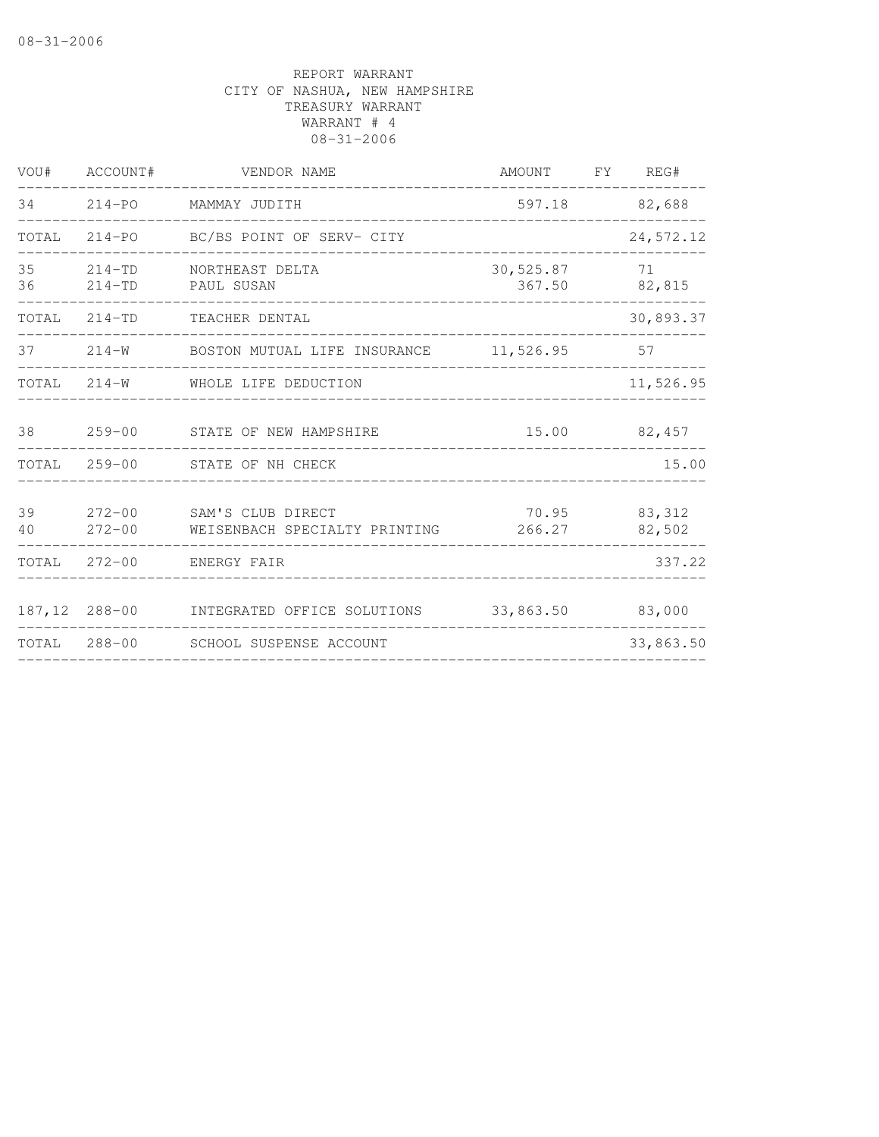| VOU#     | ACCOUNT#                 | VENDOR NAME                                               | AMOUNT              | FY | REG#              |
|----------|--------------------------|-----------------------------------------------------------|---------------------|----|-------------------|
| 34       |                          | 214-PO MAMMAY JUDITH                                      |                     |    | 597.18 82,688     |
| TOTAL    |                          | 214-PO BC/BS POINT OF SERV- CITY                          |                     |    | 24,572.12         |
| 35<br>36 | $214 - TD$<br>$214 - TD$ | NORTHEAST DELTA<br>PAUL SUSAN                             | 30,525.87<br>367.50 |    | 71<br>82,815      |
| TOTAL    | $214 - TD$               | TEACHER DENTAL                                            |                     |    | 30,893.37         |
| 37       | $214 - W$                | BOSTON MUTUAL LIFE INSURANCE 11,526.95                    |                     |    | 57                |
| TOTAL    | $214 - W$                | WHOLE LIFE DEDUCTION                                      |                     |    | 11,526.95         |
| 38       | $259 - 00$               | STATE OF NEW HAMPSHIRE                                    | 15.00               |    | 82,457            |
| TOTAL    | $259 - 00$               | STATE OF NH CHECK                                         |                     |    | 15.00             |
| 39<br>40 | $272 - 00$               | 272-00 SAM'S CLUB DIRECT<br>WEISENBACH SPECIALTY PRINTING | 70.95<br>266.27     |    | 83, 312<br>82,502 |
| TOTAL    | 272-00                   | ENERGY FAIR                                               |                     |    | 337.22            |
|          |                          | 187,12 288-00 INTEGRATED OFFICE SOLUTIONS                 | 33,863.50           |    | 83,000            |
|          |                          | TOTAL 288-00 SCHOOL SUSPENSE ACCOUNT                      |                     |    | 33,863.50         |
|          |                          |                                                           |                     |    |                   |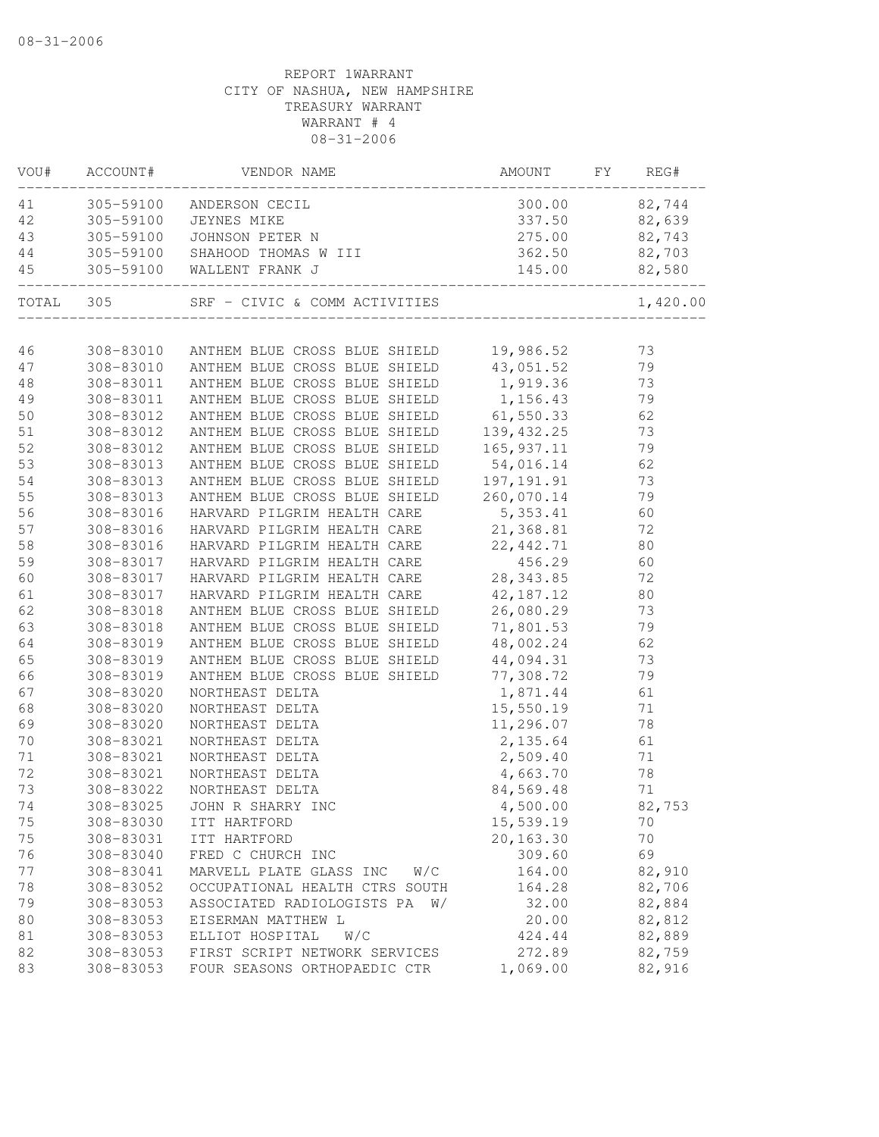|           | VOU# ACCOUNT# | VENDOR NAME                                                                                                                                                                             | AMOUNT FY REG#                                    |               |
|-----------|---------------|-----------------------------------------------------------------------------------------------------------------------------------------------------------------------------------------|---------------------------------------------------|---------------|
| 41        |               | 305-59100 ANDERSON CECIL                                                                                                                                                                | 300.00                                            | 82,744        |
| 42        |               | 305-59100 JEYNES MIKE                                                                                                                                                                   |                                                   | 337.50 82,639 |
| 43        |               | 305-59100 JOHNSON PETER N                                                                                                                                                               | 275.00 82,743                                     |               |
| 44        |               | 305-59100 SHAHOOD THOMAS W III                                                                                                                                                          | 362.50 82,703                                     |               |
| 45        |               | 305-59100 WALLENT FRANK J                                                                                                                                                               | 145.00 82,580                                     |               |
| TOTAL 305 |               |                                                                                                                                                                                         |                                                   | 1,420.00      |
|           |               |                                                                                                                                                                                         |                                                   |               |
| 46        |               | 308-83010 ANTHEM BLUE CROSS BLUE SHIELD 19,986.52 73<br>308-83010 ANTHEM BLUE CROSS BLUE SHIELD 43,051.52 79                                                                            |                                                   |               |
| 47        |               | 308-83011 ANTHEM BLUE CROSS BLUE SHIELD 1,919.36 73                                                                                                                                     |                                                   |               |
| 48        |               |                                                                                                                                                                                         |                                                   |               |
| 49        |               | 308-83011 ANTHEM BLUE CROSS BLUE SHIELD 1,156.43                                                                                                                                        |                                                   | 79            |
| 50        | 308-83012     | ANTHEM BLUE CROSS BLUE SHIELD 61,550.33 62                                                                                                                                              |                                                   |               |
| 51        | 308-83012     | ANTHEM BLUE CROSS BLUE SHIELD 139,432.25 73<br>ANTHEM BLUE CROSS BLUE SHIELD 165,937.11 79<br>ANTHEM BLUE CROSS BLUE SHIELD 54,016.14 62<br>ANTHEM BLUE CROSS BLUE SHIELD 197,191.91 73 |                                                   |               |
| 52        | 308-83012     |                                                                                                                                                                                         |                                                   |               |
| 53        | 308-83013     |                                                                                                                                                                                         | 54,016.14<br>197,191.91                           |               |
| 54        | 308-83013     |                                                                                                                                                                                         | 260,070.14                                        |               |
| 55        | 308-83013     | ANTHEM BLUE CROSS BLUE SHIELD                                                                                                                                                           |                                                   | 79            |
| 56        | 308-83016     | HARVARD PILGRIM HEALTH CARE                                                                                                                                                             | 5, 353. 41                                        | 60            |
| 57        | 308-83016     | HARVARD PILGRIM HEALTH CARE 21,368.81                                                                                                                                                   |                                                   | 72            |
| 58        | 308-83016     | HARVARD PILGRIM HEALTH CARE 22,442.71                                                                                                                                                   |                                                   | 80            |
| 59        | 308-83017     | HARVARD PILGRIM HEALTH CARE 456.29                                                                                                                                                      |                                                   | 60            |
| 60        | 308-83017     | HARVARD PILGRIM HEALTH CARE 28,343.85                                                                                                                                                   |                                                   | 72            |
| 61        | 308-83017     | HARVARD PILGRIM HEALTH CARE                                                                                                                                                             | 42,187.12<br>26,080.29<br>71,801.53               | 80            |
| 62        | 308-83018     | ANTHEM BLUE CROSS BLUE SHIELD                                                                                                                                                           |                                                   | 73            |
| 63        | 308-83018     | ANTHEM BLUE CROSS BLUE SHIELD                                                                                                                                                           |                                                   | 79            |
| 64        | 308-83019     | ANTHEM BLUE CROSS BLUE SHIELD                                                                                                                                                           | $48,002.24$ 62                                    |               |
| 65        | 308-83019     | ANTHEM BLUE CROSS BLUE SHIELD                                                                                                                                                           | 44,094.31                                         | 73            |
| 66        | 308-83019     | ANTHEM BLUE CROSS BLUE SHIELD 77,308.72                                                                                                                                                 |                                                   | 79            |
| 67        | 308-83020     | NORTHEAST DELTA                                                                                                                                                                         | 1,871.44                                          | 61            |
| 68        | 308-83020     | NORTHEAST DELTA                                                                                                                                                                         | 15,550.19                                         | 71            |
| 69        | 308-83020     | NORTHEAST DELTA                                                                                                                                                                         | 11,296.07                                         | 78            |
| 70        | 308-83021     | NORTHEAST DELTA                                                                                                                                                                         |                                                   | 61            |
| 71        | 308-83021     | NORTHEAST DELTA                                                                                                                                                                         | 2, 135.64<br>2, 509.40<br>4, 663.70<br>84, 569.48 | 71            |
| 72        | 308-83021     | NORTHEAST DELTA                                                                                                                                                                         |                                                   | 78            |
| 73        | 308-83022     | NORTHEAST DELTA                                                                                                                                                                         |                                                   | 71            |
| 74        |               | 308-83025 JOHN R SHARRY INC                                                                                                                                                             | 4,500.00                                          | 82,753        |
| 75        | 308-83030     | ITT HARTFORD                                                                                                                                                                            | 15,539.19                                         | 70            |
| 75        | 308-83031     | ITT HARTFORD                                                                                                                                                                            | 20,163.30                                         | 70            |
| 76        | 308-83040     | FRED C CHURCH INC                                                                                                                                                                       | 309.60                                            | 69            |
| 77        | 308-83041     | W/C<br>MARVELL PLATE GLASS INC                                                                                                                                                          | 164.00                                            | 82,910        |
| 78        | 308-83052     | OCCUPATIONAL HEALTH CTRS SOUTH                                                                                                                                                          | 164.28                                            | 82,706        |
| 79        | 308-83053     | ASSOCIATED RADIOLOGISTS PA W/                                                                                                                                                           | 32.00                                             | 82,884        |
| 80        | 308-83053     | EISERMAN MATTHEW L                                                                                                                                                                      | 20.00                                             | 82,812        |
| 81        | 308-83053     | ELLIOT HOSPITAL<br>W/C                                                                                                                                                                  | 424.44                                            | 82,889        |
| 82        | 308-83053     | FIRST SCRIPT NETWORK SERVICES                                                                                                                                                           | 272.89                                            | 82,759        |
| 83        | 308-83053     | FOUR SEASONS ORTHOPAEDIC CTR                                                                                                                                                            | 1,069.00                                          | 82,916        |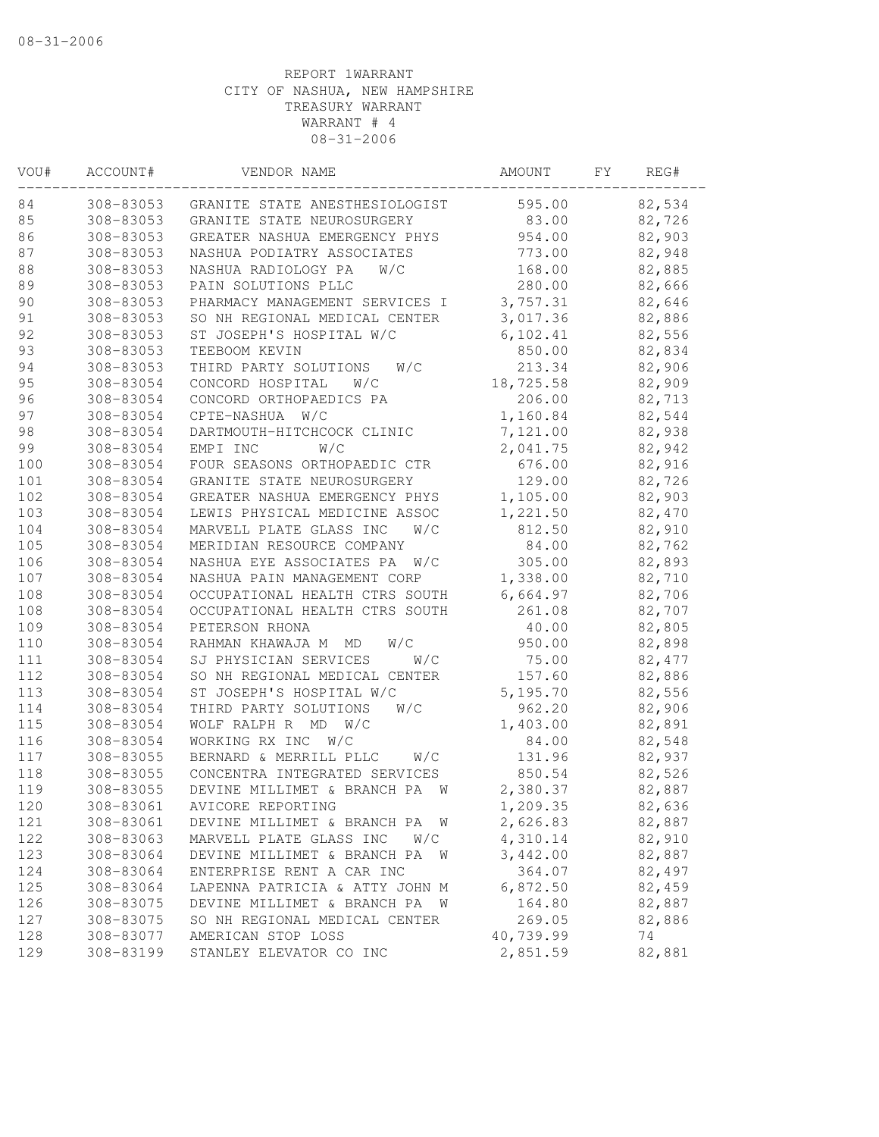| VOU# | ACCOUNT#  | VENDOR NAME                             | <b>AMOUNT</b> | FΥ | REG#    |
|------|-----------|-----------------------------------------|---------------|----|---------|
| 84   | 308-83053 | GRANITE STATE ANESTHESIOLOGIST          | 595.00        |    | 82,534  |
| 85   | 308-83053 | GRANITE STATE NEUROSURGERY              | 83.00         |    | 82,726  |
| 86   | 308-83053 | GREATER NASHUA EMERGENCY PHYS           | 954.00        |    | 82,903  |
| 87   | 308-83053 | NASHUA PODIATRY ASSOCIATES              | 773.00        |    | 82,948  |
| 88   | 308-83053 | NASHUA RADIOLOGY PA<br>W/C              | 168.00        |    | 82,885  |
| 89   | 308-83053 | PAIN SOLUTIONS PLLC                     | 280.00        |    | 82,666  |
| 90   | 308-83053 | PHARMACY MANAGEMENT SERVICES I          | 3,757.31      |    | 82,646  |
| 91   | 308-83053 | SO NH REGIONAL MEDICAL CENTER           | 3,017.36      |    | 82,886  |
| 92   | 308-83053 | ST JOSEPH'S HOSPITAL W/C                | 6, 102.41     |    | 82,556  |
| 93   | 308-83053 | TEEBOOM KEVIN                           | 850.00        |    | 82,834  |
| 94   | 308-83053 | THIRD PARTY SOLUTIONS<br>W/C            | 213.34        |    | 82,906  |
| 95   | 308-83054 | CONCORD HOSPITAL<br>W/C                 | 18,725.58     |    | 82,909  |
| 96   | 308-83054 | CONCORD ORTHOPAEDICS PA                 | 206.00        |    | 82,713  |
| 97   | 308-83054 | CPTE-NASHUA<br>W/C                      | 1,160.84      |    | 82,544  |
| 98   | 308-83054 | DARTMOUTH-HITCHCOCK CLINIC              | 7,121.00      |    | 82,938  |
| 99   | 308-83054 | EMPI INC<br>W/C                         | 2,041.75      |    | 82,942  |
| 100  | 308-83054 | FOUR SEASONS ORTHOPAEDIC CTR            | 676.00        |    | 82,916  |
| 101  | 308-83054 | GRANITE STATE NEUROSURGERY              | 129.00        |    | 82,726  |
| 102  | 308-83054 | GREATER NASHUA EMERGENCY PHYS           | 1,105.00      |    | 82,903  |
| 103  | 308-83054 | LEWIS PHYSICAL MEDICINE ASSOC           | 1,221.50      |    | 82,470  |
| 104  | 308-83054 | MARVELL PLATE GLASS INC<br>W/C          | 812.50        |    | 82,910  |
| 105  | 308-83054 | MERIDIAN RESOURCE COMPANY               | 84.00         |    | 82,762  |
| 106  | 308-83054 | NASHUA EYE ASSOCIATES PA W/C            | 305.00        |    | 82,893  |
| 107  | 308-83054 | NASHUA PAIN MANAGEMENT CORP             | 1,338.00      |    | 82,710  |
| 108  | 308-83054 | OCCUPATIONAL HEALTH CTRS SOUTH          | 6,664.97      |    | 82,706  |
| 108  | 308-83054 | OCCUPATIONAL HEALTH CTRS SOUTH          | 261.08        |    | 82,707  |
| 109  | 308-83054 | PETERSON RHONA                          | 40.00         |    | 82,805  |
| 110  | 308-83054 | RAHMAN KHAWAJA M<br>MD<br>W/C           | 950.00        |    | 82,898  |
| 111  | 308-83054 | SJ PHYSICIAN SERVICES<br>W/C            | 75.00         |    | 82, 477 |
| 112  | 308-83054 | SO NH REGIONAL MEDICAL CENTER           | 157.60        |    | 82,886  |
| 113  | 308-83054 | ST JOSEPH'S HOSPITAL W/C                | 5,195.70      |    | 82,556  |
| 114  | 308-83054 | THIRD PARTY SOLUTIONS<br>W/C            | 962.20        |    | 82,906  |
| 115  | 308-83054 | WOLF RALPH R<br>MD<br>W/C               | 1,403.00      |    | 82,891  |
| 116  | 308-83054 | WORKING RX INC<br>W/C                   | 84.00         |    | 82,548  |
| 117  | 308-83055 | BERNARD & MERRILL PLLC<br>W/C           | 131.96        |    | 82,937  |
| 118  | 308-83055 | CONCENTRA INTEGRATED SERVICES           | 850.54        |    | 82,526  |
| 119  | 308-83055 | DEVINE MILLIMET & BRANCH PA<br><b>W</b> | 2,380.37      |    | 82,887  |
| 120  | 308-83061 | AVICORE REPORTING                       | 1,209.35      |    | 82,636  |
| 121  | 308-83061 | DEVINE MILLIMET & BRANCH PA W           | 2,626.83      |    | 82,887  |
| 122  | 308-83063 | MARVELL PLATE GLASS INC<br>W/C          | 4,310.14      |    | 82,910  |
| 123  | 308-83064 | DEVINE MILLIMET & BRANCH PA<br><b>W</b> | 3,442.00      |    | 82,887  |
| 124  | 308-83064 | ENTERPRISE RENT A CAR INC               | 364.07        |    | 82,497  |
| 125  | 308-83064 | LAPENNA PATRICIA & ATTY JOHN M          | 6,872.50      |    | 82,459  |
| 126  | 308-83075 | DEVINE MILLIMET & BRANCH PA<br>W        | 164.80        |    | 82,887  |
| 127  | 308-83075 | SO NH REGIONAL MEDICAL CENTER           | 269.05        |    | 82,886  |
| 128  | 308-83077 | AMERICAN STOP LOSS                      | 40,739.99     |    | 74      |
| 129  | 308-83199 | STANLEY ELEVATOR CO INC                 | 2,851.59      |    | 82,881  |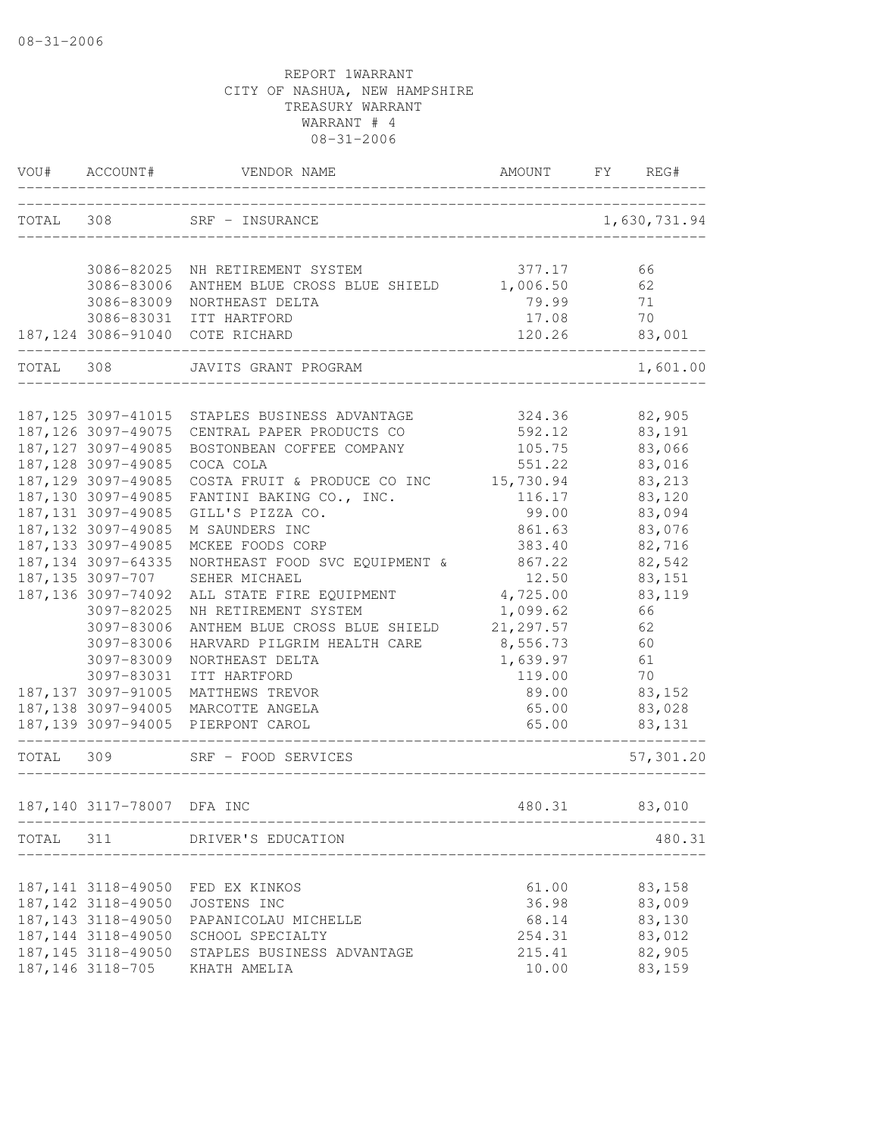| TOTAL 308<br>SRF - INSURANCE<br>1,630,731.94<br>377.17<br>3086-82025 NH RETIREMENT SYSTEM<br>66<br>3086-83006<br>1,006.50<br>62<br>ANTHEM BLUE CROSS BLUE SHIELD<br>79.99<br>3086-83009<br>71<br>NORTHEAST DELTA<br>17.08<br>70<br>3086-83031<br>ITT HARTFORD<br>187,124 3086-91040 COTE RICHARD<br>120.26<br>83,001<br>TOTAL<br>308<br>JAVITS GRANT PROGRAM<br>1,601.00<br>82,905<br>187,125 3097-41015 STAPLES BUSINESS ADVANTAGE<br>324.36<br>187, 126 3097-49075<br>592.12<br>83,191<br>CENTRAL PAPER PRODUCTS CO<br>187, 127 3097-49085<br>105.75<br>83,066<br>BOSTONBEAN COFFEE COMPANY<br>187, 128 3097-49085<br>83,016<br>COCA COLA<br>551.22<br>187, 129 3097-49085<br>COSTA FRUIT & PRODUCE CO INC<br>83,213<br>15,730.94<br>187,130 3097-49085<br>83,120<br>FANTINI BAKING CO., INC.<br>116.17<br>187, 131 3097-49085<br>GILL'S PIZZA CO.<br>99.00<br>83,094<br>187, 132 3097-49085<br>M SAUNDERS INC<br>861.63<br>83,076<br>187, 133 3097-49085<br>MCKEE FOODS CORP<br>383.40<br>82,716<br>187, 134 3097-64335<br>NORTHEAST FOOD SVC EQUIPMENT &<br>867.22<br>82,542<br>187,135 3097-707<br>83,151<br>SEHER MICHAEL<br>12.50<br>187, 136 3097-74092<br>4,725.00<br>83,119<br>ALL STATE FIRE EQUIPMENT<br>3097-82025<br>1,099.62<br>NH RETIREMENT SYSTEM<br>66<br>3097-83006<br>ANTHEM BLUE CROSS BLUE SHIELD<br>21, 297.57<br>62<br>3097-83006<br>HARVARD PILGRIM HEALTH CARE<br>8,556.73<br>60<br>3097-83009<br>NORTHEAST DELTA<br>1,639.97<br>61<br>70<br>3097-83031<br>ITT HARTFORD<br>119.00<br>187, 137 3097-91005<br>MATTHEWS TREVOR<br>89.00<br>83,152<br>187,138 3097-94005 MARCOTTE ANGELA<br>65.00<br>83,028<br>187,139 3097-94005 PIERPONT CAROL<br>65.00<br>83,131<br>TOTAL 309<br>SRF - FOOD SERVICES<br>57,301.20<br>187,140 3117-78007<br>480.31<br>83,010<br>DFA INC<br>TOTAL 311 DRIVER'S EDUCATION<br>187, 141 3118-49050<br>61.00<br>83,158<br>FED EX KINKOS<br>83,009<br>187, 142 3118-49050<br>36.98<br>JOSTENS INC<br>83,130<br>187, 143 3118-49050<br>68.14<br>PAPANICOLAU MICHELLE<br>83,012<br>187, 144 3118-49050<br>SCHOOL SPECIALTY<br>254.31<br>187, 145 3118-49050<br>82,905<br>STAPLES BUSINESS ADVANTAGE<br>215.41<br>187, 146 3118-705 | VOU# | ACCOUNT# | VENDOR NAME  | AMOUNT | FY<br>REG# |
|-------------------------------------------------------------------------------------------------------------------------------------------------------------------------------------------------------------------------------------------------------------------------------------------------------------------------------------------------------------------------------------------------------------------------------------------------------------------------------------------------------------------------------------------------------------------------------------------------------------------------------------------------------------------------------------------------------------------------------------------------------------------------------------------------------------------------------------------------------------------------------------------------------------------------------------------------------------------------------------------------------------------------------------------------------------------------------------------------------------------------------------------------------------------------------------------------------------------------------------------------------------------------------------------------------------------------------------------------------------------------------------------------------------------------------------------------------------------------------------------------------------------------------------------------------------------------------------------------------------------------------------------------------------------------------------------------------------------------------------------------------------------------------------------------------------------------------------------------------------------------------------------------------------------------------------------------------------------------------------------------------------------------------------------------------------------------------------------------------------------------------------------------------------------------------------|------|----------|--------------|--------|------------|
|                                                                                                                                                                                                                                                                                                                                                                                                                                                                                                                                                                                                                                                                                                                                                                                                                                                                                                                                                                                                                                                                                                                                                                                                                                                                                                                                                                                                                                                                                                                                                                                                                                                                                                                                                                                                                                                                                                                                                                                                                                                                                                                                                                                     |      |          |              |        |            |
| 480.31                                                                                                                                                                                                                                                                                                                                                                                                                                                                                                                                                                                                                                                                                                                                                                                                                                                                                                                                                                                                                                                                                                                                                                                                                                                                                                                                                                                                                                                                                                                                                                                                                                                                                                                                                                                                                                                                                                                                                                                                                                                                                                                                                                              |      |          |              |        |            |
|                                                                                                                                                                                                                                                                                                                                                                                                                                                                                                                                                                                                                                                                                                                                                                                                                                                                                                                                                                                                                                                                                                                                                                                                                                                                                                                                                                                                                                                                                                                                                                                                                                                                                                                                                                                                                                                                                                                                                                                                                                                                                                                                                                                     |      |          |              |        |            |
|                                                                                                                                                                                                                                                                                                                                                                                                                                                                                                                                                                                                                                                                                                                                                                                                                                                                                                                                                                                                                                                                                                                                                                                                                                                                                                                                                                                                                                                                                                                                                                                                                                                                                                                                                                                                                                                                                                                                                                                                                                                                                                                                                                                     |      |          |              |        |            |
|                                                                                                                                                                                                                                                                                                                                                                                                                                                                                                                                                                                                                                                                                                                                                                                                                                                                                                                                                                                                                                                                                                                                                                                                                                                                                                                                                                                                                                                                                                                                                                                                                                                                                                                                                                                                                                                                                                                                                                                                                                                                                                                                                                                     |      |          |              |        |            |
|                                                                                                                                                                                                                                                                                                                                                                                                                                                                                                                                                                                                                                                                                                                                                                                                                                                                                                                                                                                                                                                                                                                                                                                                                                                                                                                                                                                                                                                                                                                                                                                                                                                                                                                                                                                                                                                                                                                                                                                                                                                                                                                                                                                     |      |          |              |        |            |
|                                                                                                                                                                                                                                                                                                                                                                                                                                                                                                                                                                                                                                                                                                                                                                                                                                                                                                                                                                                                                                                                                                                                                                                                                                                                                                                                                                                                                                                                                                                                                                                                                                                                                                                                                                                                                                                                                                                                                                                                                                                                                                                                                                                     |      |          |              |        |            |
|                                                                                                                                                                                                                                                                                                                                                                                                                                                                                                                                                                                                                                                                                                                                                                                                                                                                                                                                                                                                                                                                                                                                                                                                                                                                                                                                                                                                                                                                                                                                                                                                                                                                                                                                                                                                                                                                                                                                                                                                                                                                                                                                                                                     |      |          |              |        |            |
|                                                                                                                                                                                                                                                                                                                                                                                                                                                                                                                                                                                                                                                                                                                                                                                                                                                                                                                                                                                                                                                                                                                                                                                                                                                                                                                                                                                                                                                                                                                                                                                                                                                                                                                                                                                                                                                                                                                                                                                                                                                                                                                                                                                     |      |          |              |        |            |
|                                                                                                                                                                                                                                                                                                                                                                                                                                                                                                                                                                                                                                                                                                                                                                                                                                                                                                                                                                                                                                                                                                                                                                                                                                                                                                                                                                                                                                                                                                                                                                                                                                                                                                                                                                                                                                                                                                                                                                                                                                                                                                                                                                                     |      |          |              |        |            |
|                                                                                                                                                                                                                                                                                                                                                                                                                                                                                                                                                                                                                                                                                                                                                                                                                                                                                                                                                                                                                                                                                                                                                                                                                                                                                                                                                                                                                                                                                                                                                                                                                                                                                                                                                                                                                                                                                                                                                                                                                                                                                                                                                                                     |      |          |              |        |            |
|                                                                                                                                                                                                                                                                                                                                                                                                                                                                                                                                                                                                                                                                                                                                                                                                                                                                                                                                                                                                                                                                                                                                                                                                                                                                                                                                                                                                                                                                                                                                                                                                                                                                                                                                                                                                                                                                                                                                                                                                                                                                                                                                                                                     |      |          |              |        |            |
|                                                                                                                                                                                                                                                                                                                                                                                                                                                                                                                                                                                                                                                                                                                                                                                                                                                                                                                                                                                                                                                                                                                                                                                                                                                                                                                                                                                                                                                                                                                                                                                                                                                                                                                                                                                                                                                                                                                                                                                                                                                                                                                                                                                     |      |          |              |        |            |
|                                                                                                                                                                                                                                                                                                                                                                                                                                                                                                                                                                                                                                                                                                                                                                                                                                                                                                                                                                                                                                                                                                                                                                                                                                                                                                                                                                                                                                                                                                                                                                                                                                                                                                                                                                                                                                                                                                                                                                                                                                                                                                                                                                                     |      |          |              |        |            |
|                                                                                                                                                                                                                                                                                                                                                                                                                                                                                                                                                                                                                                                                                                                                                                                                                                                                                                                                                                                                                                                                                                                                                                                                                                                                                                                                                                                                                                                                                                                                                                                                                                                                                                                                                                                                                                                                                                                                                                                                                                                                                                                                                                                     |      |          |              |        |            |
|                                                                                                                                                                                                                                                                                                                                                                                                                                                                                                                                                                                                                                                                                                                                                                                                                                                                                                                                                                                                                                                                                                                                                                                                                                                                                                                                                                                                                                                                                                                                                                                                                                                                                                                                                                                                                                                                                                                                                                                                                                                                                                                                                                                     |      |          |              |        |            |
|                                                                                                                                                                                                                                                                                                                                                                                                                                                                                                                                                                                                                                                                                                                                                                                                                                                                                                                                                                                                                                                                                                                                                                                                                                                                                                                                                                                                                                                                                                                                                                                                                                                                                                                                                                                                                                                                                                                                                                                                                                                                                                                                                                                     |      |          |              |        |            |
|                                                                                                                                                                                                                                                                                                                                                                                                                                                                                                                                                                                                                                                                                                                                                                                                                                                                                                                                                                                                                                                                                                                                                                                                                                                                                                                                                                                                                                                                                                                                                                                                                                                                                                                                                                                                                                                                                                                                                                                                                                                                                                                                                                                     |      |          |              |        |            |
|                                                                                                                                                                                                                                                                                                                                                                                                                                                                                                                                                                                                                                                                                                                                                                                                                                                                                                                                                                                                                                                                                                                                                                                                                                                                                                                                                                                                                                                                                                                                                                                                                                                                                                                                                                                                                                                                                                                                                                                                                                                                                                                                                                                     |      |          |              |        |            |
|                                                                                                                                                                                                                                                                                                                                                                                                                                                                                                                                                                                                                                                                                                                                                                                                                                                                                                                                                                                                                                                                                                                                                                                                                                                                                                                                                                                                                                                                                                                                                                                                                                                                                                                                                                                                                                                                                                                                                                                                                                                                                                                                                                                     |      |          |              |        |            |
|                                                                                                                                                                                                                                                                                                                                                                                                                                                                                                                                                                                                                                                                                                                                                                                                                                                                                                                                                                                                                                                                                                                                                                                                                                                                                                                                                                                                                                                                                                                                                                                                                                                                                                                                                                                                                                                                                                                                                                                                                                                                                                                                                                                     |      |          |              |        |            |
|                                                                                                                                                                                                                                                                                                                                                                                                                                                                                                                                                                                                                                                                                                                                                                                                                                                                                                                                                                                                                                                                                                                                                                                                                                                                                                                                                                                                                                                                                                                                                                                                                                                                                                                                                                                                                                                                                                                                                                                                                                                                                                                                                                                     |      |          |              |        |            |
|                                                                                                                                                                                                                                                                                                                                                                                                                                                                                                                                                                                                                                                                                                                                                                                                                                                                                                                                                                                                                                                                                                                                                                                                                                                                                                                                                                                                                                                                                                                                                                                                                                                                                                                                                                                                                                                                                                                                                                                                                                                                                                                                                                                     |      |          |              |        |            |
|                                                                                                                                                                                                                                                                                                                                                                                                                                                                                                                                                                                                                                                                                                                                                                                                                                                                                                                                                                                                                                                                                                                                                                                                                                                                                                                                                                                                                                                                                                                                                                                                                                                                                                                                                                                                                                                                                                                                                                                                                                                                                                                                                                                     |      |          |              |        |            |
|                                                                                                                                                                                                                                                                                                                                                                                                                                                                                                                                                                                                                                                                                                                                                                                                                                                                                                                                                                                                                                                                                                                                                                                                                                                                                                                                                                                                                                                                                                                                                                                                                                                                                                                                                                                                                                                                                                                                                                                                                                                                                                                                                                                     |      |          |              |        |            |
|                                                                                                                                                                                                                                                                                                                                                                                                                                                                                                                                                                                                                                                                                                                                                                                                                                                                                                                                                                                                                                                                                                                                                                                                                                                                                                                                                                                                                                                                                                                                                                                                                                                                                                                                                                                                                                                                                                                                                                                                                                                                                                                                                                                     |      |          |              |        |            |
|                                                                                                                                                                                                                                                                                                                                                                                                                                                                                                                                                                                                                                                                                                                                                                                                                                                                                                                                                                                                                                                                                                                                                                                                                                                                                                                                                                                                                                                                                                                                                                                                                                                                                                                                                                                                                                                                                                                                                                                                                                                                                                                                                                                     |      |          |              |        |            |
|                                                                                                                                                                                                                                                                                                                                                                                                                                                                                                                                                                                                                                                                                                                                                                                                                                                                                                                                                                                                                                                                                                                                                                                                                                                                                                                                                                                                                                                                                                                                                                                                                                                                                                                                                                                                                                                                                                                                                                                                                                                                                                                                                                                     |      |          |              |        |            |
|                                                                                                                                                                                                                                                                                                                                                                                                                                                                                                                                                                                                                                                                                                                                                                                                                                                                                                                                                                                                                                                                                                                                                                                                                                                                                                                                                                                                                                                                                                                                                                                                                                                                                                                                                                                                                                                                                                                                                                                                                                                                                                                                                                                     |      |          |              |        |            |
|                                                                                                                                                                                                                                                                                                                                                                                                                                                                                                                                                                                                                                                                                                                                                                                                                                                                                                                                                                                                                                                                                                                                                                                                                                                                                                                                                                                                                                                                                                                                                                                                                                                                                                                                                                                                                                                                                                                                                                                                                                                                                                                                                                                     |      |          |              |        |            |
|                                                                                                                                                                                                                                                                                                                                                                                                                                                                                                                                                                                                                                                                                                                                                                                                                                                                                                                                                                                                                                                                                                                                                                                                                                                                                                                                                                                                                                                                                                                                                                                                                                                                                                                                                                                                                                                                                                                                                                                                                                                                                                                                                                                     |      |          |              |        |            |
|                                                                                                                                                                                                                                                                                                                                                                                                                                                                                                                                                                                                                                                                                                                                                                                                                                                                                                                                                                                                                                                                                                                                                                                                                                                                                                                                                                                                                                                                                                                                                                                                                                                                                                                                                                                                                                                                                                                                                                                                                                                                                                                                                                                     |      |          |              |        |            |
|                                                                                                                                                                                                                                                                                                                                                                                                                                                                                                                                                                                                                                                                                                                                                                                                                                                                                                                                                                                                                                                                                                                                                                                                                                                                                                                                                                                                                                                                                                                                                                                                                                                                                                                                                                                                                                                                                                                                                                                                                                                                                                                                                                                     |      |          |              |        |            |
|                                                                                                                                                                                                                                                                                                                                                                                                                                                                                                                                                                                                                                                                                                                                                                                                                                                                                                                                                                                                                                                                                                                                                                                                                                                                                                                                                                                                                                                                                                                                                                                                                                                                                                                                                                                                                                                                                                                                                                                                                                                                                                                                                                                     |      |          |              |        |            |
|                                                                                                                                                                                                                                                                                                                                                                                                                                                                                                                                                                                                                                                                                                                                                                                                                                                                                                                                                                                                                                                                                                                                                                                                                                                                                                                                                                                                                                                                                                                                                                                                                                                                                                                                                                                                                                                                                                                                                                                                                                                                                                                                                                                     |      |          |              |        |            |
|                                                                                                                                                                                                                                                                                                                                                                                                                                                                                                                                                                                                                                                                                                                                                                                                                                                                                                                                                                                                                                                                                                                                                                                                                                                                                                                                                                                                                                                                                                                                                                                                                                                                                                                                                                                                                                                                                                                                                                                                                                                                                                                                                                                     |      |          |              |        |            |
|                                                                                                                                                                                                                                                                                                                                                                                                                                                                                                                                                                                                                                                                                                                                                                                                                                                                                                                                                                                                                                                                                                                                                                                                                                                                                                                                                                                                                                                                                                                                                                                                                                                                                                                                                                                                                                                                                                                                                                                                                                                                                                                                                                                     |      |          | KHATH AMELIA | 10.00  | 83,159     |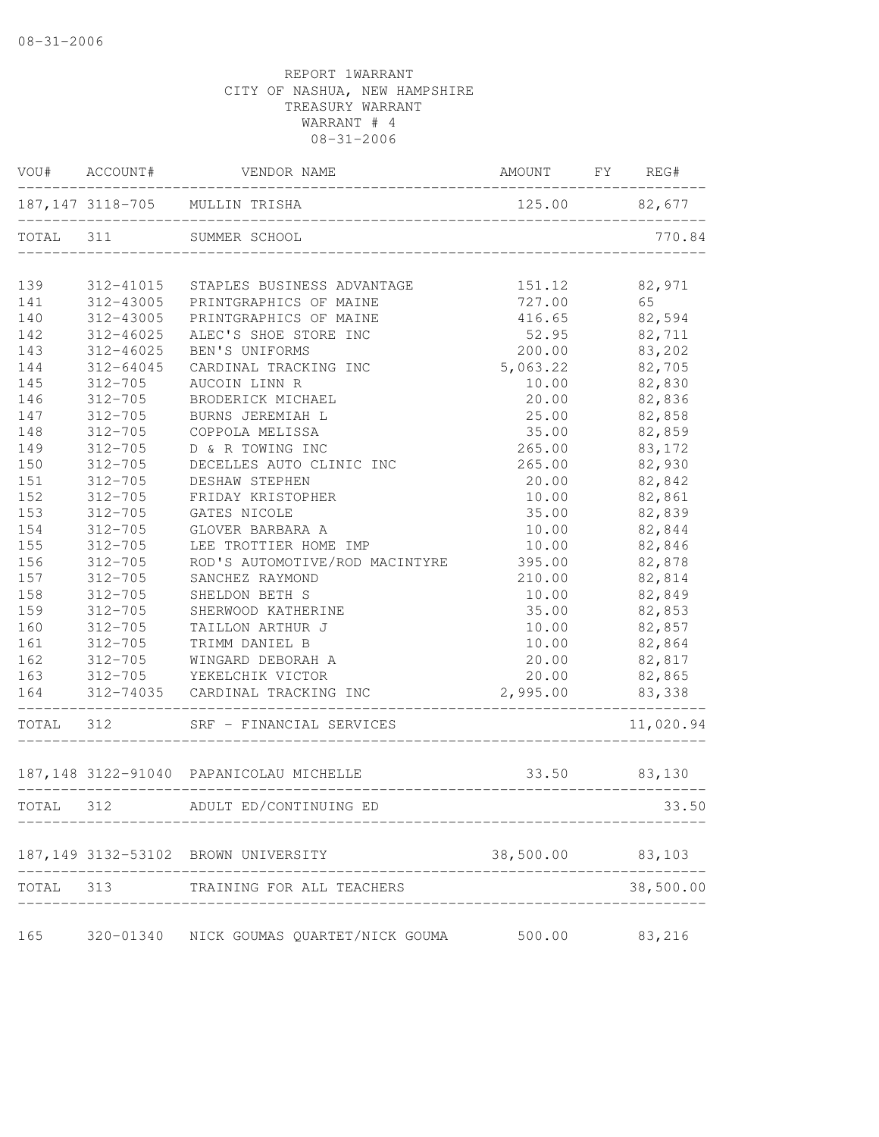|           | VOU# ACCOUNT# | VENDOR NAME                             | AMOUNT        | FY REG# |           |
|-----------|---------------|-----------------------------------------|---------------|---------|-----------|
|           |               | 187,147 3118-705 MULLIN TRISHA          | 125.00 82,677 |         |           |
| TOTAL 311 |               | SUMMER SCHOOL                           |               |         | 770.84    |
| 139       | 312-41015     | STAPLES BUSINESS ADVANTAGE              | 151.12        |         | 82,971    |
| 141       | 312-43005     | PRINTGRAPHICS OF MAINE                  | 727.00        |         | 65        |
| 140       | 312-43005     | PRINTGRAPHICS OF MAINE                  | 416.65        |         | 82,594    |
| 142       | $312 - 46025$ | ALEC'S SHOE STORE INC                   | 52.95         |         | 82,711    |
| 143       | $312 - 46025$ | BEN'S UNIFORMS                          | 200.00        |         | 83,202    |
| 144       | 312-64045     | CARDINAL TRACKING INC                   | 5,063.22      |         | 82,705    |
| 145       | $312 - 705$   | AUCOIN LINN R                           | 10.00         |         | 82,830    |
| 146       | $312 - 705$   | BRODERICK MICHAEL                       | 20.00         |         | 82,836    |
| 147       | $312 - 705$   | BURNS JEREMIAH L                        | 25.00         |         | 82,858    |
| 148       | $312 - 705$   | COPPOLA MELISSA                         | 35.00         |         | 82,859    |
| 149       | $312 - 705$   | D & R TOWING INC                        | 265.00        |         | 83,172    |
| 150       | $312 - 705$   | DECELLES AUTO CLINIC INC                | 265.00        |         | 82,930    |
| 151       | $312 - 705$   | DESHAW STEPHEN                          | 20.00         |         | 82,842    |
| 152       | $312 - 705$   | FRIDAY KRISTOPHER                       | 10.00         |         | 82,861    |
| 153       | $312 - 705$   | GATES NICOLE                            | 35.00         |         | 82,839    |
| 154       | $312 - 705$   | GLOVER BARBARA A                        | 10.00         |         | 82,844    |
| 155       | $312 - 705$   | LEE TROTTIER HOME IMP                   | 10.00         |         | 82,846    |
| 156       | $312 - 705$   | ROD'S AUTOMOTIVE/ROD MACINTYRE          | 395.00        |         | 82,878    |
| 157       | $312 - 705$   | SANCHEZ RAYMOND                         | 210.00        |         | 82,814    |
| 158       | $312 - 705$   | SHELDON BETH S                          | 10.00         |         | 82,849    |
| 159       | $312 - 705$   | SHERWOOD KATHERINE                      | 35.00         |         | 82,853    |
| 160       | $312 - 705$   | TAILLON ARTHUR J                        | 10.00         |         | 82,857    |
| 161       | $312 - 705$   | TRIMM DANIEL B                          | 10.00         |         | 82,864    |
| 162       | $312 - 705$   | WINGARD DEBORAH A                       | 20.00         |         | 82,817    |
| 163       | $312 - 705$   | YEKELCHIK VICTOR                        | 20.00         |         | 82,865    |
| 164       |               | 312-74035 CARDINAL TRACKING INC         | 2,995.00      |         | 83,338    |
| TOTAL 312 |               | SRF - FINANCIAL SERVICES                |               |         | 11,020.94 |
|           |               | 187,148 3122-91040 PAPANICOLAU MICHELLE | 33.50         |         | 83,130    |
| TOTAL 312 |               | ADULT ED/CONTINUING ED                  |               |         | 33.50     |
|           |               | 187,149 3132-53102 BROWN UNIVERSITY     | 38,500.00     | 83,103  |           |
| TOTAL     | 313           | TRAINING FOR ALL TEACHERS               |               |         | 38,500.00 |
| 165       | 320-01340     | NICK GOUMAS QUARTET/NICK GOUMA          | 500.00        |         | 83,216    |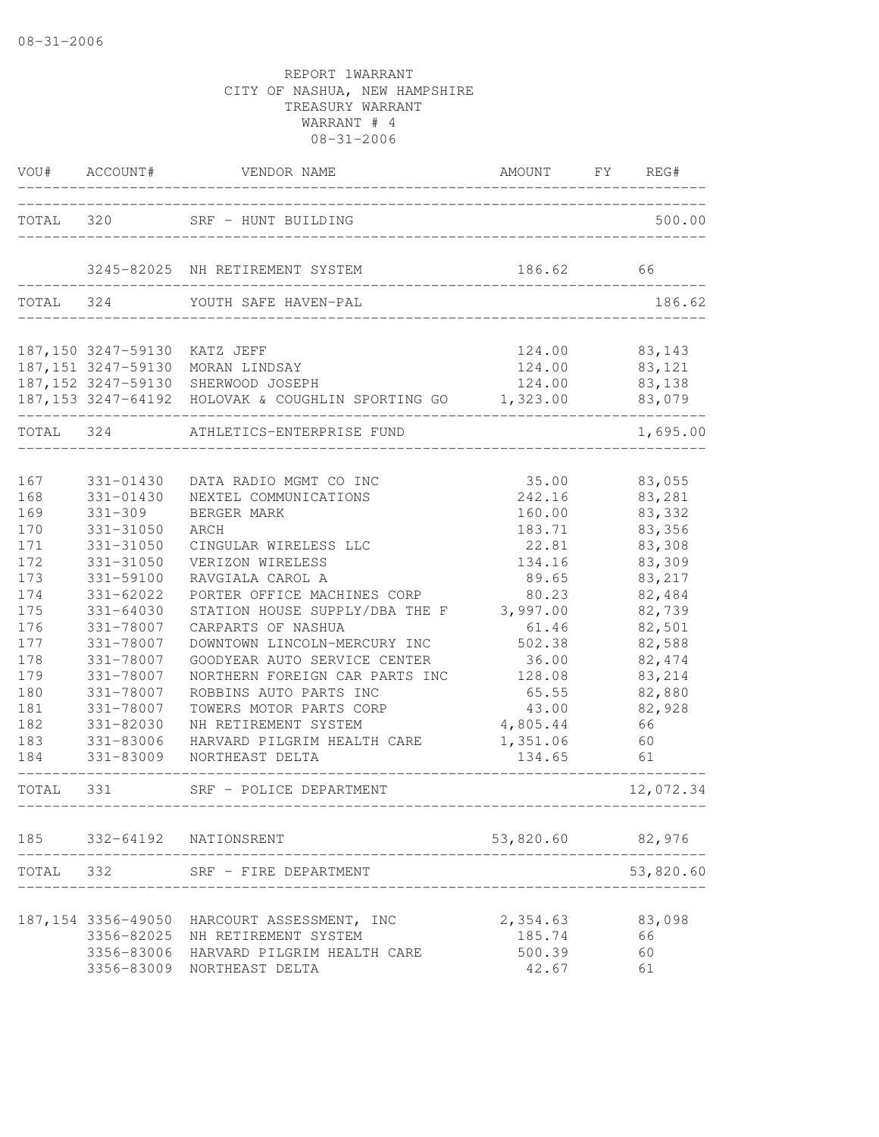| VOU#                                                                                                                       | ACCOUNT#                                                                                                                                                                                                                                 | VENDOR NAME                                                                                                                                                                                                                                                                                                                                                                                                                                                              | AMOUNT                                                                                                                                                             | FY<br>REG#                                                                                                                                                            |
|----------------------------------------------------------------------------------------------------------------------------|------------------------------------------------------------------------------------------------------------------------------------------------------------------------------------------------------------------------------------------|--------------------------------------------------------------------------------------------------------------------------------------------------------------------------------------------------------------------------------------------------------------------------------------------------------------------------------------------------------------------------------------------------------------------------------------------------------------------------|--------------------------------------------------------------------------------------------------------------------------------------------------------------------|-----------------------------------------------------------------------------------------------------------------------------------------------------------------------|
| TOTAL                                                                                                                      | 320                                                                                                                                                                                                                                      | SRF - HUNT BUILDING                                                                                                                                                                                                                                                                                                                                                                                                                                                      |                                                                                                                                                                    | 500.00                                                                                                                                                                |
|                                                                                                                            |                                                                                                                                                                                                                                          | 3245-82025 NH RETIREMENT SYSTEM                                                                                                                                                                                                                                                                                                                                                                                                                                          | 186.62                                                                                                                                                             | 66                                                                                                                                                                    |
| TOTAL 324                                                                                                                  |                                                                                                                                                                                                                                          | YOUTH SAFE HAVEN-PAL                                                                                                                                                                                                                                                                                                                                                                                                                                                     |                                                                                                                                                                    | 186.62                                                                                                                                                                |
|                                                                                                                            | 187,150 3247-59130 KATZ JEFF                                                                                                                                                                                                             | 187,151 3247-59130 MORAN LINDSAY<br>187,152 3247-59130 SHERWOOD JOSEPH<br>187,153 3247-64192 HOLOVAK & COUGHLIN SPORTING GO 1,323.00                                                                                                                                                                                                                                                                                                                                     |                                                                                                                                                                    | 124.00 83,143<br>124.00 83,121<br>124.00 83,138<br>83,079                                                                                                             |
| TOTAL                                                                                                                      | -324                                                                                                                                                                                                                                     | ATHLETICS-ENTERPRISE FUND                                                                                                                                                                                                                                                                                                                                                                                                                                                |                                                                                                                                                                    | 1,695.00                                                                                                                                                              |
| 167<br>168<br>169<br>170<br>171<br>172<br>173<br>174<br>175<br>176<br>177<br>178<br>179<br>180<br>181<br>182<br>183<br>184 | 331-01430<br>331-01430<br>$331 - 309$<br>331-31050<br>331-31050<br>331-31050<br>331-59100<br>331-62022<br>331-64030<br>331-78007<br>331-78007<br>331-78007<br>331-78007<br>331-78007<br>331-78007<br>331-82030<br>331-83006<br>331-83009 | DATA RADIO MGMT CO INC<br>NEXTEL COMMUNICATIONS<br>BERGER MARK<br>ARCH<br>CINGULAR WIRELESS LLC<br>VERIZON WIRELESS<br>RAVGIALA CAROL A<br>PORTER OFFICE MACHINES CORP<br>STATION HOUSE SUPPLY/DBA THE F 3,997.00<br>CARPARTS OF NASHUA<br>DOWNTOWN LINCOLN-MERCURY INC<br>GOODYEAR AUTO SERVICE CENTER<br>NORTHERN FOREIGN CAR PARTS INC<br>ROBBINS AUTO PARTS INC<br>TOWERS MOTOR PARTS CORP<br>NH RETIREMENT SYSTEM<br>HARVARD PILGRIM HEALTH CARE<br>NORTHEAST DELTA | 35.00<br>242.16<br>160.00<br>183.71<br>22.81<br>134.16<br>89.65<br>80.23<br>61.46<br>502.38<br>36.00<br>128.08<br>65.55<br>43.00<br>4,805.44<br>1,351.06<br>134.65 | 83,055<br>83,281<br>83,332<br>83,356<br>83,308<br>83,309<br>83,217<br>82,484<br>82,739<br>82,501<br>82,588<br>82, 474<br>83,214<br>82,880<br>82,928<br>66<br>60<br>61 |
| TOTAL 331                                                                                                                  |                                                                                                                                                                                                                                          | SRF - POLICE DEPARTMENT                                                                                                                                                                                                                                                                                                                                                                                                                                                  |                                                                                                                                                                    | 12,072.34                                                                                                                                                             |
| 185                                                                                                                        |                                                                                                                                                                                                                                          | 332-64192 NATIONSRENT                                                                                                                                                                                                                                                                                                                                                                                                                                                    | 53,820.60                                                                                                                                                          | 82,976                                                                                                                                                                |
| TOTAL                                                                                                                      | 332                                                                                                                                                                                                                                      | SRF - FIRE DEPARTMENT                                                                                                                                                                                                                                                                                                                                                                                                                                                    |                                                                                                                                                                    | 53,820.60                                                                                                                                                             |
|                                                                                                                            | 187, 154 3356-49050<br>3356-82025                                                                                                                                                                                                        | HARCOURT ASSESSMENT, INC<br>NH RETIREMENT SYSTEM<br>3356-83006 HARVARD PILGRIM HEALTH CARE<br>3356-83009 NORTHEAST DELTA                                                                                                                                                                                                                                                                                                                                                 | 2,354.63<br>185.74<br>500.39<br>42.67                                                                                                                              | 83,098<br>66<br>60<br>61                                                                                                                                              |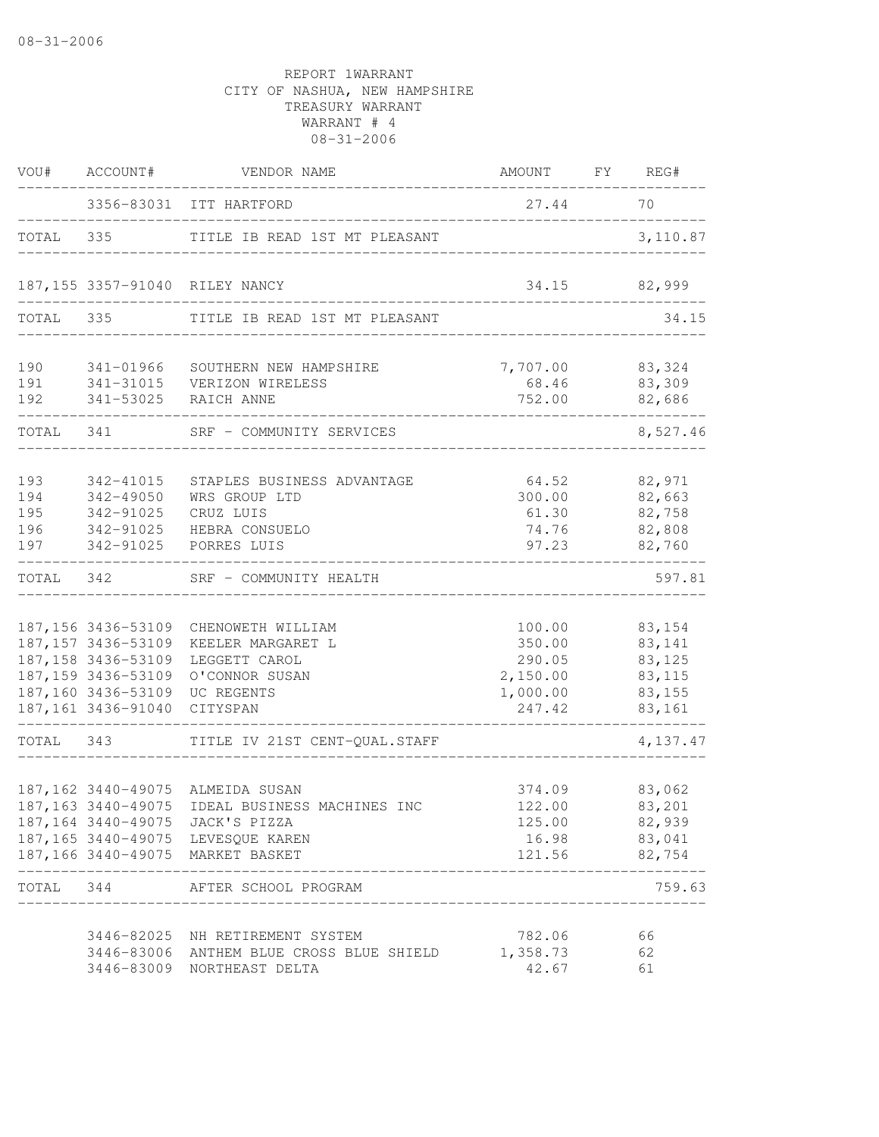| VOU#                            | ACCOUNT#                                                                                                                             | VENDOR NAME                                                                                                                                                                                    | AMOUNT FY REG#                                               |                                                           |
|---------------------------------|--------------------------------------------------------------------------------------------------------------------------------------|------------------------------------------------------------------------------------------------------------------------------------------------------------------------------------------------|--------------------------------------------------------------|-----------------------------------------------------------|
|                                 |                                                                                                                                      | 3356-83031 ITT HARTFORD                                                                                                                                                                        | 27.44                                                        | 70                                                        |
| TOTAL                           | 335                                                                                                                                  | TITLE IB READ 1ST MT PLEASANT                                                                                                                                                                  | ____________________________________                         | 3,110.87                                                  |
|                                 |                                                                                                                                      | 187,155 3357-91040 RILEY NANCY                                                                                                                                                                 |                                                              | 34.15 82,999                                              |
| TOTAL                           | 335                                                                                                                                  | TITLE IB READ 1ST MT PLEASANT                                                                                                                                                                  |                                                              | 34.15                                                     |
| 190<br>191<br>192               | 341-01966<br>341-53025                                                                                                               | SOUTHERN NEW HAMPSHIRE<br>341-31015    VERIZON WIRELESS<br>RAICH ANNE                                                                                                                          | 7,707.00 83,324<br>68.46<br>752.00                           | 83,309<br>82,686                                          |
| TOTAL                           | 341                                                                                                                                  | SRF - COMMUNITY SERVICES                                                                                                                                                                       |                                                              | 8,527.46                                                  |
| 193<br>194<br>195<br>196<br>197 | 342-41015<br>342-49050<br>342-91025<br>342-91025<br>342-91025                                                                        | STAPLES BUSINESS ADVANTAGE<br>WRS GROUP LTD<br>CRUZ LUIS<br>HEBRA CONSUELO<br>PORRES LUIS                                                                                                      | 64.52<br>300.00<br>61.30<br>74.76<br>97.23                   | 82,971<br>82,663<br>82,758<br>82,808<br>82,760            |
| TOTAL                           | 342                                                                                                                                  | SRF - COMMUNITY HEALTH                                                                                                                                                                         |                                                              | 597.81                                                    |
|                                 | 187,156 3436-53109<br>187, 157 3436-53109<br>187, 158 3436-53109<br>187, 159 3436-53109<br>187,160 3436-53109<br>187, 161 3436-91040 | CHENOWETH WILLIAM<br>KEELER MARGARET L<br>LEGGETT CAROL<br>O'CONNOR SUSAN<br>UC REGENTS<br>CITYSPAN                                                                                            | 100.00<br>350.00<br>290.05<br>2,150.00<br>1,000.00<br>247.42 | 83,154<br>83,141<br>83,125<br>83, 115<br>83,155<br>83,161 |
| TOTAL 343                       |                                                                                                                                      | TITLE IV 21ST CENT-QUAL.STAFF                                                                                                                                                                  |                                                              | 4,137.47                                                  |
|                                 |                                                                                                                                      | 187,162 3440-49075 ALMEIDA SUSAN<br>187,163 3440-49075 IDEAL BUSINESS MACHINES INC<br>187,164 3440-49075 JACK'S PIZZA<br>187,165 3440-49075 LEVESQUE KAREN<br>187,166 3440-49075 MARKET BASKET | 374.09<br>122.00<br>125.00<br>16.98<br>121.56                | 83,062<br>83,201<br>82,939<br>83,041<br>82,754            |
| TOTAL 344                       |                                                                                                                                      | AFTER SCHOOL PROGRAM                                                                                                                                                                           |                                                              | 759.63                                                    |
|                                 | 3446-83009                                                                                                                           | 3446-82025 NH RETIREMENT SYSTEM<br>3446-83006 ANTHEM BLUE CROSS BLUE SHIELD<br>NORTHEAST DELTA                                                                                                 | 782.06<br>1,358.73<br>42.67                                  | 66<br>62<br>61                                            |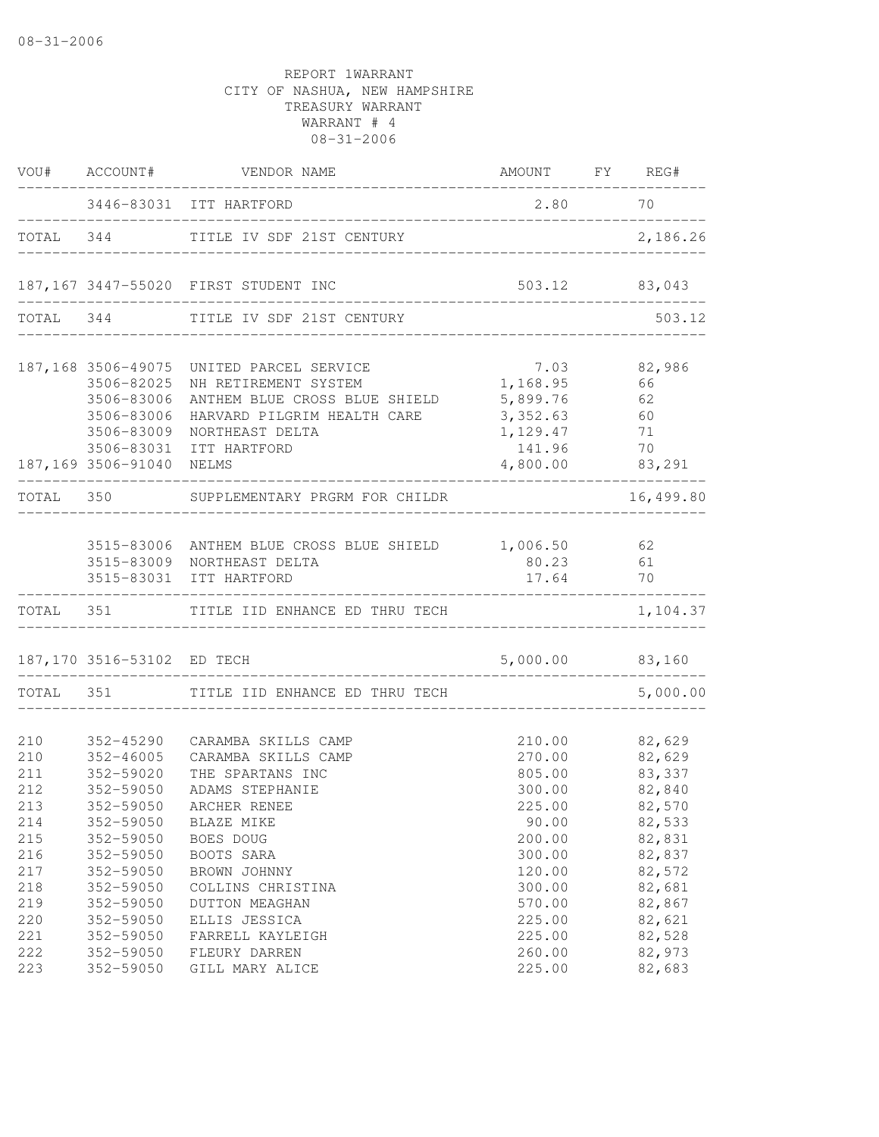|                                                                           |                                                                                                                                                 | VOU# ACCOUNT# VENDOR NAME                                                                                                                                                                                | AMOUNT FY REG#                                                                                            |                                                                                                            |
|---------------------------------------------------------------------------|-------------------------------------------------------------------------------------------------------------------------------------------------|----------------------------------------------------------------------------------------------------------------------------------------------------------------------------------------------------------|-----------------------------------------------------------------------------------------------------------|------------------------------------------------------------------------------------------------------------|
|                                                                           |                                                                                                                                                 | 3446-83031 ITT HARTFORD                                                                                                                                                                                  | 2.80 70                                                                                                   |                                                                                                            |
|                                                                           |                                                                                                                                                 | TOTAL 344 TITLE IV SDF 21ST CENTURY                                                                                                                                                                      |                                                                                                           | 2,186.26                                                                                                   |
|                                                                           |                                                                                                                                                 | 187,167 3447-55020 FIRST STUDENT INC                                                                                                                                                                     | 503.12 83,043<br>__________________________________                                                       |                                                                                                            |
| TOTAL 344                                                                 |                                                                                                                                                 | TITLE IV SDF 21ST CENTURY                                                                                                                                                                                |                                                                                                           | 503.12                                                                                                     |
|                                                                           | 3506-82025<br>3506-83006<br>3506-83006<br>3506-83009<br>3506-83031                                                                              | 187,168 3506-49075 UNITED PARCEL SERVICE<br>NH RETIREMENT SYSTEM<br>ANTHEM BLUE CROSS BLUE SHIELD 5,899.76 62<br>HARVARD PILGRIM HEALTH CARE<br>NORTHEAST DELTA<br>ITT HARTFORD                          | 7.03<br>1,168.95<br>3,352.63 60<br>1, 129.47<br>141.96                                                    | 82,986<br>66<br>71<br>70                                                                                   |
|                                                                           | 187,169 3506-91040 NELMS                                                                                                                        |                                                                                                                                                                                                          | 4,800.00 83,291                                                                                           |                                                                                                            |
|                                                                           |                                                                                                                                                 | TOTAL 350 SUPPLEMENTARY PRGRM FOR CHILDR                                                                                                                                                                 |                                                                                                           | 16,499.80                                                                                                  |
|                                                                           | 3515-83031                                                                                                                                      | 3515-83006 ANTHEM BLUE CROSS BLUE SHIELD 1,006.50 62<br>3515-83009 NORTHEAST DELTA<br>ITT HARTFORD                                                                                                       | 80.23<br>17.64                                                                                            | 61<br>70                                                                                                   |
|                                                                           |                                                                                                                                                 | TOTAL 351 TITLE IID ENHANCE ED THRU TECH                                                                                                                                                                 |                                                                                                           | 1,104.37                                                                                                   |
|                                                                           | 187,170 3516-53102 ED TECH                                                                                                                      |                                                                                                                                                                                                          | 5,000.00 83,160                                                                                           |                                                                                                            |
|                                                                           |                                                                                                                                                 | TOTAL 351 TITLE IID ENHANCE ED THRU TECH                                                                                                                                                                 |                                                                                                           | 5,000.00                                                                                                   |
| 210<br>210<br>211<br>212<br>213<br>214<br>215<br>216<br>217<br>218<br>219 | 352-45290<br>352-46005<br>352-59020<br>$352 - 59050$<br>352-59050<br>352-59050<br>352-59050<br>352-59050<br>352-59050<br>352-59050<br>352-59050 | CARAMBA SKILLS CAMP<br>CARAMBA SKILLS CAMP<br>THE SPARTANS INC<br>ADAMS STEPHANIE<br>ARCHER RENEE<br>BLAZE MIKE<br>BOES DOUG<br>BOOTS SARA<br>BROWN JOHNNY<br>COLLINS CHRISTINA<br><b>DUTTON MEAGHAN</b> | 210.00<br>270.00<br>805.00<br>300.00<br>225.00<br>90.00<br>200.00<br>300.00<br>120.00<br>300.00<br>570.00 | 82,629<br>82,629<br>83,337<br>82,840<br>82,570<br>82,533<br>82,831<br>82,837<br>82,572<br>82,681<br>82,867 |
| 220<br>221<br>222<br>223                                                  | 352-59050<br>352-59050<br>352-59050<br>352-59050                                                                                                | ELLIS JESSICA<br>FARRELL KAYLEIGH<br>FLEURY DARREN<br>GILL MARY ALICE                                                                                                                                    | 225.00<br>225.00<br>260.00<br>225.00                                                                      | 82,621<br>82,528<br>82,973<br>82,683                                                                       |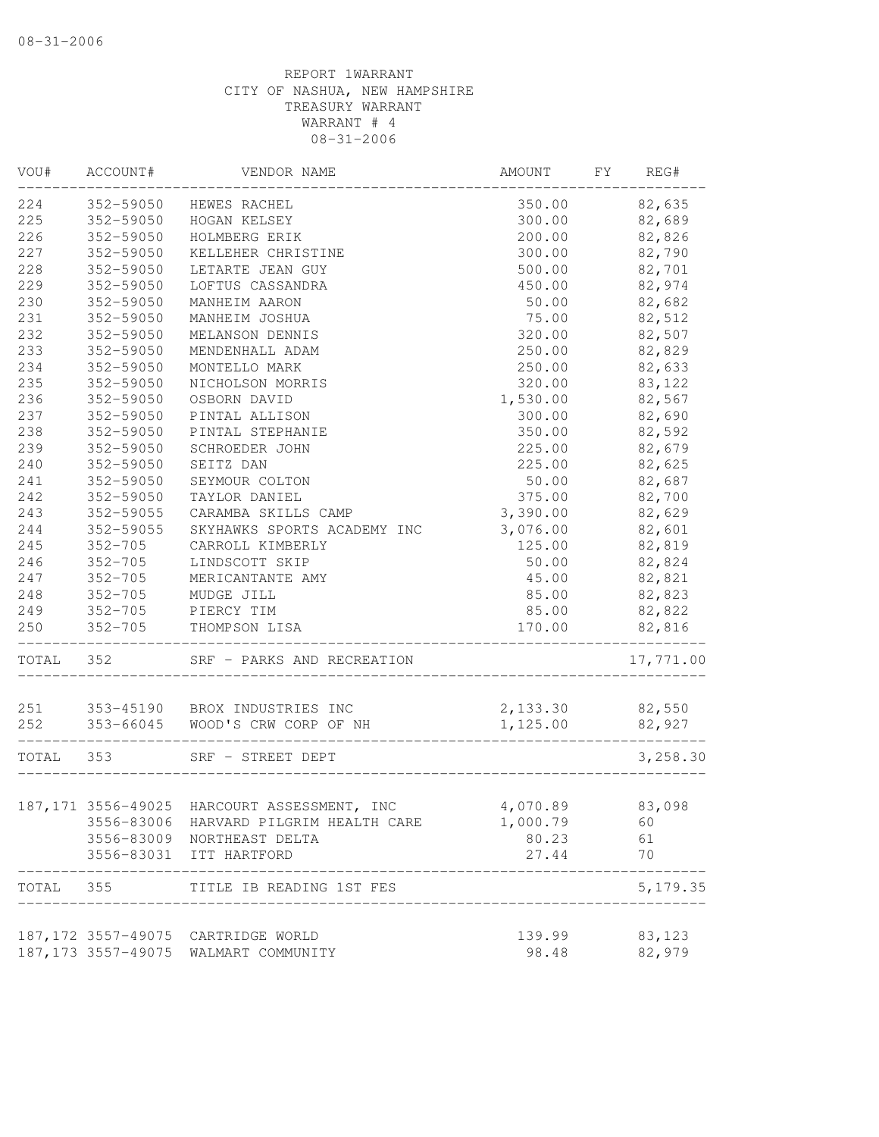| 352-59050<br>82,635<br>HEWES RACHEL<br>350.00<br>82,689<br>352-59050<br>HOGAN KELSEY<br>300.00<br>352-59050<br>HOLMBERG ERIK<br>200.00<br>82,826<br>227<br>352-59050<br>300.00<br>82,790<br>KELLEHER CHRISTINE<br>228<br>82,701<br>352-59050<br>LETARTE JEAN GUY<br>500.00<br>352-59050<br>450.00<br>82,974<br>LOFTUS CASSANDRA<br>82,682<br>352-59050<br>MANHEIM AARON<br>50.00<br>82,512<br>352-59050<br>MANHEIM JOSHUA<br>75.00<br>82,507<br>352-59050<br>320.00<br>MELANSON DENNIS<br>352-59050<br>82,829<br>MENDENHALL ADAM<br>250.00<br>352-59050<br>MONTELLO MARK<br>250.00<br>82,633<br>352-59050<br>320.00<br>83,122<br>NICHOLSON MORRIS<br>352-59050<br>OSBORN DAVID<br>1,530.00<br>82,567<br>82,690<br>352-59050<br>PINTAL ALLISON<br>300.00<br>82,592<br>352-59050<br>350.00<br>PINTAL STEPHANIE<br>225.00<br>82,679<br>352-59050<br>SCHROEDER JOHN<br>82,625<br>352-59050<br>SEITZ DAN<br>225.00<br>82,687<br>352-59050<br>50.00<br>SEYMOUR COLTON<br>352-59050<br>82,700<br>TAYLOR DANIEL<br>375.00<br>82,629<br>352-59055<br>CARAMBA SKILLS CAMP<br>3,390.00<br>352-59055<br>SKYHAWKS SPORTS ACADEMY INC<br>3,076.00<br>82,601<br>$352 - 705$<br>125.00<br>82,819<br>CARROLL KIMBERLY<br>$352 - 705$<br>50.00<br>82,824<br>LINDSCOTT SKIP<br>$352 - 705$<br>82,821<br>MERICANTANTE AMY<br>45.00<br>$352 - 705$<br>82,823<br>MUDGE JILL<br>85.00<br>352-705 PIERCY TIM<br>82,822<br>85.00<br>352-705 THOMPSON LISA<br>170.00<br>82,816<br>_____________________________<br>TOTAL 352<br>SRF - PARKS AND RECREATION<br>251 353-45190 BROX INDUSTRIES INC<br>252 353-66045 WOOD'S CRW CORP OF NH<br>2,133.30<br>82,550<br>1,125.00<br>82,927<br>_____________________<br>TOTAL 353<br>SRF - STREET DEPT<br>4,070.89<br>83,098<br>3556-83006 HARVARD PILGRIM HEALTH CARE<br>1,000.79<br>60<br>61<br>3556-83009 NORTHEAST DELTA<br>80.23<br>70<br>3556-83031 ITT HARTFORD<br>27.44<br>TOTAL 355<br>TITLE IB READING 1ST FES<br>83,123<br>187,172 3557-49075 CARTRIDGE WORLD<br>139.99<br>187,173 3557-49075 WALMART COMMUNITY | WOU# | ACCOUNT# | VENDOR NAME | AMOUNT | FY | REG#      |
|-----------------------------------------------------------------------------------------------------------------------------------------------------------------------------------------------------------------------------------------------------------------------------------------------------------------------------------------------------------------------------------------------------------------------------------------------------------------------------------------------------------------------------------------------------------------------------------------------------------------------------------------------------------------------------------------------------------------------------------------------------------------------------------------------------------------------------------------------------------------------------------------------------------------------------------------------------------------------------------------------------------------------------------------------------------------------------------------------------------------------------------------------------------------------------------------------------------------------------------------------------------------------------------------------------------------------------------------------------------------------------------------------------------------------------------------------------------------------------------------------------------------------------------------------------------------------------------------------------------------------------------------------------------------------------------------------------------------------------------------------------------------------------------------------------------------------------------------------------------------------------------------------------------------------------------------------------------------------------------------------------------------------------------------|------|----------|-------------|--------|----|-----------|
|                                                                                                                                                                                                                                                                                                                                                                                                                                                                                                                                                                                                                                                                                                                                                                                                                                                                                                                                                                                                                                                                                                                                                                                                                                                                                                                                                                                                                                                                                                                                                                                                                                                                                                                                                                                                                                                                                                                                                                                                                                         | 224  |          |             |        |    |           |
|                                                                                                                                                                                                                                                                                                                                                                                                                                                                                                                                                                                                                                                                                                                                                                                                                                                                                                                                                                                                                                                                                                                                                                                                                                                                                                                                                                                                                                                                                                                                                                                                                                                                                                                                                                                                                                                                                                                                                                                                                                         | 225  |          |             |        |    |           |
|                                                                                                                                                                                                                                                                                                                                                                                                                                                                                                                                                                                                                                                                                                                                                                                                                                                                                                                                                                                                                                                                                                                                                                                                                                                                                                                                                                                                                                                                                                                                                                                                                                                                                                                                                                                                                                                                                                                                                                                                                                         | 226  |          |             |        |    |           |
|                                                                                                                                                                                                                                                                                                                                                                                                                                                                                                                                                                                                                                                                                                                                                                                                                                                                                                                                                                                                                                                                                                                                                                                                                                                                                                                                                                                                                                                                                                                                                                                                                                                                                                                                                                                                                                                                                                                                                                                                                                         |      |          |             |        |    |           |
|                                                                                                                                                                                                                                                                                                                                                                                                                                                                                                                                                                                                                                                                                                                                                                                                                                                                                                                                                                                                                                                                                                                                                                                                                                                                                                                                                                                                                                                                                                                                                                                                                                                                                                                                                                                                                                                                                                                                                                                                                                         |      |          |             |        |    |           |
|                                                                                                                                                                                                                                                                                                                                                                                                                                                                                                                                                                                                                                                                                                                                                                                                                                                                                                                                                                                                                                                                                                                                                                                                                                                                                                                                                                                                                                                                                                                                                                                                                                                                                                                                                                                                                                                                                                                                                                                                                                         | 229  |          |             |        |    |           |
|                                                                                                                                                                                                                                                                                                                                                                                                                                                                                                                                                                                                                                                                                                                                                                                                                                                                                                                                                                                                                                                                                                                                                                                                                                                                                                                                                                                                                                                                                                                                                                                                                                                                                                                                                                                                                                                                                                                                                                                                                                         | 230  |          |             |        |    |           |
|                                                                                                                                                                                                                                                                                                                                                                                                                                                                                                                                                                                                                                                                                                                                                                                                                                                                                                                                                                                                                                                                                                                                                                                                                                                                                                                                                                                                                                                                                                                                                                                                                                                                                                                                                                                                                                                                                                                                                                                                                                         | 231  |          |             |        |    |           |
|                                                                                                                                                                                                                                                                                                                                                                                                                                                                                                                                                                                                                                                                                                                                                                                                                                                                                                                                                                                                                                                                                                                                                                                                                                                                                                                                                                                                                                                                                                                                                                                                                                                                                                                                                                                                                                                                                                                                                                                                                                         | 232  |          |             |        |    |           |
|                                                                                                                                                                                                                                                                                                                                                                                                                                                                                                                                                                                                                                                                                                                                                                                                                                                                                                                                                                                                                                                                                                                                                                                                                                                                                                                                                                                                                                                                                                                                                                                                                                                                                                                                                                                                                                                                                                                                                                                                                                         | 233  |          |             |        |    |           |
|                                                                                                                                                                                                                                                                                                                                                                                                                                                                                                                                                                                                                                                                                                                                                                                                                                                                                                                                                                                                                                                                                                                                                                                                                                                                                                                                                                                                                                                                                                                                                                                                                                                                                                                                                                                                                                                                                                                                                                                                                                         | 234  |          |             |        |    |           |
|                                                                                                                                                                                                                                                                                                                                                                                                                                                                                                                                                                                                                                                                                                                                                                                                                                                                                                                                                                                                                                                                                                                                                                                                                                                                                                                                                                                                                                                                                                                                                                                                                                                                                                                                                                                                                                                                                                                                                                                                                                         | 235  |          |             |        |    |           |
|                                                                                                                                                                                                                                                                                                                                                                                                                                                                                                                                                                                                                                                                                                                                                                                                                                                                                                                                                                                                                                                                                                                                                                                                                                                                                                                                                                                                                                                                                                                                                                                                                                                                                                                                                                                                                                                                                                                                                                                                                                         | 236  |          |             |        |    |           |
|                                                                                                                                                                                                                                                                                                                                                                                                                                                                                                                                                                                                                                                                                                                                                                                                                                                                                                                                                                                                                                                                                                                                                                                                                                                                                                                                                                                                                                                                                                                                                                                                                                                                                                                                                                                                                                                                                                                                                                                                                                         | 237  |          |             |        |    |           |
|                                                                                                                                                                                                                                                                                                                                                                                                                                                                                                                                                                                                                                                                                                                                                                                                                                                                                                                                                                                                                                                                                                                                                                                                                                                                                                                                                                                                                                                                                                                                                                                                                                                                                                                                                                                                                                                                                                                                                                                                                                         | 238  |          |             |        |    |           |
|                                                                                                                                                                                                                                                                                                                                                                                                                                                                                                                                                                                                                                                                                                                                                                                                                                                                                                                                                                                                                                                                                                                                                                                                                                                                                                                                                                                                                                                                                                                                                                                                                                                                                                                                                                                                                                                                                                                                                                                                                                         | 239  |          |             |        |    |           |
|                                                                                                                                                                                                                                                                                                                                                                                                                                                                                                                                                                                                                                                                                                                                                                                                                                                                                                                                                                                                                                                                                                                                                                                                                                                                                                                                                                                                                                                                                                                                                                                                                                                                                                                                                                                                                                                                                                                                                                                                                                         | 240  |          |             |        |    |           |
|                                                                                                                                                                                                                                                                                                                                                                                                                                                                                                                                                                                                                                                                                                                                                                                                                                                                                                                                                                                                                                                                                                                                                                                                                                                                                                                                                                                                                                                                                                                                                                                                                                                                                                                                                                                                                                                                                                                                                                                                                                         | 241  |          |             |        |    |           |
|                                                                                                                                                                                                                                                                                                                                                                                                                                                                                                                                                                                                                                                                                                                                                                                                                                                                                                                                                                                                                                                                                                                                                                                                                                                                                                                                                                                                                                                                                                                                                                                                                                                                                                                                                                                                                                                                                                                                                                                                                                         | 242  |          |             |        |    |           |
|                                                                                                                                                                                                                                                                                                                                                                                                                                                                                                                                                                                                                                                                                                                                                                                                                                                                                                                                                                                                                                                                                                                                                                                                                                                                                                                                                                                                                                                                                                                                                                                                                                                                                                                                                                                                                                                                                                                                                                                                                                         | 243  |          |             |        |    |           |
|                                                                                                                                                                                                                                                                                                                                                                                                                                                                                                                                                                                                                                                                                                                                                                                                                                                                                                                                                                                                                                                                                                                                                                                                                                                                                                                                                                                                                                                                                                                                                                                                                                                                                                                                                                                                                                                                                                                                                                                                                                         | 244  |          |             |        |    |           |
|                                                                                                                                                                                                                                                                                                                                                                                                                                                                                                                                                                                                                                                                                                                                                                                                                                                                                                                                                                                                                                                                                                                                                                                                                                                                                                                                                                                                                                                                                                                                                                                                                                                                                                                                                                                                                                                                                                                                                                                                                                         | 245  |          |             |        |    |           |
|                                                                                                                                                                                                                                                                                                                                                                                                                                                                                                                                                                                                                                                                                                                                                                                                                                                                                                                                                                                                                                                                                                                                                                                                                                                                                                                                                                                                                                                                                                                                                                                                                                                                                                                                                                                                                                                                                                                                                                                                                                         | 246  |          |             |        |    |           |
|                                                                                                                                                                                                                                                                                                                                                                                                                                                                                                                                                                                                                                                                                                                                                                                                                                                                                                                                                                                                                                                                                                                                                                                                                                                                                                                                                                                                                                                                                                                                                                                                                                                                                                                                                                                                                                                                                                                                                                                                                                         | 247  |          |             |        |    |           |
|                                                                                                                                                                                                                                                                                                                                                                                                                                                                                                                                                                                                                                                                                                                                                                                                                                                                                                                                                                                                                                                                                                                                                                                                                                                                                                                                                                                                                                                                                                                                                                                                                                                                                                                                                                                                                                                                                                                                                                                                                                         | 248  |          |             |        |    |           |
|                                                                                                                                                                                                                                                                                                                                                                                                                                                                                                                                                                                                                                                                                                                                                                                                                                                                                                                                                                                                                                                                                                                                                                                                                                                                                                                                                                                                                                                                                                                                                                                                                                                                                                                                                                                                                                                                                                                                                                                                                                         | 249  |          |             |        |    |           |
|                                                                                                                                                                                                                                                                                                                                                                                                                                                                                                                                                                                                                                                                                                                                                                                                                                                                                                                                                                                                                                                                                                                                                                                                                                                                                                                                                                                                                                                                                                                                                                                                                                                                                                                                                                                                                                                                                                                                                                                                                                         | 250  |          |             |        |    |           |
|                                                                                                                                                                                                                                                                                                                                                                                                                                                                                                                                                                                                                                                                                                                                                                                                                                                                                                                                                                                                                                                                                                                                                                                                                                                                                                                                                                                                                                                                                                                                                                                                                                                                                                                                                                                                                                                                                                                                                                                                                                         |      |          |             |        |    | 17,771.00 |
|                                                                                                                                                                                                                                                                                                                                                                                                                                                                                                                                                                                                                                                                                                                                                                                                                                                                                                                                                                                                                                                                                                                                                                                                                                                                                                                                                                                                                                                                                                                                                                                                                                                                                                                                                                                                                                                                                                                                                                                                                                         |      |          |             |        |    |           |
|                                                                                                                                                                                                                                                                                                                                                                                                                                                                                                                                                                                                                                                                                                                                                                                                                                                                                                                                                                                                                                                                                                                                                                                                                                                                                                                                                                                                                                                                                                                                                                                                                                                                                                                                                                                                                                                                                                                                                                                                                                         |      |          |             |        |    |           |
|                                                                                                                                                                                                                                                                                                                                                                                                                                                                                                                                                                                                                                                                                                                                                                                                                                                                                                                                                                                                                                                                                                                                                                                                                                                                                                                                                                                                                                                                                                                                                                                                                                                                                                                                                                                                                                                                                                                                                                                                                                         |      |          |             |        |    |           |
|                                                                                                                                                                                                                                                                                                                                                                                                                                                                                                                                                                                                                                                                                                                                                                                                                                                                                                                                                                                                                                                                                                                                                                                                                                                                                                                                                                                                                                                                                                                                                                                                                                                                                                                                                                                                                                                                                                                                                                                                                                         |      |          |             |        |    | 3,258.30  |
|                                                                                                                                                                                                                                                                                                                                                                                                                                                                                                                                                                                                                                                                                                                                                                                                                                                                                                                                                                                                                                                                                                                                                                                                                                                                                                                                                                                                                                                                                                                                                                                                                                                                                                                                                                                                                                                                                                                                                                                                                                         |      |          |             |        |    |           |
|                                                                                                                                                                                                                                                                                                                                                                                                                                                                                                                                                                                                                                                                                                                                                                                                                                                                                                                                                                                                                                                                                                                                                                                                                                                                                                                                                                                                                                                                                                                                                                                                                                                                                                                                                                                                                                                                                                                                                                                                                                         |      |          |             |        |    |           |
|                                                                                                                                                                                                                                                                                                                                                                                                                                                                                                                                                                                                                                                                                                                                                                                                                                                                                                                                                                                                                                                                                                                                                                                                                                                                                                                                                                                                                                                                                                                                                                                                                                                                                                                                                                                                                                                                                                                                                                                                                                         |      |          |             |        |    |           |
|                                                                                                                                                                                                                                                                                                                                                                                                                                                                                                                                                                                                                                                                                                                                                                                                                                                                                                                                                                                                                                                                                                                                                                                                                                                                                                                                                                                                                                                                                                                                                                                                                                                                                                                                                                                                                                                                                                                                                                                                                                         |      |          |             |        |    |           |
|                                                                                                                                                                                                                                                                                                                                                                                                                                                                                                                                                                                                                                                                                                                                                                                                                                                                                                                                                                                                                                                                                                                                                                                                                                                                                                                                                                                                                                                                                                                                                                                                                                                                                                                                                                                                                                                                                                                                                                                                                                         |      |          |             |        |    | 5, 179.35 |
|                                                                                                                                                                                                                                                                                                                                                                                                                                                                                                                                                                                                                                                                                                                                                                                                                                                                                                                                                                                                                                                                                                                                                                                                                                                                                                                                                                                                                                                                                                                                                                                                                                                                                                                                                                                                                                                                                                                                                                                                                                         |      |          |             |        |    |           |
|                                                                                                                                                                                                                                                                                                                                                                                                                                                                                                                                                                                                                                                                                                                                                                                                                                                                                                                                                                                                                                                                                                                                                                                                                                                                                                                                                                                                                                                                                                                                                                                                                                                                                                                                                                                                                                                                                                                                                                                                                                         |      |          |             | 98.48  |    | 82,979    |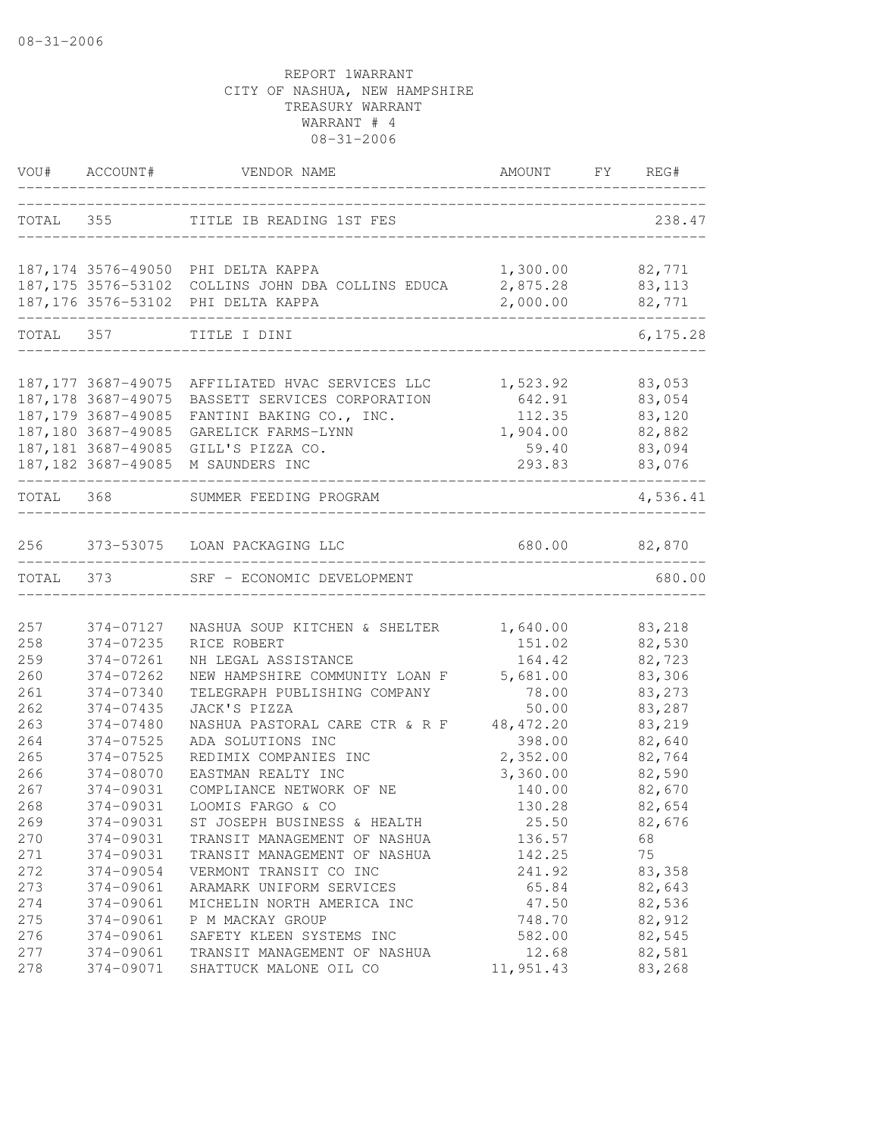|           | VOU# ACCOUNT#                              | VENDOR NAME                                                           | AMOUNT FY REG#                    |                  |
|-----------|--------------------------------------------|-----------------------------------------------------------------------|-----------------------------------|------------------|
|           |                                            | TOTAL 355 TITLE IB READING 1ST FES                                    | _________________________________ | 238.47           |
|           |                                            | 187,174 3576-49050 PHI DELTA KAPPA                                    | 1,300.00                          | 82,771           |
|           |                                            | 187,175 3576-53102 COLLINS JOHN DBA COLLINS EDUCA                     | 2,875.28                          | 83,113           |
|           |                                            | 187,176 3576-53102 PHI DELTA KAPPA                                    | 2,000.00                          | 82,771           |
| TOTAL 357 |                                            | TITLE I DINI                                                          |                                   | 6, 175.28        |
|           |                                            |                                                                       |                                   |                  |
|           | 187, 177 3687-49075<br>187, 178 3687-49075 | AFFILIATED HVAC SERVICES LLC 1,523.92<br>BASSETT SERVICES CORPORATION | 642.91                            | 83,053<br>83,054 |
|           | 187,179 3687-49085                         | FANTINI BAKING CO., INC.                                              | 112.35                            | 83,120           |
|           | 187,180 3687-49085                         | GARELICK FARMS-LYNN                                                   | 1,904.00                          | 82,882           |
|           |                                            | 187,181 3687-49085 GILL'S PIZZA CO.                                   | 59.40                             | 83,094           |
|           |                                            | 187,182 3687-49085 M SAUNDERS INC                                     | 293.83                            | 83,076           |
|           |                                            | TOTAL 368 SUMMER FEEDING PROGRAM                                      |                                   | 4,536.41         |
| 256       |                                            | 373-53075 LOAN PACKAGING LLC                                          | 680.00 82,870                     |                  |
| TOTAL 373 |                                            | SRF - ECONOMIC DEVELOPMENT                                            |                                   | 680.00           |
|           |                                            |                                                                       |                                   |                  |
| 257       | 374-07127                                  | NASHUA SOUP KITCHEN & SHELTER                                         | 1,640.00                          | 83,218           |
| 258       | 374-07235                                  | RICE ROBERT                                                           | 151.02                            | 82,530           |
| 259       | 374-07261                                  | NH LEGAL ASSISTANCE                                                   | 164.42                            | 82,723           |
| 260       | 374-07262                                  | NEW HAMPSHIRE COMMUNITY LOAN F                                        | 5,681.00                          | 83,306           |
| 261       | 374-07340                                  | TELEGRAPH PUBLISHING COMPANY                                          | 78.00                             | 83,273           |
| 262       | 374-07435                                  | JACK'S PIZZA                                                          | 50.00                             | 83,287           |
| 263       | 374-07480                                  | NASHUA PASTORAL CARE CTR & R F                                        | 48, 472.20                        | 83,219           |
| 264       | $374 - 07525$                              | ADA SOLUTIONS INC                                                     | 398.00                            | 82,640           |
| 265       | 374-07525                                  | REDIMIX COMPANIES INC                                                 | 2,352.00                          | 82,764           |
| 266       | 374-08070                                  | EASTMAN REALTY INC                                                    | 3,360.00                          | 82,590           |
| 267       | 374-09031                                  | COMPLIANCE NETWORK OF NE                                              | 140.00                            | 82,670           |
| 268       | 374-09031                                  | LOOMIS FARGO & CO                                                     | 130.28                            | 82,654           |
| 269       | 374-09031                                  | ST JOSEPH BUSINESS & HEALTH                                           | 25.50                             | 82,676           |
| 270       | 374-09031                                  | TRANSIT MANAGEMENT OF NASHUA                                          | 136.57                            | 68               |
| 271       | 374-09031                                  | TRANSIT MANAGEMENT OF NASHUA                                          | 142.25                            | 75               |
| 272       | 374-09054                                  | VERMONT TRANSIT CO INC                                                | 241.92                            | 83,358           |
| 273       | 374-09061                                  | ARAMARK UNIFORM SERVICES                                              | 65.84                             | 82,643           |
| 274       | 374-09061                                  | MICHELIN NORTH AMERICA INC                                            | 47.50                             | 82,536           |
| 275       | 374-09061                                  | P M MACKAY GROUP                                                      | 748.70                            | 82,912           |
| 276       | 374-09061                                  | SAFETY KLEEN SYSTEMS INC                                              | 582.00                            | 82,545           |
| 277       | 374-09061                                  | TRANSIT MANAGEMENT OF NASHUA                                          | 12.68                             | 82,581           |
| 278       | 374-09071                                  | SHATTUCK MALONE OIL CO                                                | 11,951.43                         | 83,268           |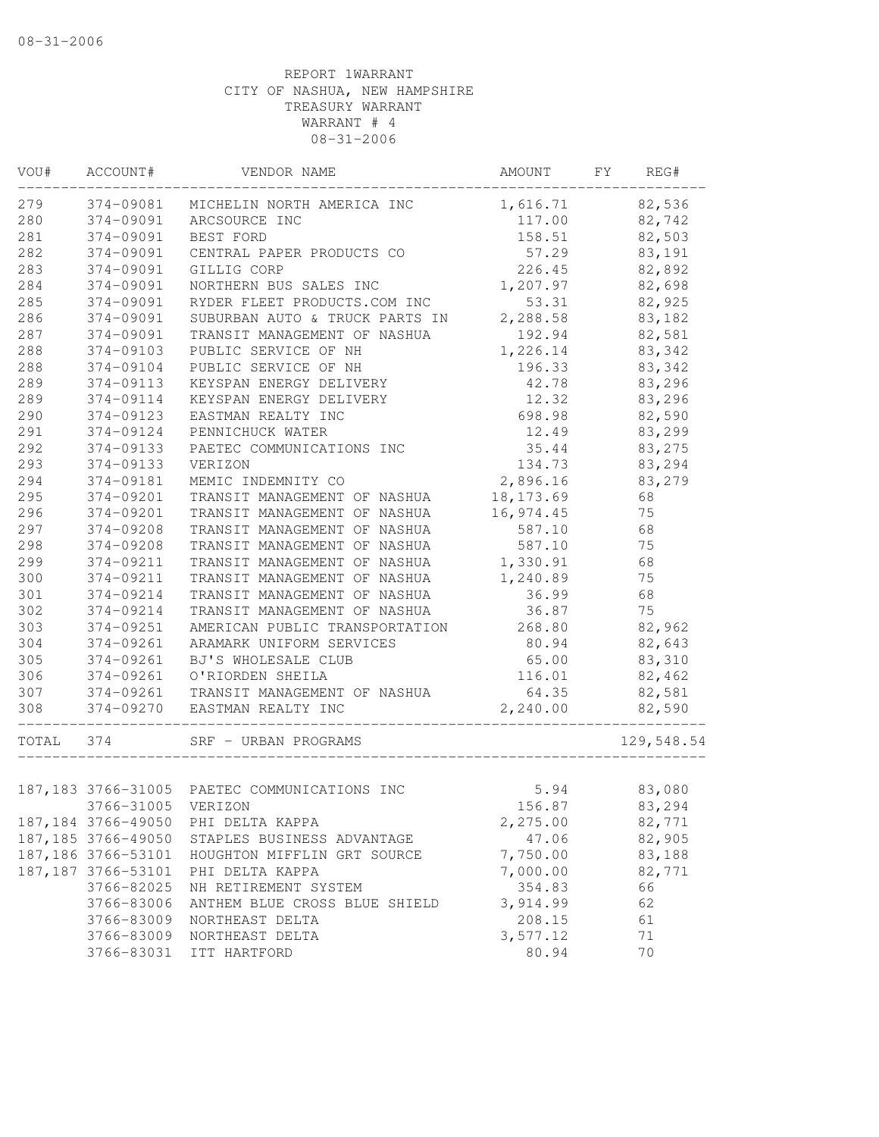| VOU#  | ACCOUNT#            | VENDOR NAME                                  | AMOUNT     | FY<br>REG# |
|-------|---------------------|----------------------------------------------|------------|------------|
| 279   | 374-09081           | MICHELIN NORTH AMERICA INC                   | 1,616.71   | 82,536     |
| 280   | 374-09091           | ARCSOURCE INC                                | 117.00     | 82,742     |
| 281   | 374-09091           | BEST FORD                                    | 158.51     | 82,503     |
| 282   | 374-09091           | CENTRAL PAPER PRODUCTS CO                    | 57.29      | 83,191     |
| 283   | 374-09091           | GILLIG CORP                                  | 226.45     | 82,892     |
| 284   | 374-09091           | NORTHERN BUS SALES INC                       | 1,207.97   | 82,698     |
| 285   | 374-09091           | RYDER FLEET PRODUCTS.COM INC                 | 53.31      | 82,925     |
| 286   | 374-09091           | SUBURBAN AUTO & TRUCK PARTS IN               | 2,288.58   | 83,182     |
| 287   | 374-09091           | TRANSIT MANAGEMENT OF NASHUA                 | 192.94     | 82,581     |
| 288   | 374-09103           | PUBLIC SERVICE OF NH                         | 1,226.14   | 83,342     |
| 288   | 374-09104           | PUBLIC SERVICE OF NH                         | 196.33     | 83,342     |
| 289   | 374-09113           | KEYSPAN ENERGY DELIVERY                      | 42.78      | 83,296     |
| 289   | 374-09114           | KEYSPAN ENERGY DELIVERY                      | 12.32      | 83,296     |
| 290   | 374-09123           | EASTMAN REALTY INC                           | 698.98     | 82,590     |
| 291   | 374-09124           | PENNICHUCK WATER                             | 12.49      | 83,299     |
| 292   | 374-09133           | PAETEC COMMUNICATIONS INC                    | 35.44      | 83,275     |
| 293   | 374-09133           | VERIZON                                      | 134.73     | 83,294     |
| 294   | 374-09181           | MEMIC INDEMNITY CO                           | 2,896.16   | 83,279     |
| 295   | 374-09201           | TRANSIT MANAGEMENT OF NASHUA                 | 18, 173.69 | 68         |
| 296   | 374-09201           | TRANSIT MANAGEMENT OF NASHUA                 | 16,974.45  | 75         |
| 297   | 374-09208           | TRANSIT MANAGEMENT OF NASHUA                 | 587.10     | 68         |
| 298   | 374-09208           | TRANSIT MANAGEMENT OF NASHUA                 | 587.10     | 75         |
| 299   | 374-09211           | TRANSIT MANAGEMENT OF NASHUA                 | 1,330.91   | 68         |
| 300   | 374-09211           | TRANSIT MANAGEMENT OF NASHUA                 | 1,240.89   | 75         |
| 301   | 374-09214           | TRANSIT MANAGEMENT OF NASHUA                 | 36.99      | 68         |
| 302   | 374-09214           | TRANSIT MANAGEMENT OF NASHUA                 | 36.87      | 75         |
| 303   | 374-09251           | AMERICAN PUBLIC TRANSPORTATION               | 268.80     | 82,962     |
| 304   | 374-09261           | ARAMARK UNIFORM SERVICES                     | 80.94      | 82,643     |
| 305   | 374-09261           | BJ'S WHOLESALE CLUB                          | 65.00      | 83,310     |
| 306   | 374-09261           | O'RIORDEN SHEILA                             | 116.01     | 82,462     |
| 307   | 374-09261           | TRANSIT MANAGEMENT OF NASHUA                 | 64.35      | 82,581     |
| 308   | 374-09270           | EASTMAN REALTY INC<br>______________________ | 2,240.00   | 82,590     |
| TOTAL | 374                 | SRF - URBAN PROGRAMS                         |            | 129,548.54 |
|       |                     | 187,183 3766-31005 PAETEC COMMUNICATIONS INC | 5.94       | 83,080     |
|       | 3766-31005 VERIZON  |                                              | 156.87     | 83,294     |
|       | 187, 184 3766-49050 | PHI DELTA KAPPA                              | 2,275.00   | 82,771     |
|       | 187, 185 3766-49050 | STAPLES BUSINESS ADVANTAGE                   | 47.06      | 82,905     |
|       | 187, 186 3766-53101 | HOUGHTON MIFFLIN GRT SOURCE                  | 7,750.00   | 83,188     |
|       | 187, 187 3766-53101 | PHI DELTA KAPPA                              | 7,000.00   | 82,771     |
|       | 3766-82025          | NH RETIREMENT SYSTEM                         | 354.83     | 66         |
|       | 3766-83006          | ANTHEM BLUE CROSS BLUE SHIELD                | 3,914.99   | 62         |
|       | 3766-83009          | NORTHEAST DELTA                              | 208.15     | 61         |
|       | 3766-83009          | NORTHEAST DELTA                              | 3,577.12   | 71         |
|       | 3766-83031          | ITT HARTFORD                                 | 80.94      | 70         |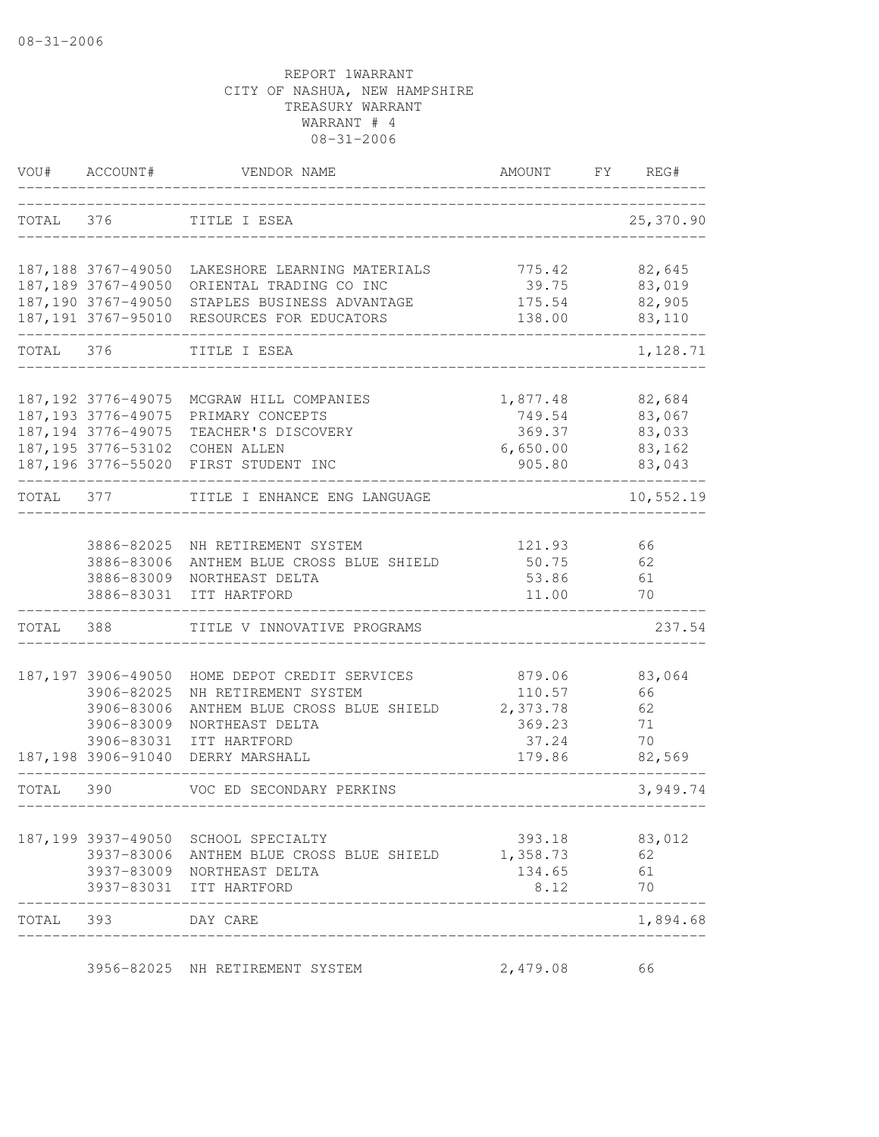| VOU#      | ACCOUNT#            | VENDOR NAME                                                                     | AMOUNT   | FY | REG#         |
|-----------|---------------------|---------------------------------------------------------------------------------|----------|----|--------------|
| TOTAL 376 |                     | TITLE I ESEA                                                                    |          |    | 25,370.90    |
|           |                     | 187,188 3767-49050 LAKESHORE LEARNING MATERIALS                                 | 775.42   |    | 82,645       |
|           | 187,189 3767-49050  | ORIENTAL TRADING CO INC                                                         | 39.75    |    | 83,019       |
|           | 187,190 3767-49050  | STAPLES BUSINESS ADVANTAGE                                                      | 175.54   |    | 82,905       |
|           |                     | 187,191 3767-95010 RESOURCES FOR EDUCATORS                                      | 138.00   |    | 83,110       |
| TOTAL 376 |                     | TITLE I ESEA                                                                    |          |    | 1,128.71     |
|           | 187, 192 3776-49075 | MCGRAW HILL COMPANIES                                                           | 1,877.48 |    | 82,684       |
|           | 187, 193 3776-49075 | PRIMARY CONCEPTS                                                                | 749.54   |    | 83,067       |
|           | 187, 194 3776-49075 | TEACHER'S DISCOVERY                                                             | 369.37   |    | 83,033       |
|           |                     | 187,195 3776-53102 COHEN ALLEN                                                  | 6,650.00 |    | 83,162       |
|           |                     | 187,196 3776-55020 FIRST STUDENT INC                                            | 905.80   |    | 83,043       |
| TOTAL 377 |                     | TITLE I ENHANCE ENG LANGUAGE                                                    |          |    | 10,552.19    |
|           | 3886-82025          | NH RETIREMENT SYSTEM                                                            | 121.93   |    | 66           |
|           | 3886-83006          | ANTHEM BLUE CROSS BLUE SHIELD                                                   | 50.75    |    | 62           |
|           | 3886-83009          | NORTHEAST DELTA                                                                 | 53.86    |    | 61           |
|           | 3886-83031          | ITT HARTFORD                                                                    | 11.00    |    | 70           |
| TOTAL     | 388                 | TITLE V INNOVATIVE PROGRAMS                                                     |          |    | 237.54       |
|           | 187, 197 3906-49050 | HOME DEPOT CREDIT SERVICES                                                      | 879.06   |    | 83,064       |
|           | 3906-82025          | NH RETIREMENT SYSTEM                                                            | 110.57   |    | 66           |
|           | 3906-83006          | ANTHEM BLUE CROSS BLUE SHIELD                                                   | 2,373.78 |    | 62           |
|           | 3906-83009          | NORTHEAST DELTA                                                                 | 369.23   |    | 71           |
|           | 3906-83031          | ITT HARTFORD                                                                    | 37.24    |    | 70           |
|           | 187,198 3906-91040  | DERRY MARSHALL                                                                  | 179.86   |    | 82,569       |
| TOTAL 390 |                     | VOC ED SECONDARY PERKINS<br>____________                                        |          |    | 3,949.74     |
|           |                     |                                                                                 | 393.18   |    |              |
|           |                     | 187,199 3937-49050 SCHOOL SPECIALTY<br>3937-83006 ANTHEM BLUE CROSS BLUE SHIELD | 1,358.73 |    | 83,012<br>62 |
|           |                     | 3937-83009 NORTHEAST DELTA                                                      | 134.65   |    | 61           |
|           |                     | 3937-83031 ITT HARTFORD                                                         | 8.12     |    | 70           |
| TOTAL 393 |                     | DAY CARE                                                                        |          |    | 1,894.68     |
|           |                     | 3956-82025 NH RETIREMENT SYSTEM                                                 | 2,479.08 |    | 66           |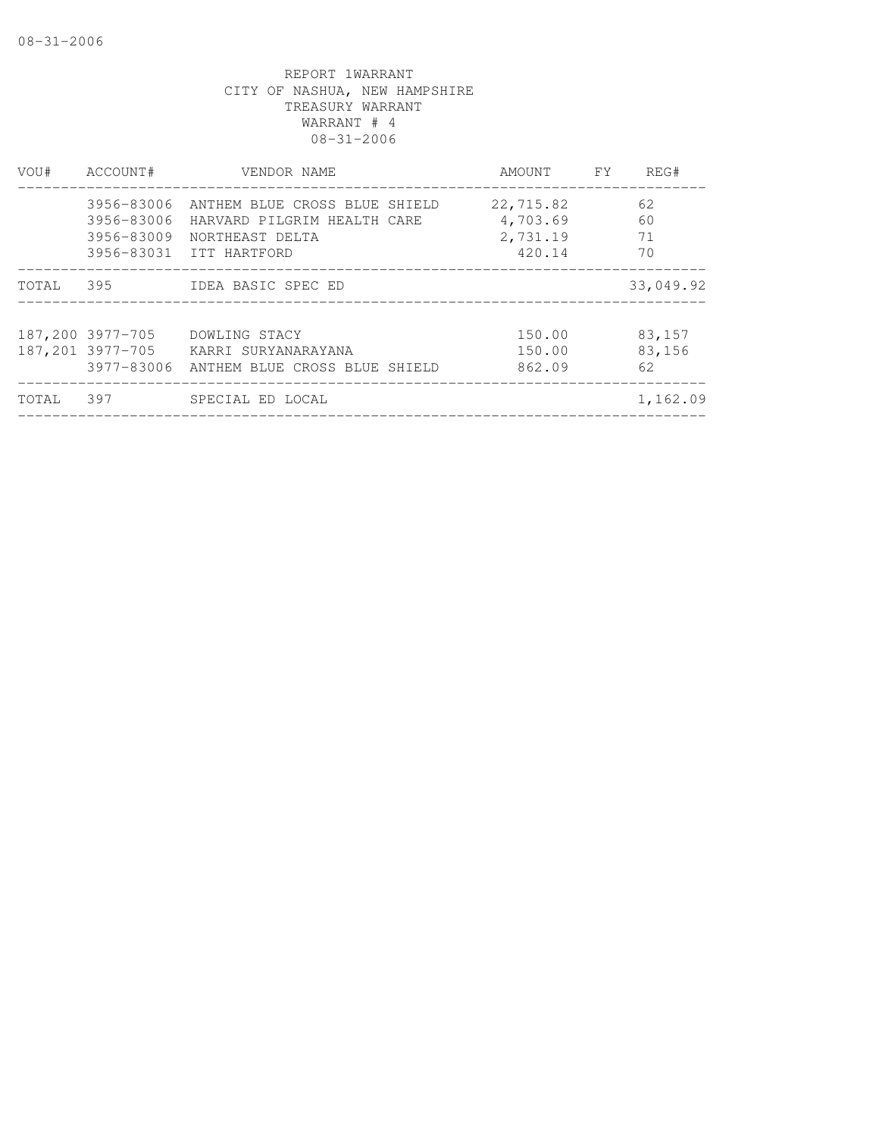| VOU#  | ACCOUNT#         | VENDOR NAME                              | AMOUNT FY | REG#      |
|-------|------------------|------------------------------------------|-----------|-----------|
|       |                  | 3956-83006 ANTHEM BLUE CROSS BLUE SHIELD | 22,715.82 | 62        |
|       |                  | 3956-83006 HARVARD PILGRIM HEALTH CARE   | 4,703.69  | 60        |
|       |                  | 3956-83009 NORTHEAST DELTA               | 2,731.19  | 71        |
|       |                  | 3956-83031 ITT HARTFORD                  | 420.14    | 70        |
| TOTAL | 395              | IDEA BASIC SPEC ED                       |           | 33,049.92 |
|       | 187,200 3977-705 | DOWLING STACY                            | 150.00    | 83,157    |
|       | 187,201 3977-705 | KARRI SURYANARAYANA                      | 150.00    | 83,156    |
|       | 3977-83006       | ANTHEM BLUE CROSS BLUE SHIELD            | 862.09    | 62        |
| TOTAL | 397              | SPECIAL ED LOCAL                         |           | 1,162.09  |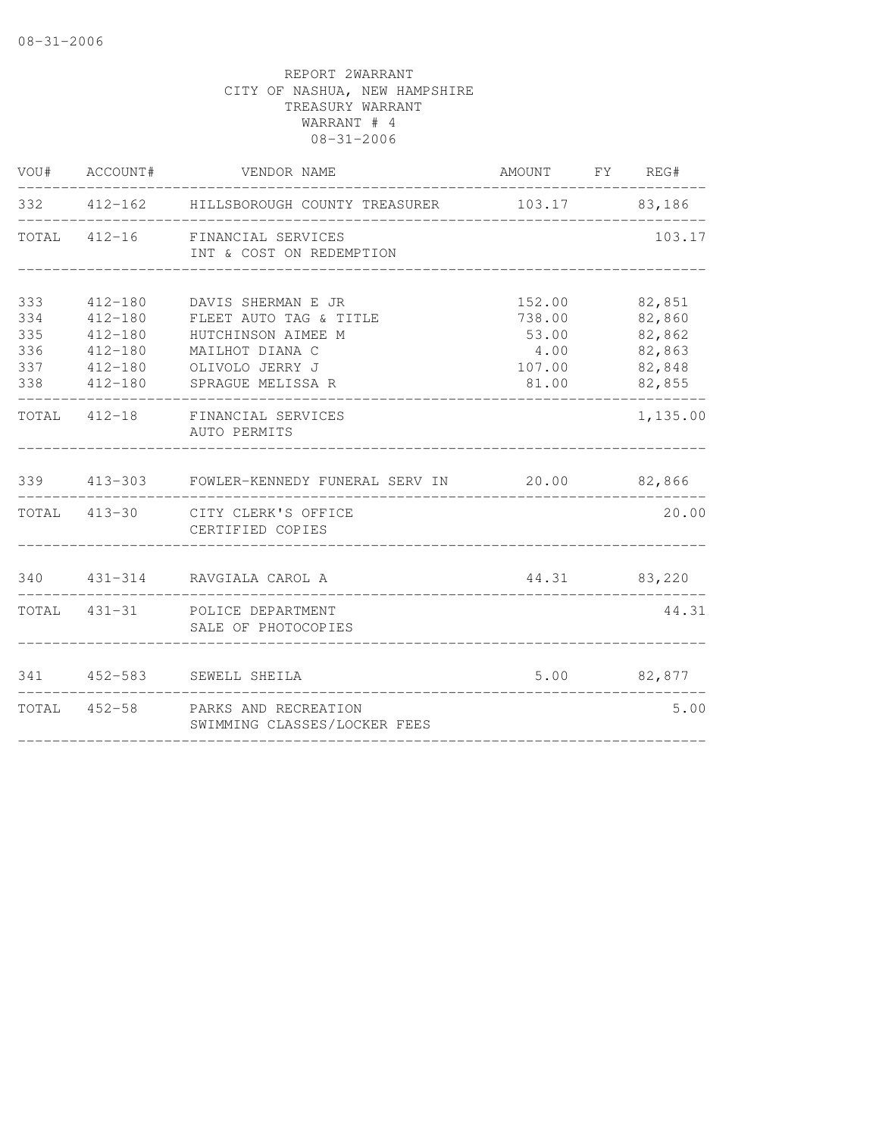| VOU#                                   | ACCOUNT#                                                                               | VENDOR NAME                                                                                                                   | AMOUNT FY REG#                                       |                                                          |
|----------------------------------------|----------------------------------------------------------------------------------------|-------------------------------------------------------------------------------------------------------------------------------|------------------------------------------------------|----------------------------------------------------------|
|                                        |                                                                                        | 332 412-162 HILLSBOROUGH COUNTY TREASURER                                                                                     |                                                      | 103.17 83,186                                            |
|                                        | TOTAL 412-16                                                                           | FINANCIAL SERVICES<br>INT & COST ON REDEMPTION                                                                                |                                                      | 103.17                                                   |
| 333<br>334<br>335<br>336<br>337<br>338 | $412 - 180$<br>$412 - 180$<br>$412 - 180$<br>$412 - 180$<br>$412 - 180$<br>$412 - 180$ | DAVIS SHERMAN E JR<br>FLEET AUTO TAG & TITLE<br>HUTCHINSON AIMEE M<br>MAILHOT DIANA C<br>OLIVOLO JERRY J<br>SPRAGUE MELISSA R | 152.00<br>738.00<br>53.00<br>4.00<br>107.00<br>81.00 | 82,851<br>82,860<br>82,862<br>82,863<br>82,848<br>82,855 |
|                                        |                                                                                        | TOTAL 412-18 FINANCIAL SERVICES<br>AUTO PERMITS                                                                               |                                                      | 1,135.00                                                 |
| 339                                    |                                                                                        | 413-303 FOWLER-KENNEDY FUNERAL SERV IN 20.00 82,866                                                                           |                                                      |                                                          |
|                                        |                                                                                        | TOTAL 413-30 CITY CLERK'S OFFICE<br>CERTIFIED COPIES                                                                          |                                                      | 20.00                                                    |
|                                        |                                                                                        | 340 431-314 RAVGIALA CAROL A                                                                                                  |                                                      | 44.31 83,220                                             |
|                                        |                                                                                        | TOTAL 431-31 POLICE DEPARTMENT<br>SALE OF PHOTOCOPIES                                                                         |                                                      | 44.31                                                    |
| 341                                    | $452 - 583$                                                                            | SEWELL SHEILA                                                                                                                 | 5.00                                                 | 82,877                                                   |
|                                        |                                                                                        | TOTAL 452-58 PARKS AND RECREATION<br>SWIMMING CLASSES/LOCKER FEES                                                             |                                                      | 5.00                                                     |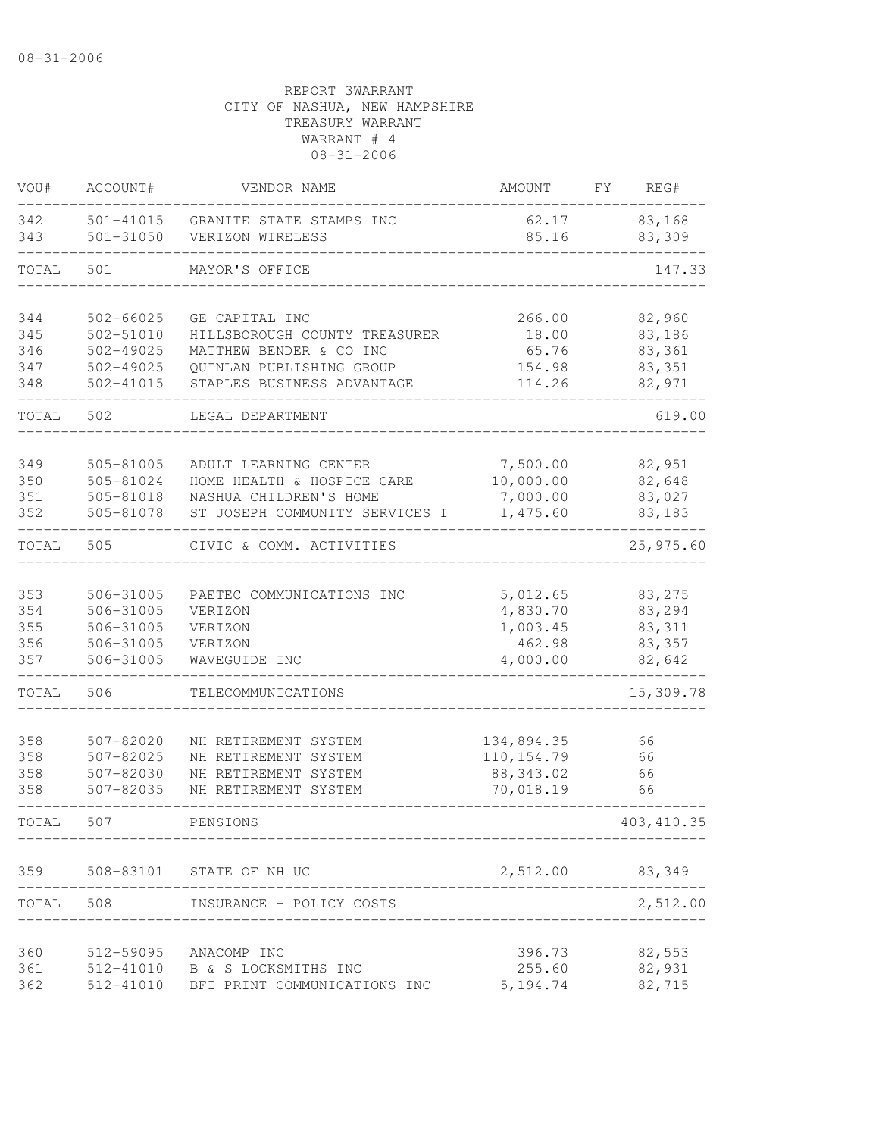| VOU#       | ACCOUNT#                   | VENDOR NAME                                  | AMOUNT             | FY. | REG#              |
|------------|----------------------------|----------------------------------------------|--------------------|-----|-------------------|
| 342<br>343 | 501-41015<br>$501 - 31050$ | GRANITE STATE STAMPS INC<br>VERIZON WIRELESS | 62.17<br>85.16     |     | 83,168<br>83,309  |
| TOTAL      | 501                        | MAYOR'S OFFICE                               |                    |     | 147.33            |
| 344        | 502-66025                  | GE CAPITAL INC                               | 266.00             |     | 82,960            |
| 345        | $502 - 51010$              | HILLSBOROUGH COUNTY TREASURER                | 18.00              |     | 83,186            |
| 346        | $502 - 49025$              | MATTHEW BENDER & CO INC                      | 65.76              |     | 83,361            |
| 347        | $502 - 49025$              | QUINLAN PUBLISHING GROUP                     | 154.98             |     | 83,351            |
| 348        | $502 - 41015$              | STAPLES BUSINESS ADVANTAGE                   | 114.26             |     | 82,971            |
| TOTAL      | 502                        | LEGAL DEPARTMENT                             |                    |     | 619.00            |
| 349        | 505-81005                  | ADULT LEARNING CENTER                        | 7,500.00           |     | 82,951            |
| 350        | 505-81024                  | HOME HEALTH & HOSPICE CARE                   | 10,000.00          |     | 82,648            |
| 351        | 505-81018                  | NASHUA CHILDREN'S HOME                       | 7,000.00           |     | 83,027            |
| 352        | 505-81078                  | ST JOSEPH COMMUNITY SERVICES I               | 1,475.60           |     | 83,183            |
| TOTAL      | 505                        | CIVIC & COMM. ACTIVITIES                     |                    |     | 25,975.60         |
|            |                            |                                              |                    |     |                   |
| 353        | 506-31005                  | PAETEC COMMUNICATIONS INC                    | 5,012.65           |     | 83,275            |
| 354        | 506-31005                  | VERIZON                                      | 4,830.70           |     | 83,294            |
| 355        | 506-31005                  | VERIZON                                      | 1,003.45           |     | 83, 311<br>83,357 |
| 356<br>357 | 506-31005<br>506-31005     | VERIZON<br>WAVEGUIDE INC                     | 462.98<br>4,000.00 |     | 82,642            |
| TOTAL      | 506                        | TELECOMMUNICATIONS                           |                    |     | 15,309.78         |
|            |                            |                                              |                    |     |                   |
| 358        | 507-82020                  | NH RETIREMENT SYSTEM                         | 134,894.35         |     | 66                |
| 358        | 507-82025                  | NH RETIREMENT SYSTEM                         | 110, 154.79        |     | 66                |
| 358        | $507 - 82030$              | NH RETIREMENT SYSTEM                         | 88, 343.02         |     | 66                |
| 358        | 507-82035                  | NH RETIREMENT SYSTEM                         | 70,018.19          |     | 66                |
| TOTAL      | 507                        | PENSIONS                                     |                    |     | 403, 410.35       |
| 359        |                            | 508-83101 STATE OF NH UC                     | 2,512.00           |     | 83,349            |
| TOTAL      | 508                        | INSURANCE - POLICY COSTS                     |                    |     | 2,512.00          |
|            |                            |                                              |                    |     |                   |
| 360        | 512-59095                  | ANACOMP INC                                  | 396.73             |     | 82,553            |
| 361        |                            | 512-41010 B & S LOCKSMITHS INC               | 255.60             |     | 82,931            |
| 362        | 512-41010                  | BFI PRINT COMMUNICATIONS INC                 | 5, 194.74          |     | 82,715            |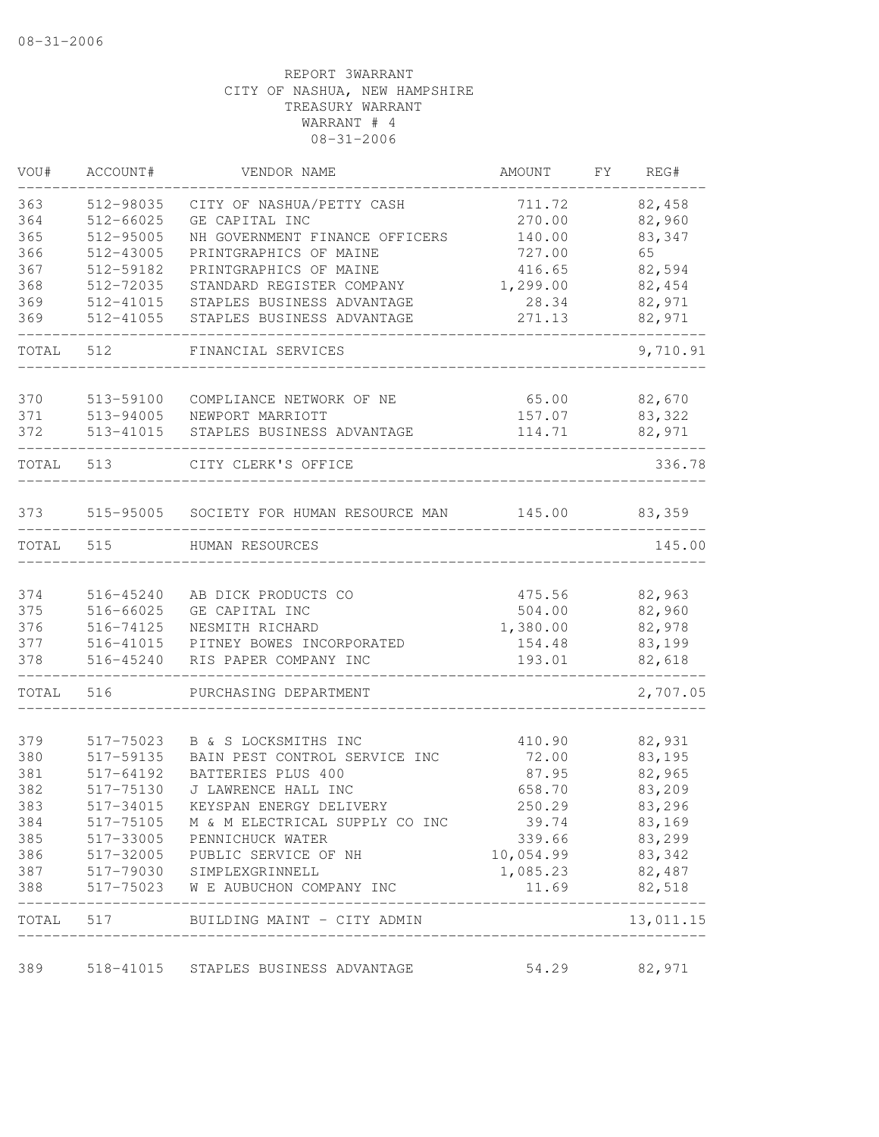| VOU#       | ACCOUNT#               | VENDOR NAME                                                     | AMOUNT                      | FY | REG#                  |
|------------|------------------------|-----------------------------------------------------------------|-----------------------------|----|-----------------------|
| 363        | 512-98035              | CITY OF NASHUA/PETTY CASH                                       | 711.72                      |    | 82,458                |
| 364        | 512-66025              | GE CAPITAL INC                                                  | 270.00                      |    | 82,960                |
| 365        | 512-95005              | NH GOVERNMENT FINANCE OFFICERS                                  | 140.00                      |    | 83,347                |
| 366        | 512-43005              | PRINTGRAPHICS OF MAINE                                          | 727.00                      |    | 65                    |
| 367        | 512-59182              | PRINTGRAPHICS OF MAINE                                          | 416.65                      |    | 82,594                |
| 368        | 512-72035              | STANDARD REGISTER COMPANY                                       | 1,299.00                    |    | 82,454                |
| 369        | 512-41015              | STAPLES BUSINESS ADVANTAGE                                      | 28.34                       |    | 82,971                |
| 369        | 512-41055              | STAPLES BUSINESS ADVANTAGE                                      | 271.13                      |    | 82,971                |
| TOTAL      | 512                    | FINANCIAL SERVICES                                              |                             |    | 9,710.91              |
| 370        | 513-59100              | COMPLIANCE NETWORK OF NE                                        | 65.00                       |    | 82,670                |
| 371        | 513-94005              | NEWPORT MARRIOTT                                                | 157.07                      |    | 83,322                |
| 372        | 513-41015              | STAPLES BUSINESS ADVANTAGE                                      | 114.71                      |    | 82,971                |
| TOTAL      | 513                    | CITY CLERK'S OFFICE                                             |                             |    | 336.78                |
| 373        | 515-95005              | SOCIETY FOR HUMAN RESOURCE MAN                                  | 145.00                      |    | 83,359                |
| TOTAL      | 515                    | HUMAN RESOURCES                                                 |                             |    | 145.00                |
|            |                        |                                                                 |                             |    |                       |
| 374        | 516-45240              | AB DICK PRODUCTS CO                                             | 475.56                      |    | 82,963                |
| 375        | 516-66025              | GE CAPITAL INC                                                  | 504.00                      |    | 82,960                |
| 376        | 516-74125              | NESMITH RICHARD                                                 | 1,380.00                    |    | 82,978                |
| 377        | 516-41015              | PITNEY BOWES INCORPORATED                                       | 154.48                      |    | 83,199                |
| 378        | 516-45240              | RIS PAPER COMPANY INC                                           | 193.01                      |    | 82,618                |
| TOTAL      | 516                    | PURCHASING DEPARTMENT                                           |                             |    | 2,707.05              |
|            |                        |                                                                 |                             |    |                       |
| 379<br>380 | 517-75023<br>517-59135 | B & S LOCKSMITHS INC<br>BAIN PEST CONTROL SERVICE INC           | 410.90<br>72.00             |    | 82,931<br>83,195      |
| 381        | 517-64192              | BATTERIES PLUS 400                                              | 87.95                       |    | 82,965                |
| 382        | 517-75130              | J LAWRENCE HALL INC                                             | 658.70                      |    | 83,209                |
| 383        | 517-34015              | KEYSPAN ENERGY DELIVERY                                         | 250.29                      |    | 83,296                |
| 384        |                        |                                                                 | 39.74                       |    |                       |
| 385        | 517-75105              | M & M ELECTRICAL SUPPLY CO INC                                  |                             |    | 83,169                |
|            |                        | 517-33005 PENNICHUCK WATER                                      | 339.66                      |    | 83,299                |
| 386<br>387 |                        | 517-32005 PUBLIC SERVICE OF NH                                  | 10,054.99<br>1,085.23       |    | 83,342<br>82,487      |
| 388        |                        | 517-79030 SIMPLEXGRINNELL<br>517-75023 W E AUBUCHON COMPANY INC | 11.69                       |    | 82,518                |
|            |                        | TOTAL 517 BUILDING MAINT - CITY ADMIN                           | ___________________________ |    | --------<br>13,011.15 |
|            |                        |                                                                 |                             |    |                       |
| 389        |                        | 518-41015 STAPLES BUSINESS ADVANTAGE                            | 54.29                       |    | 82,971                |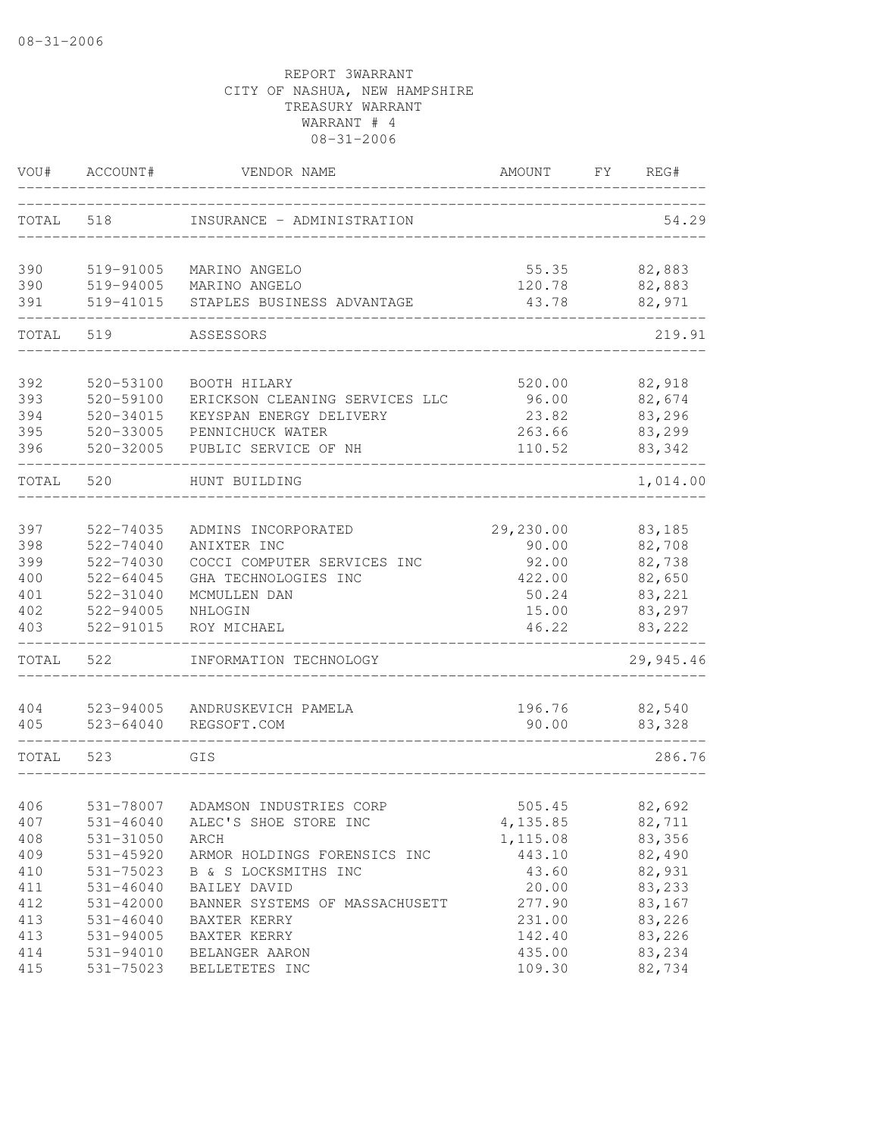| TOTAL<br>518<br>INSURANCE - ADMINISTRATION<br>390<br>519-91005<br>MARINO ANGELO<br>55.35<br>82,883<br>390<br>519-94005<br>82,883<br>MARINO ANGELO<br>120.78<br>391<br>82,971<br>519-41015<br>STAPLES BUSINESS ADVANTAGE<br>43.78<br>219.91<br>TOTAL<br>519<br>ASSESSORS<br>392<br>82,918<br>520-53100<br>BOOTH HILARY<br>520.00<br>393<br>520-59100<br>82,674<br>ERICKSON CLEANING SERVICES LLC<br>96.00<br>394<br>83,296<br>520-34015<br>KEYSPAN ENERGY DELIVERY<br>23.82<br>395<br>520-33005<br>263.66<br>83,299<br>PENNICHUCK WATER<br>396<br>$520 - 32005$<br>110.52<br>PUBLIC SERVICE OF NH<br>83,342<br>TOTAL<br>520<br>1,014.00<br>HUNT BUILDING<br>397<br>29,230.00<br>83,185<br>522-74035<br>ADMINS INCORPORATED<br>398<br>522-74040<br>82,708<br>ANIXTER INC<br>90.00<br>399<br>COCCI COMPUTER SERVICES INC<br>82,738<br>522-74030<br>92.00<br>400<br>$522 - 64045$<br>422.00<br>82,650<br>GHA TECHNOLOGIES INC<br>401<br>522-31040<br>50.24<br>83,221<br>MCMULLEN DAN<br>522-94005<br>15.00<br>83,297<br>402<br>NHLOGIN<br>403<br>522-91015<br>83,222<br>46.22<br>ROY MICHAEL<br>TOTAL<br>29,945.46<br>522<br>INFORMATION TECHNOLOGY<br>196.76<br>82,540<br>404<br>523-94005<br>ANDRUSKEVICH PAMELA<br>405<br>$523 - 64040$<br>90.00<br>83,328<br>REGSOFT.COM<br>286.76<br>TOTAL<br>523<br>GIS<br>531-78007<br>82,692<br>406<br>ADAMSON INDUSTRIES CORP<br>505.45<br>ALEC'S SHOE STORE INC<br>82,711<br>407<br>531-46040<br>4,135.85<br>408<br>531-31050<br>83,356<br>ARCH<br>1, 115.08<br>409<br>443.10<br>531-45920<br>ARMOR HOLDINGS FORENSICS INC<br>82,490<br>410<br>531-75023<br>43.60<br>82,931<br>B & S LOCKSMITHS INC<br>83,233<br>411<br>$531 - 46040$<br>BAILEY DAVID<br>20.00<br>277.90<br>83,167<br>412<br>531-42000<br>BANNER SYSTEMS OF MASSACHUSETT<br>231.00<br>83,226<br>413<br>$531 - 46040$<br>BAXTER KERRY<br>83,226<br>413<br>531-94005<br>142.40<br>BAXTER KERRY<br>83,234<br>414<br>531-94010<br>435.00<br>BELANGER AARON<br>415<br>531-75023<br>BELLETETES INC<br>109.30<br>82,734 | VOU# | ACCOUNT# | VENDOR NAME | AMOUNT | FY. | REG#  |
|------------------------------------------------------------------------------------------------------------------------------------------------------------------------------------------------------------------------------------------------------------------------------------------------------------------------------------------------------------------------------------------------------------------------------------------------------------------------------------------------------------------------------------------------------------------------------------------------------------------------------------------------------------------------------------------------------------------------------------------------------------------------------------------------------------------------------------------------------------------------------------------------------------------------------------------------------------------------------------------------------------------------------------------------------------------------------------------------------------------------------------------------------------------------------------------------------------------------------------------------------------------------------------------------------------------------------------------------------------------------------------------------------------------------------------------------------------------------------------------------------------------------------------------------------------------------------------------------------------------------------------------------------------------------------------------------------------------------------------------------------------------------------------------------------------------------------------------------------------------------------------------------------------------------------------------------------------------------------------------------------------------------|------|----------|-------------|--------|-----|-------|
|                                                                                                                                                                                                                                                                                                                                                                                                                                                                                                                                                                                                                                                                                                                                                                                                                                                                                                                                                                                                                                                                                                                                                                                                                                                                                                                                                                                                                                                                                                                                                                                                                                                                                                                                                                                                                                                                                                                                                                                                                        |      |          |             |        |     | 54.29 |
|                                                                                                                                                                                                                                                                                                                                                                                                                                                                                                                                                                                                                                                                                                                                                                                                                                                                                                                                                                                                                                                                                                                                                                                                                                                                                                                                                                                                                                                                                                                                                                                                                                                                                                                                                                                                                                                                                                                                                                                                                        |      |          |             |        |     |       |
|                                                                                                                                                                                                                                                                                                                                                                                                                                                                                                                                                                                                                                                                                                                                                                                                                                                                                                                                                                                                                                                                                                                                                                                                                                                                                                                                                                                                                                                                                                                                                                                                                                                                                                                                                                                                                                                                                                                                                                                                                        |      |          |             |        |     |       |
|                                                                                                                                                                                                                                                                                                                                                                                                                                                                                                                                                                                                                                                                                                                                                                                                                                                                                                                                                                                                                                                                                                                                                                                                                                                                                                                                                                                                                                                                                                                                                                                                                                                                                                                                                                                                                                                                                                                                                                                                                        |      |          |             |        |     |       |
|                                                                                                                                                                                                                                                                                                                                                                                                                                                                                                                                                                                                                                                                                                                                                                                                                                                                                                                                                                                                                                                                                                                                                                                                                                                                                                                                                                                                                                                                                                                                                                                                                                                                                                                                                                                                                                                                                                                                                                                                                        |      |          |             |        |     |       |
|                                                                                                                                                                                                                                                                                                                                                                                                                                                                                                                                                                                                                                                                                                                                                                                                                                                                                                                                                                                                                                                                                                                                                                                                                                                                                                                                                                                                                                                                                                                                                                                                                                                                                                                                                                                                                                                                                                                                                                                                                        |      |          |             |        |     |       |
|                                                                                                                                                                                                                                                                                                                                                                                                                                                                                                                                                                                                                                                                                                                                                                                                                                                                                                                                                                                                                                                                                                                                                                                                                                                                                                                                                                                                                                                                                                                                                                                                                                                                                                                                                                                                                                                                                                                                                                                                                        |      |          |             |        |     |       |
|                                                                                                                                                                                                                                                                                                                                                                                                                                                                                                                                                                                                                                                                                                                                                                                                                                                                                                                                                                                                                                                                                                                                                                                                                                                                                                                                                                                                                                                                                                                                                                                                                                                                                                                                                                                                                                                                                                                                                                                                                        |      |          |             |        |     |       |
|                                                                                                                                                                                                                                                                                                                                                                                                                                                                                                                                                                                                                                                                                                                                                                                                                                                                                                                                                                                                                                                                                                                                                                                                                                                                                                                                                                                                                                                                                                                                                                                                                                                                                                                                                                                                                                                                                                                                                                                                                        |      |          |             |        |     |       |
|                                                                                                                                                                                                                                                                                                                                                                                                                                                                                                                                                                                                                                                                                                                                                                                                                                                                                                                                                                                                                                                                                                                                                                                                                                                                                                                                                                                                                                                                                                                                                                                                                                                                                                                                                                                                                                                                                                                                                                                                                        |      |          |             |        |     |       |
|                                                                                                                                                                                                                                                                                                                                                                                                                                                                                                                                                                                                                                                                                                                                                                                                                                                                                                                                                                                                                                                                                                                                                                                                                                                                                                                                                                                                                                                                                                                                                                                                                                                                                                                                                                                                                                                                                                                                                                                                                        |      |          |             |        |     |       |
|                                                                                                                                                                                                                                                                                                                                                                                                                                                                                                                                                                                                                                                                                                                                                                                                                                                                                                                                                                                                                                                                                                                                                                                                                                                                                                                                                                                                                                                                                                                                                                                                                                                                                                                                                                                                                                                                                                                                                                                                                        |      |          |             |        |     |       |
|                                                                                                                                                                                                                                                                                                                                                                                                                                                                                                                                                                                                                                                                                                                                                                                                                                                                                                                                                                                                                                                                                                                                                                                                                                                                                                                                                                                                                                                                                                                                                                                                                                                                                                                                                                                                                                                                                                                                                                                                                        |      |          |             |        |     |       |
|                                                                                                                                                                                                                                                                                                                                                                                                                                                                                                                                                                                                                                                                                                                                                                                                                                                                                                                                                                                                                                                                                                                                                                                                                                                                                                                                                                                                                                                                                                                                                                                                                                                                                                                                                                                                                                                                                                                                                                                                                        |      |          |             |        |     |       |
|                                                                                                                                                                                                                                                                                                                                                                                                                                                                                                                                                                                                                                                                                                                                                                                                                                                                                                                                                                                                                                                                                                                                                                                                                                                                                                                                                                                                                                                                                                                                                                                                                                                                                                                                                                                                                                                                                                                                                                                                                        |      |          |             |        |     |       |
|                                                                                                                                                                                                                                                                                                                                                                                                                                                                                                                                                                                                                                                                                                                                                                                                                                                                                                                                                                                                                                                                                                                                                                                                                                                                                                                                                                                                                                                                                                                                                                                                                                                                                                                                                                                                                                                                                                                                                                                                                        |      |          |             |        |     |       |
|                                                                                                                                                                                                                                                                                                                                                                                                                                                                                                                                                                                                                                                                                                                                                                                                                                                                                                                                                                                                                                                                                                                                                                                                                                                                                                                                                                                                                                                                                                                                                                                                                                                                                                                                                                                                                                                                                                                                                                                                                        |      |          |             |        |     |       |
|                                                                                                                                                                                                                                                                                                                                                                                                                                                                                                                                                                                                                                                                                                                                                                                                                                                                                                                                                                                                                                                                                                                                                                                                                                                                                                                                                                                                                                                                                                                                                                                                                                                                                                                                                                                                                                                                                                                                                                                                                        |      |          |             |        |     |       |
|                                                                                                                                                                                                                                                                                                                                                                                                                                                                                                                                                                                                                                                                                                                                                                                                                                                                                                                                                                                                                                                                                                                                                                                                                                                                                                                                                                                                                                                                                                                                                                                                                                                                                                                                                                                                                                                                                                                                                                                                                        |      |          |             |        |     |       |
|                                                                                                                                                                                                                                                                                                                                                                                                                                                                                                                                                                                                                                                                                                                                                                                                                                                                                                                                                                                                                                                                                                                                                                                                                                                                                                                                                                                                                                                                                                                                                                                                                                                                                                                                                                                                                                                                                                                                                                                                                        |      |          |             |        |     |       |
|                                                                                                                                                                                                                                                                                                                                                                                                                                                                                                                                                                                                                                                                                                                                                                                                                                                                                                                                                                                                                                                                                                                                                                                                                                                                                                                                                                                                                                                                                                                                                                                                                                                                                                                                                                                                                                                                                                                                                                                                                        |      |          |             |        |     |       |
|                                                                                                                                                                                                                                                                                                                                                                                                                                                                                                                                                                                                                                                                                                                                                                                                                                                                                                                                                                                                                                                                                                                                                                                                                                                                                                                                                                                                                                                                                                                                                                                                                                                                                                                                                                                                                                                                                                                                                                                                                        |      |          |             |        |     |       |
|                                                                                                                                                                                                                                                                                                                                                                                                                                                                                                                                                                                                                                                                                                                                                                                                                                                                                                                                                                                                                                                                                                                                                                                                                                                                                                                                                                                                                                                                                                                                                                                                                                                                                                                                                                                                                                                                                                                                                                                                                        |      |          |             |        |     |       |
|                                                                                                                                                                                                                                                                                                                                                                                                                                                                                                                                                                                                                                                                                                                                                                                                                                                                                                                                                                                                                                                                                                                                                                                                                                                                                                                                                                                                                                                                                                                                                                                                                                                                                                                                                                                                                                                                                                                                                                                                                        |      |          |             |        |     |       |
|                                                                                                                                                                                                                                                                                                                                                                                                                                                                                                                                                                                                                                                                                                                                                                                                                                                                                                                                                                                                                                                                                                                                                                                                                                                                                                                                                                                                                                                                                                                                                                                                                                                                                                                                                                                                                                                                                                                                                                                                                        |      |          |             |        |     |       |
|                                                                                                                                                                                                                                                                                                                                                                                                                                                                                                                                                                                                                                                                                                                                                                                                                                                                                                                                                                                                                                                                                                                                                                                                                                                                                                                                                                                                                                                                                                                                                                                                                                                                                                                                                                                                                                                                                                                                                                                                                        |      |          |             |        |     |       |
|                                                                                                                                                                                                                                                                                                                                                                                                                                                                                                                                                                                                                                                                                                                                                                                                                                                                                                                                                                                                                                                                                                                                                                                                                                                                                                                                                                                                                                                                                                                                                                                                                                                                                                                                                                                                                                                                                                                                                                                                                        |      |          |             |        |     |       |
|                                                                                                                                                                                                                                                                                                                                                                                                                                                                                                                                                                                                                                                                                                                                                                                                                                                                                                                                                                                                                                                                                                                                                                                                                                                                                                                                                                                                                                                                                                                                                                                                                                                                                                                                                                                                                                                                                                                                                                                                                        |      |          |             |        |     |       |
|                                                                                                                                                                                                                                                                                                                                                                                                                                                                                                                                                                                                                                                                                                                                                                                                                                                                                                                                                                                                                                                                                                                                                                                                                                                                                                                                                                                                                                                                                                                                                                                                                                                                                                                                                                                                                                                                                                                                                                                                                        |      |          |             |        |     |       |
|                                                                                                                                                                                                                                                                                                                                                                                                                                                                                                                                                                                                                                                                                                                                                                                                                                                                                                                                                                                                                                                                                                                                                                                                                                                                                                                                                                                                                                                                                                                                                                                                                                                                                                                                                                                                                                                                                                                                                                                                                        |      |          |             |        |     |       |
|                                                                                                                                                                                                                                                                                                                                                                                                                                                                                                                                                                                                                                                                                                                                                                                                                                                                                                                                                                                                                                                                                                                                                                                                                                                                                                                                                                                                                                                                                                                                                                                                                                                                                                                                                                                                                                                                                                                                                                                                                        |      |          |             |        |     |       |
|                                                                                                                                                                                                                                                                                                                                                                                                                                                                                                                                                                                                                                                                                                                                                                                                                                                                                                                                                                                                                                                                                                                                                                                                                                                                                                                                                                                                                                                                                                                                                                                                                                                                                                                                                                                                                                                                                                                                                                                                                        |      |          |             |        |     |       |
|                                                                                                                                                                                                                                                                                                                                                                                                                                                                                                                                                                                                                                                                                                                                                                                                                                                                                                                                                                                                                                                                                                                                                                                                                                                                                                                                                                                                                                                                                                                                                                                                                                                                                                                                                                                                                                                                                                                                                                                                                        |      |          |             |        |     |       |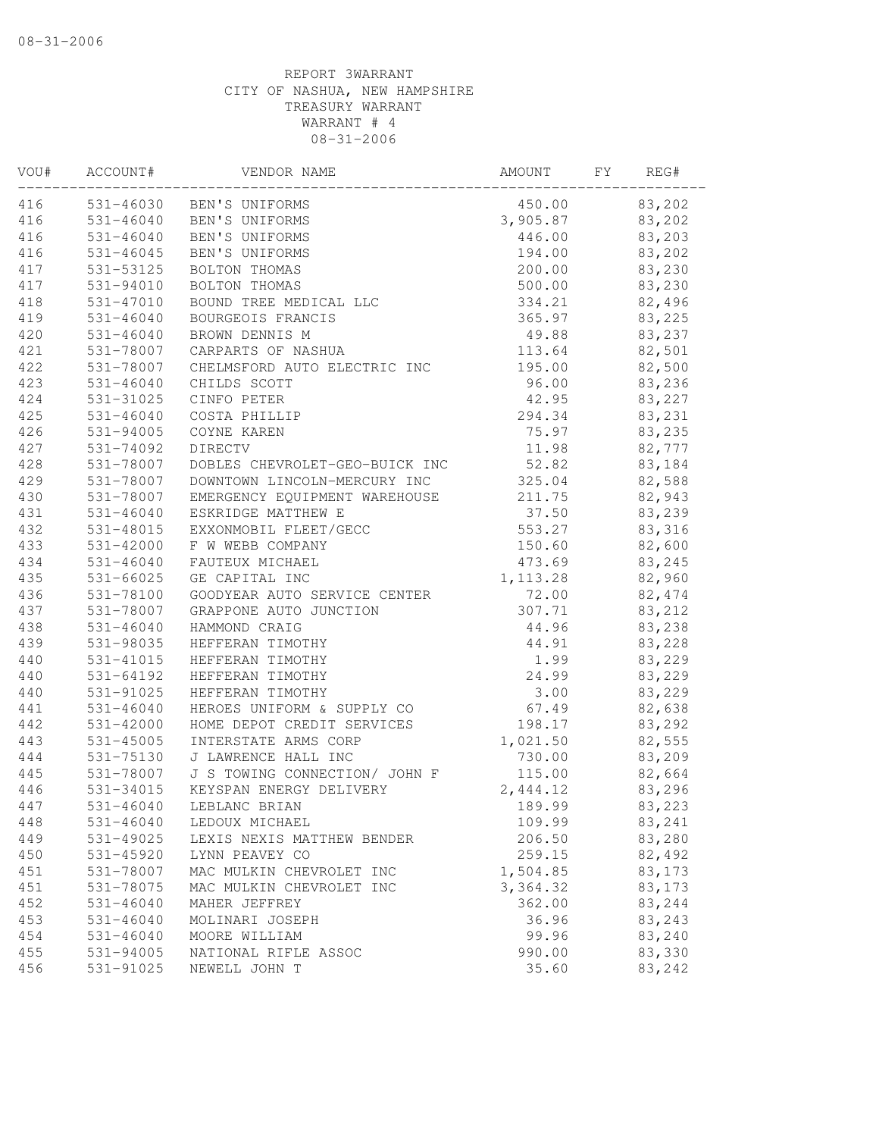| VOU# | ACCOUNT#      | VENDOR NAME                    | AMOUNT    | FΥ | REG#    |
|------|---------------|--------------------------------|-----------|----|---------|
| 416  |               | 531-46030 BEN'S UNIFORMS       | 450.00    |    | 83,202  |
| 416  | 531-46040     | BEN'S UNIFORMS                 | 3,905.87  |    | 83,202  |
| 416  | $531 - 46040$ | BEN'S UNIFORMS                 | 446.00    |    | 83,203  |
| 416  | 531-46045     | BEN'S UNIFORMS                 | 194.00    |    | 83,202  |
| 417  | 531-53125     | BOLTON THOMAS                  | 200.00    |    | 83,230  |
| 417  | 531-94010     | BOLTON THOMAS                  | 500.00    |    | 83,230  |
| 418  | 531-47010     | BOUND TREE MEDICAL LLC         | 334.21    |    | 82,496  |
| 419  | $531 - 46040$ | BOURGEOIS FRANCIS              | 365.97    |    | 83,225  |
| 420  | $531 - 46040$ | BROWN DENNIS M                 | 49.88     |    | 83,237  |
| 421  | 531-78007     | CARPARTS OF NASHUA             | 113.64    |    | 82,501  |
| 422  | 531-78007     | CHELMSFORD AUTO ELECTRIC INC   | 195.00    |    | 82,500  |
| 423  | $531 - 46040$ | CHILDS SCOTT                   | 96.00     |    | 83,236  |
| 424  | 531-31025     | CINFO PETER                    | 42.95     |    | 83,227  |
| 425  | $531 - 46040$ | COSTA PHILLIP                  | 294.34    |    | 83,231  |
| 426  | 531-94005     | COYNE KAREN                    | 75.97     |    | 83,235  |
| 427  | 531-74092     | DIRECTV                        | 11.98     |    | 82,777  |
| 428  | 531-78007     | DOBLES CHEVROLET-GEO-BUICK INC | 52.82     |    | 83,184  |
| 429  | 531-78007     | DOWNTOWN LINCOLN-MERCURY INC   | 325.04    |    | 82,588  |
| 430  | 531-78007     | EMERGENCY EOUIPMENT WAREHOUSE  | 211.75    |    | 82,943  |
| 431  | $531 - 46040$ | ESKRIDGE MATTHEW E             | 37.50     |    | 83,239  |
| 432  | 531-48015     | EXXONMOBIL FLEET/GECC          | 553.27    |    | 83,316  |
| 433  | 531-42000     | F W WEBB COMPANY               | 150.60    |    | 82,600  |
| 434  | $531 - 46040$ | FAUTEUX MICHAEL                | 473.69    |    | 83,245  |
| 435  | $531 - 66025$ | GE CAPITAL INC                 | 1, 113.28 |    | 82,960  |
| 436  | 531-78100     | GOODYEAR AUTO SERVICE CENTER   | 72.00     |    | 82, 474 |
| 437  | 531-78007     | GRAPPONE AUTO JUNCTION         | 307.71    |    | 83,212  |
| 438  | $531 - 46040$ | HAMMOND CRAIG                  | 44.96     |    | 83,238  |
| 439  | 531-98035     | HEFFERAN TIMOTHY               | 44.91     |    | 83,228  |
| 440  | 531-41015     | HEFFERAN TIMOTHY               | 1.99      |    | 83,229  |
| 440  | 531-64192     | HEFFERAN TIMOTHY               | 24.99     |    | 83,229  |
| 440  | 531-91025     | HEFFERAN TIMOTHY               | 3.00      |    | 83,229  |
| 441  | $531 - 46040$ | HEROES UNIFORM & SUPPLY CO     | 67.49     |    | 82,638  |
| 442  | 531-42000     | HOME DEPOT CREDIT SERVICES     | 198.17    |    | 83,292  |
| 443  | $531 - 45005$ | INTERSTATE ARMS CORP           | 1,021.50  |    | 82,555  |
| 444  | 531-75130     | J LAWRENCE HALL INC            | 730.00    |    | 83,209  |
| 445  | 531-78007     | J S TOWING CONNECTION/ JOHN F  | 115.00    |    | 82,664  |
| 446  | $531 - 34015$ | KEYSPAN ENERGY DELIVERY        | 2,444.12  |    | 83,296  |
| 447  | $531 - 46040$ | LEBLANC BRIAN                  | 189.99    |    | 83,223  |
| 448  | $531 - 46040$ | LEDOUX MICHAEL                 | 109.99    |    | 83,241  |
| 449  | 531-49025     | LEXIS NEXIS MATTHEW BENDER     | 206.50    |    | 83,280  |
| 450  | 531-45920     | LYNN PEAVEY CO                 | 259.15    |    | 82,492  |
| 451  | 531-78007     | MAC MULKIN CHEVROLET INC       | 1,504.85  |    | 83,173  |
| 451  | 531-78075     | MAC MULKIN CHEVROLET INC       | 3, 364.32 |    | 83,173  |
| 452  | $531 - 46040$ | MAHER JEFFREY                  | 362.00    |    | 83,244  |
| 453  | $531 - 46040$ | MOLINARI JOSEPH                | 36.96     |    | 83,243  |
| 454  | $531 - 46040$ | MOORE WILLIAM                  | 99.96     |    | 83,240  |
| 455  | 531-94005     | NATIONAL RIFLE ASSOC           | 990.00    |    | 83,330  |
| 456  | 531-91025     | NEWELL JOHN T                  | 35.60     |    | 83,242  |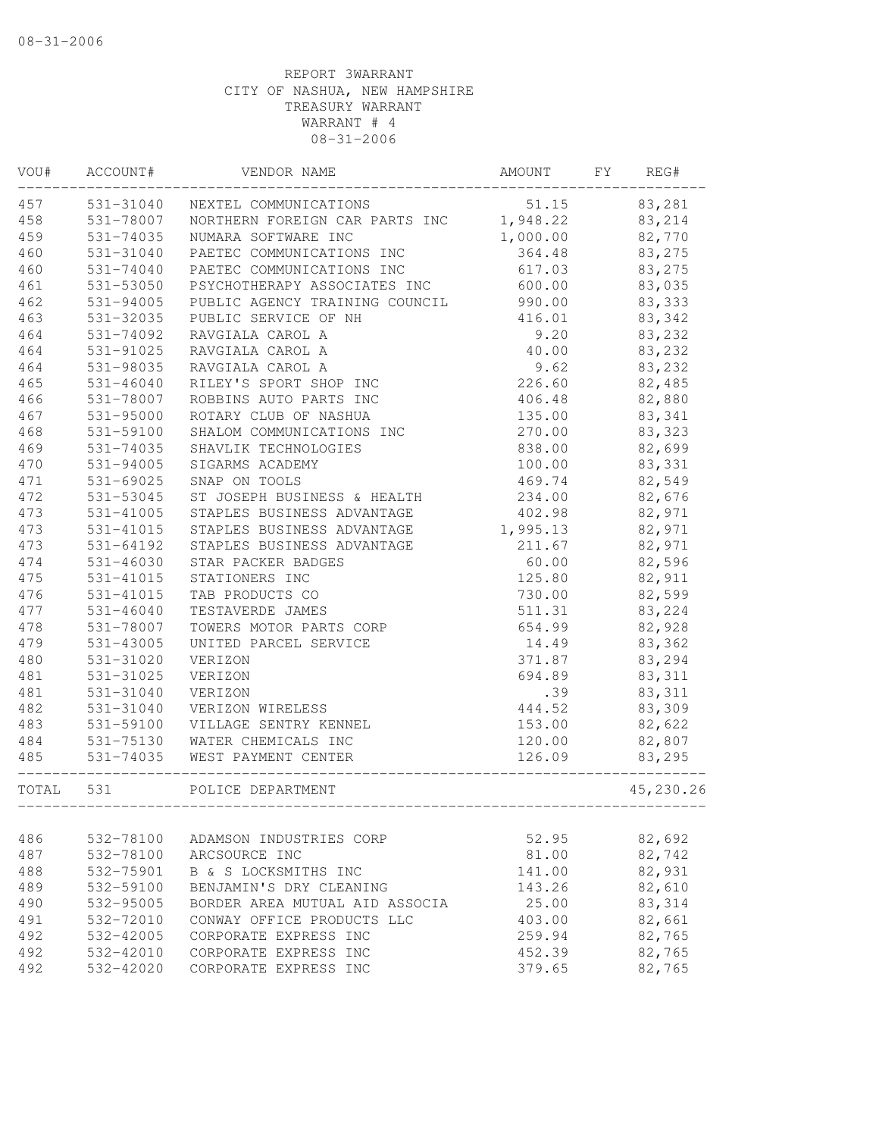| VOU#  | ACCOUNT#      | VENDOR NAME                              | AMOUNT   | FΥ | REG#      |
|-------|---------------|------------------------------------------|----------|----|-----------|
| 457   | 531-31040     | NEXTEL COMMUNICATIONS                    | 51.15    |    | 83,281    |
| 458   | 531-78007     | NORTHERN FOREIGN CAR PARTS INC 1,948.22  |          |    | 83,214    |
| 459   | 531-74035     | NUMARA SOFTWARE INC                      | 1,000.00 |    | 82,770    |
| 460   | 531-31040     | PAETEC COMMUNICATIONS INC                | 364.48   |    | 83,275    |
| 460   | 531-74040     | PAETEC COMMUNICATIONS INC                | 617.03   |    | 83,275    |
| 461   | 531-53050     | PSYCHOTHERAPY ASSOCIATES INC             | 600.00   |    | 83,035    |
| 462   | 531-94005     | PUBLIC AGENCY TRAINING COUNCIL           | 990.00   |    | 83,333    |
| 463   | 531-32035     | PUBLIC SERVICE OF NH                     | 416.01   |    | 83,342    |
| 464   | 531-74092     | RAVGIALA CAROL A                         | 9.20     |    | 83,232    |
| 464   | 531-91025     | RAVGIALA CAROL A                         | 40.00    |    | 83,232    |
| 464   | 531-98035     | RAVGIALA CAROL A                         | 9.62     |    | 83,232    |
| 465   | $531 - 46040$ | RILEY'S SPORT SHOP INC                   | 226.60   |    | 82,485    |
| 466   | 531-78007     | ROBBINS AUTO PARTS INC                   | 406.48   |    | 82,880    |
| 467   | 531-95000     | ROTARY CLUB OF NASHUA                    | 135.00   |    | 83,341    |
| 468   | 531-59100     | SHALOM COMMUNICATIONS INC                | 270.00   |    | 83,323    |
| 469   | 531-74035     | SHAVLIK TECHNOLOGIES                     | 838.00   |    | 82,699    |
| 470   | 531-94005     | SIGARMS ACADEMY                          | 100.00   |    | 83,331    |
| 471   | $531 - 69025$ | SNAP ON TOOLS                            | 469.74   |    | 82,549    |
| 472   | 531-53045     | ST JOSEPH BUSINESS & HEALTH              | 234.00   |    | 82,676    |
| 473   | 531-41005     | STAPLES BUSINESS ADVANTAGE               | 402.98   |    | 82,971    |
| 473   | 531-41015     | STAPLES BUSINESS ADVANTAGE               | 1,995.13 |    | 82,971    |
| 473   | 531-64192     | STAPLES BUSINESS ADVANTAGE               | 211.67   |    | 82,971    |
| 474   | $531 - 46030$ | STAR PACKER BADGES                       | 60.00    |    | 82,596    |
| 475   | 531-41015     | STATIONERS INC                           | 125.80   |    | 82,911    |
| 476   | 531-41015     | TAB PRODUCTS CO                          | 730.00   |    | 82,599    |
| 477   | $531 - 46040$ | TESTAVERDE JAMES                         | 511.31   |    | 83,224    |
| 478   | 531-78007     | TOWERS MOTOR PARTS CORP                  | 654.99   |    | 82,928    |
| 479   | $531 - 43005$ | UNITED PARCEL SERVICE                    | 14.49    |    | 83,362    |
| 480   | 531-31020     | VERIZON                                  | 371.87   |    | 83,294    |
| 481   | 531-31025     | VERIZON                                  | 694.89   |    | 83, 311   |
| 481   | 531-31040     | VERIZON                                  | .39      |    | 83, 311   |
| 482   | 531-31040     | VERIZON WIRELESS                         | 444.52   |    | 83,309    |
| 483   | 531-59100     | VILLAGE SENTRY KENNEL                    | 153.00   |    | 82,622    |
| 484   | 531-75130     | WATER CHEMICALS INC                      | 120.00   |    | 82,807    |
| 485   | 531-74035     | WEST PAYMENT CENTER                      | 126.09   |    | 83,295    |
| TOTAL | 531           | POLICE DEPARTMENT                        |          |    | 45,230.26 |
| 486   | 532-78100     |                                          | 52.95    |    | 82,692    |
| 487   | 532-78100     | ADAMSON INDUSTRIES CORP<br>ARCSOURCE INC | 81.00    |    | 82,742    |
| 488   | 532-75901     | B & S LOCKSMITHS INC                     | 141.00   |    | 82,931    |
| 489   | 532-59100     | BENJAMIN'S DRY CLEANING                  | 143.26   |    | 82,610    |
| 490   | 532-95005     | BORDER AREA MUTUAL AID ASSOCIA           | 25.00    |    | 83, 314   |
| 491   | 532-72010     | CONWAY OFFICE PRODUCTS LLC               | 403.00   |    | 82,661    |
| 492   | 532-42005     | CORPORATE EXPRESS INC                    | 259.94   |    | 82,765    |
| 492   | 532-42010     | CORPORATE EXPRESS INC                    | 452.39   |    | 82,765    |
| 492   | 532-42020     | CORPORATE EXPRESS INC                    | 379.65   |    | 82,765    |
|       |               |                                          |          |    |           |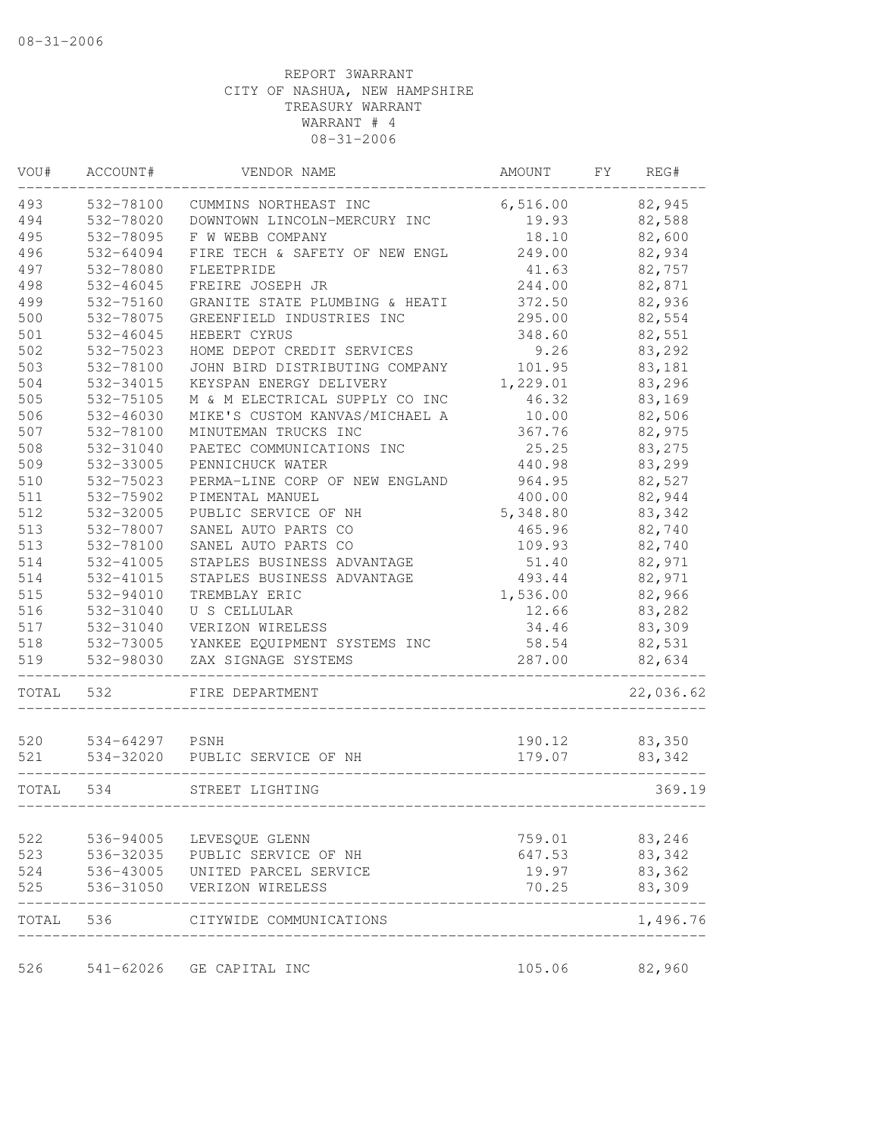| VOU#  | ACCOUNT#       | VENDOR NAME                    | AMOUNT   | FΥ | REG#      |
|-------|----------------|--------------------------------|----------|----|-----------|
| 493   | 532-78100      | CUMMINS NORTHEAST INC          | 6,516.00 |    | 82,945    |
| 494   | 532-78020      | DOWNTOWN LINCOLN-MERCURY INC   | 19.93    |    | 82,588    |
| 495   | 532-78095      | F W WEBB COMPANY               | 18.10    |    | 82,600    |
| 496   | 532-64094      | FIRE TECH & SAFETY OF NEW ENGL | 249.00   |    | 82,934    |
| 497   | 532-78080      | FLEETPRIDE                     | 41.63    |    | 82,757    |
| 498   | 532-46045      | FREIRE JOSEPH JR               | 244.00   |    | 82,871    |
| 499   | 532-75160      | GRANITE STATE PLUMBING & HEATI | 372.50   |    | 82,936    |
| 500   | 532-78075      | GREENFIELD INDUSTRIES INC      | 295.00   |    | 82,554    |
| 501   | 532-46045      | HEBERT CYRUS                   | 348.60   |    | 82,551    |
| 502   | 532-75023      | HOME DEPOT CREDIT SERVICES     | 9.26     |    | 83,292    |
| 503   | 532-78100      | JOHN BIRD DISTRIBUTING COMPANY | 101.95   |    | 83,181    |
| 504   | 532-34015      | KEYSPAN ENERGY DELIVERY        | 1,229.01 |    | 83,296    |
| 505   | 532-75105      | M & M ELECTRICAL SUPPLY CO INC | 46.32    |    | 83,169    |
| 506   | 532-46030      | MIKE'S CUSTOM KANVAS/MICHAEL A | 10.00    |    | 82,506    |
| 507   | 532-78100      | MINUTEMAN TRUCKS INC           | 367.76   |    | 82,975    |
| 508   | 532-31040      | PAETEC COMMUNICATIONS INC      | 25.25    |    | 83,275    |
| 509   | 532-33005      | PENNICHUCK WATER               | 440.98   |    | 83,299    |
| 510   | 532-75023      | PERMA-LINE CORP OF NEW ENGLAND | 964.95   |    | 82,527    |
| 511   | 532-75902      | PIMENTAL MANUEL                | 400.00   |    | 82,944    |
| 512   | 532-32005      | PUBLIC SERVICE OF NH           | 5,348.80 |    | 83,342    |
| 513   | 532-78007      | SANEL AUTO PARTS CO            | 465.96   |    | 82,740    |
| 513   | 532-78100      | SANEL AUTO PARTS CO            | 109.93   |    | 82,740    |
| 514   | 532-41005      | STAPLES BUSINESS ADVANTAGE     | 51.40    |    | 82,971    |
| 514   | 532-41015      | STAPLES BUSINESS ADVANTAGE     | 493.44   |    | 82,971    |
| 515   | 532-94010      | TREMBLAY ERIC                  | 1,536.00 |    | 82,966    |
| 516   | 532-31040      | U S CELLULAR                   | 12.66    |    | 83,282    |
| 517   | 532-31040      | VERIZON WIRELESS               | 34.46    |    | 83,309    |
| 518   | 532-73005      | YANKEE EQUIPMENT SYSTEMS INC   | 58.54    |    | 82,531    |
| 519   | 532-98030      | ZAX SIGNAGE SYSTEMS            | 287.00   |    | 82,634    |
| TOTAL | 532            | FIRE DEPARTMENT                |          |    | 22,036.62 |
|       |                |                                |          |    |           |
| 520   | 534-64297 PSNH |                                | 190.12   |    | 83,350    |
| 521   | 534-32020      | PUBLIC SERVICE OF NH           | 179.07   |    | 83,342    |
| TOTAL | 534            | STREET LIGHTING                |          |    | 369.19    |
| 522   |                | 536-94005 LEVESQUE GLENN       | 759.01   |    | 83,246    |
| 523   |                | 536-32035 PUBLIC SERVICE OF NH | 647.53   |    | 83,342    |
| 524   | 536-43005      | UNITED PARCEL SERVICE          | 19.97    |    | 83,362    |
| 525   |                | 536-31050 VERIZON WIRELESS     | 70.25    |    | 83,309    |
|       | TOTAL 536      | CITYWIDE COMMUNICATIONS        |          |    | 1,496.76  |
| 526   |                | 541-62026 GE CAPITAL INC       | 105.06   |    | 82,960    |
|       |                |                                |          |    |           |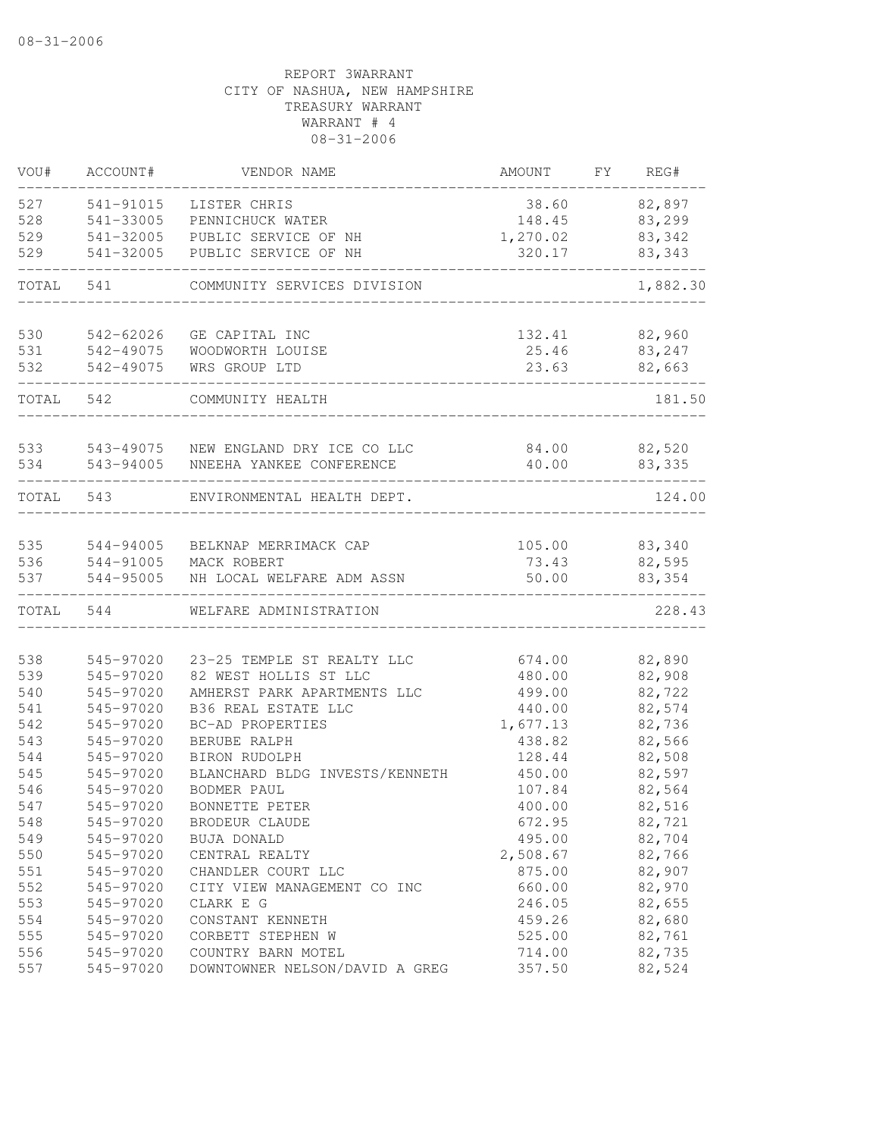| VOU#       | ACCOUNT#               | VENDOR NAME                                         | AMOUNT           | FY | REG#             |
|------------|------------------------|-----------------------------------------------------|------------------|----|------------------|
| 527        | 541-91015              | LISTER CHRIS                                        | 38.60            |    | 82,897           |
| 528        | 541-33005              | PENNICHUCK WATER                                    | 148.45           |    | 83,299           |
| 529        | 541-32005              | PUBLIC SERVICE OF NH                                | 1,270.02         |    | 83,342           |
| 529        | 541-32005              | PUBLIC SERVICE OF NH                                | 320.17           |    | 83,343           |
| TOTAL      | 541                    | COMMUNITY SERVICES DIVISION                         |                  |    | 1,882.30         |
| 530        | 542-62026              | GE CAPITAL INC                                      | 132.41           |    | 82,960           |
| 531        | 542-49075              | WOODWORTH LOUISE                                    | 25.46            |    | 83,247           |
| 532        | 542-49075              | WRS GROUP LTD                                       | 23.63            |    | 82,663           |
| TOTAL 542  |                        | COMMUNITY HEALTH                                    |                  |    | 181.50           |
| 533        | 543-49075              | NEW ENGLAND DRY ICE CO LLC                          | 84.00            |    | 82,520           |
| 534        | 543-94005              | NNEEHA YANKEE CONFERENCE                            | 40.00            |    | 83,335           |
| TOTAL      | 543                    | ENVIRONMENTAL HEALTH DEPT.                          |                  |    | 124.00           |
| 535        | 544-94005              | BELKNAP MERRIMACK CAP                               | 105.00           |    | 83,340           |
| 536        | 544-91005              | MACK ROBERT                                         | 73.43            |    | 82,595           |
| 537        | 544-95005              | NH LOCAL WELFARE ADM ASSN                           | 50.00            |    | 83,354           |
| TOTAL      | 544                    | WELFARE ADMINISTRATION                              |                  |    | 228.43           |
|            |                        |                                                     |                  |    |                  |
| 538<br>539 | 545-97020<br>545-97020 | 23-25 TEMPLE ST REALTY LLC<br>82 WEST HOLLIS ST LLC | 674.00<br>480.00 |    | 82,890<br>82,908 |
| 540        | 545-97020              | AMHERST PARK APARTMENTS LLC                         | 499.00           |    | 82,722           |
| 541        | 545-97020              | B36 REAL ESTATE LLC                                 | 440.00           |    | 82,574           |
| 542        | 545-97020              | BC-AD PROPERTIES                                    | 1,677.13         |    | 82,736           |
| 543        | 545-97020              | BERUBE RALPH                                        | 438.82           |    | 82,566           |
| 544        | 545-97020              | BIRON RUDOLPH                                       | 128.44           |    | 82,508           |
| 545        | 545-97020              | BLANCHARD BLDG INVESTS/KENNETH                      | 450.00           |    | 82,597           |
| 546        | 545-97020              | <b>BODMER PAUL</b>                                  | 107.84           |    | 82,564           |
| 547        | 545-97020              | BONNETTE PETER                                      | 400.00           |    | 82,516           |
| 548        | 545-97020              | BRODEUR CLAUDE                                      | 672.95           |    | 82,721           |
| 549        | 545-97020              | BUJA DONALD                                         | 495.00           |    | 82,704           |
| 550        | 545-97020              | CENTRAL REALTY                                      | 2,508.67         |    | 82,766           |
| 551        | 545-97020              | CHANDLER COURT LLC                                  | 875.00           |    | 82,907           |
| 552        | 545-97020              | CITY VIEW MANAGEMENT CO INC                         | 660.00           |    | 82,970           |
| 553        | 545-97020              | CLARK E G                                           | 246.05           |    | 82,655           |
| 554        | 545-97020              | CONSTANT KENNETH                                    | 459.26           |    | 82,680           |
| 555        | 545-97020              | CORBETT STEPHEN W                                   | 525.00           |    | 82,761           |
| 556        | 545-97020              | COUNTRY BARN MOTEL                                  | 714.00           |    | 82,735           |
| 557        | 545-97020              | DOWNTOWNER NELSON/DAVID A GREG                      | 357.50           |    | 82,524           |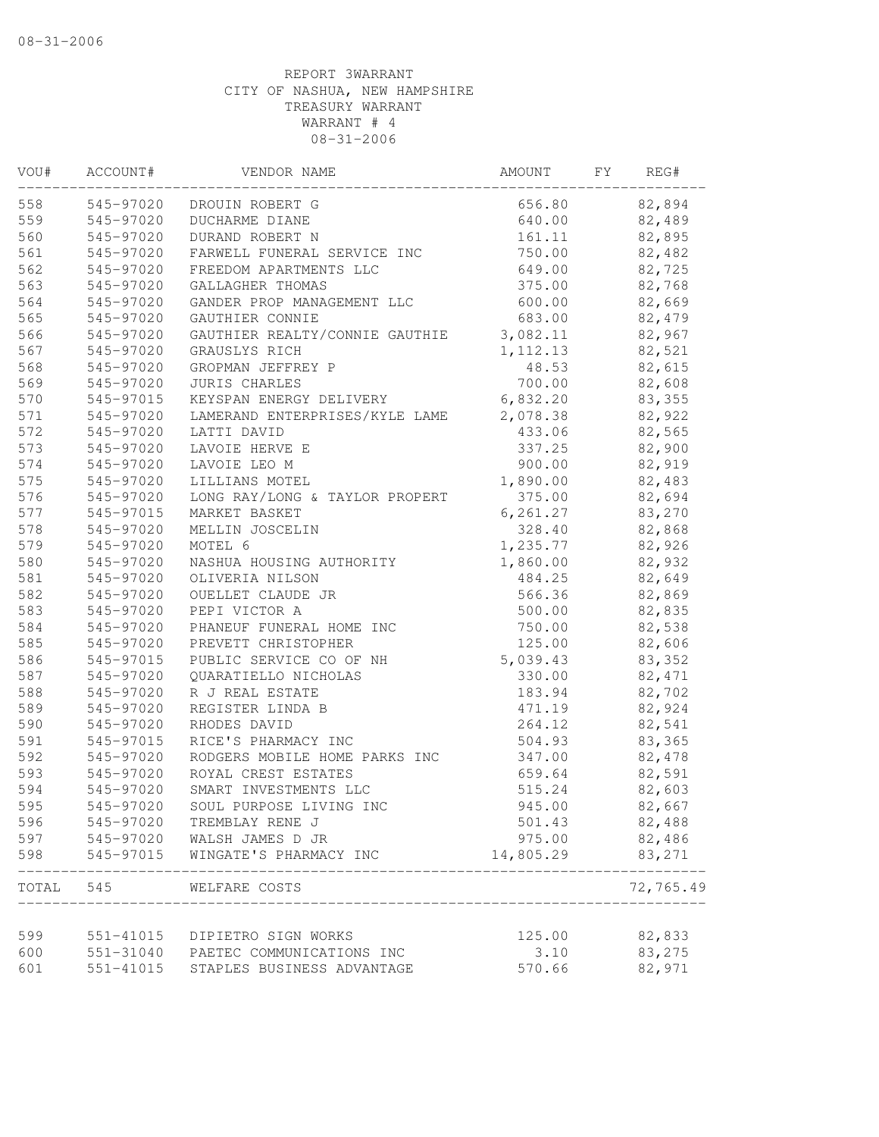| 82,894<br>545-97020<br>656.80<br>DROUIN ROBERT G<br>545-97020<br>DUCHARME DIANE<br>640.00<br>82,489<br>560<br>545-97020<br>DURAND ROBERT N<br>161.11<br>82,895<br>561<br>545-97020<br>FARWELL FUNERAL SERVICE INC<br>750.00<br>82,482<br>562<br>545-97020<br>649.00<br>82,725<br>FREEDOM APARTMENTS LLC<br>563<br>545-97020<br>GALLAGHER THOMAS<br>375.00<br>82,768<br>600.00<br>82,669<br>545-97020<br>GANDER PROP MANAGEMENT LLC<br>82,479<br>545-97020<br>GAUTHIER CONNIE<br>683.00<br>545-97020<br>GAUTHIER REALTY/CONNIE GAUTHIE<br>3,082.11<br>82,967<br>567<br>545-97020<br>GRAUSLYS RICH<br>1, 112.13<br>82,521<br>545-97020<br>GROPMAN JEFFREY P<br>48.53<br>82,615<br>569<br>700.00<br>545-97020<br>82,608<br><b>JURIS CHARLES</b><br>6,832.20<br>545-97015<br>KEYSPAN ENERGY DELIVERY<br>83,355<br>545-97020<br>LAMERAND ENTERPRISES/KYLE LAME<br>2,078.38<br>82,922<br>545-97020<br>433.06<br>82,565<br>LATTI DAVID<br>82,900<br>545-97020<br>LAVOIE HERVE E<br>337.25<br>82,919<br>545-97020<br>LAVOIE LEO M<br>900.00<br>545-97020<br>LILLIANS MOTEL<br>1,890.00<br>82,483<br>545-97020<br>82,694<br>LONG RAY/LONG & TAYLOR PROPERT<br>375.00<br>MARKET BASKET<br>545-97015<br>6,261.27<br>83,270<br>545-97020<br>MELLIN JOSCELIN<br>328.40<br>82,868<br>545-97020<br>MOTEL 6<br>1,235.77<br>82,926<br>545-97020<br>1,860.00<br>82,932<br>NASHUA HOUSING AUTHORITY<br>82,649<br>545-97020<br>OLIVERIA NILSON<br>484.25<br>82,869<br>545-97020<br>OUELLET CLAUDE JR<br>566.36<br>82,835<br>545-97020<br>PEPI VICTOR A<br>500.00<br>545-97020<br>750.00<br>82,538<br>PHANEUF FUNERAL HOME INC<br>545-97020<br>PREVETT CHRISTOPHER<br>125.00<br>82,606<br>PUBLIC SERVICE CO OF NH<br>5,039.43<br>545-97015<br>83,352<br>545-97020<br>QUARATIELLO NICHOLAS<br>330.00<br>82, 471<br>82,702<br>545-97020<br>R J REAL ESTATE<br>183.94<br>82,924<br>545-97020<br>REGISTER LINDA B<br>471.19<br>264.12<br>82,541<br>545-97020<br>RHODES DAVID<br>545-97015<br>RICE'S PHARMACY INC<br>504.93<br>83,365<br>82,478<br>545-97020<br>RODGERS MOBILE HOME PARKS INC<br>347.00<br>82,591<br>545-97020<br>ROYAL CREST ESTATES<br>659.64<br>545-97020<br>SMART INVESTMENTS LLC<br>515.24<br>82,603<br>545-97020<br>SOUL PURPOSE LIVING INC<br>945.00<br>82,667<br>82,488<br>596<br>545-97020<br>501.43<br>TREMBLAY RENE J<br>82,486<br>545-97020 WALSH JAMES D JR<br>975.00<br>14,805.29<br>83,271<br>545-97015<br>WINGATE'S PHARMACY INC<br>72,765.49<br>545<br>TOTAL<br>WELFARE COSTS<br>599<br>82,833<br>551-41015<br>125.00<br>DIPIETRO SIGN WORKS<br>600<br>83,275<br>551-31040 PAETEC COMMUNICATIONS INC<br>3.10<br>82,971<br>551-41015<br>STAPLES BUSINESS ADVANTAGE<br>570.66 | VOU# | ACCOUNT# | VENDOR NAME | AMOUNT | FΥ | REG# |
|------------------------------------------------------------------------------------------------------------------------------------------------------------------------------------------------------------------------------------------------------------------------------------------------------------------------------------------------------------------------------------------------------------------------------------------------------------------------------------------------------------------------------------------------------------------------------------------------------------------------------------------------------------------------------------------------------------------------------------------------------------------------------------------------------------------------------------------------------------------------------------------------------------------------------------------------------------------------------------------------------------------------------------------------------------------------------------------------------------------------------------------------------------------------------------------------------------------------------------------------------------------------------------------------------------------------------------------------------------------------------------------------------------------------------------------------------------------------------------------------------------------------------------------------------------------------------------------------------------------------------------------------------------------------------------------------------------------------------------------------------------------------------------------------------------------------------------------------------------------------------------------------------------------------------------------------------------------------------------------------------------------------------------------------------------------------------------------------------------------------------------------------------------------------------------------------------------------------------------------------------------------------------------------------------------------------------------------------------------------------------------------------------------------------------------------------------------------------------------------------------------------------------------------------------------------------------------------------------------------------------------------------------------------------------------|------|----------|-------------|--------|----|------|
|                                                                                                                                                                                                                                                                                                                                                                                                                                                                                                                                                                                                                                                                                                                                                                                                                                                                                                                                                                                                                                                                                                                                                                                                                                                                                                                                                                                                                                                                                                                                                                                                                                                                                                                                                                                                                                                                                                                                                                                                                                                                                                                                                                                                                                                                                                                                                                                                                                                                                                                                                                                                                                                                                    | 558  |          |             |        |    |      |
|                                                                                                                                                                                                                                                                                                                                                                                                                                                                                                                                                                                                                                                                                                                                                                                                                                                                                                                                                                                                                                                                                                                                                                                                                                                                                                                                                                                                                                                                                                                                                                                                                                                                                                                                                                                                                                                                                                                                                                                                                                                                                                                                                                                                                                                                                                                                                                                                                                                                                                                                                                                                                                                                                    | 559  |          |             |        |    |      |
|                                                                                                                                                                                                                                                                                                                                                                                                                                                                                                                                                                                                                                                                                                                                                                                                                                                                                                                                                                                                                                                                                                                                                                                                                                                                                                                                                                                                                                                                                                                                                                                                                                                                                                                                                                                                                                                                                                                                                                                                                                                                                                                                                                                                                                                                                                                                                                                                                                                                                                                                                                                                                                                                                    |      |          |             |        |    |      |
|                                                                                                                                                                                                                                                                                                                                                                                                                                                                                                                                                                                                                                                                                                                                                                                                                                                                                                                                                                                                                                                                                                                                                                                                                                                                                                                                                                                                                                                                                                                                                                                                                                                                                                                                                                                                                                                                                                                                                                                                                                                                                                                                                                                                                                                                                                                                                                                                                                                                                                                                                                                                                                                                                    |      |          |             |        |    |      |
|                                                                                                                                                                                                                                                                                                                                                                                                                                                                                                                                                                                                                                                                                                                                                                                                                                                                                                                                                                                                                                                                                                                                                                                                                                                                                                                                                                                                                                                                                                                                                                                                                                                                                                                                                                                                                                                                                                                                                                                                                                                                                                                                                                                                                                                                                                                                                                                                                                                                                                                                                                                                                                                                                    |      |          |             |        |    |      |
|                                                                                                                                                                                                                                                                                                                                                                                                                                                                                                                                                                                                                                                                                                                                                                                                                                                                                                                                                                                                                                                                                                                                                                                                                                                                                                                                                                                                                                                                                                                                                                                                                                                                                                                                                                                                                                                                                                                                                                                                                                                                                                                                                                                                                                                                                                                                                                                                                                                                                                                                                                                                                                                                                    |      |          |             |        |    |      |
|                                                                                                                                                                                                                                                                                                                                                                                                                                                                                                                                                                                                                                                                                                                                                                                                                                                                                                                                                                                                                                                                                                                                                                                                                                                                                                                                                                                                                                                                                                                                                                                                                                                                                                                                                                                                                                                                                                                                                                                                                                                                                                                                                                                                                                                                                                                                                                                                                                                                                                                                                                                                                                                                                    | 564  |          |             |        |    |      |
|                                                                                                                                                                                                                                                                                                                                                                                                                                                                                                                                                                                                                                                                                                                                                                                                                                                                                                                                                                                                                                                                                                                                                                                                                                                                                                                                                                                                                                                                                                                                                                                                                                                                                                                                                                                                                                                                                                                                                                                                                                                                                                                                                                                                                                                                                                                                                                                                                                                                                                                                                                                                                                                                                    | 565  |          |             |        |    |      |
|                                                                                                                                                                                                                                                                                                                                                                                                                                                                                                                                                                                                                                                                                                                                                                                                                                                                                                                                                                                                                                                                                                                                                                                                                                                                                                                                                                                                                                                                                                                                                                                                                                                                                                                                                                                                                                                                                                                                                                                                                                                                                                                                                                                                                                                                                                                                                                                                                                                                                                                                                                                                                                                                                    | 566  |          |             |        |    |      |
|                                                                                                                                                                                                                                                                                                                                                                                                                                                                                                                                                                                                                                                                                                                                                                                                                                                                                                                                                                                                                                                                                                                                                                                                                                                                                                                                                                                                                                                                                                                                                                                                                                                                                                                                                                                                                                                                                                                                                                                                                                                                                                                                                                                                                                                                                                                                                                                                                                                                                                                                                                                                                                                                                    |      |          |             |        |    |      |
|                                                                                                                                                                                                                                                                                                                                                                                                                                                                                                                                                                                                                                                                                                                                                                                                                                                                                                                                                                                                                                                                                                                                                                                                                                                                                                                                                                                                                                                                                                                                                                                                                                                                                                                                                                                                                                                                                                                                                                                                                                                                                                                                                                                                                                                                                                                                                                                                                                                                                                                                                                                                                                                                                    | 568  |          |             |        |    |      |
|                                                                                                                                                                                                                                                                                                                                                                                                                                                                                                                                                                                                                                                                                                                                                                                                                                                                                                                                                                                                                                                                                                                                                                                                                                                                                                                                                                                                                                                                                                                                                                                                                                                                                                                                                                                                                                                                                                                                                                                                                                                                                                                                                                                                                                                                                                                                                                                                                                                                                                                                                                                                                                                                                    |      |          |             |        |    |      |
|                                                                                                                                                                                                                                                                                                                                                                                                                                                                                                                                                                                                                                                                                                                                                                                                                                                                                                                                                                                                                                                                                                                                                                                                                                                                                                                                                                                                                                                                                                                                                                                                                                                                                                                                                                                                                                                                                                                                                                                                                                                                                                                                                                                                                                                                                                                                                                                                                                                                                                                                                                                                                                                                                    | 570  |          |             |        |    |      |
|                                                                                                                                                                                                                                                                                                                                                                                                                                                                                                                                                                                                                                                                                                                                                                                                                                                                                                                                                                                                                                                                                                                                                                                                                                                                                                                                                                                                                                                                                                                                                                                                                                                                                                                                                                                                                                                                                                                                                                                                                                                                                                                                                                                                                                                                                                                                                                                                                                                                                                                                                                                                                                                                                    | 571  |          |             |        |    |      |
|                                                                                                                                                                                                                                                                                                                                                                                                                                                                                                                                                                                                                                                                                                                                                                                                                                                                                                                                                                                                                                                                                                                                                                                                                                                                                                                                                                                                                                                                                                                                                                                                                                                                                                                                                                                                                                                                                                                                                                                                                                                                                                                                                                                                                                                                                                                                                                                                                                                                                                                                                                                                                                                                                    | 572  |          |             |        |    |      |
|                                                                                                                                                                                                                                                                                                                                                                                                                                                                                                                                                                                                                                                                                                                                                                                                                                                                                                                                                                                                                                                                                                                                                                                                                                                                                                                                                                                                                                                                                                                                                                                                                                                                                                                                                                                                                                                                                                                                                                                                                                                                                                                                                                                                                                                                                                                                                                                                                                                                                                                                                                                                                                                                                    | 573  |          |             |        |    |      |
|                                                                                                                                                                                                                                                                                                                                                                                                                                                                                                                                                                                                                                                                                                                                                                                                                                                                                                                                                                                                                                                                                                                                                                                                                                                                                                                                                                                                                                                                                                                                                                                                                                                                                                                                                                                                                                                                                                                                                                                                                                                                                                                                                                                                                                                                                                                                                                                                                                                                                                                                                                                                                                                                                    | 574  |          |             |        |    |      |
|                                                                                                                                                                                                                                                                                                                                                                                                                                                                                                                                                                                                                                                                                                                                                                                                                                                                                                                                                                                                                                                                                                                                                                                                                                                                                                                                                                                                                                                                                                                                                                                                                                                                                                                                                                                                                                                                                                                                                                                                                                                                                                                                                                                                                                                                                                                                                                                                                                                                                                                                                                                                                                                                                    | 575  |          |             |        |    |      |
|                                                                                                                                                                                                                                                                                                                                                                                                                                                                                                                                                                                                                                                                                                                                                                                                                                                                                                                                                                                                                                                                                                                                                                                                                                                                                                                                                                                                                                                                                                                                                                                                                                                                                                                                                                                                                                                                                                                                                                                                                                                                                                                                                                                                                                                                                                                                                                                                                                                                                                                                                                                                                                                                                    | 576  |          |             |        |    |      |
|                                                                                                                                                                                                                                                                                                                                                                                                                                                                                                                                                                                                                                                                                                                                                                                                                                                                                                                                                                                                                                                                                                                                                                                                                                                                                                                                                                                                                                                                                                                                                                                                                                                                                                                                                                                                                                                                                                                                                                                                                                                                                                                                                                                                                                                                                                                                                                                                                                                                                                                                                                                                                                                                                    | 577  |          |             |        |    |      |
|                                                                                                                                                                                                                                                                                                                                                                                                                                                                                                                                                                                                                                                                                                                                                                                                                                                                                                                                                                                                                                                                                                                                                                                                                                                                                                                                                                                                                                                                                                                                                                                                                                                                                                                                                                                                                                                                                                                                                                                                                                                                                                                                                                                                                                                                                                                                                                                                                                                                                                                                                                                                                                                                                    | 578  |          |             |        |    |      |
|                                                                                                                                                                                                                                                                                                                                                                                                                                                                                                                                                                                                                                                                                                                                                                                                                                                                                                                                                                                                                                                                                                                                                                                                                                                                                                                                                                                                                                                                                                                                                                                                                                                                                                                                                                                                                                                                                                                                                                                                                                                                                                                                                                                                                                                                                                                                                                                                                                                                                                                                                                                                                                                                                    | 579  |          |             |        |    |      |
|                                                                                                                                                                                                                                                                                                                                                                                                                                                                                                                                                                                                                                                                                                                                                                                                                                                                                                                                                                                                                                                                                                                                                                                                                                                                                                                                                                                                                                                                                                                                                                                                                                                                                                                                                                                                                                                                                                                                                                                                                                                                                                                                                                                                                                                                                                                                                                                                                                                                                                                                                                                                                                                                                    | 580  |          |             |        |    |      |
|                                                                                                                                                                                                                                                                                                                                                                                                                                                                                                                                                                                                                                                                                                                                                                                                                                                                                                                                                                                                                                                                                                                                                                                                                                                                                                                                                                                                                                                                                                                                                                                                                                                                                                                                                                                                                                                                                                                                                                                                                                                                                                                                                                                                                                                                                                                                                                                                                                                                                                                                                                                                                                                                                    | 581  |          |             |        |    |      |
|                                                                                                                                                                                                                                                                                                                                                                                                                                                                                                                                                                                                                                                                                                                                                                                                                                                                                                                                                                                                                                                                                                                                                                                                                                                                                                                                                                                                                                                                                                                                                                                                                                                                                                                                                                                                                                                                                                                                                                                                                                                                                                                                                                                                                                                                                                                                                                                                                                                                                                                                                                                                                                                                                    | 582  |          |             |        |    |      |
|                                                                                                                                                                                                                                                                                                                                                                                                                                                                                                                                                                                                                                                                                                                                                                                                                                                                                                                                                                                                                                                                                                                                                                                                                                                                                                                                                                                                                                                                                                                                                                                                                                                                                                                                                                                                                                                                                                                                                                                                                                                                                                                                                                                                                                                                                                                                                                                                                                                                                                                                                                                                                                                                                    | 583  |          |             |        |    |      |
|                                                                                                                                                                                                                                                                                                                                                                                                                                                                                                                                                                                                                                                                                                                                                                                                                                                                                                                                                                                                                                                                                                                                                                                                                                                                                                                                                                                                                                                                                                                                                                                                                                                                                                                                                                                                                                                                                                                                                                                                                                                                                                                                                                                                                                                                                                                                                                                                                                                                                                                                                                                                                                                                                    | 584  |          |             |        |    |      |
|                                                                                                                                                                                                                                                                                                                                                                                                                                                                                                                                                                                                                                                                                                                                                                                                                                                                                                                                                                                                                                                                                                                                                                                                                                                                                                                                                                                                                                                                                                                                                                                                                                                                                                                                                                                                                                                                                                                                                                                                                                                                                                                                                                                                                                                                                                                                                                                                                                                                                                                                                                                                                                                                                    | 585  |          |             |        |    |      |
|                                                                                                                                                                                                                                                                                                                                                                                                                                                                                                                                                                                                                                                                                                                                                                                                                                                                                                                                                                                                                                                                                                                                                                                                                                                                                                                                                                                                                                                                                                                                                                                                                                                                                                                                                                                                                                                                                                                                                                                                                                                                                                                                                                                                                                                                                                                                                                                                                                                                                                                                                                                                                                                                                    | 586  |          |             |        |    |      |
|                                                                                                                                                                                                                                                                                                                                                                                                                                                                                                                                                                                                                                                                                                                                                                                                                                                                                                                                                                                                                                                                                                                                                                                                                                                                                                                                                                                                                                                                                                                                                                                                                                                                                                                                                                                                                                                                                                                                                                                                                                                                                                                                                                                                                                                                                                                                                                                                                                                                                                                                                                                                                                                                                    | 587  |          |             |        |    |      |
|                                                                                                                                                                                                                                                                                                                                                                                                                                                                                                                                                                                                                                                                                                                                                                                                                                                                                                                                                                                                                                                                                                                                                                                                                                                                                                                                                                                                                                                                                                                                                                                                                                                                                                                                                                                                                                                                                                                                                                                                                                                                                                                                                                                                                                                                                                                                                                                                                                                                                                                                                                                                                                                                                    | 588  |          |             |        |    |      |
|                                                                                                                                                                                                                                                                                                                                                                                                                                                                                                                                                                                                                                                                                                                                                                                                                                                                                                                                                                                                                                                                                                                                                                                                                                                                                                                                                                                                                                                                                                                                                                                                                                                                                                                                                                                                                                                                                                                                                                                                                                                                                                                                                                                                                                                                                                                                                                                                                                                                                                                                                                                                                                                                                    | 589  |          |             |        |    |      |
|                                                                                                                                                                                                                                                                                                                                                                                                                                                                                                                                                                                                                                                                                                                                                                                                                                                                                                                                                                                                                                                                                                                                                                                                                                                                                                                                                                                                                                                                                                                                                                                                                                                                                                                                                                                                                                                                                                                                                                                                                                                                                                                                                                                                                                                                                                                                                                                                                                                                                                                                                                                                                                                                                    | 590  |          |             |        |    |      |
|                                                                                                                                                                                                                                                                                                                                                                                                                                                                                                                                                                                                                                                                                                                                                                                                                                                                                                                                                                                                                                                                                                                                                                                                                                                                                                                                                                                                                                                                                                                                                                                                                                                                                                                                                                                                                                                                                                                                                                                                                                                                                                                                                                                                                                                                                                                                                                                                                                                                                                                                                                                                                                                                                    | 591  |          |             |        |    |      |
|                                                                                                                                                                                                                                                                                                                                                                                                                                                                                                                                                                                                                                                                                                                                                                                                                                                                                                                                                                                                                                                                                                                                                                                                                                                                                                                                                                                                                                                                                                                                                                                                                                                                                                                                                                                                                                                                                                                                                                                                                                                                                                                                                                                                                                                                                                                                                                                                                                                                                                                                                                                                                                                                                    | 592  |          |             |        |    |      |
|                                                                                                                                                                                                                                                                                                                                                                                                                                                                                                                                                                                                                                                                                                                                                                                                                                                                                                                                                                                                                                                                                                                                                                                                                                                                                                                                                                                                                                                                                                                                                                                                                                                                                                                                                                                                                                                                                                                                                                                                                                                                                                                                                                                                                                                                                                                                                                                                                                                                                                                                                                                                                                                                                    | 593  |          |             |        |    |      |
|                                                                                                                                                                                                                                                                                                                                                                                                                                                                                                                                                                                                                                                                                                                                                                                                                                                                                                                                                                                                                                                                                                                                                                                                                                                                                                                                                                                                                                                                                                                                                                                                                                                                                                                                                                                                                                                                                                                                                                                                                                                                                                                                                                                                                                                                                                                                                                                                                                                                                                                                                                                                                                                                                    | 594  |          |             |        |    |      |
|                                                                                                                                                                                                                                                                                                                                                                                                                                                                                                                                                                                                                                                                                                                                                                                                                                                                                                                                                                                                                                                                                                                                                                                                                                                                                                                                                                                                                                                                                                                                                                                                                                                                                                                                                                                                                                                                                                                                                                                                                                                                                                                                                                                                                                                                                                                                                                                                                                                                                                                                                                                                                                                                                    | 595  |          |             |        |    |      |
|                                                                                                                                                                                                                                                                                                                                                                                                                                                                                                                                                                                                                                                                                                                                                                                                                                                                                                                                                                                                                                                                                                                                                                                                                                                                                                                                                                                                                                                                                                                                                                                                                                                                                                                                                                                                                                                                                                                                                                                                                                                                                                                                                                                                                                                                                                                                                                                                                                                                                                                                                                                                                                                                                    |      |          |             |        |    |      |
|                                                                                                                                                                                                                                                                                                                                                                                                                                                                                                                                                                                                                                                                                                                                                                                                                                                                                                                                                                                                                                                                                                                                                                                                                                                                                                                                                                                                                                                                                                                                                                                                                                                                                                                                                                                                                                                                                                                                                                                                                                                                                                                                                                                                                                                                                                                                                                                                                                                                                                                                                                                                                                                                                    | 597  |          |             |        |    |      |
|                                                                                                                                                                                                                                                                                                                                                                                                                                                                                                                                                                                                                                                                                                                                                                                                                                                                                                                                                                                                                                                                                                                                                                                                                                                                                                                                                                                                                                                                                                                                                                                                                                                                                                                                                                                                                                                                                                                                                                                                                                                                                                                                                                                                                                                                                                                                                                                                                                                                                                                                                                                                                                                                                    | 598  |          |             |        |    |      |
|                                                                                                                                                                                                                                                                                                                                                                                                                                                                                                                                                                                                                                                                                                                                                                                                                                                                                                                                                                                                                                                                                                                                                                                                                                                                                                                                                                                                                                                                                                                                                                                                                                                                                                                                                                                                                                                                                                                                                                                                                                                                                                                                                                                                                                                                                                                                                                                                                                                                                                                                                                                                                                                                                    |      |          |             |        |    |      |
|                                                                                                                                                                                                                                                                                                                                                                                                                                                                                                                                                                                                                                                                                                                                                                                                                                                                                                                                                                                                                                                                                                                                                                                                                                                                                                                                                                                                                                                                                                                                                                                                                                                                                                                                                                                                                                                                                                                                                                                                                                                                                                                                                                                                                                                                                                                                                                                                                                                                                                                                                                                                                                                                                    |      |          |             |        |    |      |
|                                                                                                                                                                                                                                                                                                                                                                                                                                                                                                                                                                                                                                                                                                                                                                                                                                                                                                                                                                                                                                                                                                                                                                                                                                                                                                                                                                                                                                                                                                                                                                                                                                                                                                                                                                                                                                                                                                                                                                                                                                                                                                                                                                                                                                                                                                                                                                                                                                                                                                                                                                                                                                                                                    |      |          |             |        |    |      |
|                                                                                                                                                                                                                                                                                                                                                                                                                                                                                                                                                                                                                                                                                                                                                                                                                                                                                                                                                                                                                                                                                                                                                                                                                                                                                                                                                                                                                                                                                                                                                                                                                                                                                                                                                                                                                                                                                                                                                                                                                                                                                                                                                                                                                                                                                                                                                                                                                                                                                                                                                                                                                                                                                    | 601  |          |             |        |    |      |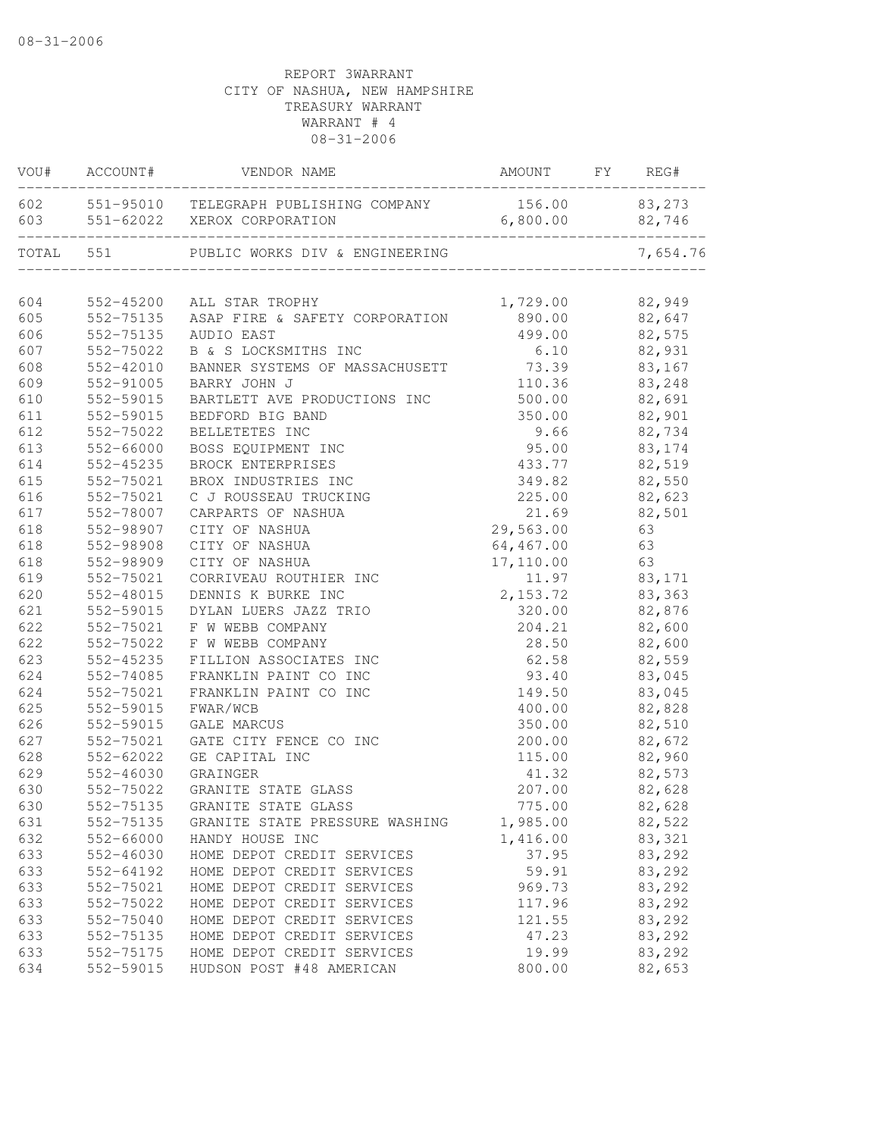| VOU#       | ACCOUNT#               | VENDOR NAME                                                                                 | AMOUNT          | FY | REG#             |
|------------|------------------------|---------------------------------------------------------------------------------------------|-----------------|----|------------------|
|            |                        | 602 551-95010 TELEGRAPH PUBLISHING COMPANY 156.00 83,273<br>603 551-62022 XEROX CORPORATION | 6,800.00        |    | 82,746           |
| TOTAL 551  |                        | PUBLIC WORKS DIV & ENGINEERING                                                              |                 |    | 7,654.76         |
| 604        | 552-45200              | ALL STAR TROPHY                                                                             | 1,729.00        |    | 82,949           |
| 605        |                        | 552-75135 ASAP FIRE & SAFETY CORPORATION                                                    | 890.00          |    | 82,647           |
| 606        | 552-75135              | AUDIO EAST                                                                                  | 499.00          |    | 82,575           |
| 607        | 552-75022              | B & S LOCKSMITHS INC                                                                        | 6.10            |    | 82,931           |
| 608        | 552-42010              | BANNER SYSTEMS OF MASSACHUSETT                                                              | 73.39           |    | 83,167           |
| 609        | 552-91005              | BARRY JOHN J                                                                                | 110.36          |    | 83,248           |
| 610        | 552-59015              | BARTLETT AVE PRODUCTIONS INC                                                                | 500.00          |    | 82,691           |
| 611        | 552-59015              | BEDFORD BIG BAND                                                                            | 350.00          |    | 82,901           |
| 612        | 552-75022              | BELLETETES INC                                                                              | 9.66            |    | 82,734           |
| 613        | 552-66000              | BOSS EQUIPMENT INC                                                                          | 95.00           |    | 83, 174          |
| 614        | 552-45235              | BROCK ENTERPRISES                                                                           | 433.77          |    | 82,519           |
| 615        | 552-75021              | BROX INDUSTRIES INC                                                                         | 349.82          |    | 82,550           |
| 616        | 552-75021              | C J ROUSSEAU TRUCKING                                                                       | 225.00          |    | 82,623           |
| 617        | 552-78007              | CARPARTS OF NASHUA                                                                          | 21.69           |    | 82,501           |
| 618        | 552-98907              | CITY OF NASHUA                                                                              | 29,563.00       |    | 63               |
| 618        | 552-98908              | CITY OF NASHUA                                                                              | 64,467.00       |    | 63               |
| 618        | 552-98909              | CITY OF NASHUA                                                                              | 17,110.00       |    | 63               |
| 619        | 552-75021              | CORRIVEAU ROUTHIER INC                                                                      | 11.97           |    | 83,171           |
| 620        | 552-48015              | DENNIS K BURKE INC                                                                          | 2,153.72        |    | 83,363           |
| 621        | 552-59015              | DYLAN LUERS JAZZ TRIO                                                                       | 320.00          |    | 82,876           |
| 622        | 552-75021              | F W WEBB COMPANY                                                                            | 204.21          |    | 82,600           |
| 622        | 552-75022              | F W WEBB COMPANY                                                                            | 28.50           |    | 82,600           |
| 623        | 552-45235              | FILLION ASSOCIATES INC                                                                      | 62.58           |    | 82,559           |
| 624        | 552-74085              | FRANKLIN PAINT CO INC                                                                       | 93.40           |    | 83,045           |
| 624        | 552-75021              | FRANKLIN PAINT CO INC                                                                       | 149.50          |    | 83,045           |
| 625        | 552-59015              | FWAR/WCB                                                                                    | 400.00          |    | 82,828           |
| 626        | 552-59015              | <b>GALE MARCUS</b>                                                                          | 350.00          |    | 82,510           |
| 627        | 552-75021              | GATE CITY FENCE CO INC                                                                      | 200.00          |    | 82,672           |
| 628        | 552-62022<br>552-46030 | GE CAPITAL INC                                                                              | 115.00<br>41.32 |    | 82,960<br>82,573 |
| 629<br>630 | 552-75022              | GRAINGER<br>GRANITE STATE GLASS                                                             | 207.00          |    | 82,628           |
| 630        | 552-75135              | GRANITE STATE GLASS                                                                         | 775.00          |    | 82,628           |
| 631        | 552-75135              | GRANITE STATE PRESSURE WASHING                                                              | 1,985.00        |    | 82,522           |
| 632        | 552-66000              | HANDY HOUSE INC                                                                             | 1,416.00        |    | 83,321           |
| 633        | 552-46030              | HOME DEPOT CREDIT SERVICES                                                                  | 37.95           |    | 83,292           |
| 633        | 552-64192              | HOME DEPOT CREDIT SERVICES                                                                  | 59.91           |    | 83,292           |
| 633        | 552-75021              | HOME DEPOT CREDIT SERVICES                                                                  | 969.73          |    | 83,292           |
| 633        | 552-75022              | HOME DEPOT CREDIT SERVICES                                                                  | 117.96          |    | 83,292           |
| 633        | 552-75040              | HOME DEPOT CREDIT SERVICES                                                                  | 121.55          |    | 83,292           |
| 633        | 552-75135              | HOME DEPOT CREDIT SERVICES                                                                  | 47.23           |    | 83,292           |
| 633        | 552-75175              | HOME DEPOT CREDIT SERVICES                                                                  | 19.99           |    | 83,292           |
| 634        | 552-59015              | HUDSON POST #48 AMERICAN                                                                    | 800.00          |    | 82,653           |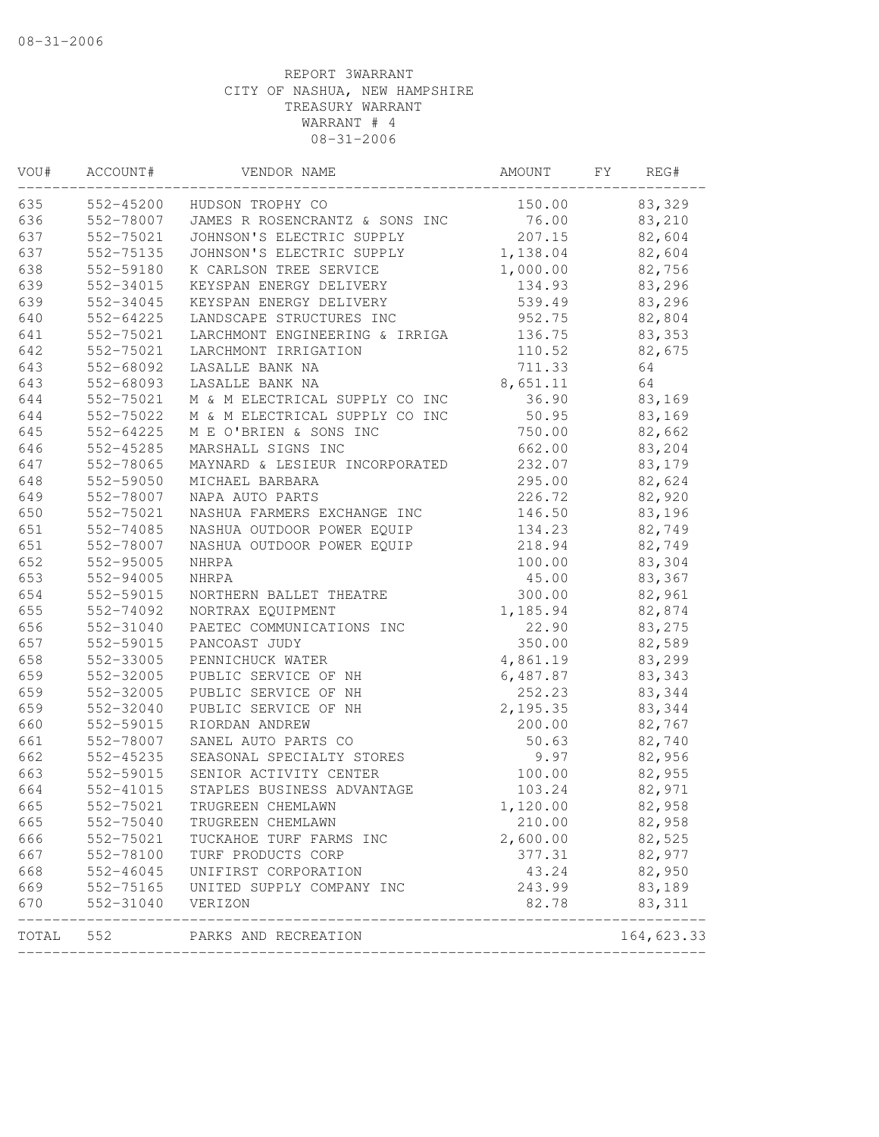| VOU#  | ACCOUNT#      | VENDOR NAME                    | AMOUNT   | FΥ | REG#       |
|-------|---------------|--------------------------------|----------|----|------------|
| 635   | 552-45200     | HUDSON TROPHY CO               | 150.00   |    | 83,329     |
| 636   | 552-78007     | JAMES R ROSENCRANTZ & SONS INC | 76.00    |    | 83,210     |
| 637   | 552-75021     | JOHNSON'S ELECTRIC SUPPLY      | 207.15   |    | 82,604     |
| 637   | 552-75135     | JOHNSON'S ELECTRIC SUPPLY      | 1,138.04 |    | 82,604     |
| 638   | 552-59180     | K CARLSON TREE SERVICE         | 1,000.00 |    | 82,756     |
| 639   | 552-34015     | KEYSPAN ENERGY DELIVERY        | 134.93   |    | 83,296     |
| 639   | 552-34045     | KEYSPAN ENERGY DELIVERY        | 539.49   |    | 83,296     |
| 640   | 552-64225     | LANDSCAPE STRUCTURES INC       | 952.75   |    | 82,804     |
| 641   | 552-75021     | LARCHMONT ENGINEERING & IRRIGA | 136.75   |    | 83,353     |
| 642   | 552-75021     | LARCHMONT IRRIGATION           | 110.52   |    | 82,675     |
| 643   | 552-68092     | LASALLE BANK NA                | 711.33   |    | 64         |
| 643   | 552-68093     | LASALLE BANK NA                | 8,651.11 |    | 64         |
| 644   | 552-75021     | M & M ELECTRICAL SUPPLY CO INC | 36.90    |    | 83,169     |
| 644   | 552-75022     | M & M ELECTRICAL SUPPLY CO INC | 50.95    |    | 83,169     |
| 645   | 552-64225     | M E O'BRIEN & SONS INC         | 750.00   |    | 82,662     |
| 646   | 552-45285     | MARSHALL SIGNS INC             | 662.00   |    | 83,204     |
| 647   | 552-78065     | MAYNARD & LESIEUR INCORPORATED | 232.07   |    | 83,179     |
| 648   | 552-59050     | MICHAEL BARBARA                | 295.00   |    | 82,624     |
| 649   | 552-78007     | NAPA AUTO PARTS                | 226.72   |    | 82,920     |
| 650   | 552-75021     | NASHUA FARMERS EXCHANGE INC    | 146.50   |    | 83,196     |
| 651   | 552-74085     | NASHUA OUTDOOR POWER EQUIP     | 134.23   |    | 82,749     |
| 651   | 552-78007     | NASHUA OUTDOOR POWER EQUIP     | 218.94   |    | 82,749     |
| 652   | 552-95005     | NHRPA                          | 100.00   |    | 83,304     |
| 653   | 552-94005     | <b>NHRPA</b>                   | 45.00    |    | 83,367     |
| 654   | 552-59015     | NORTHERN BALLET THEATRE        | 300.00   |    | 82,961     |
| 655   | 552-74092     | NORTRAX EQUIPMENT              | 1,185.94 |    | 82,874     |
| 656   | 552-31040     | PAETEC COMMUNICATIONS INC      | 22.90    |    | 83,275     |
| 657   | 552-59015     | PANCOAST JUDY                  | 350.00   |    | 82,589     |
| 658   | 552-33005     | PENNICHUCK WATER               | 4,861.19 |    | 83,299     |
| 659   | 552-32005     | PUBLIC SERVICE OF NH           | 6,487.87 |    | 83,343     |
| 659   | 552-32005     | PUBLIC SERVICE OF NH           | 252.23   |    | 83,344     |
| 659   | 552-32040     | PUBLIC SERVICE OF NH           | 2,195.35 |    | 83,344     |
| 660   | 552-59015     | RIORDAN ANDREW                 | 200.00   |    | 82,767     |
| 661   | 552-78007     | SANEL AUTO PARTS CO            | 50.63    |    | 82,740     |
| 662   | 552-45235     | SEASONAL SPECIALTY STORES      | 9.97     |    | 82,956     |
| 663   | 552-59015     | SENIOR ACTIVITY CENTER         | 100.00   |    | 82,955     |
| 664   | 552-41015     | STAPLES BUSINESS ADVANTAGE     | 103.24   |    | 82,971     |
| 665   | 552-75021     | TRUGREEN CHEMLAWN              | 1,120.00 |    | 82,958     |
| 665   | 552-75040     | TRUGREEN CHEMLAWN              | 210.00   |    | 82,958     |
| 666   | 552-75021     | TUCKAHOE TURF FARMS INC        | 2,600.00 |    | 82,525     |
| 667   | 552-78100     | TURF PRODUCTS CORP             | 377.31   |    | 82,977     |
| 668   | $552 - 46045$ | UNIFIRST CORPORATION           | 43.24    |    | 82,950     |
| 669   | 552-75165     | UNITED SUPPLY COMPANY INC      | 243.99   |    | 83,189     |
| 670   | 552-31040     | VERIZON                        | 82.78    |    | 83, 311    |
| TOTAL | 552           | PARKS AND RECREATION           |          |    | 164,623.33 |
|       |               |                                |          |    |            |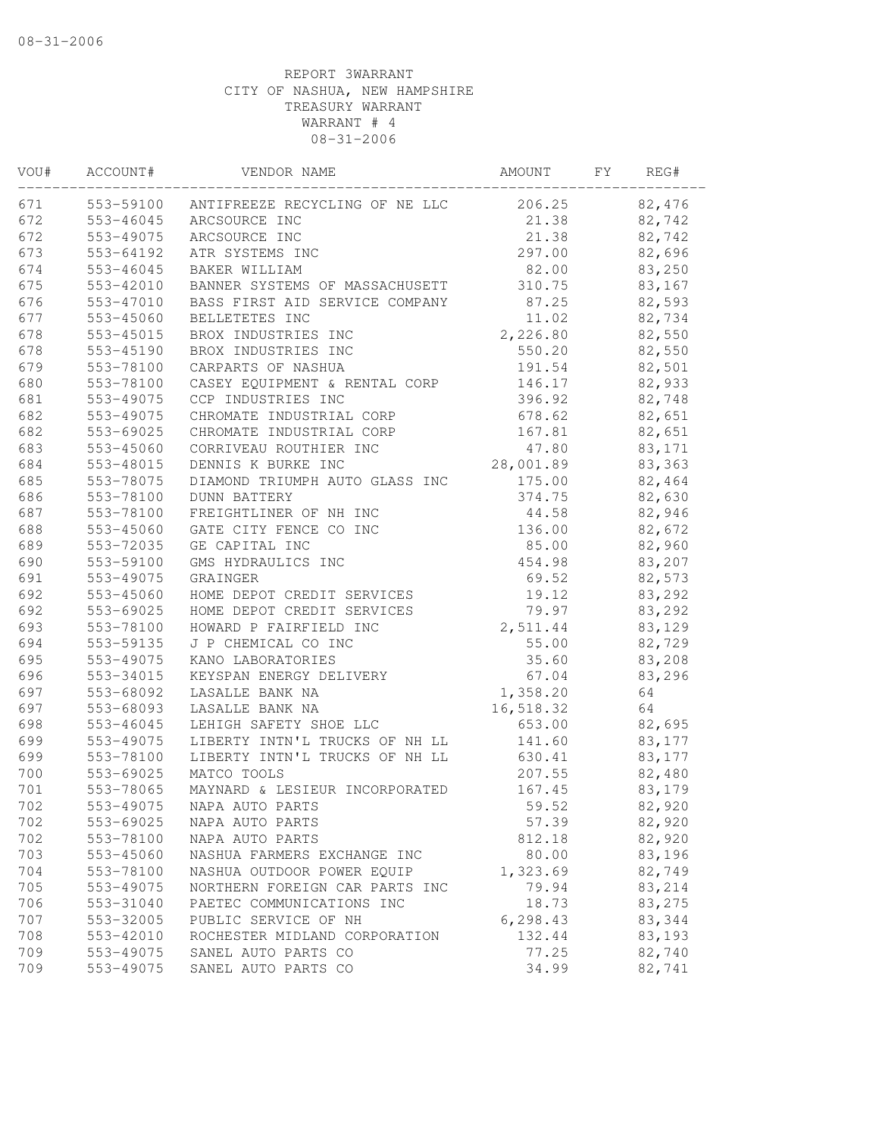| VOU# | ACCOUNT#  | VENDOR NAME                    | AMOUNT    | FΥ | REG#   |
|------|-----------|--------------------------------|-----------|----|--------|
| 671  | 553-59100 | ANTIFREEZE RECYCLING OF NE LLC | 206.25    |    | 82,476 |
| 672  | 553-46045 | ARCSOURCE INC                  | 21.38     |    | 82,742 |
| 672  | 553-49075 | ARCSOURCE INC                  | 21.38     |    | 82,742 |
| 673  | 553-64192 | ATR SYSTEMS INC                | 297.00    |    | 82,696 |
| 674  | 553-46045 | BAKER WILLIAM                  | 82.00     |    | 83,250 |
| 675  | 553-42010 | BANNER SYSTEMS OF MASSACHUSETT | 310.75    |    | 83,167 |
| 676  | 553-47010 | BASS FIRST AID SERVICE COMPANY | 87.25     |    | 82,593 |
| 677  | 553-45060 | BELLETETES INC                 | 11.02     |    | 82,734 |
| 678  | 553-45015 | BROX INDUSTRIES INC            | 2,226.80  |    | 82,550 |
| 678  | 553-45190 | BROX INDUSTRIES INC            | 550.20    |    | 82,550 |
| 679  | 553-78100 | CARPARTS OF NASHUA             | 191.54    |    | 82,501 |
| 680  | 553-78100 | CASEY EQUIPMENT & RENTAL CORP  | 146.17    |    | 82,933 |
| 681  | 553-49075 | CCP INDUSTRIES INC             | 396.92    |    | 82,748 |
| 682  | 553-49075 | CHROMATE INDUSTRIAL CORP       | 678.62    |    | 82,651 |
| 682  | 553-69025 | CHROMATE INDUSTRIAL CORP       | 167.81    |    | 82,651 |
| 683  | 553-45060 | CORRIVEAU ROUTHIER INC         | 47.80     |    | 83,171 |
| 684  | 553-48015 | DENNIS K BURKE INC             | 28,001.89 |    | 83,363 |
| 685  | 553-78075 | DIAMOND TRIUMPH AUTO GLASS INC | 175.00    |    | 82,464 |
| 686  | 553-78100 | <b>DUNN BATTERY</b>            | 374.75    |    | 82,630 |
| 687  | 553-78100 | FREIGHTLINER OF NH INC         | 44.58     |    | 82,946 |
| 688  | 553-45060 | GATE CITY FENCE CO INC         | 136.00    |    | 82,672 |
| 689  | 553-72035 | GE CAPITAL INC                 | 85.00     |    | 82,960 |
| 690  | 553-59100 | GMS HYDRAULICS INC             | 454.98    |    | 83,207 |
| 691  | 553-49075 | GRAINGER                       | 69.52     |    | 82,573 |
| 692  | 553-45060 | HOME DEPOT CREDIT SERVICES     | 19.12     |    | 83,292 |
| 692  | 553-69025 | HOME DEPOT CREDIT SERVICES     | 79.97     |    | 83,292 |
| 693  | 553-78100 | HOWARD P FAIRFIELD INC         | 2,511.44  |    | 83,129 |
| 694  | 553-59135 | J P CHEMICAL CO INC            | 55.00     |    | 82,729 |
| 695  | 553-49075 | KANO LABORATORIES              | 35.60     |    | 83,208 |
| 696  | 553-34015 | KEYSPAN ENERGY DELIVERY        | 67.04     |    | 83,296 |
| 697  | 553-68092 | LASALLE BANK NA                | 1,358.20  |    | 64     |
| 697  | 553-68093 | LASALLE BANK NA                | 16,518.32 |    | 64     |
| 698  | 553-46045 | LEHIGH SAFETY SHOE LLC         | 653.00    |    | 82,695 |
| 699  | 553-49075 | LIBERTY INTN'L TRUCKS OF NH LL | 141.60    |    | 83,177 |
| 699  | 553-78100 | LIBERTY INTN'L TRUCKS OF NH LL | 630.41    |    |        |
|      |           |                                |           |    | 83,177 |
| 700  | 553-69025 | MATCO TOOLS                    | 207.55    |    | 82,480 |
| 701  | 553-78065 | MAYNARD & LESIEUR INCORPORATED | 167.45    |    | 83,179 |
| 702  | 553-49075 | NAPA AUTO PARTS                | 59.52     |    | 82,920 |
| 702  | 553-69025 | NAPA AUTO PARTS                | 57.39     |    | 82,920 |
| 702  | 553-78100 | NAPA AUTO PARTS                | 812.18    |    | 82,920 |
| 703  | 553-45060 | NASHUA FARMERS EXCHANGE INC    | 80.00     |    | 83,196 |
| 704  | 553-78100 | NASHUA OUTDOOR POWER EQUIP     | 1,323.69  |    | 82,749 |
| 705  | 553-49075 | NORTHERN FOREIGN CAR PARTS INC | 79.94     |    | 83,214 |
| 706  | 553-31040 | PAETEC COMMUNICATIONS INC      | 18.73     |    | 83,275 |
| 707  | 553-32005 | PUBLIC SERVICE OF NH           | 6, 298.43 |    | 83,344 |
| 708  | 553-42010 | ROCHESTER MIDLAND CORPORATION  | 132.44    |    | 83,193 |
| 709  | 553-49075 | SANEL AUTO PARTS CO            | 77.25     |    | 82,740 |
| 709  | 553-49075 | SANEL AUTO PARTS CO            | 34.99     |    | 82,741 |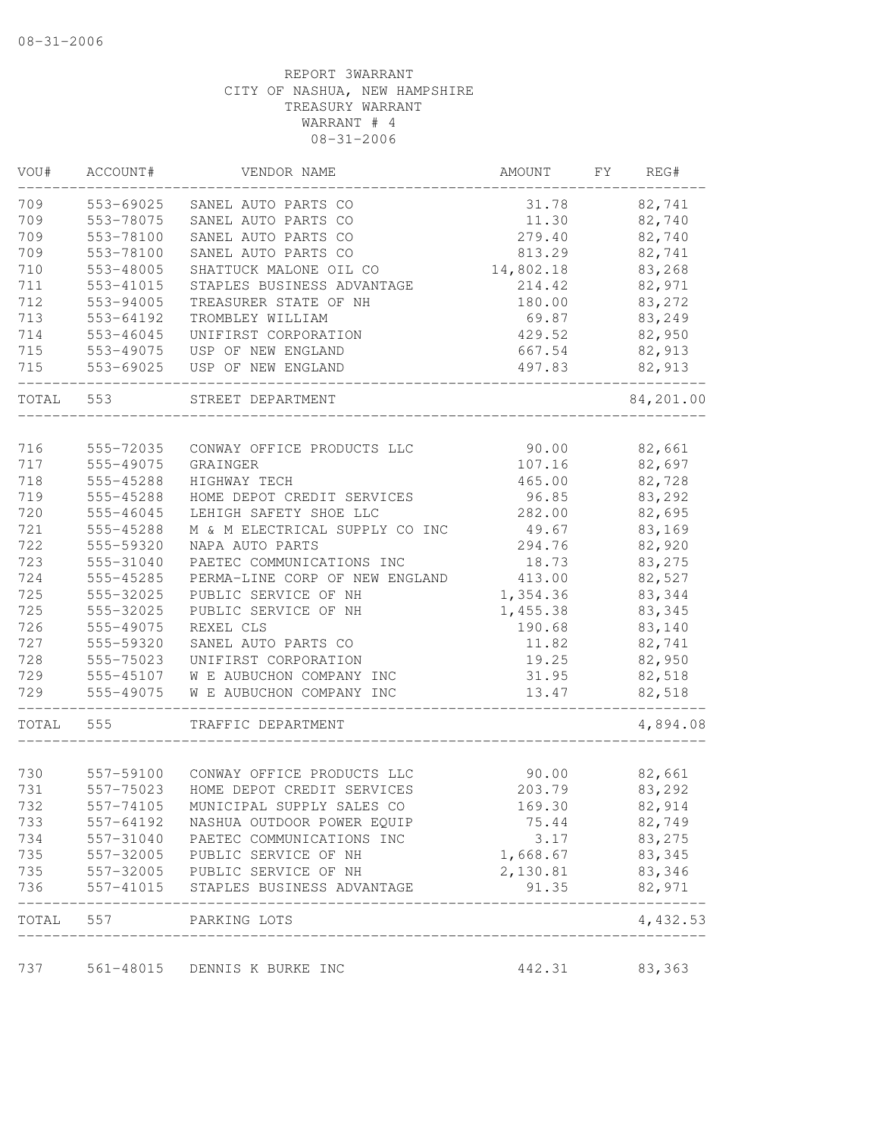| VOU#  | ACCOUNT#      | VENDOR NAME                    | AMOUNT    | FY | REG#      |
|-------|---------------|--------------------------------|-----------|----|-----------|
| 709   | 553-69025     | SANEL AUTO PARTS CO            | 31.78     |    | 82,741    |
| 709   | 553-78075     | SANEL AUTO PARTS CO            | 11.30     |    | 82,740    |
| 709   | 553-78100     | SANEL AUTO PARTS CO            | 279.40    |    | 82,740    |
| 709   | 553-78100     | SANEL AUTO PARTS CO            | 813.29    |    | 82,741    |
| 710   | 553-48005     | SHATTUCK MALONE OIL CO         | 14,802.18 |    | 83,268    |
| 711   | 553-41015     | STAPLES BUSINESS ADVANTAGE     | 214.42    |    | 82,971    |
| 712   | 553-94005     | TREASURER STATE OF NH          | 180.00    |    | 83,272    |
| 713   | 553-64192     | TROMBLEY WILLIAM               | 69.87     |    | 83,249    |
| 714   | $553 - 46045$ | UNIFIRST CORPORATION           | 429.52    |    | 82,950    |
| 715   | 553-49075     | USP OF NEW ENGLAND             | 667.54    |    | 82,913    |
| 715   | 553-69025     | USP OF NEW ENGLAND             | 497.83    |    | 82,913    |
| TOTAL | 553           | STREET DEPARTMENT              |           |    | 84,201.00 |
|       |               |                                |           |    |           |
| 716   | 555-72035     | CONWAY OFFICE PRODUCTS LLC     | 90.00     |    | 82,661    |
| 717   | 555-49075     | GRAINGER                       | 107.16    |    | 82,697    |
| 718   | 555-45288     | HIGHWAY TECH                   | 465.00    |    | 82,728    |
| 719   | 555-45288     | HOME DEPOT CREDIT SERVICES     | 96.85     |    | 83,292    |
| 720   | 555-46045     | LEHIGH SAFETY SHOE LLC         | 282.00    |    | 82,695    |
| 721   | 555-45288     | M & M ELECTRICAL SUPPLY CO INC | 49.67     |    | 83,169    |
| 722   | 555-59320     | NAPA AUTO PARTS                | 294.76    |    | 82,920    |
| 723   | 555-31040     | PAETEC COMMUNICATIONS INC      | 18.73     |    | 83,275    |
| 724   | 555-45285     | PERMA-LINE CORP OF NEW ENGLAND | 413.00    |    | 82,527    |
| 725   | 555-32025     | PUBLIC SERVICE OF NH           | 1,354.36  |    | 83,344    |
| 725   | 555-32025     | PUBLIC SERVICE OF NH           | 1,455.38  |    | 83,345    |
| 726   | 555-49075     | REXEL CLS                      | 190.68    |    | 83,140    |
| 727   | 555-59320     | SANEL AUTO PARTS CO            | 11.82     |    | 82,741    |
| 728   | 555-75023     | UNIFIRST CORPORATION           | 19.25     |    | 82,950    |
| 729   | 555-45107     | W E AUBUCHON COMPANY INC       | 31.95     |    | 82,518    |
| 729   | 555-49075     | W E AUBUCHON COMPANY INC       | 13.47     |    | 82,518    |
| TOTAL | 555           | TRAFFIC DEPARTMENT             |           |    | 4,894.08  |
|       |               |                                |           |    |           |
| 730   | 557-59100     | CONWAY OFFICE PRODUCTS LLC     | 90.00     |    | 82,661    |
| 731   | 557-75023     | HOME DEPOT CREDIT SERVICES     | 203.79    |    | 83,292    |
| 732   | 557-74105     | MUNICIPAL SUPPLY SALES CO      | 169.30    |    | 82,914    |
| 733   | 557-64192     | NASHUA OUTDOOR POWER EQUIP     | 75.44     |    | 82,749    |
| 734   | 557-31040     | PAETEC COMMUNICATIONS INC      | 3.17      |    | 83,275    |
| 735   | 557-32005     | PUBLIC SERVICE OF NH           | 1,668.67  |    | 83,345    |
| 735   | 557-32005     | PUBLIC SERVICE OF NH           | 2,130.81  |    | 83,346    |
| 736   | 557-41015     | STAPLES BUSINESS ADVANTAGE     | 91.35     |    | 82,971    |
| TOTAL | 557           | PARKING LOTS                   |           |    | 4,432.53  |
| 737   |               | 561-48015 DENNIS K BURKE INC   | 442.31    |    | 83,363    |
|       |               |                                |           |    |           |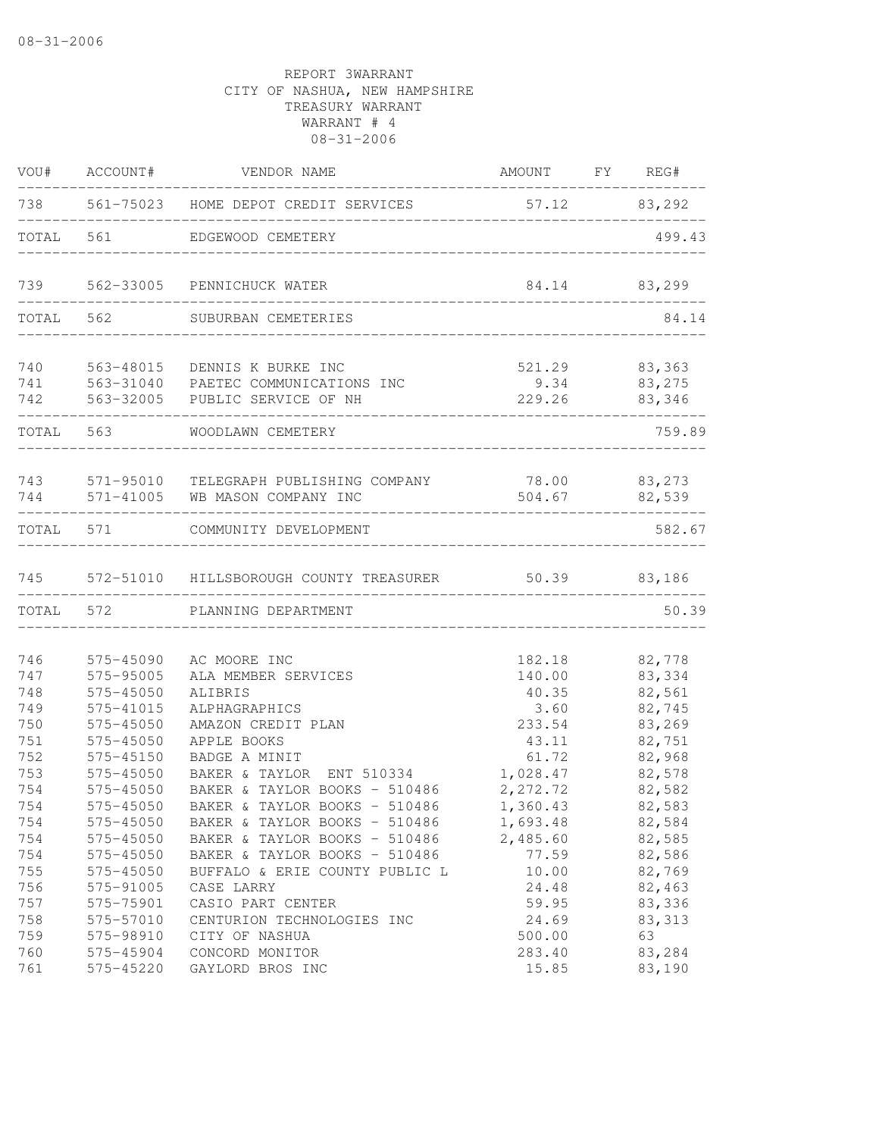| VOU#                     | ACCOUNT#                                         | VENDOR NAME                                                                                                                      | AMOUNT FY REG#                            |                                      |
|--------------------------|--------------------------------------------------|----------------------------------------------------------------------------------------------------------------------------------|-------------------------------------------|--------------------------------------|
| 738                      |                                                  | 561-75023 HOME DEPOT CREDIT SERVICES                                                                                             | 57.12 83,292                              |                                      |
| TOTAL                    | 561                                              | EDGEWOOD CEMETERY                                                                                                                |                                           | 499.43                               |
|                          |                                                  | 739 562-33005 PENNICHUCK WATER                                                                                                   |                                           | 84.14 83,299                         |
| TOTAL                    | 562                                              | SUBURBAN CEMETERIES                                                                                                              |                                           | 84.14                                |
| 740<br>741<br>742        | 563-48015                                        | DENNIS K BURKE INC<br>563-31040 PAETEC COMMUNICATIONS INC<br>563-32005 PUBLIC SERVICE OF NH                                      | 521.29 83,363<br>9.34<br>229.26           | 83,275<br>83,346                     |
| TOTAL                    | 563                                              | WOODLAWN CEMETERY                                                                                                                |                                           | 759.89                               |
| 743<br>744               | 571-95010<br>571-41005                           | TELEGRAPH PUBLISHING COMPANY 78.00 83,273<br>WB MASON COMPANY INC                                                                | 504.67                                    | 82,539                               |
| TOTAL                    | 571                                              | COMMUNITY DEVELOPMENT                                                                                                            |                                           | 582.67                               |
|                          |                                                  | 745 572-51010 HILLSBOROUGH COUNTY TREASURER 50.39 83,186                                                                         |                                           |                                      |
| TOTAL                    | 572                                              | PLANNING DEPARTMENT                                                                                                              |                                           | 50.39                                |
| 746<br>747               | 575-45090<br>575-95005                           | AC MOORE INC<br>ALA MEMBER SERVICES                                                                                              | 182.18<br>140.00                          | 82,778<br>83,334                     |
| 748<br>749<br>750<br>751 | 575-45050<br>575-41015<br>575-45050<br>575-45050 | ALIBRIS<br>ALPHAGRAPHICS<br>AMAZON CREDIT PLAN<br>APPLE BOOKS                                                                    | 40.35<br>3.60<br>233.54<br>43.11          | 82,561<br>82,745<br>83,269<br>82,751 |
| 752<br>753<br>754        | 575-45150<br>575-45050<br>575-45050              | <b>BADGE A MINIT</b><br>BAKER & TAYLOR ENT 510334<br>BAKER & TAYLOR BOOKS - 510486                                               | 61.72<br>1,028.47<br>2,272.72             | 82,968<br>82,578<br>82,582           |
| 754<br>754<br>754<br>754 | 575-45050<br>575-45050<br>575-45050<br>575-45050 | BAKER & TAYLOR BOOKS - 510486<br>BAKER & TAYLOR BOOKS - 510486<br>BAKER & TAYLOR BOOKS - 510486<br>BAKER & TAYLOR BOOKS - 510486 | 1,360.43<br>1,693.48<br>2,485.60<br>77.59 | 82,583<br>82,584<br>82,585<br>82,586 |
| 755<br>756<br>757        | 575-45050<br>575-91005<br>575-75901              | BUFFALO & ERIE COUNTY PUBLIC L<br>CASE LARRY<br>CASIO PART CENTER                                                                | 10.00<br>24.48<br>59.95                   | 82,769<br>82,463<br>83,336           |
| 758<br>759<br>760<br>761 | 575-57010<br>575-98910<br>575-45904<br>575-45220 | CENTURION TECHNOLOGIES INC<br>CITY OF NASHUA<br>CONCORD MONITOR<br>GAYLORD BROS INC                                              | 24.69<br>500.00<br>283.40<br>15.85        | 83, 313<br>63<br>83,284<br>83,190    |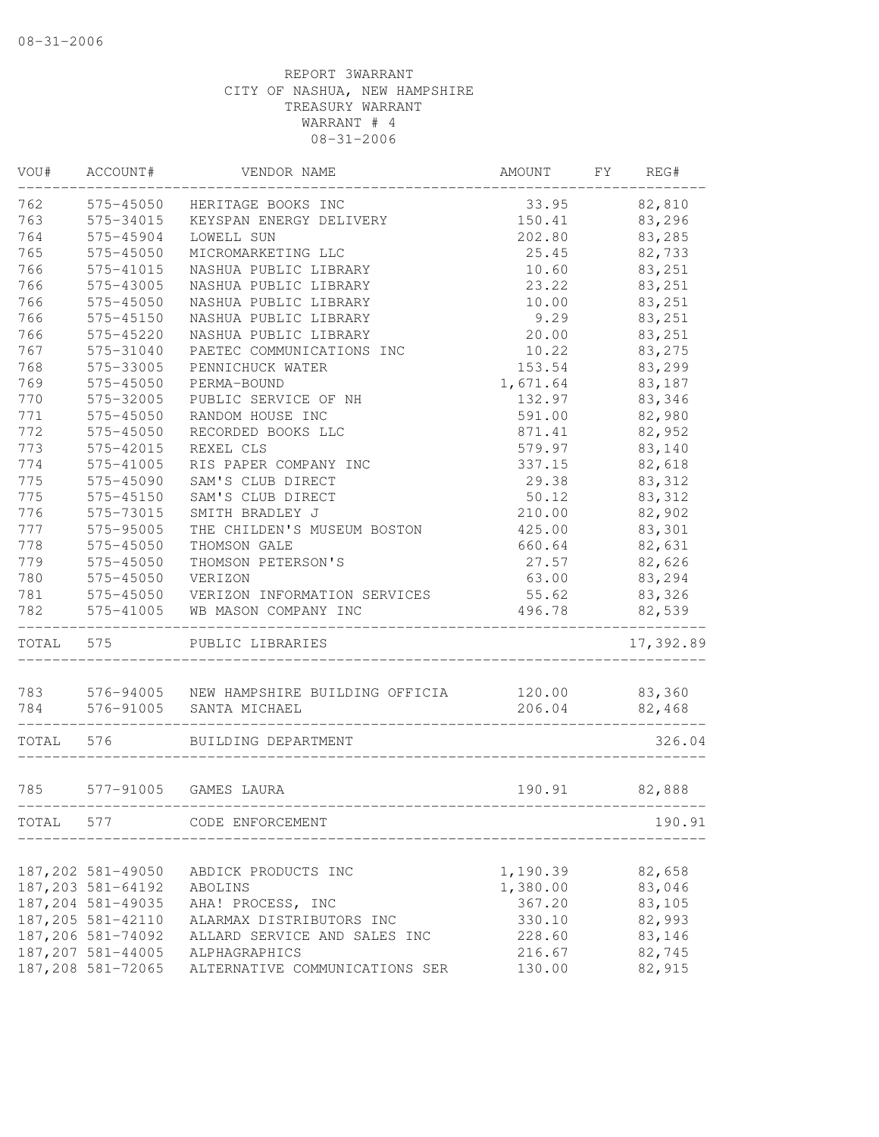| VOU#      | ACCOUNT#                                   | VENDOR NAME                                         | AMOUNT   | FY | REG#      |
|-----------|--------------------------------------------|-----------------------------------------------------|----------|----|-----------|
| 762       | 575-45050                                  | HERITAGE BOOKS INC                                  | 33.95    |    | 82,810    |
| 763       | 575-34015                                  | KEYSPAN ENERGY DELIVERY                             | 150.41   |    | 83,296    |
| 764       | 575-45904                                  | LOWELL SUN                                          | 202.80   |    | 83,285    |
| 765       | 575-45050                                  | MICROMARKETING LLC                                  | 25.45    |    | 82,733    |
| 766       | 575-41015                                  | NASHUA PUBLIC LIBRARY                               | 10.60    |    | 83,251    |
| 766       | 575-43005                                  | NASHUA PUBLIC LIBRARY                               | 23.22    |    | 83,251    |
| 766       | 575-45050                                  | NASHUA PUBLIC LIBRARY                               | 10.00    |    | 83,251    |
| 766       | 575-45150                                  | NASHUA PUBLIC LIBRARY                               | 9.29     |    | 83,251    |
| 766       | 575-45220                                  | NASHUA PUBLIC LIBRARY                               | 20.00    |    | 83,251    |
| 767       | 575-31040                                  | PAETEC COMMUNICATIONS INC                           | 10.22    |    | 83,275    |
| 768       | 575-33005                                  | PENNICHUCK WATER                                    | 153.54   |    | 83,299    |
| 769       | 575-45050                                  | PERMA-BOUND                                         | 1,671.64 |    | 83,187    |
| 770       | 575-32005                                  | PUBLIC SERVICE OF NH                                | 132.97   |    | 83,346    |
| 771       | 575-45050                                  | RANDOM HOUSE INC                                    | 591.00   |    | 82,980    |
| 772       | 575-45050                                  | RECORDED BOOKS LLC                                  | 871.41   |    | 82,952    |
| 773       | 575-42015                                  | REXEL CLS                                           | 579.97   |    | 83,140    |
| 774       | 575-41005                                  | RIS PAPER COMPANY INC                               | 337.15   |    | 82,618    |
| 775       | 575-45090                                  | SAM'S CLUB DIRECT                                   | 29.38    |    | 83, 312   |
| 775       | 575-45150                                  | SAM'S CLUB DIRECT                                   | 50.12    |    | 83, 312   |
| 776       | 575-73015                                  | SMITH BRADLEY J                                     | 210.00   |    | 82,902    |
| 777       | 575-95005                                  | THE CHILDEN'S MUSEUM BOSTON                         | 425.00   |    | 83,301    |
| 778       | 575-45050                                  | THOMSON GALE                                        | 660.64   |    | 82,631    |
| 779       | 575-45050                                  | THOMSON PETERSON'S                                  | 27.57    |    | 82,626    |
| 780       | 575-45050                                  | VERIZON                                             | 63.00    |    | 83,294    |
| 781       |                                            | 575-45050 VERIZON INFORMATION SERVICES              | 55.62    |    | 83,326    |
| 782       | 575-41005                                  | WB MASON COMPANY INC                                | 496.78   |    | 82,539    |
| TOTAL 575 |                                            | PUBLIC LIBRARIES                                    |          |    | 17,392.89 |
|           |                                            |                                                     |          |    |           |
|           |                                            | 783 576-94005 NEW HAMPSHIRE BUILDING OFFICIA 120.00 |          |    | 83,360    |
|           | $784$ $576-91005$<br>--------------------- | SANTA MICHAEL                                       | 206.04   |    | 82,468    |
| TOTAL 576 |                                            | BUILDING DEPARTMENT                                 |          |    | 326.04    |
| 785       |                                            | 577-91005 GAMES LAURA                               | 190.91   |    | 82,888    |
|           |                                            |                                                     |          |    |           |
| TOTAL     | 577                                        | CODE ENFORCEMENT                                    |          |    | 190.91    |
|           | 187,202 581-49050                          | ABDICK PRODUCTS INC                                 | 1,190.39 |    | 82,658    |
|           | 187, 203 581-64192                         | ABOLINS                                             | 1,380.00 |    | 83,046    |
|           | 187,204 581-49035                          | AHA! PROCESS, INC                                   | 367.20   |    | 83,105    |
|           | 187,205 581-42110                          | ALARMAX DISTRIBUTORS INC                            | 330.10   |    | 82,993    |
|           | 187,206 581-74092                          | ALLARD SERVICE AND SALES INC                        | 228.60   |    | 83,146    |
|           | 187,207 581-44005                          | ALPHAGRAPHICS                                       | 216.67   |    | 82,745    |
|           | 187,208 581-72065                          | ALTERNATIVE COMMUNICATIONS SER                      | 130.00   |    | 82,915    |
|           |                                            |                                                     |          |    |           |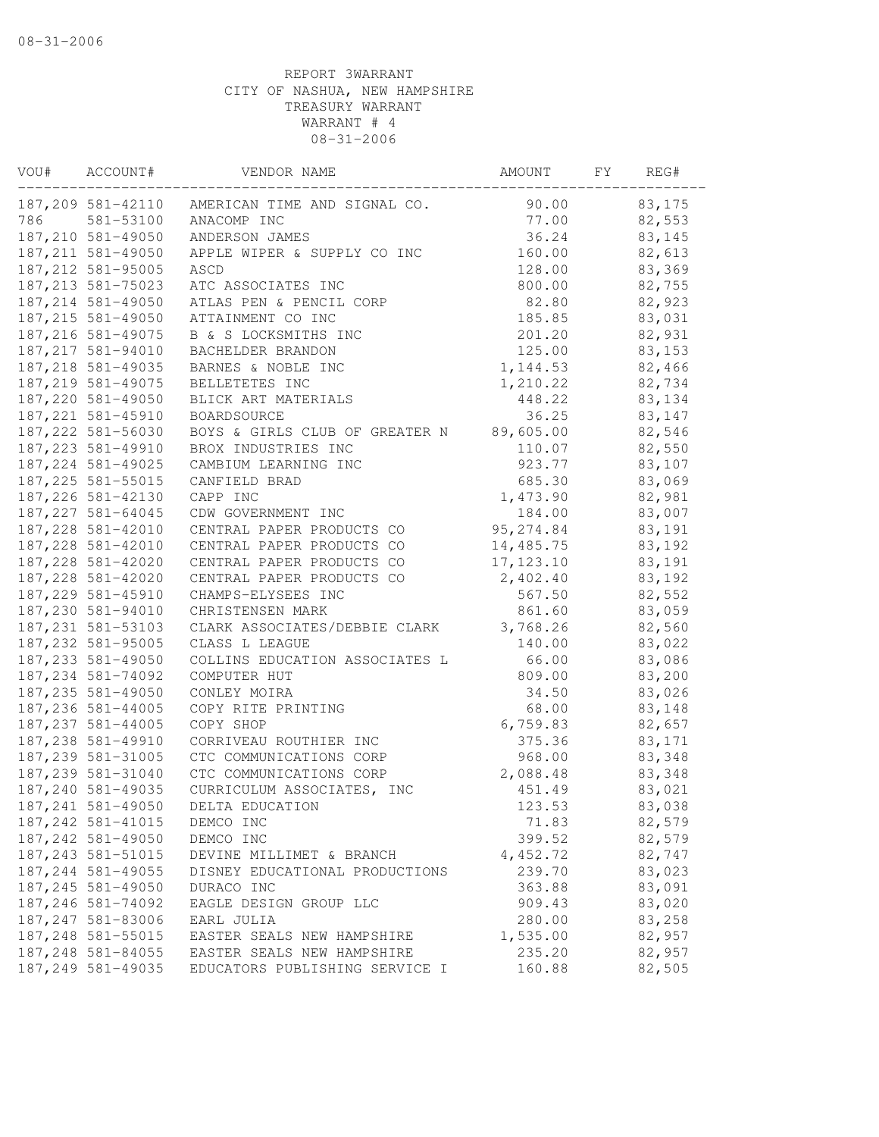| VOU# | ACCOUNT#                                 | VENDOR NAME                    | AMOUNT     | FΥ | REG#   |
|------|------------------------------------------|--------------------------------|------------|----|--------|
|      | 187,209 581-42110                        | AMERICAN TIME AND SIGNAL CO.   | 90.00      |    | 83,175 |
| 786  | 581-53100                                | ANACOMP INC                    | 77.00      |    | 82,553 |
|      | 187, 210 581-49050                       | ANDERSON JAMES                 | 36.24      |    | 83,145 |
|      | 187, 211 581-49050                       | APPLE WIPER & SUPPLY CO INC    | 160.00     |    | 82,613 |
|      | 187, 212 581-95005                       | ASCD                           | 128.00     |    | 83,369 |
|      | 187, 213 581-75023                       | ATC ASSOCIATES INC             | 800.00     |    | 82,755 |
|      | 187, 214 581-49050                       | ATLAS PEN & PENCIL CORP        | 82.80      |    | 82,923 |
|      | 187, 215 581-49050                       | ATTAINMENT CO INC              | 185.85     |    | 83,031 |
|      | 187, 216 581-49075                       | B & S LOCKSMITHS INC           | 201.20     |    | 82,931 |
|      | 187, 217 581-94010                       | BACHELDER BRANDON              | 125.00     |    | 83,153 |
|      | 187, 218 581-49035                       | BARNES & NOBLE INC             | 1,144.53   |    | 82,466 |
|      | 187, 219 581-49075                       | BELLETETES INC                 | 1,210.22   |    | 82,734 |
|      | 187,220 581-49050                        | BLICK ART MATERIALS            | 448.22     |    | 83,134 |
|      | 187, 221 581-45910                       | BOARDSOURCE                    | 36.25      |    | 83,147 |
|      | 187, 222 581-56030                       | BOYS & GIRLS CLUB OF GREATER N | 89,605.00  |    | 82,546 |
|      | 187, 223 581-49910                       | BROX INDUSTRIES INC            | 110.07     |    | 82,550 |
|      | 187, 224 581-49025                       | CAMBIUM LEARNING INC           | 923.77     |    | 83,107 |
|      | 187, 225 581-55015                       | CANFIELD BRAD                  | 685.30     |    | 83,069 |
|      | 187, 226 581-42130                       | CAPP INC                       | 1,473.90   |    | 82,981 |
|      | 187, 227 581-64045                       | CDW GOVERNMENT INC             | 184.00     |    | 83,007 |
|      | 187, 228 581-42010                       | CENTRAL PAPER PRODUCTS CO      | 95, 274.84 |    | 83,191 |
|      | 187, 228 581-42010                       | CENTRAL PAPER PRODUCTS CO      | 14,485.75  |    | 83,192 |
|      | 187, 228 581-42020                       | CENTRAL PAPER PRODUCTS CO      | 17, 123.10 |    | 83,191 |
|      | 187, 228 581-42020                       | CENTRAL PAPER PRODUCTS CO      | 2,402.40   |    | 83,192 |
|      | 187, 229 581-45910                       | CHAMPS-ELYSEES INC             | 567.50     |    | 82,552 |
|      | 187,230 581-94010                        | CHRISTENSEN MARK               | 861.60     |    | 83,059 |
|      | 187, 231 581-53103                       | CLARK ASSOCIATES/DEBBIE CLARK  | 3,768.26   |    | 82,560 |
|      | 187, 232 581-95005                       | CLASS L LEAGUE                 | 140.00     |    | 83,022 |
|      | 187, 233 581-49050                       | COLLINS EDUCATION ASSOCIATES L | 66.00      |    | 83,086 |
|      | 187, 234 581-74092                       | COMPUTER HUT                   | 809.00     |    | 83,200 |
|      | 187, 235 581-49050                       | CONLEY MOIRA                   | 34.50      |    | 83,026 |
|      | 187, 236 581-44005                       | COPY RITE PRINTING             | 68.00      |    | 83,148 |
|      | 187, 237 581-44005                       | COPY SHOP                      | 6,759.83   |    | 82,657 |
|      | 187,238 581-49910                        | CORRIVEAU ROUTHIER INC         | 375.36     |    | 83,171 |
|      | 187, 239 581-31005                       | CTC COMMUNICATIONS CORP        | 968.00     |    | 83,348 |
|      | 187,239 581-31040                        | CTC COMMUNICATIONS CORP        | 2,088.48   |    | 83,348 |
|      | 187,240 581-49035                        | CURRICULUM ASSOCIATES, INC     | 451.49     |    | 83,021 |
|      | 187, 241 581-49050                       | DELTA EDUCATION                | 123.53     |    |        |
|      |                                          |                                |            |    | 83,038 |
|      | 187, 242 581-41015<br>187, 242 581-49050 | DEMCO INC                      | 71.83      |    | 82,579 |
|      |                                          | DEMCO INC                      | 399.52     |    | 82,579 |
|      | 187, 243 581-51015                       | DEVINE MILLIMET & BRANCH       | 4,452.72   |    | 82,747 |
|      | 187, 244 581-49055                       | DISNEY EDUCATIONAL PRODUCTIONS | 239.70     |    | 83,023 |
|      | 187, 245 581-49050                       | DURACO INC                     | 363.88     |    | 83,091 |
|      | 187, 246 581-74092                       | EAGLE DESIGN GROUP LLC         | 909.43     |    | 83,020 |
|      | 187, 247 581-83006                       | EARL JULIA                     | 280.00     |    | 83,258 |
|      | 187, 248 581-55015                       | EASTER SEALS NEW HAMPSHIRE     | 1,535.00   |    | 82,957 |
|      | 187, 248 581-84055                       | EASTER SEALS NEW HAMPSHIRE     | 235.20     |    | 82,957 |
|      | 187,249 581-49035                        | EDUCATORS PUBLISHING SERVICE I | 160.88     |    | 82,505 |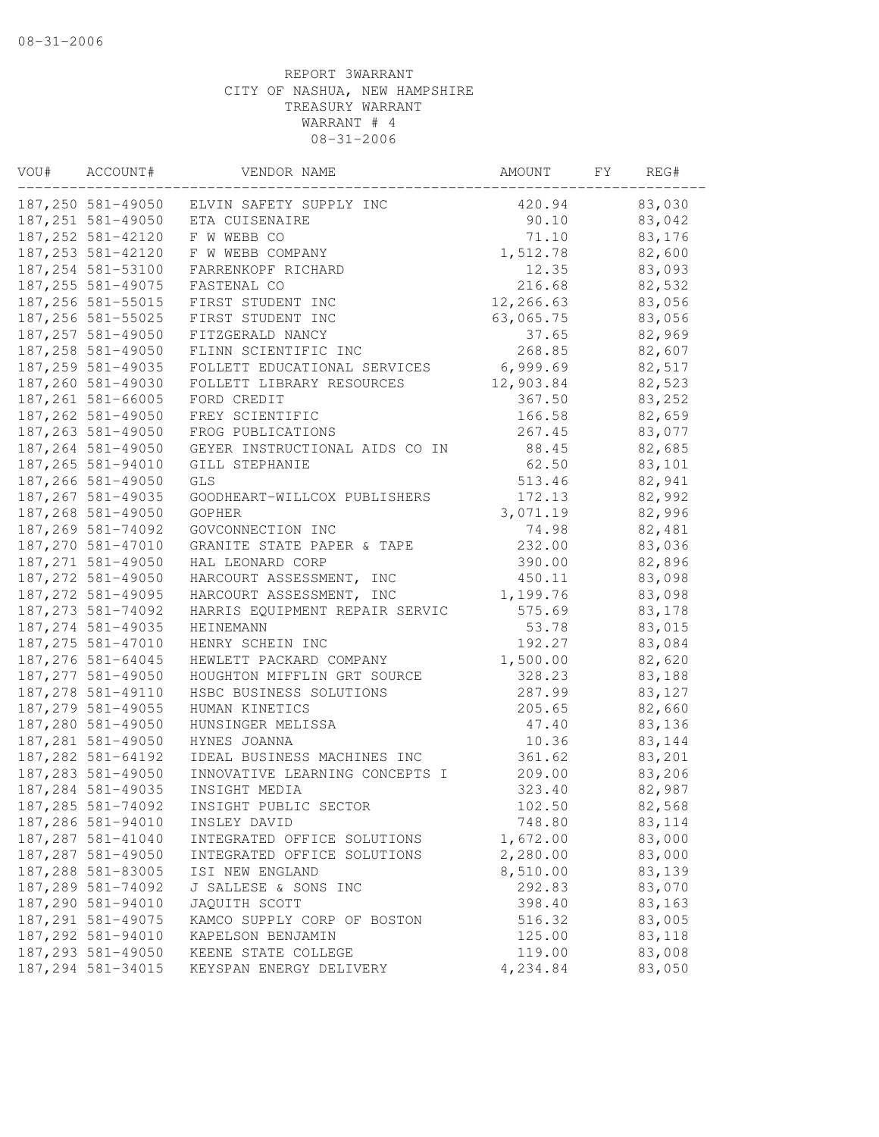| VOU# | ACCOUNT#           | VENDOR NAME                    | AMOUNT    | FY | REG#   |
|------|--------------------|--------------------------------|-----------|----|--------|
|      | 187,250 581-49050  | ELVIN SAFETY SUPPLY INC        | 420.94    |    | 83,030 |
|      | 187, 251 581-49050 | ETA CUISENAIRE                 | 90.10     |    | 83,042 |
|      | 187, 252 581-42120 | F W WEBB CO                    | 71.10     |    | 83,176 |
|      | 187, 253 581-42120 | F W WEBB COMPANY               | 1,512.78  |    | 82,600 |
|      | 187,254 581-53100  | FARRENKOPF RICHARD             | 12.35     |    | 83,093 |
|      | 187, 255 581-49075 | FASTENAL CO                    | 216.68    |    | 82,532 |
|      | 187, 256 581-55015 | FIRST STUDENT INC              | 12,266.63 |    | 83,056 |
|      | 187, 256 581-55025 | FIRST STUDENT INC              | 63,065.75 |    | 83,056 |
|      | 187, 257 581-49050 | FITZGERALD NANCY               | 37.65     |    | 82,969 |
|      | 187,258 581-49050  | FLINN SCIENTIFIC INC           | 268.85    |    | 82,607 |
|      | 187,259 581-49035  | FOLLETT EDUCATIONAL SERVICES   | 6,999.69  |    | 82,517 |
|      | 187,260 581-49030  | FOLLETT LIBRARY RESOURCES      | 12,903.84 |    | 82,523 |
|      | 187, 261 581-66005 | FORD CREDIT                    | 367.50    |    | 83,252 |
|      | 187, 262 581-49050 | FREY SCIENTIFIC                | 166.58    |    | 82,659 |
|      | 187, 263 581-49050 | FROG PUBLICATIONS              | 267.45    |    | 83,077 |
|      | 187, 264 581-49050 | GEYER INSTRUCTIONAL AIDS CO IN | 88.45     |    | 82,685 |
|      | 187,265 581-94010  | GILL STEPHANIE                 | 62.50     |    | 83,101 |
|      | 187,266 581-49050  | GLS                            | 513.46    |    | 82,941 |
|      | 187, 267 581-49035 | GOODHEART-WILLCOX PUBLISHERS   | 172.13    |    | 82,992 |
|      | 187,268 581-49050  | <b>GOPHER</b>                  | 3,071.19  |    | 82,996 |
|      | 187,269 581-74092  | GOVCONNECTION INC              | 74.98     |    | 82,481 |
|      | 187,270 581-47010  | GRANITE STATE PAPER & TAPE     | 232.00    |    | 83,036 |
|      | 187, 271 581-49050 | HAL LEONARD CORP               | 390.00    |    | 82,896 |
|      | 187,272 581-49050  | HARCOURT ASSESSMENT, INC       | 450.11    |    | 83,098 |
|      | 187, 272 581-49095 | HARCOURT ASSESSMENT, INC       | 1,199.76  |    | 83,098 |
|      | 187, 273 581-74092 | HARRIS EQUIPMENT REPAIR SERVIC | 575.69    |    | 83,178 |
|      | 187, 274 581-49035 | HEINEMANN                      | 53.78     |    | 83,015 |
|      | 187, 275 581-47010 | HENRY SCHEIN INC               | 192.27    |    | 83,084 |
|      | 187,276 581-64045  | HEWLETT PACKARD COMPANY        | 1,500.00  |    | 82,620 |
|      | 187, 277 581-49050 | HOUGHTON MIFFLIN GRT SOURCE    | 328.23    |    | 83,188 |
|      | 187,278 581-49110  | HSBC BUSINESS SOLUTIONS        | 287.99    |    | 83,127 |
|      | 187, 279 581-49055 | HUMAN KINETICS                 | 205.65    |    | 82,660 |
|      | 187,280 581-49050  | HUNSINGER MELISSA              | 47.40     |    | 83,136 |
|      | 187, 281 581-49050 | HYNES JOANNA                   | 10.36     |    | 83,144 |
|      | 187, 282 581-64192 | IDEAL BUSINESS MACHINES INC    | 361.62    |    | 83,201 |
|      | 187, 283 581-49050 | INNOVATIVE LEARNING CONCEPTS I | 209.00    |    | 83,206 |
|      | 187,284 581-49035  | INSIGHT MEDIA                  | 323.40    |    | 82,987 |
|      | 187, 285 581-74092 | INSIGHT PUBLIC SECTOR          | 102.50    |    | 82,568 |
|      | 187,286 581-94010  | INSLEY DAVID                   | 748.80    |    | 83,114 |
|      | 187, 287 581-41040 | INTEGRATED OFFICE SOLUTIONS    | 1,672.00  |    | 83,000 |
|      | 187,287 581-49050  | INTEGRATED OFFICE SOLUTIONS    | 2,280.00  |    | 83,000 |
|      | 187,288 581-83005  | ISI NEW ENGLAND                | 8,510.00  |    | 83,139 |
|      | 187,289 581-74092  | J SALLESE & SONS INC           | 292.83    |    | 83,070 |
|      | 187,290 581-94010  | JAQUITH SCOTT                  | 398.40    |    | 83,163 |
|      | 187, 291 581-49075 | KAMCO SUPPLY CORP OF BOSTON    | 516.32    |    | 83,005 |
|      | 187,292 581-94010  | KAPELSON BENJAMIN              | 125.00    |    | 83,118 |
|      | 187, 293 581-49050 | KEENE STATE COLLEGE            | 119.00    |    | 83,008 |
|      | 187,294 581-34015  | KEYSPAN ENERGY DELIVERY        | 4,234.84  |    | 83,050 |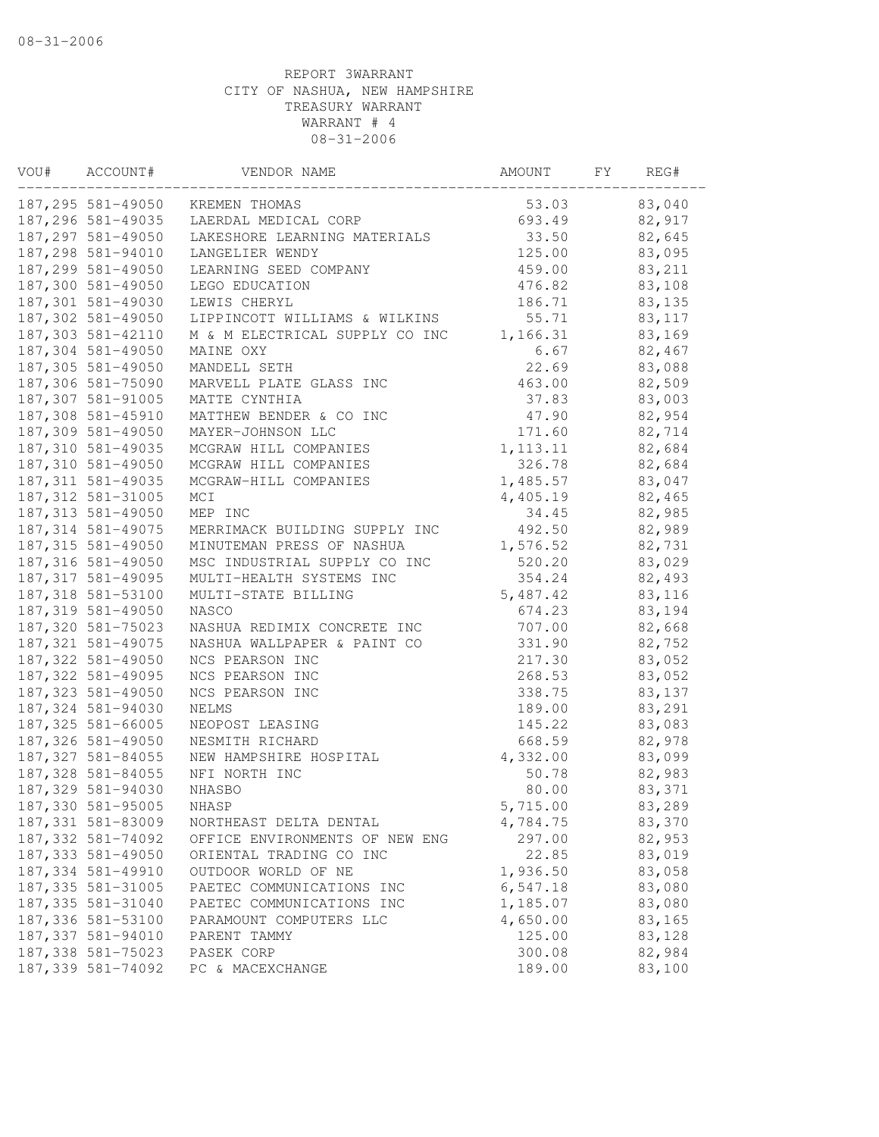| VOU# | ACCOUNT#           | VENDOR NAME                    | AMOUNT    | FY | REG#   |
|------|--------------------|--------------------------------|-----------|----|--------|
|      | 187,295 581-49050  | KREMEN THOMAS                  | 53.03     |    | 83,040 |
|      | 187,296 581-49035  | LAERDAL MEDICAL CORP           | 693.49    |    | 82,917 |
|      | 187, 297 581-49050 | LAKESHORE LEARNING MATERIALS   | 33.50     |    | 82,645 |
|      | 187,298 581-94010  | LANGELIER WENDY                | 125.00    |    | 83,095 |
|      | 187,299 581-49050  | LEARNING SEED COMPANY          | 459.00    |    | 83,211 |
|      | 187,300 581-49050  | LEGO EDUCATION                 | 476.82    |    | 83,108 |
|      | 187,301 581-49030  | LEWIS CHERYL                   | 186.71    |    | 83,135 |
|      | 187,302 581-49050  | LIPPINCOTT WILLIAMS & WILKINS  | 55.71     |    | 83,117 |
|      | 187,303 581-42110  | M & M ELECTRICAL SUPPLY CO INC | 1,166.31  |    | 83,169 |
|      | 187,304 581-49050  | MAINE OXY                      | 6.67      |    | 82,467 |
|      | 187,305 581-49050  | MANDELL SETH                   | 22.69     |    | 83,088 |
|      | 187,306 581-75090  | MARVELL PLATE GLASS INC        | 463.00    |    | 82,509 |
|      | 187,307 581-91005  | MATTE CYNTHIA                  | 37.83     |    | 83,003 |
|      | 187,308 581-45910  | MATTHEW BENDER & CO INC        | 47.90     |    | 82,954 |
|      | 187,309 581-49050  | MAYER-JOHNSON LLC              | 171.60    |    | 82,714 |
|      | 187,310 581-49035  | MCGRAW HILL COMPANIES          | 1, 113.11 |    | 82,684 |
|      | 187,310 581-49050  | MCGRAW HILL COMPANIES          | 326.78    |    | 82,684 |
|      | 187, 311 581-49035 | MCGRAW-HILL COMPANIES          | 1,485.57  |    | 83,047 |
|      | 187, 312 581-31005 | MCI                            | 4,405.19  |    | 82,465 |
|      | 187, 313 581-49050 | MEP INC                        | 34.45     |    | 82,985 |
|      | 187, 314 581-49075 | MERRIMACK BUILDING SUPPLY INC  | 492.50    |    | 82,989 |
|      | 187, 315 581-49050 | MINUTEMAN PRESS OF NASHUA      | 1,576.52  |    | 82,731 |
|      | 187, 316 581-49050 | MSC INDUSTRIAL SUPPLY CO INC   | 520.20    |    | 83,029 |
|      | 187, 317 581-49095 | MULTI-HEALTH SYSTEMS INC       | 354.24    |    | 82,493 |
|      | 187,318 581-53100  | MULTI-STATE BILLING            | 5,487.42  |    | 83,116 |
|      | 187, 319 581-49050 | NASCO                          | 674.23    |    | 83,194 |
|      | 187,320 581-75023  | NASHUA REDIMIX CONCRETE INC    | 707.00    |    | 82,668 |
|      | 187, 321 581-49075 | NASHUA WALLPAPER & PAINT CO    | 331.90    |    | 82,752 |
|      | 187, 322 581-49050 | NCS PEARSON INC                | 217.30    |    | 83,052 |
|      | 187, 322 581-49095 | NCS PEARSON INC                | 268.53    |    | 83,052 |
|      | 187, 323 581-49050 | NCS PEARSON INC                | 338.75    |    | 83,137 |
|      | 187, 324 581-94030 | NELMS                          | 189.00    |    | 83,291 |
|      | 187, 325 581-66005 | NEOPOST LEASING                | 145.22    |    | 83,083 |
|      | 187,326 581-49050  | NESMITH RICHARD                | 668.59    |    | 82,978 |
|      | 187, 327 581-84055 | NEW HAMPSHIRE HOSPITAL         | 4,332.00  |    | 83,099 |
|      | 187,328 581-84055  | NFI NORTH INC                  | 50.78     |    | 82,983 |
|      | 187,329 581-94030  | NHASBO                         | 80.00     |    | 83,371 |
|      | 187,330 581-95005  | NHASP                          | 5,715.00  |    | 83,289 |
|      | 187, 331 581-83009 | NORTHEAST DELTA DENTAL         | 4,784.75  |    | 83,370 |
|      | 187, 332 581-74092 | OFFICE ENVIRONMENTS OF NEW ENG | 297.00    |    | 82,953 |
|      | 187, 333 581-49050 | ORIENTAL TRADING CO INC        | 22.85     |    | 83,019 |
|      | 187, 334 581-49910 | OUTDOOR WORLD OF NE            | 1,936.50  |    | 83,058 |
|      | 187, 335 581-31005 | PAETEC COMMUNICATIONS INC      | 6,547.18  |    | 83,080 |
|      | 187, 335 581-31040 | PAETEC COMMUNICATIONS INC      | 1,185.07  |    | 83,080 |
|      | 187, 336 581-53100 | PARAMOUNT COMPUTERS LLC        | 4,650.00  |    | 83,165 |
|      | 187, 337 581-94010 | PARENT TAMMY                   | 125.00    |    | 83,128 |
|      | 187, 338 581-75023 | PASEK CORP                     | 300.08    |    | 82,984 |
|      | 187, 339 581-74092 | PC & MACEXCHANGE               | 189.00    |    | 83,100 |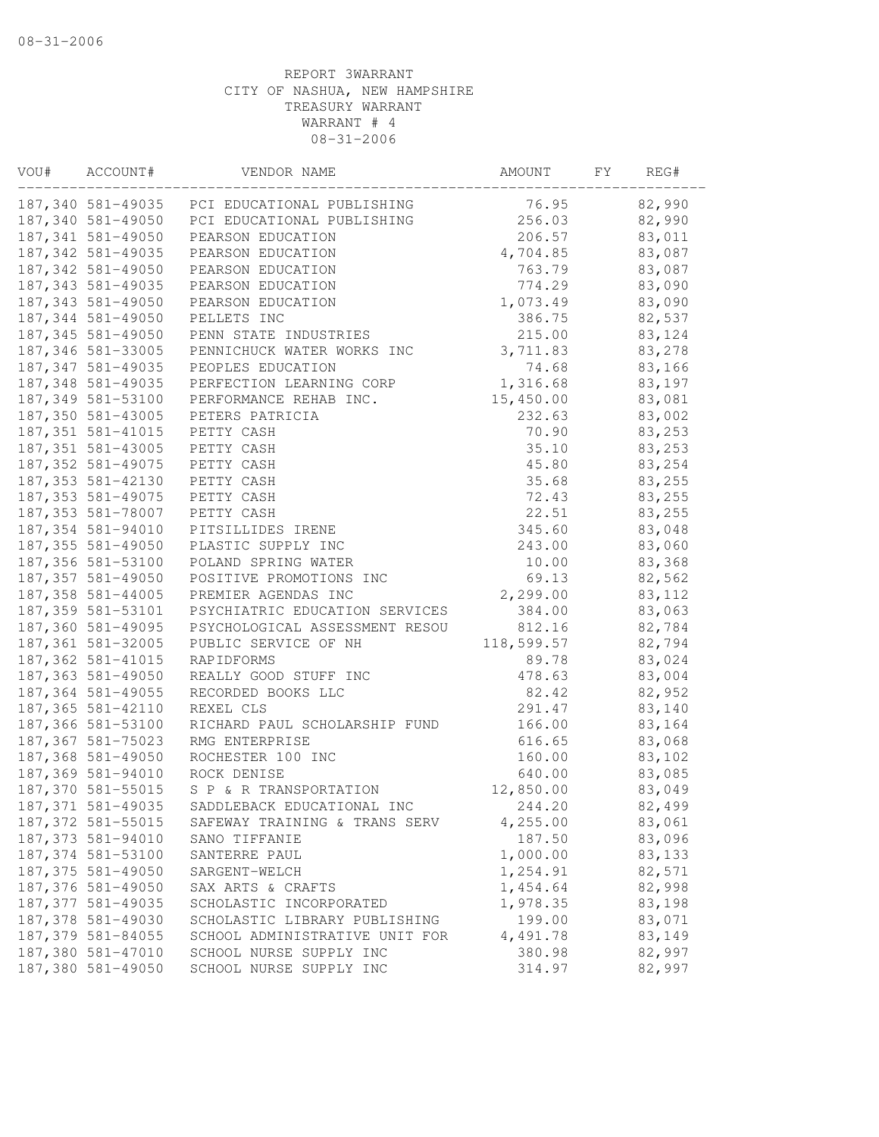| VOU# | ACCOUNT#           | VENDOR NAME                                  | AMOUNT     | FY | REG#    |
|------|--------------------|----------------------------------------------|------------|----|---------|
|      |                    | 187,340 581-49035 PCI EDUCATIONAL PUBLISHING | 76.95      |    | 82,990  |
|      | 187,340 581-49050  | PCI EDUCATIONAL PUBLISHING                   | 256.03     |    | 82,990  |
|      | 187, 341 581-49050 | PEARSON EDUCATION                            | 206.57     |    | 83,011  |
|      | 187, 342 581-49035 | PEARSON EDUCATION                            | 4,704.85   |    | 83,087  |
|      | 187, 342 581-49050 | PEARSON EDUCATION                            | 763.79     |    | 83,087  |
|      | 187, 343 581-49035 | PEARSON EDUCATION                            | 774.29     |    | 83,090  |
|      | 187, 343 581-49050 | PEARSON EDUCATION                            | 1,073.49   |    | 83,090  |
|      | 187,344 581-49050  | PELLETS INC                                  | 386.75     |    | 82,537  |
|      | 187, 345 581-49050 | PENN STATE INDUSTRIES                        | 215.00     |    | 83,124  |
|      | 187, 346 581-33005 | PENNICHUCK WATER WORKS INC                   | 3,711.83   |    | 83,278  |
|      | 187, 347 581-49035 | PEOPLES EDUCATION                            | 74.68      |    | 83,166  |
|      | 187, 348 581-49035 | PERFECTION LEARNING CORP                     | 1,316.68   |    | 83,197  |
|      | 187,349 581-53100  | PERFORMANCE REHAB INC.                       | 15,450.00  |    | 83,081  |
|      | 187,350 581-43005  | PETERS PATRICIA                              | 232.63     |    | 83,002  |
|      | 187, 351 581-41015 | PETTY CASH                                   | 70.90      |    | 83,253  |
|      | 187, 351 581-43005 | PETTY CASH                                   | 35.10      |    | 83,253  |
|      | 187, 352 581-49075 | PETTY CASH                                   | 45.80      |    | 83,254  |
|      | 187, 353 581-42130 | PETTY CASH                                   | 35.68      |    | 83,255  |
|      | 187, 353 581-49075 | PETTY CASH                                   | 72.43      |    | 83,255  |
|      | 187,353 581-78007  | PETTY CASH                                   | 22.51      |    | 83,255  |
|      | 187,354 581-94010  | PITSILLIDES IRENE                            | 345.60     |    | 83,048  |
|      | 187, 355 581-49050 | PLASTIC SUPPLY INC                           | 243.00     |    | 83,060  |
|      | 187,356 581-53100  | POLAND SPRING WATER                          | 10.00      |    | 83,368  |
|      | 187, 357 581-49050 | POSITIVE PROMOTIONS INC                      | 69.13      |    | 82,562  |
|      | 187, 358 581-44005 | PREMIER AGENDAS INC                          | 2,299.00   |    | 83, 112 |
|      | 187,359 581-53101  | PSYCHIATRIC EDUCATION SERVICES               | 384.00     |    | 83,063  |
|      | 187,360 581-49095  | PSYCHOLOGICAL ASSESSMENT RESOU               | 812.16     |    | 82,784  |
|      | 187,361 581-32005  | PUBLIC SERVICE OF NH                         | 118,599.57 |    | 82,794  |
|      | 187, 362 581-41015 | RAPIDFORMS                                   | 89.78      |    | 83,024  |
|      | 187, 363 581-49050 | REALLY GOOD STUFF INC                        | 478.63     |    | 83,004  |
|      | 187, 364 581-49055 | RECORDED BOOKS LLC                           | 82.42      |    | 82,952  |
|      | 187, 365 581-42110 | REXEL CLS                                    | 291.47     |    | 83,140  |
|      | 187,366 581-53100  | RICHARD PAUL SCHOLARSHIP FUND                | 166.00     |    | 83,164  |
|      | 187, 367 581-75023 | RMG ENTERPRISE                               | 616.65     |    | 83,068  |
|      | 187,368 581-49050  | ROCHESTER 100 INC                            | 160.00     |    | 83,102  |
|      | 187,369 581-94010  | ROCK DENISE                                  | 640.00     |    | 83,085  |
|      | 187,370 581-55015  | S P & R TRANSPORTATION                       | 12,850.00  |    | 83,049  |
|      | 187, 371 581-49035 | SADDLEBACK EDUCATIONAL INC                   | 244.20     |    | 82,499  |
|      | 187, 372 581-55015 | SAFEWAY TRAINING & TRANS SERV                | 4,255.00   |    | 83,061  |
|      | 187, 373 581-94010 | SANO TIFFANIE                                | 187.50     |    | 83,096  |
|      | 187, 374 581-53100 | SANTERRE PAUL                                | 1,000.00   |    | 83,133  |
|      | 187, 375 581-49050 | SARGENT-WELCH                                | 1,254.91   |    | 82,571  |
|      | 187,376 581-49050  | SAX ARTS & CRAFTS                            | 1,454.64   |    | 82,998  |
|      | 187, 377 581-49035 | SCHOLASTIC INCORPORATED                      | 1,978.35   |    | 83,198  |
|      | 187,378 581-49030  | SCHOLASTIC LIBRARY PUBLISHING                | 199.00     |    | 83,071  |
|      | 187, 379 581-84055 | SCHOOL ADMINISTRATIVE UNIT FOR               | 4,491.78   |    | 83,149  |
|      | 187,380 581-47010  | SCHOOL NURSE SUPPLY INC                      | 380.98     |    | 82,997  |
|      | 187,380 581-49050  | SCHOOL NURSE SUPPLY INC                      | 314.97     |    | 82,997  |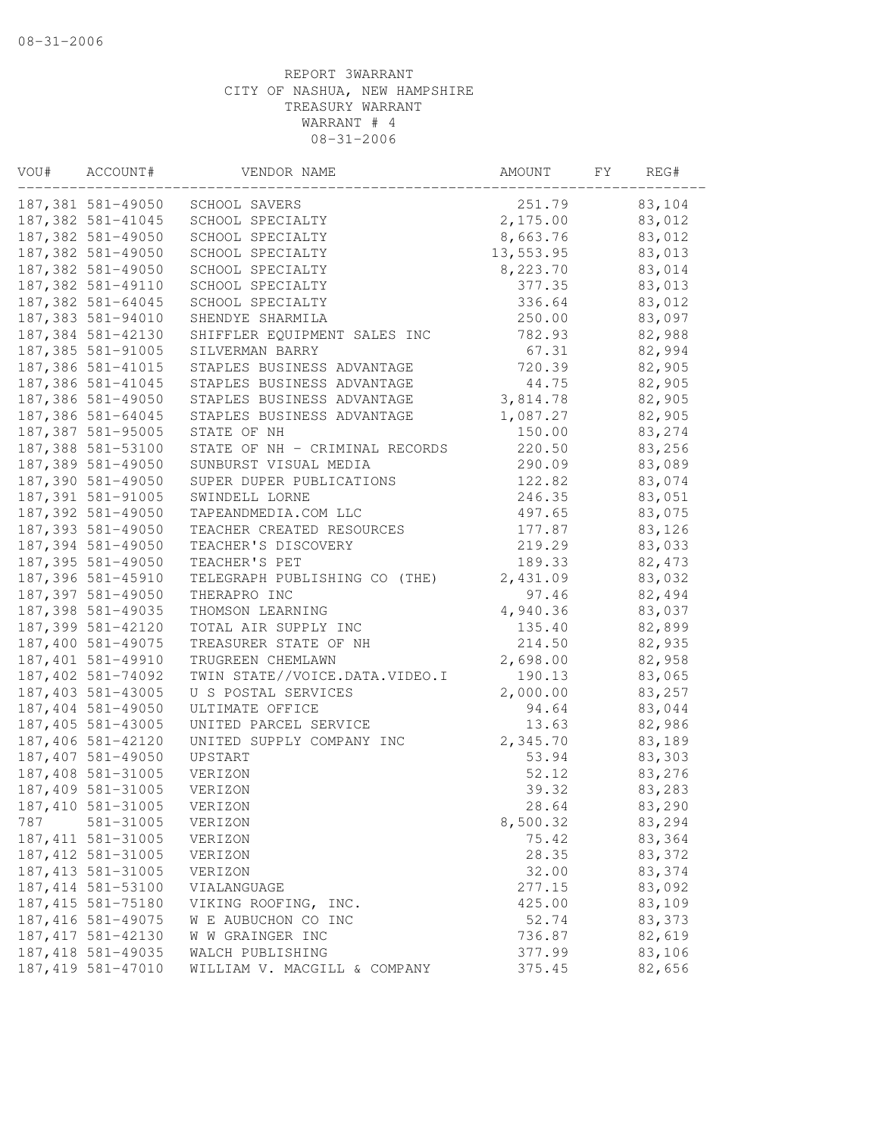| VOU# | ACCOUNT#           | VENDOR NAME                    | AMOUNT    | FY | REG#    |
|------|--------------------|--------------------------------|-----------|----|---------|
|      | 187,381 581-49050  | SCHOOL SAVERS                  | 251.79    |    | 83,104  |
|      | 187, 382 581-41045 | SCHOOL SPECIALTY               | 2,175.00  |    | 83,012  |
|      | 187,382 581-49050  | SCHOOL SPECIALTY               | 8,663.76  |    | 83,012  |
|      | 187,382 581-49050  | SCHOOL SPECIALTY               | 13,553.95 |    | 83,013  |
|      | 187,382 581-49050  | SCHOOL SPECIALTY               | 8,223.70  |    | 83,014  |
|      | 187,382 581-49110  | SCHOOL SPECIALTY               | 377.35    |    | 83,013  |
|      | 187, 382 581-64045 | SCHOOL SPECIALTY               | 336.64    |    | 83,012  |
|      | 187,383 581-94010  | SHENDYE SHARMILA               | 250.00    |    | 83,097  |
|      | 187,384 581-42130  | SHIFFLER EQUIPMENT SALES INC   | 782.93    |    | 82,988  |
|      | 187,385 581-91005  | SILVERMAN BARRY                | 67.31     |    | 82,994  |
|      | 187,386 581-41015  | STAPLES BUSINESS ADVANTAGE     | 720.39    |    | 82,905  |
|      | 187,386 581-41045  | STAPLES BUSINESS ADVANTAGE     | 44.75     |    | 82,905  |
|      | 187,386 581-49050  | STAPLES BUSINESS ADVANTAGE     | 3,814.78  |    | 82,905  |
|      | 187,386 581-64045  | STAPLES BUSINESS ADVANTAGE     | 1,087.27  |    | 82,905  |
|      | 187, 387 581-95005 | STATE OF NH                    | 150.00    |    | 83,274  |
|      | 187,388 581-53100  | STATE OF NH - CRIMINAL RECORDS | 220.50    |    | 83,256  |
|      | 187,389 581-49050  | SUNBURST VISUAL MEDIA          | 290.09    |    | 83,089  |
|      | 187,390 581-49050  | SUPER DUPER PUBLICATIONS       | 122.82    |    | 83,074  |
|      | 187,391 581-91005  | SWINDELL LORNE                 | 246.35    |    | 83,051  |
|      | 187,392 581-49050  | TAPEANDMEDIA.COM LLC           | 497.65    |    | 83,075  |
|      | 187, 393 581-49050 | TEACHER CREATED RESOURCES      | 177.87    |    | 83,126  |
|      | 187,394 581-49050  | TEACHER'S DISCOVERY            | 219.29    |    | 83,033  |
|      | 187, 395 581-49050 | TEACHER'S PET                  | 189.33    |    | 82, 473 |
|      | 187,396 581-45910  | TELEGRAPH PUBLISHING CO (THE)  | 2,431.09  |    | 83,032  |
|      | 187,397 581-49050  | THERAPRO INC                   | 97.46     |    | 82,494  |
|      | 187,398 581-49035  | THOMSON LEARNING               | 4,940.36  |    | 83,037  |
|      | 187,399 581-42120  | TOTAL AIR SUPPLY INC           | 135.40    |    | 82,899  |
|      | 187,400 581-49075  | TREASURER STATE OF NH          | 214.50    |    | 82,935  |
|      | 187,401 581-49910  | TRUGREEN CHEMLAWN              | 2,698.00  |    | 82,958  |
|      | 187,402 581-74092  | TWIN STATE//VOICE.DATA.VIDEO.I | 190.13    |    | 83,065  |
|      | 187,403 581-43005  | U S POSTAL SERVICES            | 2,000.00  |    | 83,257  |
|      | 187,404 581-49050  | ULTIMATE OFFICE                | 94.64     |    | 83,044  |
|      | 187,405 581-43005  | UNITED PARCEL SERVICE          | 13.63     |    | 82,986  |
|      | 187,406 581-42120  | UNITED SUPPLY COMPANY INC      | 2,345.70  |    | 83,189  |
|      | 187,407 581-49050  | UPSTART                        | 53.94     |    | 83,303  |
|      | 187,408 581-31005  | VERIZON                        | 52.12     |    | 83,276  |
|      | 187,409 581-31005  | VERIZON                        | 39.32     |    | 83,283  |
|      | 187,410 581-31005  | VERIZON                        | 28.64     |    | 83,290  |
| 787  | 581-31005          | VERIZON                        | 8,500.32  |    | 83,294  |
|      | 187, 411 581-31005 | VERIZON                        | 75.42     |    | 83,364  |
|      | 187, 412 581-31005 | VERIZON                        | 28.35     |    | 83,372  |
|      | 187, 413 581-31005 | VERIZON                        | 32.00     |    | 83,374  |
|      | 187, 414 581-53100 | VIALANGUAGE                    | 277.15    |    | 83,092  |
|      | 187, 415 581-75180 | VIKING ROOFING, INC.           | 425.00    |    | 83,109  |
|      | 187, 416 581-49075 | W E AUBUCHON CO INC            | 52.74     |    | 83,373  |
|      | 187, 417 581-42130 | W W GRAINGER INC               | 736.87    |    | 82,619  |
|      | 187, 418 581-49035 | WALCH PUBLISHING               | 377.99    |    | 83,106  |
|      | 187, 419 581-47010 | WILLIAM V. MACGILL & COMPANY   | 375.45    |    | 82,656  |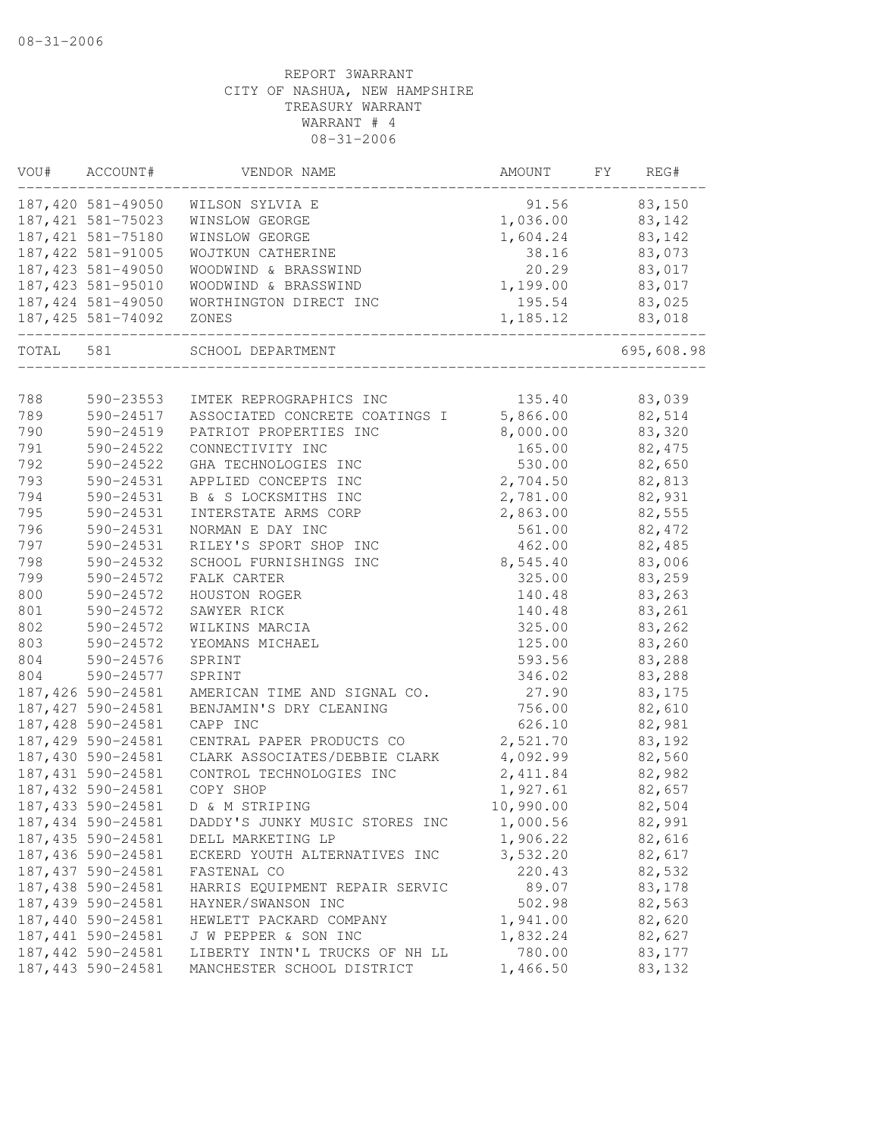| VOU#  | ACCOUNT#           | VENDOR NAME                                     | AMOUNT FY | REG#       |
|-------|--------------------|-------------------------------------------------|-----------|------------|
|       | 187,420 581-49050  | WILSON SYLVIA E                                 | 91.56     | 83,150     |
|       | 187, 421 581-75023 | WINSLOW GEORGE                                  | 1,036.00  | 83,142     |
|       | 187, 421 581-75180 | WINSLOW GEORGE                                  | 1,604.24  | 83,142     |
|       | 187, 422 581-91005 | WOJTKUN CATHERINE                               | 38.16     | 83,073     |
|       | 187,423 581-49050  | WOODWIND & BRASSWIND                            | 20.29     | 83,017     |
|       | 187,423 581-95010  | WOODWIND & BRASSWIND                            | 1,199.00  | 83,017     |
|       | 187,424 581-49050  | WORTHINGTON DIRECT INC                          | 195.54    | 83,025     |
|       | 187,425 581-74092  | ZONES                                           | 1,185.12  | 83,018     |
| TOTAL | 581                | SCHOOL DEPARTMENT<br>________________________   |           | 695,608.98 |
|       |                    |                                                 |           |            |
| 788   | 590-23553          | IMTEK REPROGRAPHICS INC                         | 135.40    | 83,039     |
| 789   | 590-24517          | ASSOCIATED CONCRETE COATINGS I                  | 5,866.00  | 82,514     |
| 790   | 590-24519          | PATRIOT PROPERTIES INC                          | 8,000.00  | 83,320     |
| 791   | 590-24522          | CONNECTIVITY INC                                | 165.00    | 82, 475    |
| 792   | 590-24522          | GHA TECHNOLOGIES INC                            | 530.00    | 82,650     |
| 793   | 590-24531          | APPLIED CONCEPTS INC                            | 2,704.50  | 82,813     |
| 794   | 590-24531          | B & S LOCKSMITHS INC                            | 2,781.00  | 82,931     |
| 795   | 590-24531          | INTERSTATE ARMS CORP                            | 2,863.00  | 82,555     |
| 796   | 590-24531          | NORMAN E DAY INC                                | 561.00    | 82, 472    |
| 797   | 590-24531          | RILEY'S SPORT SHOP INC                          | 462.00    | 82,485     |
| 798   | 590-24532          | SCHOOL FURNISHINGS INC                          | 8,545.40  | 83,006     |
| 799   | 590-24572          | FALK CARTER                                     | 325.00    | 83,259     |
| 800   | 590-24572          | HOUSTON ROGER                                   | 140.48    | 83,263     |
| 801   | 590-24572          | SAWYER RICK                                     | 140.48    | 83,261     |
| 802   | 590-24572          | WILKINS MARCIA                                  | 325.00    | 83,262     |
| 803   | 590-24572          | YEOMANS MICHAEL                                 | 125.00    | 83,260     |
| 804   | 590-24576          | SPRINT                                          | 593.56    | 83,288     |
| 804   | 590-24577          | SPRINT                                          | 346.02    | 83,288     |
|       | 187,426 590-24581  | AMERICAN TIME AND SIGNAL CO.                    | 27.90     | 83,175     |
|       | 187,427 590-24581  | BENJAMIN'S DRY CLEANING                         | 756.00    | 82,610     |
|       | 187,428 590-24581  | CAPP INC                                        | 626.10    | 82,981     |
|       | 187,429 590-24581  | CENTRAL PAPER PRODUCTS CO                       | 2,521.70  | 83,192     |
|       |                    | 187,430 590-24581 CLARK ASSOCIATES/DEBBIE CLARK | 4,092.99  | 82,560     |
|       | 187,431 590-24581  | CONTROL TECHNOLOGIES INC                        | 2,411.84  | 82,982     |
|       | 187, 432 590-24581 | COPY SHOP                                       | 1,927.61  | 82,657     |
|       | 187, 433 590-24581 | D & M STRIPING                                  | 10,990.00 | 82,504     |
|       | 187,434 590-24581  | DADDY'S JUNKY MUSIC STORES INC                  | 1,000.56  | 82,991     |
|       | 187,435 590-24581  | DELL MARKETING LP                               | 1,906.22  | 82,616     |
|       | 187,436 590-24581  | ECKERD YOUTH ALTERNATIVES INC                   | 3,532.20  | 82,617     |
|       | 187,437 590-24581  | FASTENAL CO                                     | 220.43    | 82,532     |
|       | 187,438 590-24581  | HARRIS EQUIPMENT REPAIR SERVIC                  | 89.07     | 83,178     |
|       | 187, 439 590-24581 | HAYNER/SWANSON INC                              | 502.98    | 82,563     |
|       | 187,440 590-24581  | HEWLETT PACKARD COMPANY                         | 1,941.00  | 82,620     |
|       | 187, 441 590-24581 | J W PEPPER & SON INC                            | 1,832.24  | 82,627     |
|       | 187,442 590-24581  | LIBERTY INTN'L TRUCKS OF NH LL                  | 780.00    | 83,177     |
|       | 187, 443 590-24581 | MANCHESTER SCHOOL DISTRICT                      | 1,466.50  | 83,132     |
|       |                    |                                                 |           |            |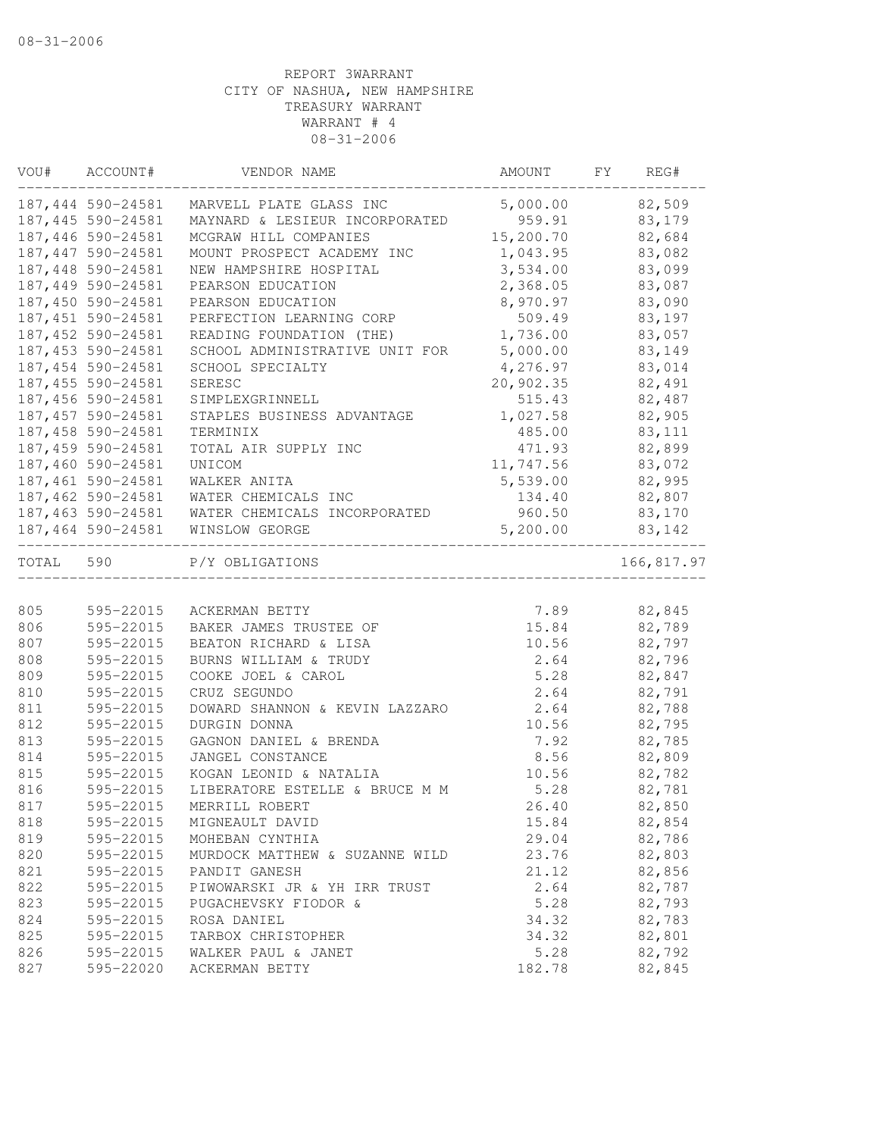|           | VOU# ACCOUNT#      | VENDOR NAME                                    | AMOUNT          | FY | REG#        |
|-----------|--------------------|------------------------------------------------|-----------------|----|-------------|
|           |                    | 187,444 590-24581 MARVELL PLATE GLASS INC      | 5,000.00 82,509 |    |             |
|           | 187, 445 590-24581 | MAYNARD & LESIEUR INCORPORATED 959.91          |                 |    | 83,179      |
|           | 187,446 590-24581  | MCGRAW HILL COMPANIES                          | 15,200.70       |    | 82,684      |
|           | 187, 447 590-24581 | MOUNT PROSPECT ACADEMY INC                     | 1,043.95        |    | 83,082      |
|           | 187,448 590-24581  | NEW HAMPSHIRE HOSPITAL                         | 3,534.00        |    | 83,099      |
|           | 187,449 590-24581  | PEARSON EDUCATION                              | 2,368.05        |    | 83,087      |
|           | 187,450 590-24581  | PEARSON EDUCATION                              | 8,970.97        |    | 83,090      |
|           | 187,451 590-24581  | PERFECTION LEARNING CORP                       | 509.49          |    | 83,197      |
|           | 187,452 590-24581  | READING FOUNDATION (THE)                       | 1,736.00        |    | 83,057      |
|           | 187,453 590-24581  | SCHOOL ADMINISTRATIVE UNIT FOR                 | 5,000.00        |    | 83,149      |
|           | 187,454 590-24581  | SCHOOL SPECIALTY                               | 4,276.97        |    | 83,014      |
|           | 187, 455 590-24581 | SERESC                                         | 20,902.35       |    | 82,491      |
|           | 187,456 590-24581  | SIMPLEXGRINNELL                                | 515.43          |    | 82,487      |
|           | 187, 457 590-24581 | STAPLES BUSINESS ADVANTAGE                     | 1,027.58        |    | 82,905      |
|           | 187,458 590-24581  | TERMINIX                                       | 485.00          |    | 83,111      |
|           | 187,459 590-24581  | TOTAL AIR SUPPLY INC                           | 471.93          |    | 82,899      |
|           | 187,460 590-24581  | UNICOM                                         | 11,747.56       |    | 83,072      |
|           | 187,461 590-24581  | WALKER ANITA                                   | 5,539.00        |    | 82,995      |
|           | 187,462 590-24581  | WATER CHEMICALS INC                            | 134.40          |    | 82,807      |
|           |                    | 187,463 590-24581 WATER CHEMICALS INCORPORATED | 960.50          |    | 83,170      |
|           |                    | 187,464 590-24581 WINSLOW GEORGE               | 5,200.00        |    | 83,142      |
| TOTAL 590 |                    | P/Y OBLIGATIONS                                |                 |    | 166,817.97  |
|           |                    |                                                |                 |    |             |
| 805       | 595-22015          | ACKERMAN BETTY                                 |                 |    | 7.89 82,845 |
| 806       | 595-22015          | BAKER JAMES TRUSTEE OF                         | 15.84           |    | 82,789      |
| 807       | 595-22015          | BEATON RICHARD & LISA                          | 10.56           |    | 82,797      |
| 808       | 595-22015          | BURNS WILLIAM & TRUDY                          | 2.64            |    | 82,796      |
| 809       | 595-22015          | COOKE JOEL & CAROL                             | 5.28            |    | 82,847      |
| 810       | 595-22015          | CRUZ SEGUNDO                                   | 2.64            |    | 82,791      |
| 811       | 595-22015          | DOWARD SHANNON & KEVIN LAZZARO                 | 2.64            |    | 82,788      |
| 812       | 595-22015          | DURGIN DONNA                                   | 10.56           |    | 82,795      |
| 813       | 595-22015          | GAGNON DANIEL & BRENDA                         | 7.92            |    | 82,785      |
| 814       | 595-22015          | JANGEL CONSTANCE                               | 8.56            |    | 82,809      |
| 815       | 595-22015          | KOGAN LEONID & NATALIA                         | 10.56           |    | 82,782      |
| 816       | 595-22015          | LIBERATORE ESTELLE & BRUCE M M                 | 5.28            |    | 82,781      |
| 817       | 595-22015          | MERRILL ROBERT                                 | 26.40           |    | 82,850      |
| 818       | 595-22015          | MIGNEAULT DAVID                                | 15.84           |    | 82,854      |
| 819       | 595-22015          | MOHEBAN CYNTHIA                                | 29.04           |    | 82,786      |
| 820       | 595-22015          | MURDOCK MATTHEW & SUZANNE WILD                 | 23.76           |    | 82,803      |
| 821       | 595-22015          | PANDIT GANESH                                  | 21.12           |    | 82,856      |
| 822       | 595-22015          | PIWOWARSKI JR & YH IRR TRUST                   | 2.64            |    | 82,787      |
| 823       | 595-22015          | PUGACHEVSKY FIODOR &                           | 5.28            |    | 82,793      |
| 824       | 595-22015          | ROSA DANIEL                                    | 34.32           |    | 82,783      |
| 825       | 595-22015          | TARBOX CHRISTOPHER                             | 34.32           |    | 82,801      |
| 826       | 595-22015          | WALKER PAUL & JANET                            | 5.28            |    | 82,792      |
| 827       | 595-22020          | ACKERMAN BETTY                                 | 182.78          |    | 82,845      |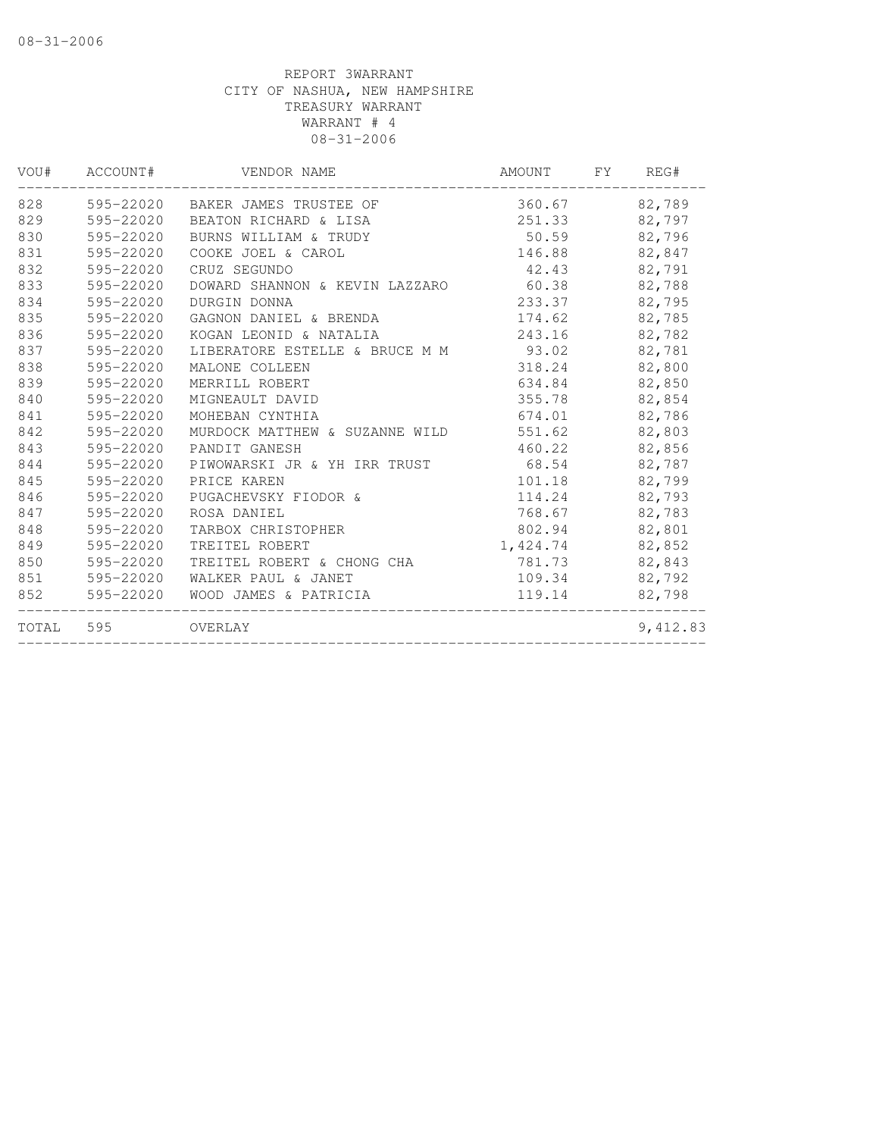| VOU#      | ACCOUNT#  | VENDOR NAME                    | AMOUNT   | <b>FY</b> | REG#     |
|-----------|-----------|--------------------------------|----------|-----------|----------|
| 828       | 595-22020 | BAKER JAMES TRUSTEE OF         | 360.67   |           | 82,789   |
| 829       | 595-22020 | BEATON RICHARD & LISA          | 251.33   |           | 82,797   |
| 830       | 595-22020 | BURNS WILLIAM & TRUDY          | 50.59    |           | 82,796   |
| 831       | 595-22020 | COOKE JOEL & CAROL             | 146.88   |           | 82,847   |
| 832       | 595-22020 | CRUZ SEGUNDO                   | 42.43    |           | 82,791   |
| 833       | 595-22020 | DOWARD SHANNON & KEVIN LAZZARO | 60.38    |           | 82,788   |
| 834       | 595-22020 | DURGIN DONNA                   | 233.37   |           | 82,795   |
| 835       | 595-22020 | GAGNON DANIEL & BRENDA         | 174.62   |           | 82,785   |
| 836       | 595-22020 | KOGAN LEONID & NATALIA         | 243.16   |           | 82,782   |
| 837       | 595-22020 | LIBERATORE ESTELLE & BRUCE M M | 93.02    |           | 82,781   |
| 838       | 595-22020 | MALONE COLLEEN                 | 318.24   |           | 82,800   |
| 839       | 595-22020 | MERRILL ROBERT                 | 634.84   |           | 82,850   |
| 840       | 595-22020 | MIGNEAULT DAVID                | 355.78   |           | 82,854   |
| 841       | 595-22020 | MOHEBAN CYNTHIA                | 674.01   |           | 82,786   |
| 842       | 595-22020 | MURDOCK MATTHEW & SUZANNE WILD | 551.62   |           | 82,803   |
| 843       | 595-22020 | PANDIT GANESH                  | 460.22   |           | 82,856   |
| 844       | 595-22020 | PIWOWARSKI JR & YH IRR TRUST   | 68.54    |           | 82,787   |
| 845       | 595-22020 | PRICE KAREN                    | 101.18   |           | 82,799   |
| 846       | 595-22020 | PUGACHEVSKY FIODOR &           | 114.24   |           | 82,793   |
| 847       | 595-22020 | ROSA DANIEL                    | 768.67   |           | 82,783   |
| 848       | 595-22020 | TARBOX CHRISTOPHER             | 802.94   |           | 82,801   |
| 849       | 595-22020 | TREITEL ROBERT                 | 1,424.74 |           | 82,852   |
| 850       | 595-22020 | TREITEL ROBERT & CHONG CHA     | 781.73   |           | 82,843   |
| 851       | 595-22020 | WALKER PAUL & JANET            | 109.34   |           | 82,792   |
| 852       | 595-22020 | WOOD JAMES & PATRICIA          | 119.14   |           | 82,798   |
| TOTAL 595 |           | OVERLAY                        |          |           | 9,412.83 |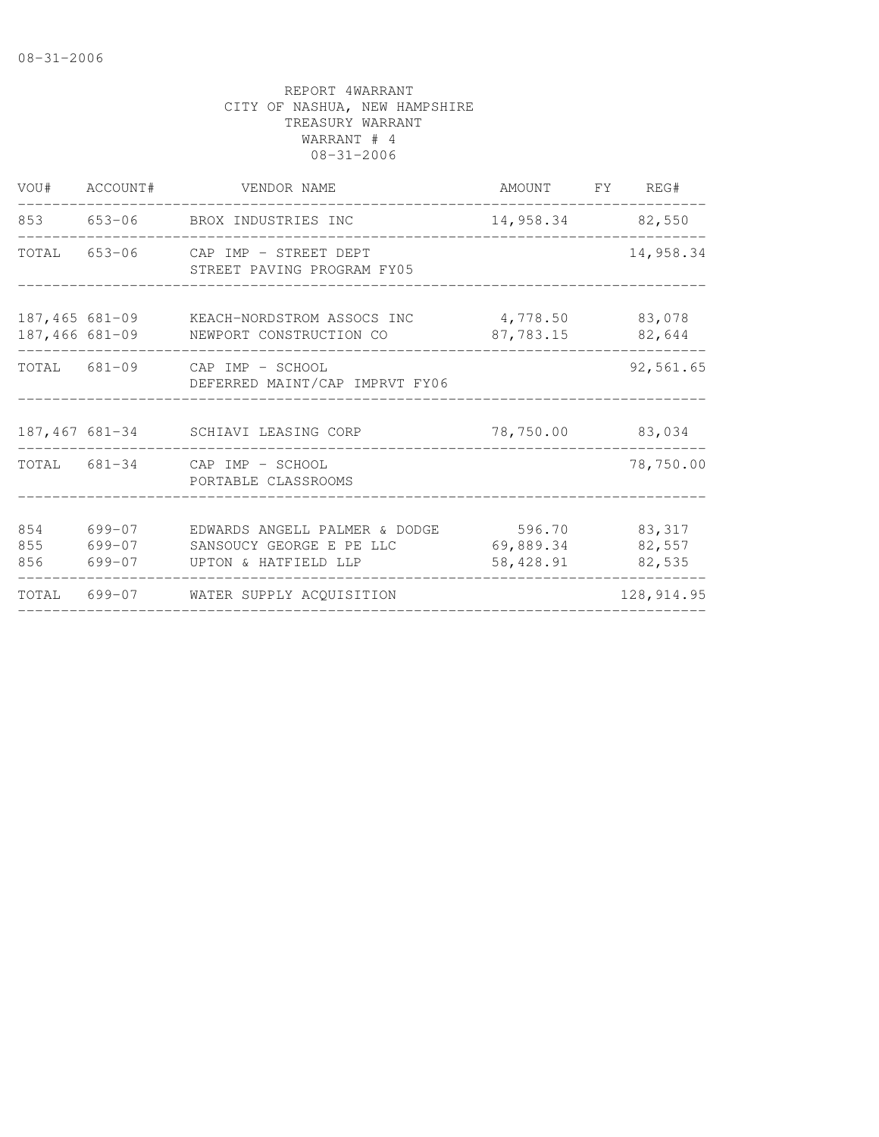| VOU#              | ACCOUNT#                   | VENDOR NAME                                                                       | AMOUNT FY REG#                   |                            |
|-------------------|----------------------------|-----------------------------------------------------------------------------------|----------------------------------|----------------------------|
|                   |                            | 853 653-06 BROX INDUSTRIES INC                                                    | 14,958.34 82,550                 |                            |
| TOTAL             |                            | 653-06 CAP IMP - STREET DEPT<br>STREET PAVING PROGRAM FY05                        |                                  | 14,958.34                  |
| $187,466$ 681-09  |                            | 187,465 681-09 KEACH-NORDSTROM ASSOCS INC<br>NEWPORT CONSTRUCTION CO              | 4,778.50<br>87,783.15            | 83,078<br>82,644           |
|                   |                            | TOTAL 681-09 CAP IMP - SCHOOL<br>DEFERRED MAINT/CAP IMPRVT FY06                   |                                  | 92,561.65                  |
|                   | 187,467 681-34             | SCHIAVI LEASING CORP                                                              | 78,750.00 83,034                 |                            |
|                   |                            | TOTAL 681-34 CAP IMP - SCHOOL<br>PORTABLE CLASSROOMS                              |                                  | 78,750.00                  |
| 854<br>855<br>856 | 699-07<br>699-07<br>699-07 | EDWARDS ANGELL PALMER & DODGE<br>SANSOUCY GEORGE E PE LLC<br>UPTON & HATFIELD LLP | 596.70<br>69,889.34<br>58,428.91 | 83,317<br>82,557<br>82,535 |
|                   |                            | TOTAL 699-07 WATER SUPPLY ACQUISITION                                             |                                  | 128, 914.95                |
|                   |                            |                                                                                   |                                  |                            |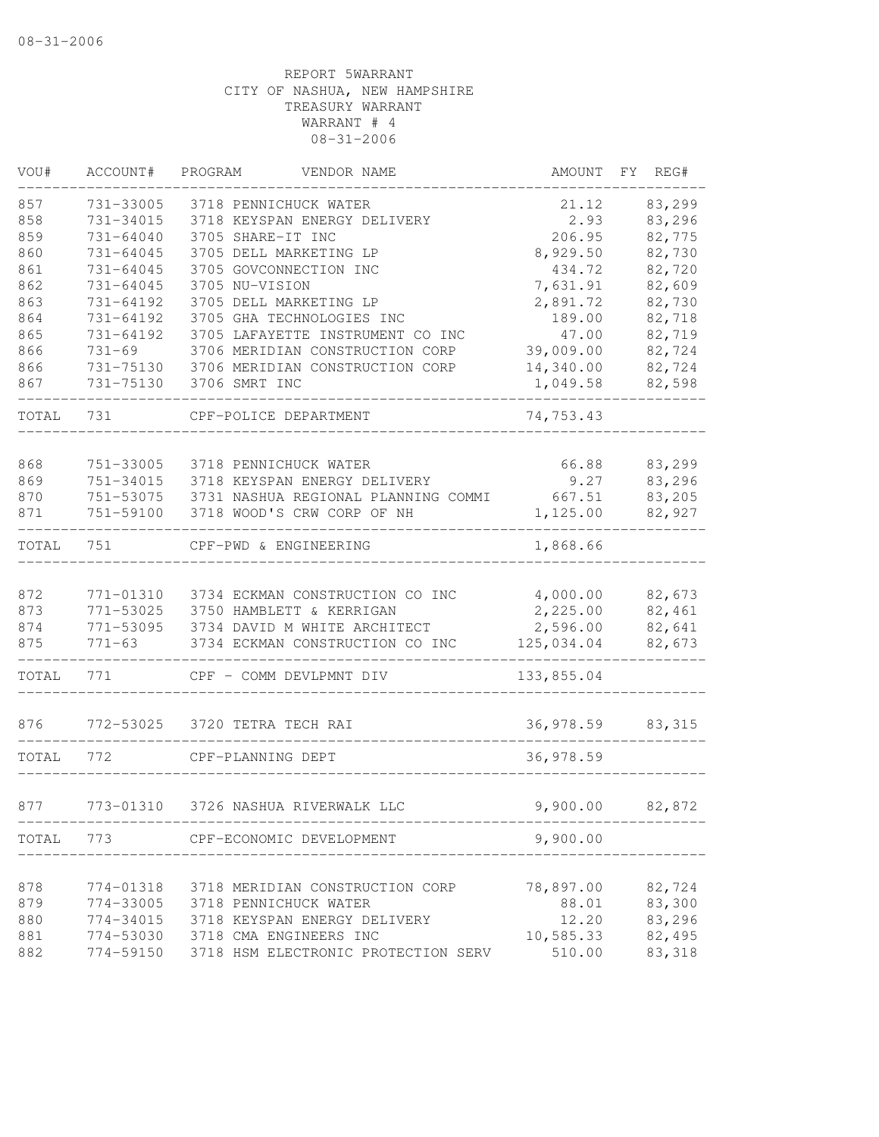| VOU#       | ACCOUNT#               | PROGRAM<br>VENDOR NAME                                | AMOUNT               | FY. | REG#             |
|------------|------------------------|-------------------------------------------------------|----------------------|-----|------------------|
| 857<br>858 | 731-33005<br>731-34015 | 3718 PENNICHUCK WATER<br>3718 KEYSPAN ENERGY DELIVERY | 21.12<br>2.93        |     | 83,299<br>83,296 |
| 859        | 731-64040              | 3705 SHARE-IT INC                                     | 206.95               |     | 82,775           |
| 860        | 731-64045              | 3705 DELL MARKETING LP                                | 8,929.50             |     | 82,730           |
| 861        | 731-64045              | 3705 GOVCONNECTION INC                                | 434.72               |     | 82,720           |
| 862        | 731-64045              | 3705 NU-VISION                                        | 7,631.91             |     | 82,609           |
| 863        | 731-64192              | 3705 DELL MARKETING LP                                | 2,891.72             |     | 82,730           |
| 864        | 731-64192              | 3705 GHA TECHNOLOGIES INC                             | 189.00               |     | 82,718           |
| 865        | 731-64192              | 3705 LAFAYETTE INSTRUMENT CO INC                      | 47.00                |     | 82,719           |
| 866        | $731 - 69$             | 3706 MERIDIAN CONSTRUCTION CORP                       | 39,009.00            |     | 82,724           |
| 866        | 731-75130              | 3706 MERIDIAN CONSTRUCTION CORP                       | 14,340.00            |     | 82,724           |
| 867        | 731-75130              | 3706 SMRT INC                                         | 1,049.58             |     | 82,598           |
| TOTAL      | 731                    | CPF-POLICE DEPARTMENT                                 | 74,753.43            |     |                  |
|            |                        |                                                       |                      |     |                  |
| 868        | 751-33005              | 3718 PENNICHUCK WATER                                 | 66.88                |     | 83,299           |
| 869        | 751-34015              | 3718 KEYSPAN ENERGY DELIVERY                          | 9.27                 |     | 83,296           |
| 870        | 751-53075              | 3731 NASHUA REGIONAL PLANNING COMMI                   | 667.51               |     | 83,205           |
| 871        | 751-59100              | 3718 WOOD'S CRW CORP OF NH                            | 1,125.00             |     | 82,927           |
| TOTAL      | 751                    | CPF-PWD & ENGINEERING                                 | 1,868.66             |     |                  |
| 872        | 771-01310              | 3734 ECKMAN CONSTRUCTION CO INC                       |                      |     | 82,673           |
| 873        | 771-53025              | 3750 HAMBLETT & KERRIGAN                              | 4,000.00<br>2,225.00 |     | 82,461           |
| 874        | 771-53095              | 3734 DAVID M WHITE ARCHITECT                          | 2,596.00             |     | 82,641           |
| 875        | $771 - 63$             | 3734 ECKMAN CONSTRUCTION CO INC                       | 125,034.04           |     | 82,673           |
| TOTAL      | 771                    | CPF - COMM DEVLPMNT DIV                               | 133,855.04           |     |                  |
|            |                        |                                                       |                      |     |                  |
| 876        | 772-53025              | 3720 TETRA TECH RAI                                   | 36,978.59            |     | 83,315           |
| TOTAL      | 772                    | CPF-PLANNING DEPT                                     | 36,978.59            |     |                  |
| 877        | 773-01310              | 3726 NASHUA RIVERWALK LLC                             | 9,900.00             |     | 82,872           |
|            |                        |                                                       |                      |     |                  |
| TOTAL 773  |                        | CPF-ECONOMIC DEVELOPMENT                              | 9,900.00             |     |                  |
|            |                        |                                                       |                      |     |                  |
| 878        | 774-01318              | 3718 MERIDIAN CONSTRUCTION CORP                       | 78,897.00            |     | 82,724           |
| 879        | 774-33005              | 3718 PENNICHUCK WATER                                 | 88.01                |     | 83,300           |
| 880        | 774-34015              | 3718 KEYSPAN ENERGY DELIVERY                          | 12.20                |     | 83,296           |
| 881        | 774-53030              | 3718 CMA ENGINEERS INC                                | 10,585.33            |     | 82,495           |
| 882        | 774-59150              | 3718 HSM ELECTRONIC PROTECTION SERV                   | 510.00               |     | 83,318           |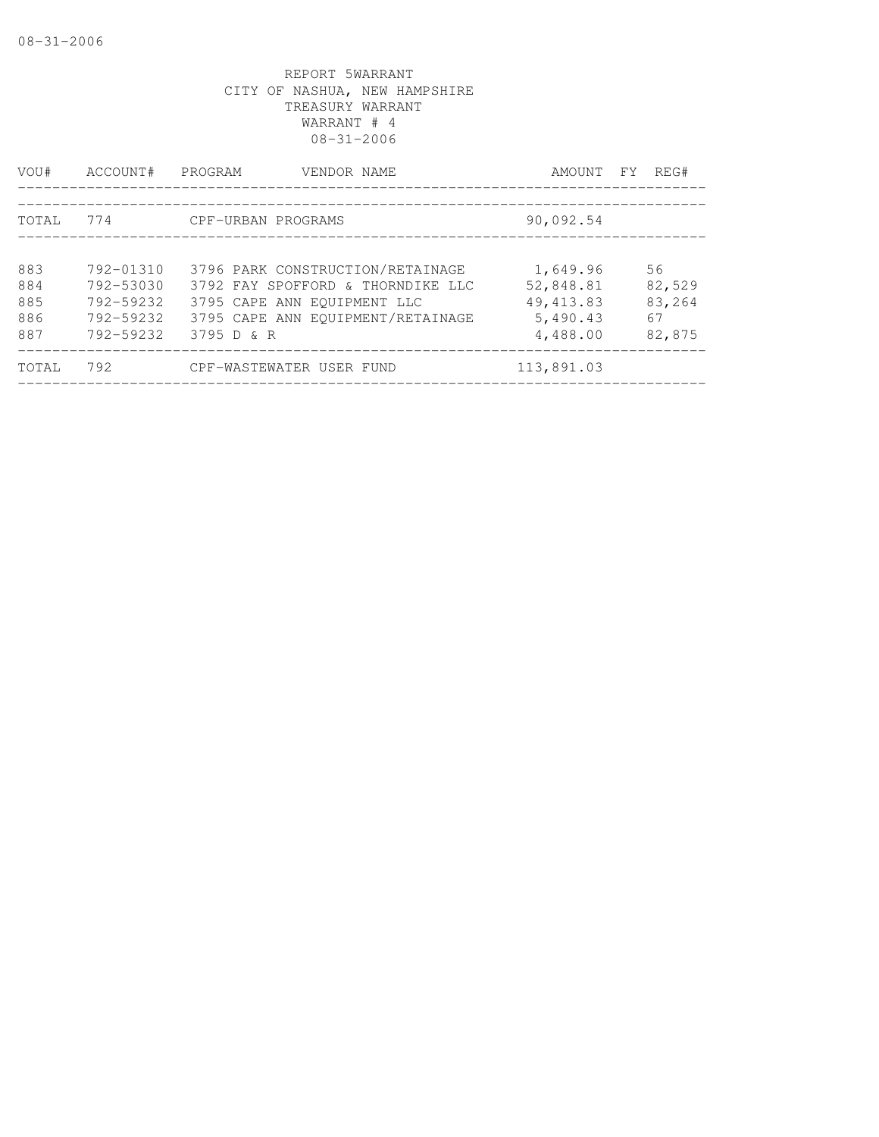| VOU#                            | ACCOUNT#                                                      | PROGRAM<br>VENDOR NAME                                                                                                                                  | AMOUNT FY                                                   | REG#                                   |
|---------------------------------|---------------------------------------------------------------|---------------------------------------------------------------------------------------------------------------------------------------------------------|-------------------------------------------------------------|----------------------------------------|
| <b>TOTAL</b>                    | 774                                                           | CPF-URBAN PROGRAMS                                                                                                                                      | 90,092.54                                                   |                                        |
| 883<br>884<br>885<br>886<br>887 | 792-01310<br>792-53030<br>792-59232<br>792-59232<br>792-59232 | 3796 PARK CONSTRUCTION/RETAINAGE<br>3792 FAY SPOFFORD & THORNDIKE LLC<br>3795 CAPE ANN EOUIPMENT LLC<br>3795 CAPE ANN EOUIPMENT/RETAINAGE<br>3795 D & R | 1,649.96<br>52,848.81<br>49, 413.83<br>5,490.43<br>4,488.00 | 56<br>82,529<br>83,264<br>67<br>82,875 |
| TOTAL                           | 792                                                           | CPF-WASTEWATER USER FUND                                                                                                                                | 113,891.03                                                  |                                        |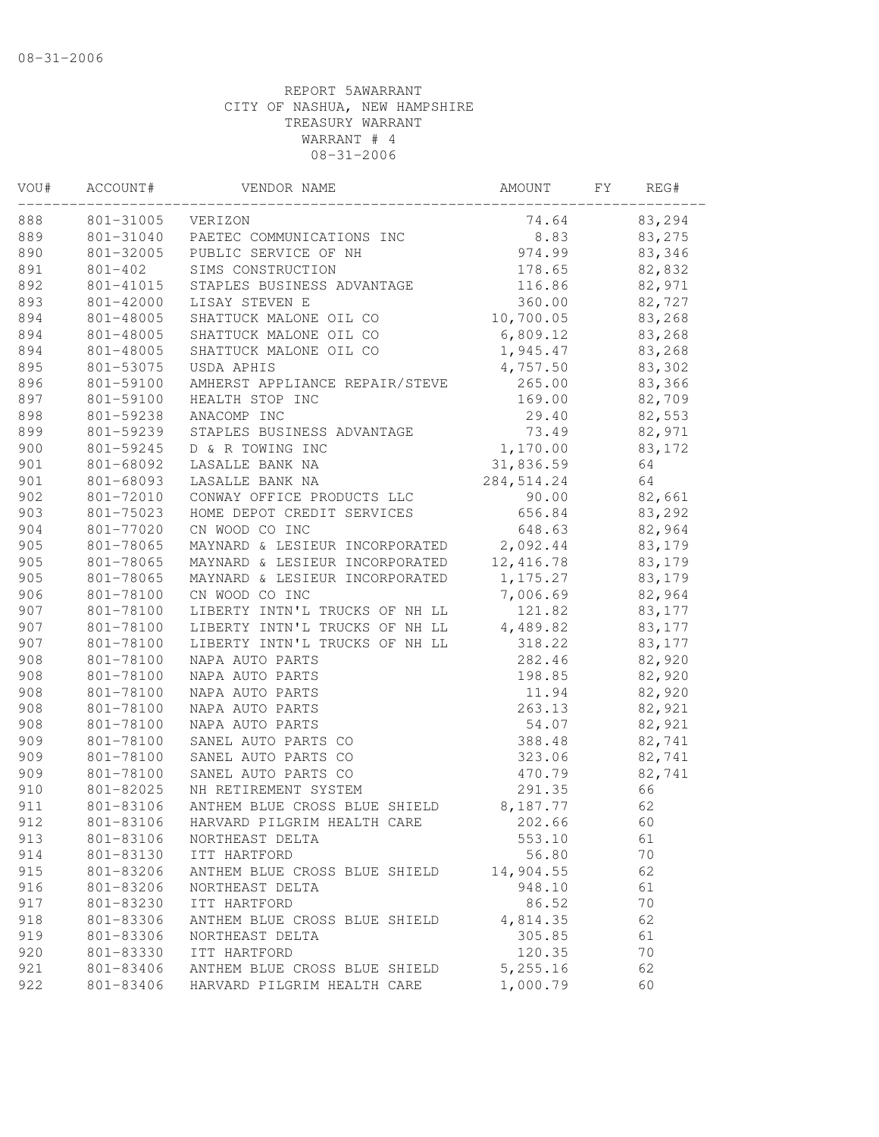| VOU# | ACCOUNT#    | VENDOR NAME                    | AMOUNT              | FY | REG#   |
|------|-------------|--------------------------------|---------------------|----|--------|
| 888  | 801-31005   | VERIZON                        | 74.64               |    | 83,294 |
| 889  | 801-31040   | PAETEC COMMUNICATIONS INC      | 8.83                |    | 83,275 |
| 890  | 801-32005   | PUBLIC SERVICE OF NH           | 974.99              |    | 83,346 |
| 891  | $801 - 402$ | SIMS CONSTRUCTION              | 178.65              |    | 82,832 |
| 892  | 801-41015   | STAPLES BUSINESS ADVANTAGE     | 116.86              |    | 82,971 |
| 893  | 801-42000   | LISAY STEVEN E                 | 360.00              |    | 82,727 |
| 894  | 801-48005   | SHATTUCK MALONE OIL CO         | 10,700.05           |    | 83,268 |
| 894  | 801-48005   | SHATTUCK MALONE OIL CO         | 6,809.12            |    | 83,268 |
| 894  | 801-48005   | SHATTUCK MALONE OIL CO         | 1,945.47            |    | 83,268 |
| 895  | 801-53075   | USDA APHIS                     | 4,757.50            |    | 83,302 |
| 896  | 801-59100   | AMHERST APPLIANCE REPAIR/STEVE | 265.00              |    | 83,366 |
| 897  | 801-59100   | HEALTH STOP INC                | 169.00              |    | 82,709 |
| 898  | 801-59238   | ANACOMP INC                    | 29.40               |    | 82,553 |
| 899  | 801-59239   | STAPLES BUSINESS ADVANTAGE     | 73.49               |    | 82,971 |
| 900  | 801-59245   | D & R TOWING INC               | 1,170.00            |    | 83,172 |
| 901  | 801-68092   | LASALLE BANK NA                | 31,836.59           |    | 64     |
| 901  | 801-68093   | LASALLE BANK NA                | 284, 514.24         |    | 64     |
| 902  | 801-72010   | CONWAY OFFICE PRODUCTS LLC     | 90.00               |    | 82,661 |
| 903  | 801-75023   | HOME DEPOT CREDIT SERVICES     | 656.84              |    | 83,292 |
| 904  | 801-77020   | CN WOOD CO INC                 | 648.63              |    | 82,964 |
| 905  | 801-78065   | MAYNARD & LESIEUR INCORPORATED | 2,092.44            |    | 83,179 |
| 905  | 801-78065   | MAYNARD & LESIEUR INCORPORATED | 12,416.78           |    | 83,179 |
| 905  | 801-78065   | MAYNARD & LESIEUR INCORPORATED | 1, 175.27           |    | 83,179 |
| 906  | 801-78100   | CN WOOD CO INC                 | 7,006.69            |    | 82,964 |
| 907  | 801-78100   | LIBERTY INTN'L TRUCKS OF NH LL | 121.82              |    | 83,177 |
| 907  | 801-78100   | LIBERTY INTN'L TRUCKS OF NH LL | 4,489.82            |    | 83,177 |
| 907  | 801-78100   | LIBERTY INTN'L TRUCKS OF NH LL | 318.22              |    | 83,177 |
| 908  | 801-78100   | NAPA AUTO PARTS                | 282.46              |    | 82,920 |
| 908  | 801-78100   | NAPA AUTO PARTS                | 198.85              |    | 82,920 |
| 908  | 801-78100   | NAPA AUTO PARTS                | 11.94               |    | 82,920 |
| 908  | 801-78100   | NAPA AUTO PARTS                | 263.13              |    | 82,921 |
| 908  | 801-78100   | NAPA AUTO PARTS                | 54.07               |    | 82,921 |
| 909  | 801-78100   | SANEL AUTO PARTS CO            | 388.48              |    | 82,741 |
| 909  | 801-78100   | SANEL AUTO PARTS CO            | 323.06              |    | 82,741 |
| 909  | 801-78100   | SANEL AUTO PARTS CO            | 470.79              |    | 82,741 |
| 910  | 801-82025   | NH RETIREMENT SYSTEM           | 291.35              |    | 66     |
| 911  | 801-83106   | ANTHEM BLUE CROSS BLUE SHIELD  | 8,187.77            |    | 62     |
| 912  | 801-83106   | HARVARD PILGRIM HEALTH CARE    | 202.66              |    | 60     |
| 913  | 801-83106   | NORTHEAST DELTA                | 553.10              |    | 61     |
| 914  | 801-83130   | ITT HARTFORD                   | 56.80               |    | 70     |
| 915  |             |                                |                     |    | 62     |
|      | 801-83206   | ANTHEM BLUE CROSS BLUE SHIELD  | 14,904.55<br>948.10 |    |        |
| 916  | 801-83206   | NORTHEAST DELTA                |                     |    | 61     |
| 917  | 801-83230   | ITT HARTFORD                   | 86.52               |    | 70     |
| 918  | 801-83306   | ANTHEM BLUE CROSS BLUE SHIELD  | 4,814.35            |    | 62     |
| 919  | 801-83306   | NORTHEAST DELTA                | 305.85              |    | 61     |
| 920  | 801-83330   | ITT HARTFORD                   | 120.35              |    | 70     |
| 921  | 801-83406   | ANTHEM BLUE CROSS BLUE SHIELD  | 5,255.16            |    | 62     |
| 922  | 801-83406   | HARVARD PILGRIM HEALTH CARE    | 1,000.79            |    | 60     |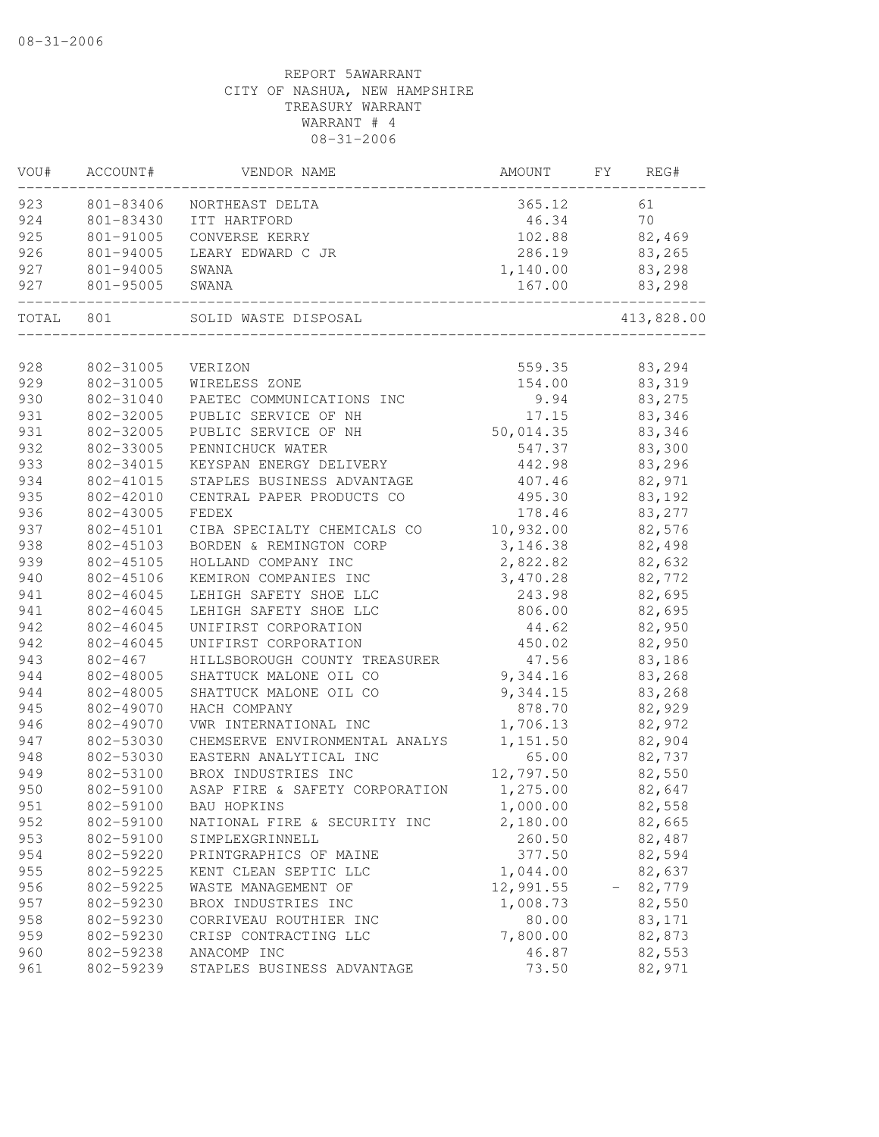| VOU#  | ACCOUNT#    | VENDOR NAME                    | AMOUNT                | FΥ | REG#          |
|-------|-------------|--------------------------------|-----------------------|----|---------------|
| 923   | 801-83406   | NORTHEAST DELTA                | 365.12                |    | 61            |
| 924   | 801-83430   | ITT HARTFORD                   | 46.34                 |    | 70            |
| 925   | 801-91005   | CONVERSE KERRY                 | 102.88                |    | 82,469        |
| 926   | 801-94005   | LEARY EDWARD C JR              | 286.19                |    | 83,265        |
| 927   | 801-94005   | SWANA                          | 1,140.00              |    | 83,298        |
| 927   | 801-95005   | SWANA                          | 167.00<br>___________ |    | 83,298        |
| TOTAL | 801         | SOLID WASTE DISPOSAL           |                       |    | 413,828.00    |
|       |             |                                |                       |    |               |
| 928   | 802-31005   | VERIZON                        |                       |    | 559.35 83,294 |
| 929   | 802-31005   | WIRELESS ZONE                  | 154.00                |    | 83,319        |
| 930   | 802-31040   | PAETEC COMMUNICATIONS INC      | 9.94                  |    | 83,275        |
| 931   | 802-32005   | PUBLIC SERVICE OF NH           | 17.15                 |    | 83,346        |
| 931   | 802-32005   | PUBLIC SERVICE OF NH           | 50,014.35             |    | 83,346        |
| 932   | 802-33005   | PENNICHUCK WATER               | 547.37                |    | 83,300        |
| 933   | 802-34015   | KEYSPAN ENERGY DELIVERY        | 442.98                |    | 83,296        |
| 934   | 802-41015   | STAPLES BUSINESS ADVANTAGE     | 407.46                |    | 82,971        |
| 935   | 802-42010   | CENTRAL PAPER PRODUCTS CO      | 495.30                |    | 83,192        |
| 936   | 802-43005   | FEDEX                          | 178.46                |    | 83,277        |
| 937   | 802-45101   | CIBA SPECIALTY CHEMICALS CO    | 10,932.00             |    | 82,576        |
| 938   | 802-45103   | BORDEN & REMINGTON CORP        | 3, 146.38             |    | 82,498        |
| 939   | 802-45105   | HOLLAND COMPANY INC            | 2,822.82              |    | 82,632        |
| 940   | 802-45106   | KEMIRON COMPANIES INC          | 3,470.28              |    | 82,772        |
| 941   | 802-46045   | LEHIGH SAFETY SHOE LLC         | 243.98                |    | 82,695        |
| 941   | 802-46045   | LEHIGH SAFETY SHOE LLC         | 806.00                |    | 82,695        |
| 942   | 802-46045   | UNIFIRST CORPORATION           | 44.62                 |    | 82,950        |
| 942   | 802-46045   | UNIFIRST CORPORATION           | 450.02                |    | 82,950        |
| 943   | $802 - 467$ | HILLSBOROUGH COUNTY TREASURER  | 47.56                 |    | 83,186        |
| 944   | 802-48005   | SHATTUCK MALONE OIL CO         | 9,344.16              |    | 83,268        |
| 944   | 802-48005   | SHATTUCK MALONE OIL CO         | 9,344.15              |    | 83,268        |
| 945   | 802-49070   | HACH COMPANY                   | 878.70                |    | 82,929        |
| 946   | 802-49070   | VWR INTERNATIONAL INC          | 1,706.13              |    | 82,972        |
| 947   | 802-53030   | CHEMSERVE ENVIRONMENTAL ANALYS | 1,151.50              |    | 82,904        |
| 948   | 802-53030   | EASTERN ANALYTICAL INC         | 65.00                 |    | 82,737        |
| 949   | 802-53100   | BROX INDUSTRIES INC            | 12,797.50             |    | 82,550        |
| 950   | 802-59100   | ASAP FIRE & SAFETY CORPORATION | 1,275.00              |    | 82,647        |
| 951   | 802-59100   | BAU HOPKINS                    | 1,000.00              |    | 82,558        |
| 952   | 802-59100   | NATIONAL FIRE & SECURITY INC   | 2,180.00              |    | 82,665        |
| 953   | 802-59100   | SIMPLEXGRINNELL                | 260.50                |    | 82,487        |
| 954   | 802-59220   | PRINTGRAPHICS OF MAINE         | 377.50                |    | 82,594        |
| 955   | 802-59225   | KENT CLEAN SEPTIC LLC          | 1,044.00              |    | 82,637        |
| 956   | 802-59225   | WASTE MANAGEMENT OF            | 12,991.55             |    | 82,779        |
| 957   | 802-59230   | BROX INDUSTRIES INC            | 1,008.73              |    | 82,550        |
| 958   | 802-59230   | CORRIVEAU ROUTHIER INC         | 80.00                 |    | 83,171        |
| 959   | 802-59230   | CRISP CONTRACTING LLC          | 7,800.00              |    | 82,873        |
| 960   | 802-59238   | ANACOMP INC                    | 46.87                 |    | 82,553        |
| 961   | 802-59239   | STAPLES BUSINESS ADVANTAGE     | 73.50                 |    | 82,971        |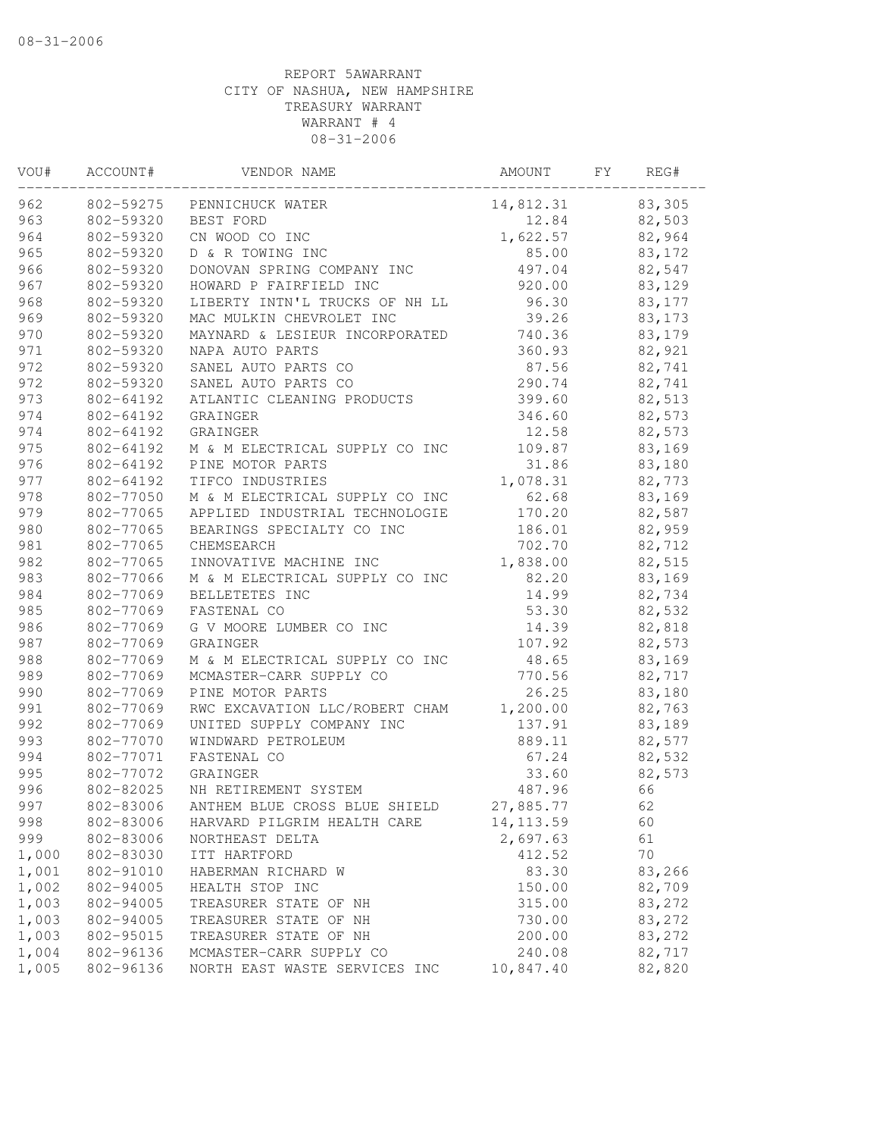| VOU#  | ACCOUNT#  | VENDOR NAME                    | AMOUNT     | FΥ | REG#   |
|-------|-----------|--------------------------------|------------|----|--------|
| 962   | 802-59275 | PENNICHUCK WATER               | 14,812.31  |    | 83,305 |
| 963   | 802-59320 | BEST FORD                      | 12.84      |    | 82,503 |
| 964   | 802-59320 | CN WOOD CO INC                 | 1,622.57   |    | 82,964 |
| 965   | 802-59320 | D & R TOWING INC               | 85.00      |    | 83,172 |
| 966   | 802-59320 | DONOVAN SPRING COMPANY INC     | 497.04     |    | 82,547 |
| 967   | 802-59320 | HOWARD P FAIRFIELD INC         | 920.00     |    | 83,129 |
| 968   | 802-59320 | LIBERTY INTN'L TRUCKS OF NH LL | 96.30      |    | 83,177 |
| 969   | 802-59320 | MAC MULKIN CHEVROLET INC       | 39.26      |    | 83,173 |
| 970   | 802-59320 | MAYNARD & LESIEUR INCORPORATED | 740.36     |    | 83,179 |
| 971   | 802-59320 | NAPA AUTO PARTS                | 360.93     |    | 82,921 |
| 972   | 802-59320 | SANEL AUTO PARTS CO            | 87.56      |    | 82,741 |
| 972   | 802-59320 | SANEL AUTO PARTS CO            | 290.74     |    | 82,741 |
| 973   | 802-64192 | ATLANTIC CLEANING PRODUCTS     | 399.60     |    | 82,513 |
| 974   | 802-64192 | GRAINGER                       | 346.60     |    | 82,573 |
| 974   | 802-64192 | GRAINGER                       | 12.58      |    | 82,573 |
| 975   | 802-64192 | M & M ELECTRICAL SUPPLY CO INC | 109.87     |    | 83,169 |
| 976   | 802-64192 | PINE MOTOR PARTS               | 31.86      |    | 83,180 |
| 977   | 802-64192 | TIFCO INDUSTRIES               | 1,078.31   |    | 82,773 |
| 978   | 802-77050 | M & M ELECTRICAL SUPPLY CO INC | 62.68      |    | 83,169 |
| 979   | 802-77065 | APPLIED INDUSTRIAL TECHNOLOGIE | 170.20     |    | 82,587 |
| 980   | 802-77065 | BEARINGS SPECIALTY CO INC      | 186.01     |    | 82,959 |
| 981   | 802-77065 | CHEMSEARCH                     | 702.70     |    | 82,712 |
| 982   | 802-77065 | INNOVATIVE MACHINE INC         | 1,838.00   |    | 82,515 |
| 983   | 802-77066 | M & M ELECTRICAL SUPPLY CO INC | 82.20      |    | 83,169 |
| 984   | 802-77069 | BELLETETES INC                 | 14.99      |    | 82,734 |
| 985   | 802-77069 | FASTENAL CO                    | 53.30      |    | 82,532 |
| 986   | 802-77069 | G V MOORE LUMBER CO INC        | 14.39      |    | 82,818 |
| 987   | 802-77069 | GRAINGER                       | 107.92     |    | 82,573 |
| 988   | 802-77069 | M & M ELECTRICAL SUPPLY CO INC | 48.65      |    | 83,169 |
| 989   | 802-77069 | MCMASTER-CARR SUPPLY CO        | 770.56     |    | 82,717 |
| 990   | 802-77069 | PINE MOTOR PARTS               | 26.25      |    | 83,180 |
| 991   | 802-77069 | RWC EXCAVATION LLC/ROBERT CHAM | 1,200.00   |    | 82,763 |
| 992   | 802-77069 | UNITED SUPPLY COMPANY INC      | 137.91     |    | 83,189 |
| 993   | 802-77070 | WINDWARD PETROLEUM             | 889.11     |    | 82,577 |
| 994   | 802-77071 | FASTENAL CO                    | 67.24      |    | 82,532 |
| 995   | 802-77072 | GRAINGER                       | 33.60      |    | 82,573 |
| 996   | 802-82025 | NH RETIREMENT SYSTEM           | 487.96     |    | 66     |
| 997   | 802-83006 | ANTHEM BLUE CROSS BLUE SHIELD  | 27,885.77  |    | 62     |
| 998   | 802-83006 | HARVARD PILGRIM HEALTH CARE    | 14, 113.59 |    | 60     |
| 999   | 802-83006 | NORTHEAST DELTA                | 2,697.63   |    | 61     |
| 1,000 | 802-83030 | ITT HARTFORD                   | 412.52     |    | 70     |
| 1,001 | 802-91010 | HABERMAN RICHARD W             | 83.30      |    | 83,266 |
| 1,002 | 802-94005 | HEALTH STOP INC                | 150.00     |    | 82,709 |
| 1,003 | 802-94005 | TREASURER STATE OF NH          | 315.00     |    | 83,272 |
| 1,003 | 802-94005 | TREASURER STATE OF NH          | 730.00     |    | 83,272 |
| 1,003 | 802-95015 | TREASURER STATE OF NH          | 200.00     |    | 83,272 |
| 1,004 | 802-96136 | MCMASTER-CARR SUPPLY CO        | 240.08     |    | 82,717 |
| 1,005 | 802-96136 | NORTH EAST WASTE SERVICES INC  | 10,847.40  |    | 82,820 |
|       |           |                                |            |    |        |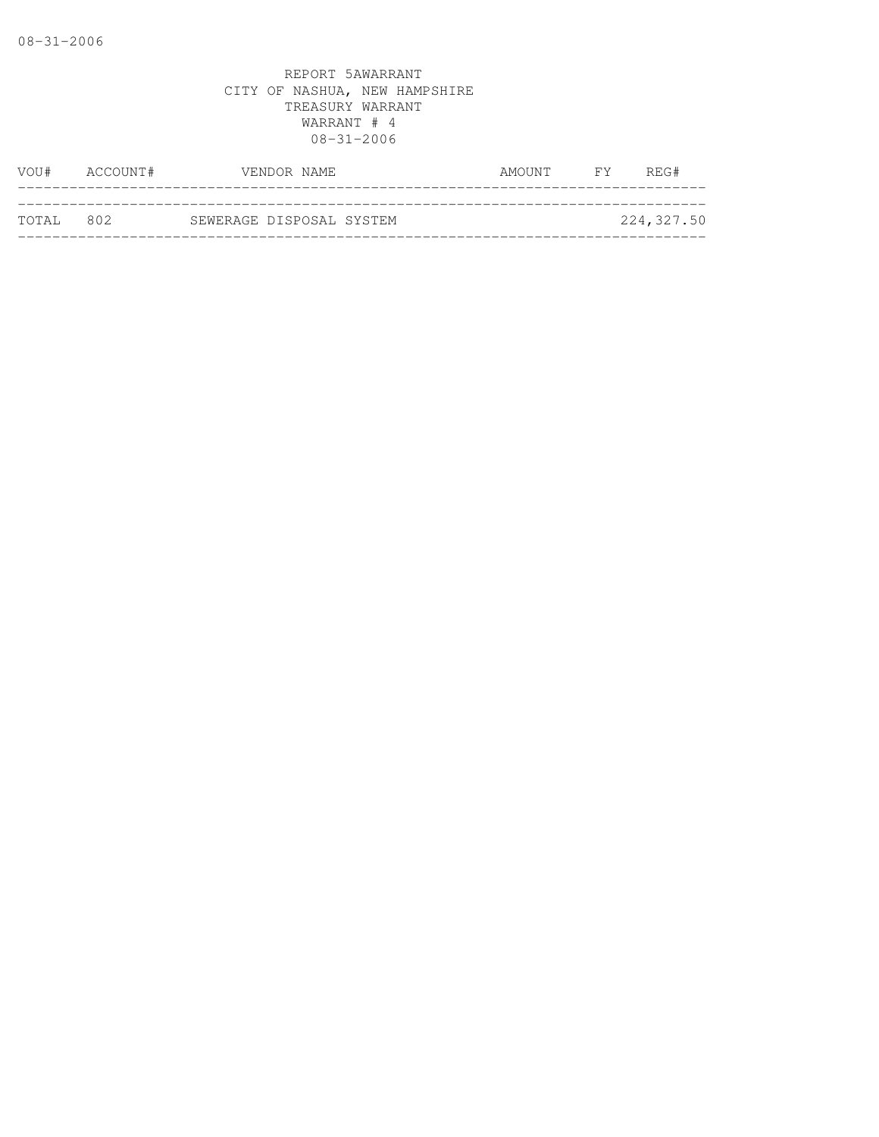| VOU#      | ACCOUNT# | VENDOR NAME              | AMOUNT | REG#<br>FY F |
|-----------|----------|--------------------------|--------|--------------|
|           |          |                          |        |              |
| TOTAL 802 |          | SEWERAGE DISPOSAL SYSTEM |        | 224,327.50   |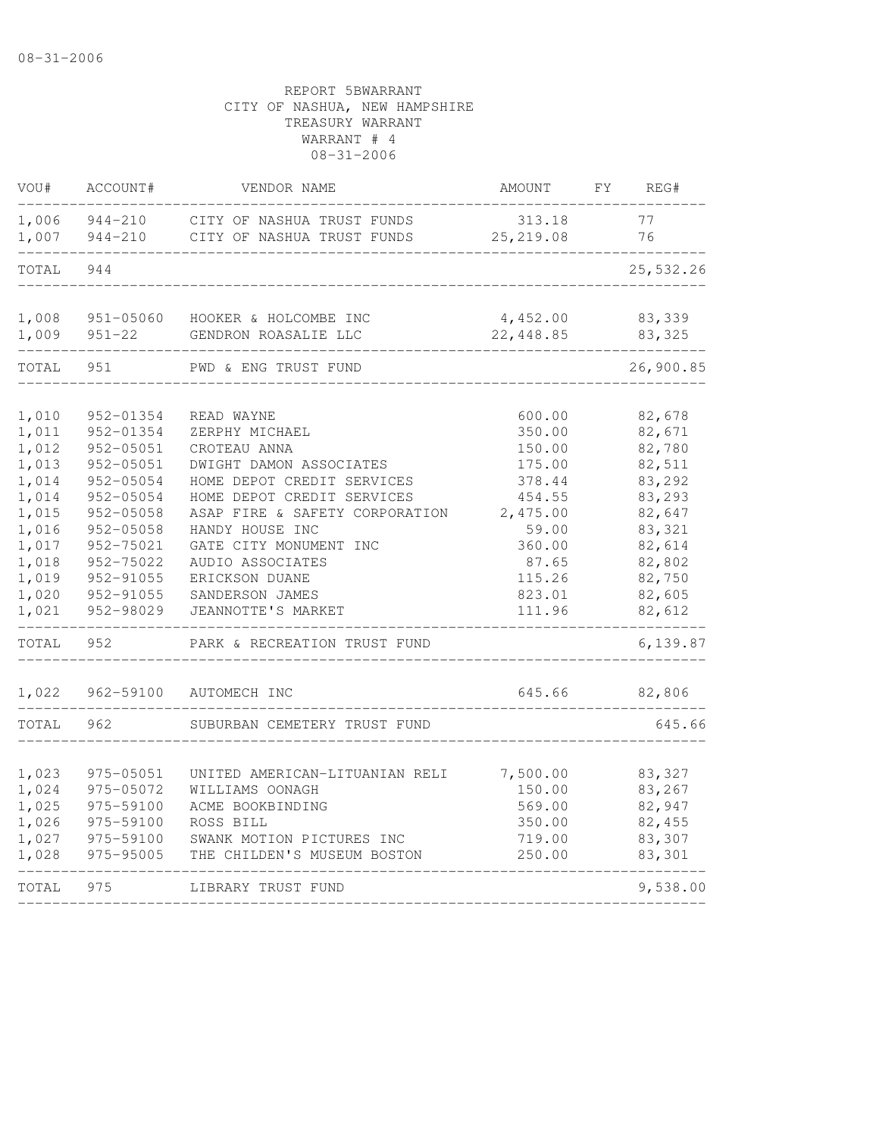| VOU#           | ACCOUNT#                | VENDOR NAME                                   | AMOUNT                | FY | REG#              |
|----------------|-------------------------|-----------------------------------------------|-----------------------|----|-------------------|
| 1,006          | 944-210                 | CITY OF NASHUA TRUST FUNDS                    | 313.18                |    | 77                |
| 1,007          | 944-210                 | CITY OF NASHUA TRUST FUNDS                    | 25, 219.08            |    | 76                |
| TOTAL          | 944                     |                                               |                       |    | 25,532.26         |
| 1,008<br>1,009 | 951-05060<br>$951 - 22$ | HOOKER & HOLCOMBE INC<br>GENDRON ROASALIE LLC | 4,452.00<br>22,448.85 |    | 83,339<br>83, 325 |
| TOTAL          | 951                     | PWD & ENG TRUST FUND                          |                       |    | 26,900.85         |
| 1,010          | 952-01354               | READ WAYNE                                    | 600.00                |    | 82,678            |
| 1,011          | 952-01354               | ZERPHY MICHAEL                                | 350.00                |    | 82,671            |
| 1,012          | 952-05051               | CROTEAU ANNA                                  | 150.00                |    | 82,780            |
| 1,013          | 952-05051               | DWIGHT DAMON ASSOCIATES                       | 175.00                |    | 82,511            |
| 1,014          | 952-05054               | HOME DEPOT CREDIT SERVICES                    | 378.44                |    | 83,292            |
| 1,014          | 952-05054               | HOME DEPOT CREDIT SERVICES                    | 454.55                |    | 83,293            |
| 1,015          | 952-05058               | ASAP FIRE & SAFETY CORPORATION                | 2,475.00              |    | 82,647            |
| 1,016          | $952 - 05058$           | HANDY HOUSE INC                               | 59.00                 |    | 83,321            |
| 1,017          | 952-75021               | GATE CITY MONUMENT INC                        | 360.00                |    | 82,614            |
| 1,018          | 952-75022               | AUDIO ASSOCIATES                              | 87.65                 |    | 82,802            |
| 1,019          | 952-91055               | ERICKSON DUANE                                | 115.26                |    | 82,750            |
| 1,020          | 952-91055               | SANDERSON JAMES                               | 823.01                |    | 82,605            |
| 1,021          | 952-98029               | JEANNOTTE'S MARKET                            | 111.96                |    | 82,612            |
| TOTAL          | 952                     | PARK & RECREATION TRUST FUND                  |                       |    | 6,139.87          |
| 1,022          | 962-59100               | AUTOMECH INC                                  | 645.66                |    | 82,806            |
| TOTAL          | 962                     | SUBURBAN CEMETERY TRUST FUND                  |                       |    | 645.66            |
| 1,023          | 975-05051               | UNITED AMERICAN-LITUANIAN RELI                | 7,500.00              |    | 83,327            |
| 1,024          | 975-05072               | WILLIAMS OONAGH                               | 150.00                |    | 83,267            |
| 1,025          | 975-59100               | ACME BOOKBINDING                              | 569.00                |    | 82,947            |
| 1,026          | 975-59100               | ROSS BILL                                     | 350.00                |    | 82,455            |
| 1,027          | 975-59100               | SWANK MOTION PICTURES INC                     | 719.00                |    | 83,307            |
| 1,028          | 975-95005               | THE CHILDEN'S MUSEUM BOSTON                   | 250.00                |    | 83,301            |
| TOTAL          | 975                     | LIBRARY TRUST FUND                            |                       |    | 9,538.00          |
|                |                         |                                               |                       |    |                   |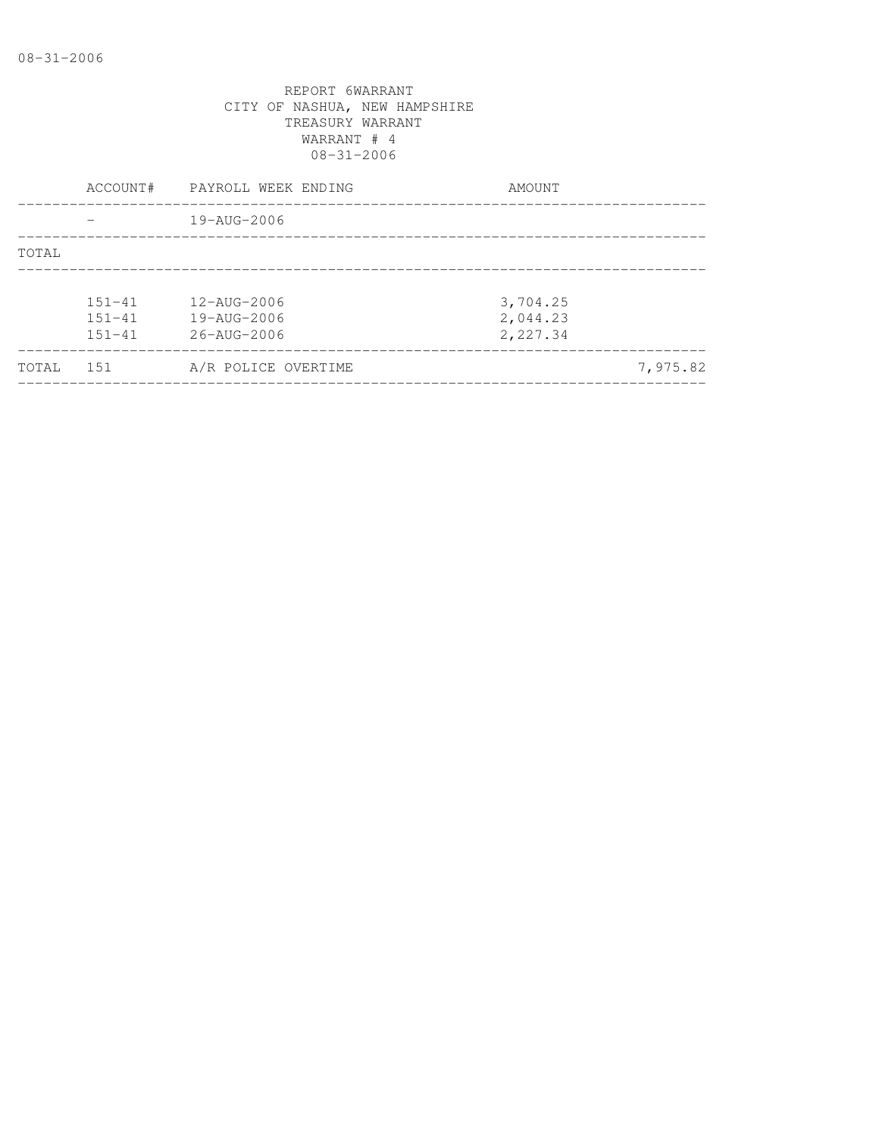|       | ACCOUNT#                               | PAYROLL WEEK ENDING                                    | AMOUNT                           |          |
|-------|----------------------------------------|--------------------------------------------------------|----------------------------------|----------|
|       |                                        | 19-AUG-2006                                            |                                  |          |
| TOTAL |                                        |                                                        |                                  |          |
|       | $151 - 41$<br>$151 - 41$<br>$151 - 41$ | 12-AUG-2006<br>19-AUG-2006<br>$26 - \text{AUG} - 2006$ | 3,704.25<br>2,044.23<br>2,227.34 |          |
| TOTAL | 151                                    | A/R POLICE OVERTIME                                    |                                  | 7,975.82 |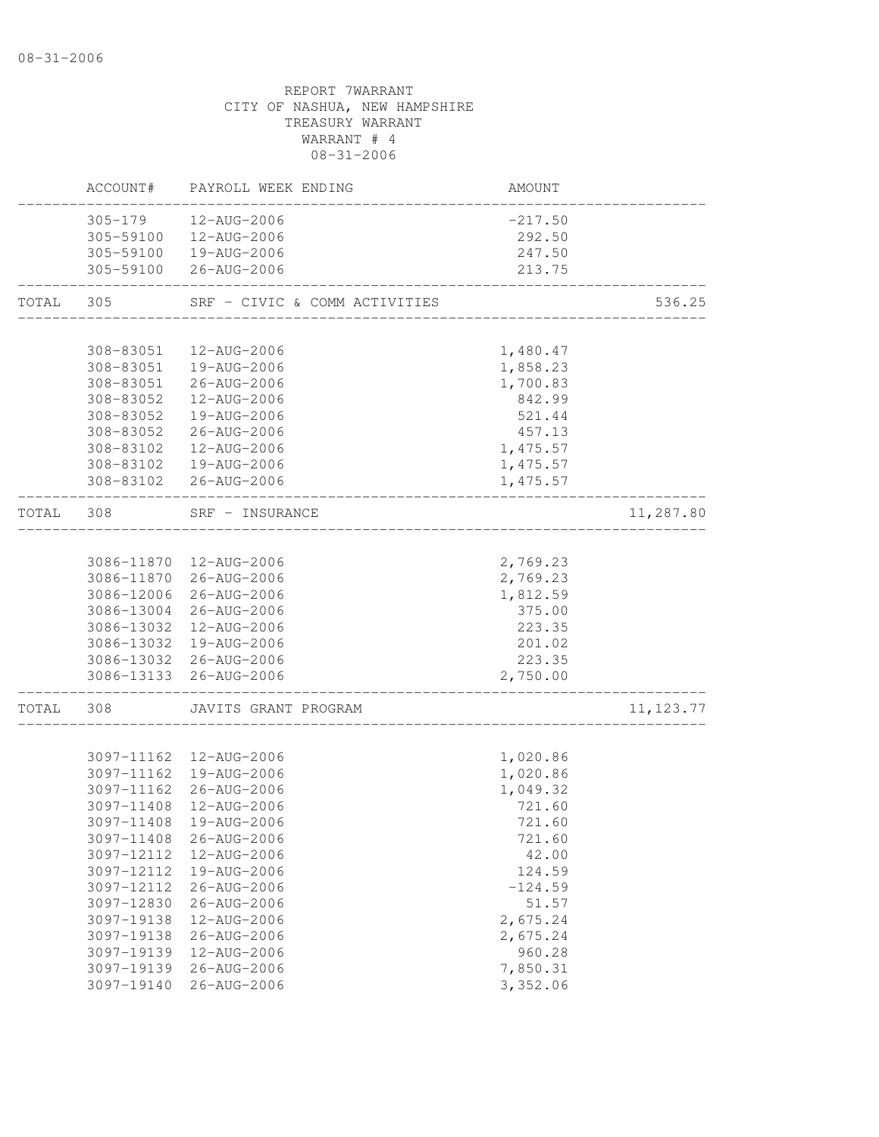|       | ACCOUNT#    | PAYROLL WEEK ENDING           | AMOUNT    |            |
|-------|-------------|-------------------------------|-----------|------------|
|       | $305 - 179$ | 12-AUG-2006                   | $-217.50$ |            |
|       | 305-59100   | 12-AUG-2006                   | 292.50    |            |
|       |             | 305-59100  19-AUG-2006        | 247.50    |            |
|       |             | 305-59100 26-AUG-2006         | 213.75    |            |
| TOTAL | 305         | SRF - CIVIC & COMM ACTIVITIES |           | 536.25     |
|       |             |                               |           |            |
|       | 308-83051   | 12-AUG-2006                   | 1,480.47  |            |
|       | 308-83051   | 19-AUG-2006                   | 1,858.23  |            |
|       | 308-83051   | 26-AUG-2006                   | 1,700.83  |            |
|       | 308-83052   | 12-AUG-2006                   | 842.99    |            |
|       | 308-83052   | 19-AUG-2006                   | 521.44    |            |
|       | 308-83052   | 26-AUG-2006                   | 457.13    |            |
|       | 308-83102   | 12-AUG-2006                   | 1,475.57  |            |
|       |             | 308-83102  19-AUG-2006        | 1,475.57  |            |
|       |             | 308-83102 26-AUG-2006         | 1,475.57  |            |
| TOTAL | 308         | SRF - INSURANCE               |           | 11,287.80  |
|       |             |                               |           |            |
|       |             | 3086-11870  12-AUG-2006       | 2,769.23  |            |
|       | 3086-11870  | 26-AUG-2006                   | 2,769.23  |            |
|       | 3086-12006  | 26-AUG-2006                   | 1,812.59  |            |
|       |             | 3086-13004 26-AUG-2006        | 375.00    |            |
|       |             | 3086-13032 12-AUG-2006        | 223.35    |            |
|       |             | 3086-13032 19-AUG-2006        | 201.02    |            |
|       |             | 3086-13032 26-AUG-2006        | 223.35    |            |
|       | 3086-13133  | 26-AUG-2006                   | 2,750.00  |            |
| TOTAL | 308         | JAVITS GRANT PROGRAM          |           | 11, 123.77 |
|       |             |                               |           |            |
|       |             | 3097-11162  12-AUG-2006       | 1,020.86  |            |
|       |             | 3097-11162  19-AUG-2006       | 1,020.86  |            |
|       |             | 3097-11162 26-AUG-2006        | 1,049.32  |            |
|       | 3097-11408  | 12-AUG-2006                   | 721.60    |            |
|       |             | 3097-11408 19-AUG-2006        | 721.60    |            |
|       | 3097-11408  | 26-AUG-2006                   | 721.60    |            |
|       | 3097-12112  | 12-AUG-2006                   | 42.00     |            |
|       | 3097-12112  | 19-AUG-2006                   | 124.59    |            |
|       | 3097-12112  | 26-AUG-2006                   | $-124.59$ |            |
|       | 3097-12830  | $26 - AUG - 2006$             | 51.57     |            |
|       | 3097-19138  | 12-AUG-2006                   | 2,675.24  |            |
|       | 3097-19138  | 26-AUG-2006                   | 2,675.24  |            |
|       | 3097-19139  | 12-AUG-2006                   | 960.28    |            |
|       | 3097-19139  | $26 - AUG - 2006$             | 7,850.31  |            |
|       | 3097-19140  | $26 - AUG - 2006$             | 3,352.06  |            |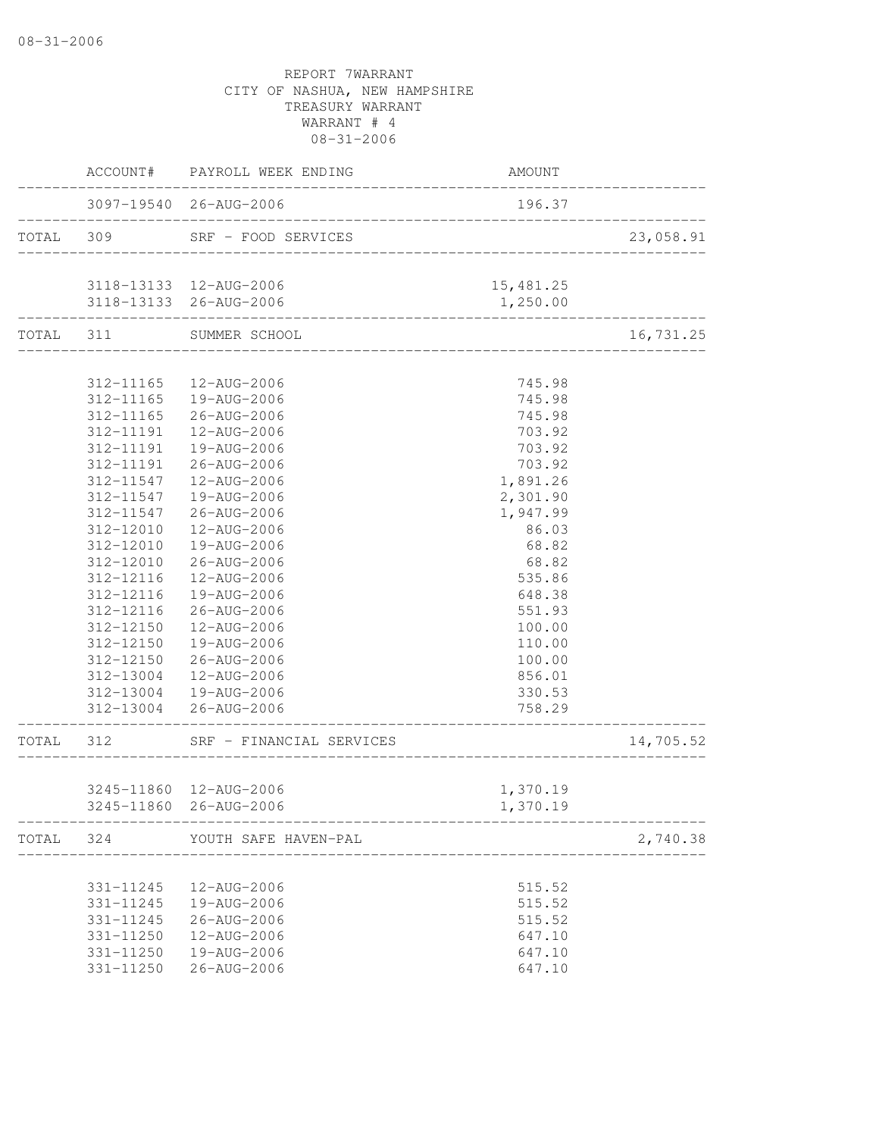|           |           | ACCOUNT# PAYROLL WEEK ENDING                                 | AMOUNT                       |           |
|-----------|-----------|--------------------------------------------------------------|------------------------------|-----------|
|           |           | 3097-19540 26-AUG-2006<br>__________________________________ | 196.37                       |           |
|           |           | TOTAL 309 SRF - FOOD SERVICES                                |                              | 23,058.91 |
|           |           | 3118-13133  12-AUG-2006                                      | 15,481.25                    |           |
|           |           | 3118-13133 26-AUG-2006<br>_________________________________  | 1,250.00                     |           |
| TOTAL 311 |           | SUMMER SCHOOL                                                |                              | 16,731.25 |
|           |           |                                                              |                              |           |
|           | 312-11165 | 12-AUG-2006<br>312-11165  19-AUG-2006                        | 745.98<br>745.98             |           |
|           |           | 312-11165 26-AUG-2006                                        | 745.98                       |           |
|           |           | 312-11191  12-AUG-2006                                       | 703.92                       |           |
|           | 312-11191 | 19-AUG-2006                                                  | 703.92                       |           |
|           | 312-11191 | 26-AUG-2006                                                  | 703.92                       |           |
|           | 312-11547 | 12-AUG-2006                                                  | 1,891.26                     |           |
|           | 312-11547 | 19-AUG-2006                                                  |                              |           |
|           | 312-11547 | 26-AUG-2006                                                  | 2,301.90<br>1,947.99         |           |
|           | 312-12010 | 12-AUG-2006                                                  | 86.03                        |           |
|           | 312-12010 | 19-AUG-2006                                                  | 68.82                        |           |
|           | 312-12010 | 26-AUG-2006                                                  | 68.82                        |           |
|           | 312-12116 | 12-AUG-2006                                                  | 535.86                       |           |
|           | 312-12116 | 19-AUG-2006                                                  | 648.38                       |           |
|           | 312-12116 | 26-AUG-2006                                                  | 551.93                       |           |
|           | 312-12150 | 12-AUG-2006                                                  | 100.00                       |           |
|           | 312-12150 | 19-AUG-2006                                                  | 110.00                       |           |
|           | 312-12150 | 26-AUG-2006                                                  | 100.00                       |           |
|           |           | 312-13004  12-AUG-2006                                       | 856.01                       |           |
|           |           | 312-13004  19-AUG-2006                                       | 330.53                       |           |
|           |           | 312-13004 26-AUG-2006                                        | 758.29                       |           |
|           |           | TOTAL 312 SRF - FINANCIAL SERVICES                           | ____________________________ | 14,705.52 |
|           |           |                                                              |                              |           |
|           |           | 3245-11860 12-AUG-2006                                       | 1,370.19                     |           |
|           |           | 3245-11860 26-AUG-2006                                       | 1,370.19                     |           |
|           |           | TOTAL 324 YOUTH SAFE HAVEN-PAL                               |                              | 2,740.38  |
|           |           |                                                              |                              |           |
|           | 331-11245 | 12-AUG-2006                                                  | 515.52                       |           |
|           | 331-11245 | 19-AUG-2006                                                  | 515.52                       |           |
|           | 331-11245 | $26 - AUG - 2006$                                            | 515.52                       |           |
|           | 331-11250 | 12-AUG-2006                                                  | 647.10                       |           |
|           | 331-11250 | 19-AUG-2006                                                  | 647.10                       |           |
|           | 331-11250 | 26-AUG-2006                                                  | 647.10                       |           |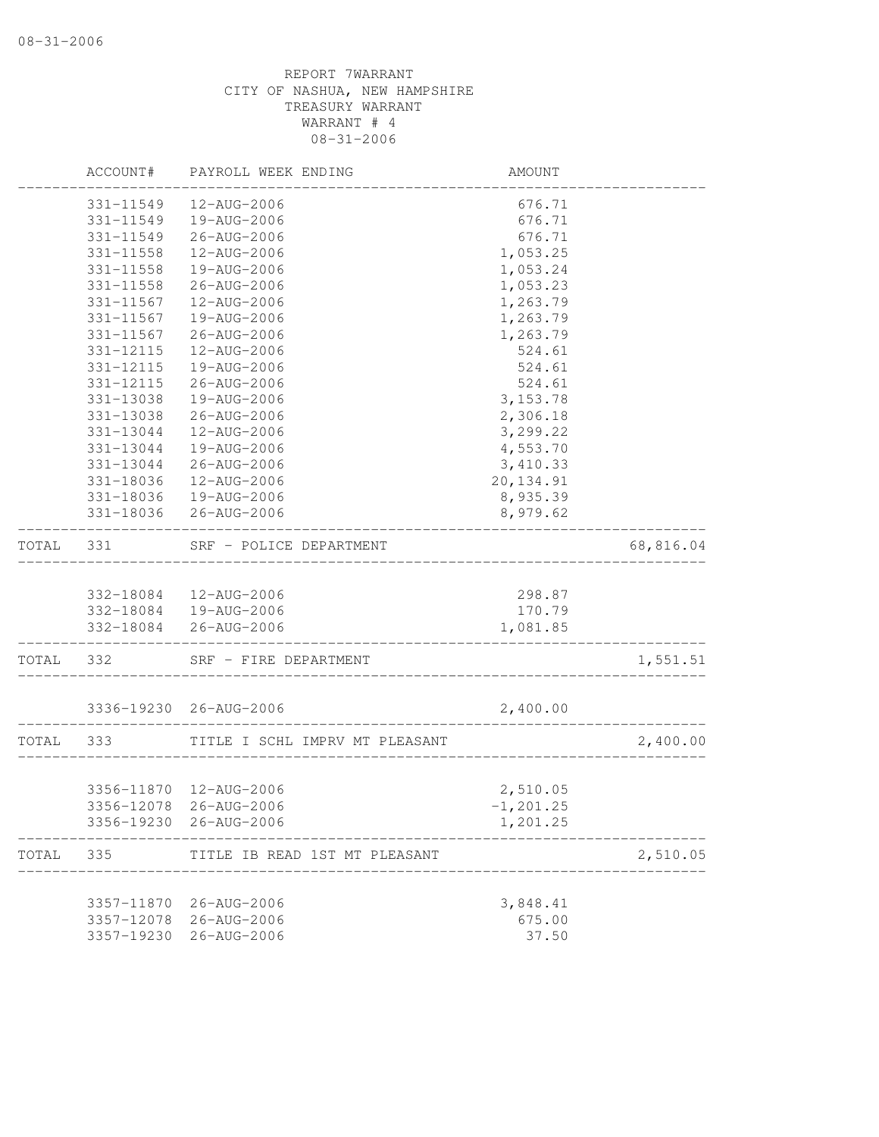|       | ACCOUNT#   | PAYROLL WEEK ENDING            | AMOUNT        |           |
|-------|------------|--------------------------------|---------------|-----------|
|       | 331-11549  | 12-AUG-2006                    | 676.71        |           |
|       | 331-11549  | 19-AUG-2006                    | 676.71        |           |
|       | 331-11549  | 26-AUG-2006                    | 676.71        |           |
|       | 331-11558  | 12-AUG-2006                    | 1,053.25      |           |
|       | 331-11558  | 19-AUG-2006                    | 1,053.24      |           |
|       | 331-11558  | 26-AUG-2006                    | 1,053.23      |           |
|       | 331-11567  | 12-AUG-2006                    | 1,263.79      |           |
|       | 331-11567  | 19-AUG-2006                    | 1,263.79      |           |
|       | 331-11567  | 26-AUG-2006                    | 1,263.79      |           |
|       | 331-12115  | 12-AUG-2006                    | 524.61        |           |
|       | 331-12115  | 19-AUG-2006                    | 524.61        |           |
|       | 331-12115  | 26-AUG-2006                    | 524.61        |           |
|       | 331-13038  | 19-AUG-2006                    | 3, 153.78     |           |
|       | 331-13038  | 26-AUG-2006                    | 2,306.18      |           |
|       | 331-13044  | 12-AUG-2006                    | 3,299.22      |           |
|       | 331-13044  | 19-AUG-2006                    | 4,553.70      |           |
|       | 331-13044  | 26-AUG-2006                    | 3,410.33      |           |
|       | 331-18036  | 12-AUG-2006                    | 20, 134.91    |           |
|       | 331-18036  | 19-AUG-2006                    | 8,935.39      |           |
|       | 331-18036  | 26-AUG-2006                    | 8,979.62      |           |
| TOTAL | 331        | SRF - POLICE DEPARTMENT        |               | 68,816.04 |
|       |            |                                |               |           |
|       |            | 332-18084  12-AUG-2006         | 298.87        |           |
|       |            | 332-18084  19-AUG-2006         | 170.79        |           |
|       | 332-18084  | 26-AUG-2006                    | 1,081.85      |           |
| TOTAL | 332        | SRF - FIRE DEPARTMENT          |               | 1,551.51  |
|       |            | 3336-19230 26-AUG-2006         | 2,400.00      |           |
| TOTAL | 333        | TITLE I SCHL IMPRV MT PLEASANT |               | 2,400.00  |
|       |            |                                |               |           |
|       |            | 3356-11870  12-AUG-2006        | 2,510.05      |           |
|       |            | 3356-12078 26-AUG-2006         | $-1, 201, 25$ |           |
|       | 3356-19230 | 26-AUG-2006                    | 1,201.25      |           |
| TOTAL | 335        | TITLE IB READ 1ST MT PLEASANT  |               | 2,510.05  |
|       |            |                                |               |           |
|       | 3357-11870 | 26-AUG-2006                    | 3,848.41      |           |
|       | 3357-12078 | 26-AUG-2006                    | 675.00        |           |
|       | 3357-19230 | 26-AUG-2006                    | 37.50         |           |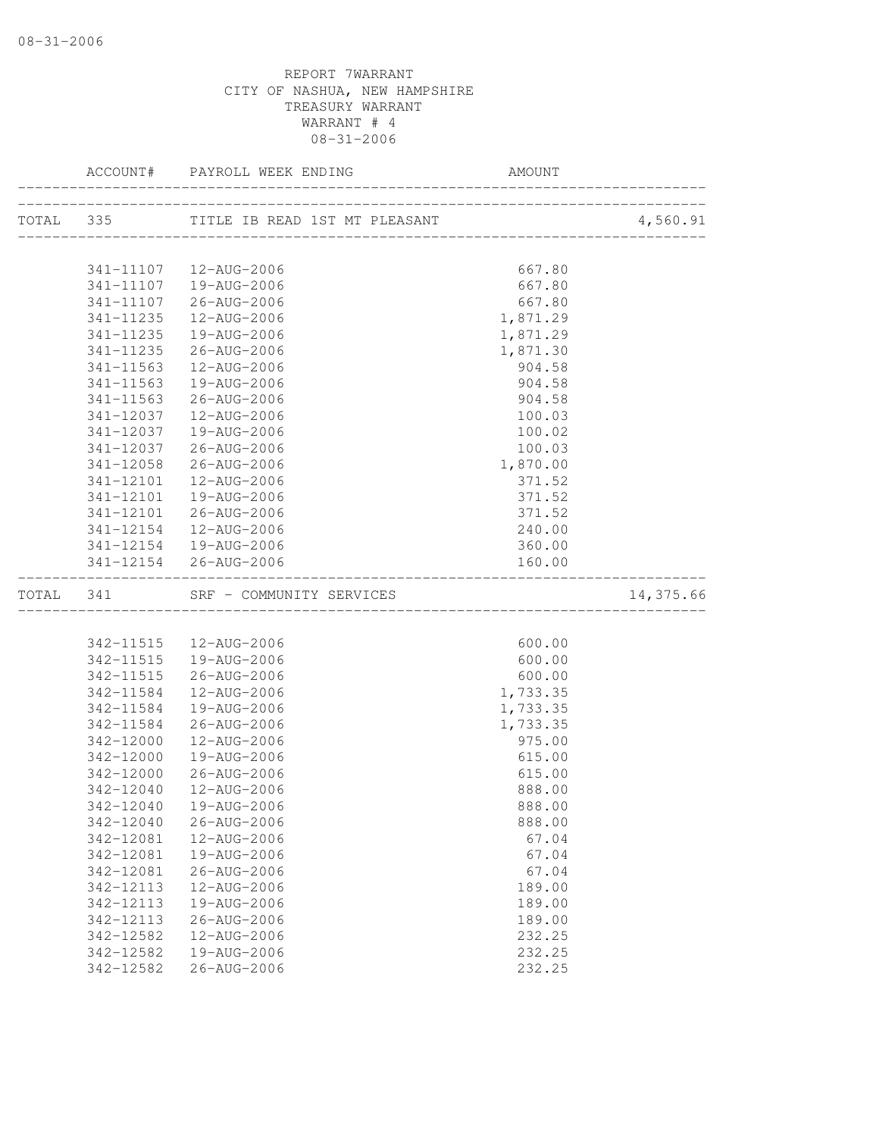|           |                        |                            |                                   | 4,560.91  |
|-----------|------------------------|----------------------------|-----------------------------------|-----------|
|           |                        |                            |                                   |           |
|           |                        | 341-11107  12-AUG-2006     | 667.80                            |           |
|           |                        | 341-11107  19-AUG-2006     | 667.80                            |           |
|           | 341-11107              | 26-AUG-2006                | 667.80                            |           |
|           | 341-11235              | 12-AUG-2006                | 1,871.29                          |           |
|           | 341-11235              | 19-AUG-2006                | 1,871.29                          |           |
|           | 341-11235              | 26-AUG-2006                | 1,871.30                          |           |
|           | 341-11563              | 12-AUG-2006                | 904.58                            |           |
|           | 341-11563              | 19-AUG-2006                | 904.58                            |           |
|           | 341-11563              | 26-AUG-2006                | 904.58                            |           |
|           | 341-12037              | 12-AUG-2006                | 100.03                            |           |
|           | 341-12037              | 19-AUG-2006                | 100.02                            |           |
|           | 341-12037              | 26-AUG-2006                | 100.03                            |           |
|           | 341-12058              | 26-AUG-2006                | 1,870.00                          |           |
|           | 341-12101              | 12-AUG-2006                | 371.52                            |           |
|           | 341-12101              | 19-AUG-2006                | 371.52                            |           |
|           | 341-12101              | 26-AUG-2006                | 371.52                            |           |
|           | 341-12154              | 12-AUG-2006                | 240.00                            |           |
|           |                        | 341-12154  19-AUG-2006     | 360.00                            |           |
|           |                        | 341-12154 26-AUG-2006      | 160.00                            |           |
| TOTAL 341 |                        | SRF - COMMUNITY SERVICES   | _________________________________ | 14,375.66 |
|           |                        |                            |                                   |           |
|           |                        | 342-11515  12-AUG-2006     | 600.00                            |           |
|           | 342-11515              | 19-AUG-2006                | 600.00                            |           |
|           | 342-11515              | 26-AUG-2006                | 600.00                            |           |
|           | 342-11584              | 12-AUG-2006                | 1,733.35                          |           |
|           | 342-11584              | 19-AUG-2006                | 1,733.35                          |           |
|           | 342-11584              | 26-AUG-2006                | 1,733.35                          |           |
|           | 342-12000              | 12-AUG-2006                | 975.00                            |           |
|           | 342-12000              | 19-AUG-2006                | 615.00                            |           |
|           | 342-12000              | 26-AUG-2006                | 615.00                            |           |
|           | 342-12040              | 12-AUG-2006                | 888.00                            |           |
|           |                        | 342-12040  19-AUG-2006     | 888.00                            |           |
|           | 342-12040              | 26-AUG-2006                | 888.00                            |           |
|           | 342-12081              | 12-AUG-2006                | 67.04                             |           |
|           | 342-12081              | 19-AUG-2006                | 67.04                             |           |
|           | 342-12081              | 26-AUG-2006                | 67.04                             |           |
|           | 342-12113              | 12-AUG-2006                | 189.00                            |           |
|           | 342-12113              | 19-AUG-2006                | 189.00                            |           |
|           | 342-12113              | $26 - AUG - 2006$          | 189.00                            |           |
|           | 342-12582              | 12-AUG-2006<br>19-AUG-2006 | 232.25<br>232.25                  |           |
|           | 342-12582<br>342-12582 | $26 - AUG - 2006$          | 232.25                            |           |
|           |                        |                            |                                   |           |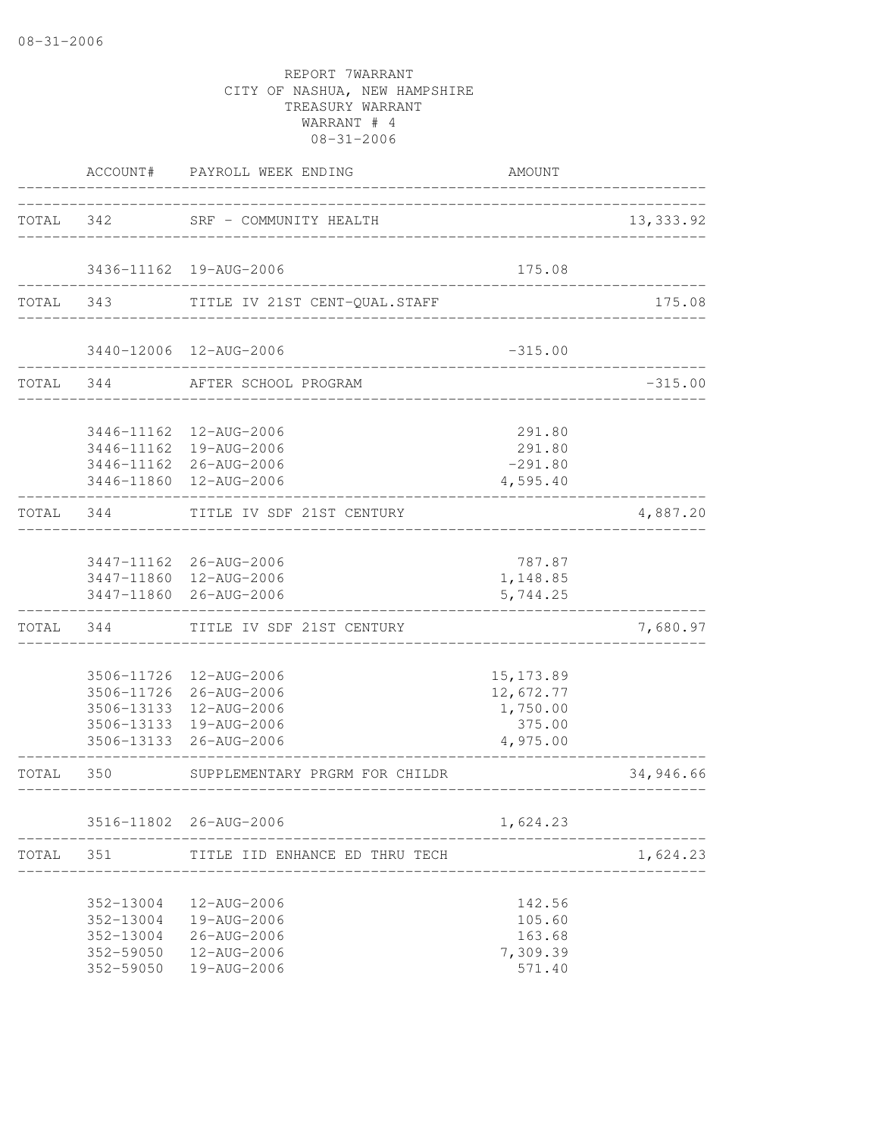|       |                                                               | ACCOUNT# PAYROLL WEEK ENDING                                                                                                   | AMOUNT                                                    |            |
|-------|---------------------------------------------------------------|--------------------------------------------------------------------------------------------------------------------------------|-----------------------------------------------------------|------------|
| TOTAL | 342                                                           | SRF - COMMUNITY HEALTH                                                                                                         |                                                           | 13, 333.92 |
|       |                                                               | 3436-11162  19-AUG-2006                                                                                                        | 175.08                                                    |            |
| TOTAL | 343 — 10                                                      | TITLE IV 21ST CENT-QUAL.STAFF                                                                                                  |                                                           | 175.08     |
|       |                                                               | 3440-12006 12-AUG-2006<br>_________________                                                                                    | $-315.00$                                                 |            |
| TOTAL | 344                                                           | AFTER SCHOOL PROGRAM                                                                                                           |                                                           | $-315.00$  |
|       |                                                               | 3446-11162  12-AUG-2006<br>3446-11162  19-AUG-2006<br>3446-11162 26-AUG-2006<br>3446-11860 12-AUG-2006                         | 291.80<br>291.80<br>$-291.80$<br>4,595.40                 |            |
| TOTAL | 344                                                           | TITLE IV SDF 21ST CENTURY                                                                                                      |                                                           | 4,887.20   |
|       |                                                               | 3447-11162 26-AUG-2006<br>3447-11860 12-AUG-2006<br>3447-11860 26-AUG-2006                                                     | 787.87<br>1,148.85<br>5,744.25                            |            |
| TOTAL | 344                                                           | TITLE IV SDF 21ST CENTURY                                                                                                      |                                                           | 7,680.97   |
|       |                                                               | 3506-11726 12-AUG-2006<br>3506-11726 26-AUG-2006<br>3506-13133 12-AUG-2006<br>3506-13133 19-AUG-2006<br>3506-13133 26-AUG-2006 | 15, 173.89<br>12,672.77<br>1,750.00<br>375.00<br>4,975.00 |            |
| TOTAL | 350                                                           | SUPPLEMENTARY PRGRM FOR CHILDR                                                                                                 |                                                           | 34,946.66  |
|       |                                                               | 3516-11802 26-AUG-2006                                                                                                         | 1,624.23                                                  |            |
| TOTAL | 351                                                           | TITLE IID ENHANCE ED THRU TECH                                                                                                 |                                                           | 1,624.23   |
|       | 352-13004<br>352-13004<br>352-13004<br>352-59050<br>352-59050 | 12-AUG-2006<br>19-AUG-2006<br>$26 - AUG - 2006$<br>12-AUG-2006<br>19-AUG-2006                                                  | 142.56<br>105.60<br>163.68<br>7,309.39<br>571.40          |            |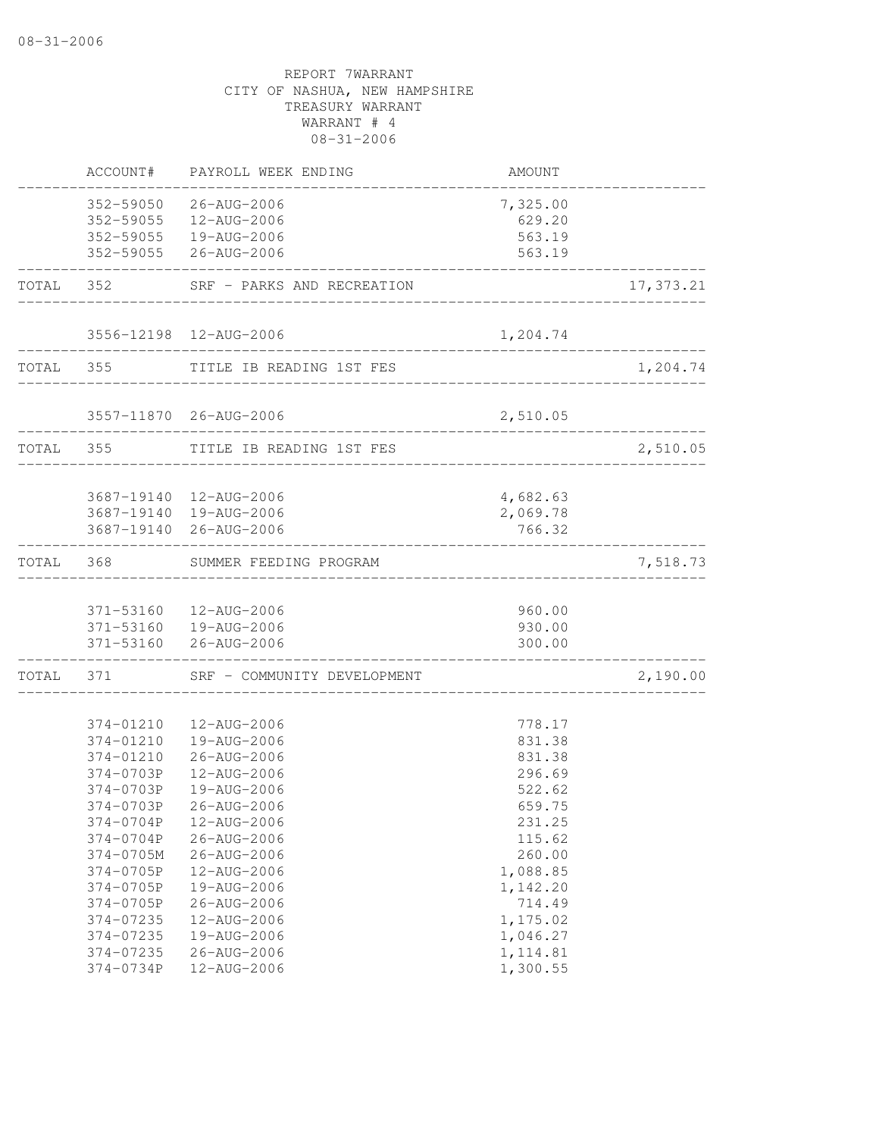|           | ACCOUNT#                                                                                                                                                                                                     | PAYROLL WEEK ENDING                                                                                                                                                                                                                                            | AMOUNT                                                                                                                                                                    |           |
|-----------|--------------------------------------------------------------------------------------------------------------------------------------------------------------------------------------------------------------|----------------------------------------------------------------------------------------------------------------------------------------------------------------------------------------------------------------------------------------------------------------|---------------------------------------------------------------------------------------------------------------------------------------------------------------------------|-----------|
|           | 352-59050                                                                                                                                                                                                    | 26-AUG-2006<br>352-59055  12-AUG-2006<br>352-59055  19-AUG-2006<br>352-59055 26-AUG-2006                                                                                                                                                                       | 7,325.00<br>629.20<br>563.19<br>563.19                                                                                                                                    |           |
| TOTAL     | 352                                                                                                                                                                                                          | SRF - PARKS AND RECREATION                                                                                                                                                                                                                                     |                                                                                                                                                                           | 17,373.21 |
|           |                                                                                                                                                                                                              | 3556-12198 12-AUG-2006                                                                                                                                                                                                                                         | 1,204.74                                                                                                                                                                  |           |
|           | TOTAL 355                                                                                                                                                                                                    | TITLE IB READING 1ST FES                                                                                                                                                                                                                                       |                                                                                                                                                                           | 1,204.74  |
|           |                                                                                                                                                                                                              | 3557-11870 26-AUG-2006                                                                                                                                                                                                                                         | 2,510.05                                                                                                                                                                  |           |
| TOTAL 355 |                                                                                                                                                                                                              | TITLE IB READING 1ST FES                                                                                                                                                                                                                                       |                                                                                                                                                                           | 2,510.05  |
|           |                                                                                                                                                                                                              | 3687-19140  12-AUG-2006<br>3687-19140  19-AUG-2006<br>3687-19140 26-AUG-2006                                                                                                                                                                                   | 4,682.63<br>2,069.78<br>766.32                                                                                                                                            |           |
| TOTAL     | 368                                                                                                                                                                                                          | SUMMER FEEDING PROGRAM                                                                                                                                                                                                                                         |                                                                                                                                                                           | 7,518.73  |
|           |                                                                                                                                                                                                              | 371-53160  12-AUG-2006<br>371-53160  19-AUG-2006<br>371-53160 26-AUG-2006                                                                                                                                                                                      | 960.00<br>930.00<br>300.00                                                                                                                                                |           |
| TOTAL     | 371                                                                                                                                                                                                          | SRF - COMMUNITY DEVELOPMENT                                                                                                                                                                                                                                    |                                                                                                                                                                           | 2,190.00  |
|           | 374-01210<br>374-01210<br>374-01210<br>374-0703P<br>374-0703P<br>374-0703P<br>374-0704P<br>374-0704P<br>374-0705M<br>374-0705P<br>374-0705P<br>374-0705P<br>374-07235<br>374-07235<br>374-07235<br>374-0734P | 12-AUG-2006<br>19-AUG-2006<br>$26 - AUG - 2006$<br>12-AUG-2006<br>19-AUG-2006<br>26-AUG-2006<br>12-AUG-2006<br>26-AUG-2006<br>26-AUG-2006<br>12-AUG-2006<br>19-AUG-2006<br>$26 - AUG - 2006$<br>12-AUG-2006<br>19-AUG-2006<br>$26 - AUG - 2006$<br>12-AUG-2006 | 778.17<br>831.38<br>831.38<br>296.69<br>522.62<br>659.75<br>231.25<br>115.62<br>260.00<br>1,088.85<br>1,142.20<br>714.49<br>1,175.02<br>1,046.27<br>1, 114.81<br>1,300.55 |           |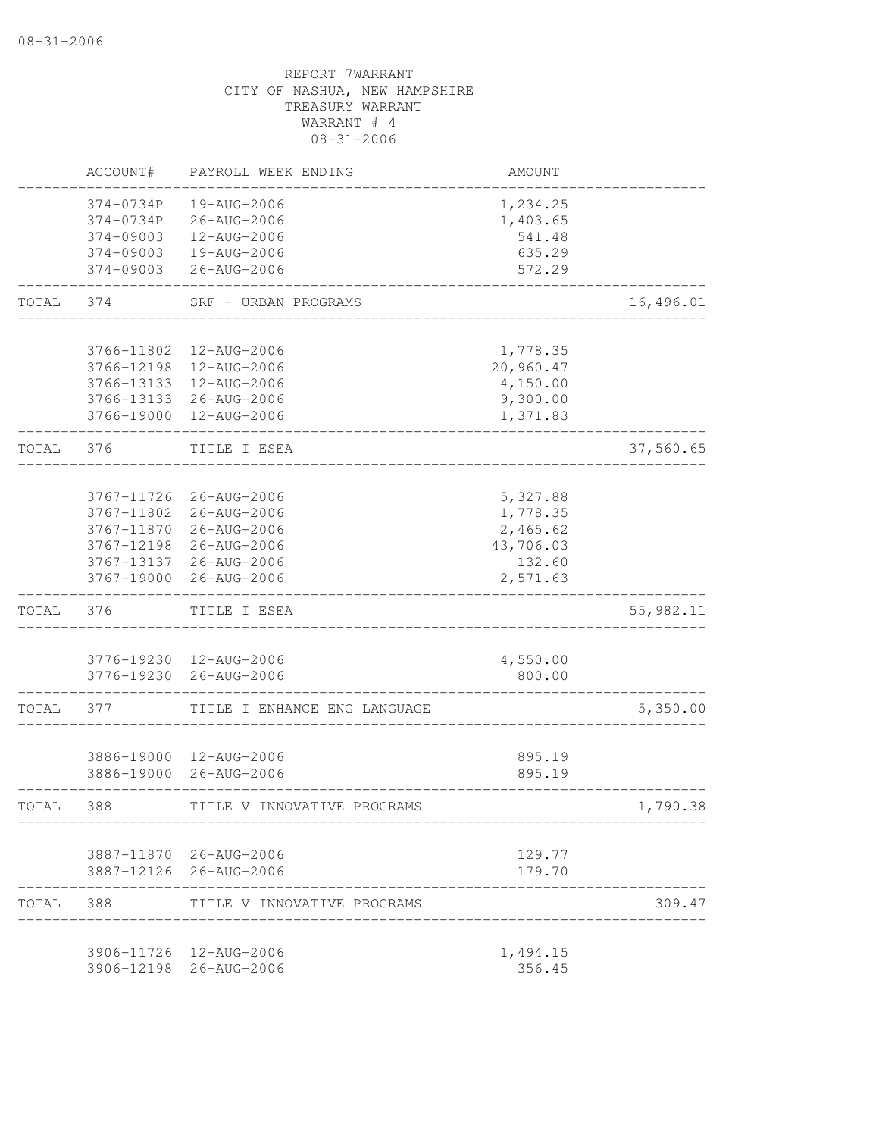|           | ACCOUNT#   | PAYROLL WEEK ENDING          | AMOUNT    |            |
|-----------|------------|------------------------------|-----------|------------|
|           | 374-0734P  | 19-AUG-2006                  | 1,234.25  |            |
|           | 374-0734P  | 26-AUG-2006                  | 1,403.65  |            |
|           | 374-09003  | 12-AUG-2006                  | 541.48    |            |
|           | 374-09003  | 19-AUG-2006                  | 635.29    |            |
|           | 374-09003  | 26-AUG-2006                  | 572.29    |            |
| TOTAL     | 374        | SRF - URBAN PROGRAMS         |           | 16,496.01  |
|           | 3766-11802 | 12-AUG-2006                  | 1,778.35  |            |
|           | 3766-12198 | 12-AUG-2006                  | 20,960.47 |            |
|           | 3766-13133 | 12-AUG-2006                  | 4,150.00  |            |
|           | 3766-13133 | 26-AUG-2006                  | 9,300.00  |            |
|           | 3766-19000 | 12-AUG-2006                  | 1,371.83  |            |
| TOTAL     | 376        | TITLE I ESEA                 |           | 37,560.65  |
|           |            |                              |           |            |
|           | 3767-11726 | 26-AUG-2006                  | 5,327.88  |            |
|           | 3767-11802 | 26-AUG-2006                  | 1,778.35  |            |
|           | 3767-11870 | 26-AUG-2006                  | 2,465.62  |            |
|           | 3767-12198 | 26-AUG-2006                  | 43,706.03 |            |
|           | 3767-13137 | 26-AUG-2006                  | 132.60    |            |
|           | 3767-19000 | 26-AUG-2006                  | 2,571.63  |            |
| TOTAL     | 376        | TITLE I ESEA                 |           | 55, 982.11 |
|           |            |                              |           |            |
|           |            | 3776-19230 12-AUG-2006       | 4,550.00  |            |
|           | 3776-19230 | 26-AUG-2006                  | 800.00    |            |
| TOTAL     | 377        | TITLE I ENHANCE ENG LANGUAGE |           | 5,350.00   |
|           | 3886-19000 | 12-AUG-2006                  | 895.19    |            |
|           | 3886-19000 | 26-AUG-2006                  | 895.19    |            |
|           |            |                              |           |            |
| TOTAL     | 388        | TITLE V INNOVATIVE PROGRAMS  |           | 1,790.38   |
|           |            | 3887-11870 26-AUG-2006       | 129.77    |            |
|           |            | 3887-12126 26-AUG-2006       | 179.70    |            |
| TOTAL 388 |            | TITLE V INNOVATIVE PROGRAMS  |           | 309.47     |
|           |            | 3906-11726 12-AUG-2006       | 1,494.15  |            |
|           |            | 3906-12198 26-AUG-2006       | 356.45    |            |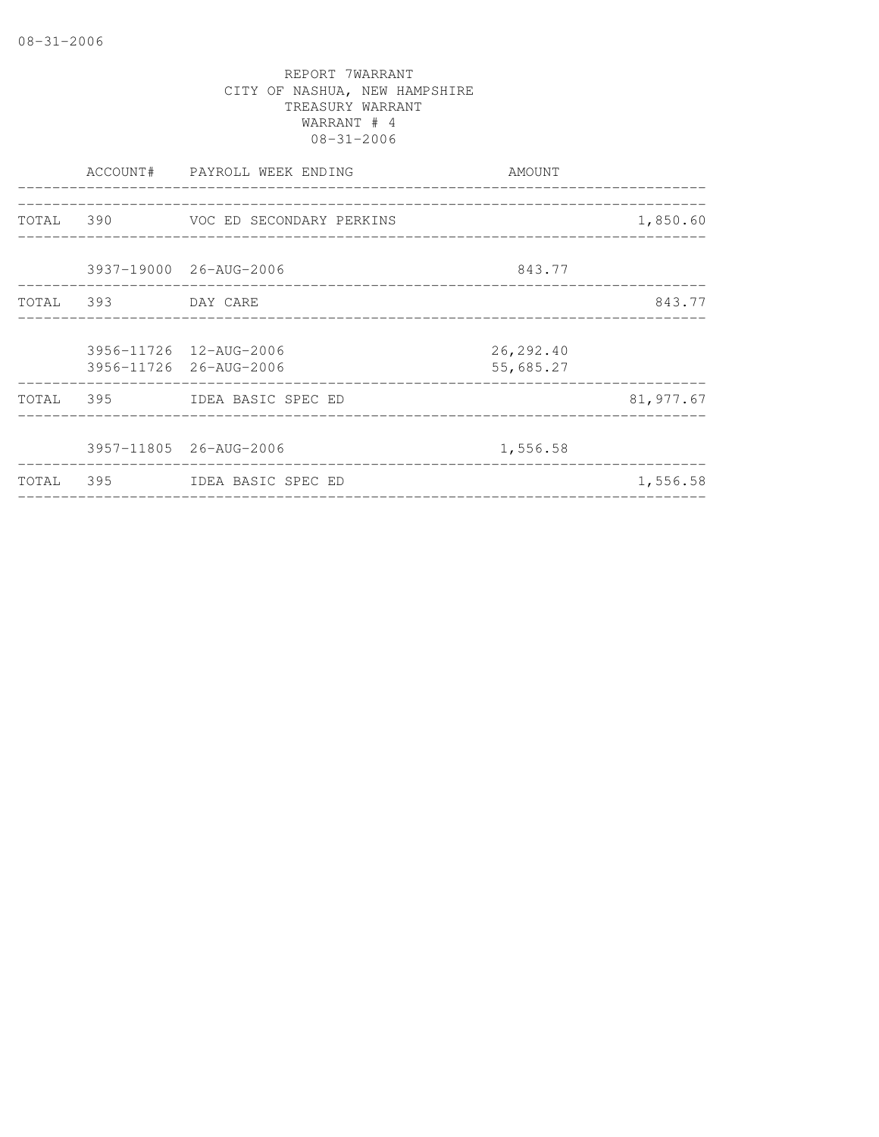|           |                    | ACCOUNT# PAYROLL WEEK ENDING       | AMOUNT                               |           |
|-----------|--------------------|------------------------------------|--------------------------------------|-----------|
|           |                    |                                    |                                      |           |
|           |                    | TOTAL 390 VOC ED SECONDARY PERKINS | ____________________________________ | 1,850.60  |
|           |                    |                                    |                                      |           |
|           |                    | 3937-19000 26-AUG-2006             | 843.77                               |           |
|           | TOTAL 393 DAY CARE |                                    |                                      | 843.77    |
|           |                    |                                    |                                      |           |
|           |                    | 3956-11726 12-AUG-2006             | 26, 292.40                           |           |
|           |                    | 3956-11726 26-AUG-2006             | 55,685.27                            |           |
|           |                    | TOTAL 395 IDEA BASIC SPEC ED       |                                      | 81,977.67 |
|           |                    |                                    |                                      |           |
|           |                    | 3957-11805 26-AUG-2006             | 1,556.58                             |           |
| TOTAL 395 |                    | IDEA BASIC SPEC ED                 |                                      | 1,556.58  |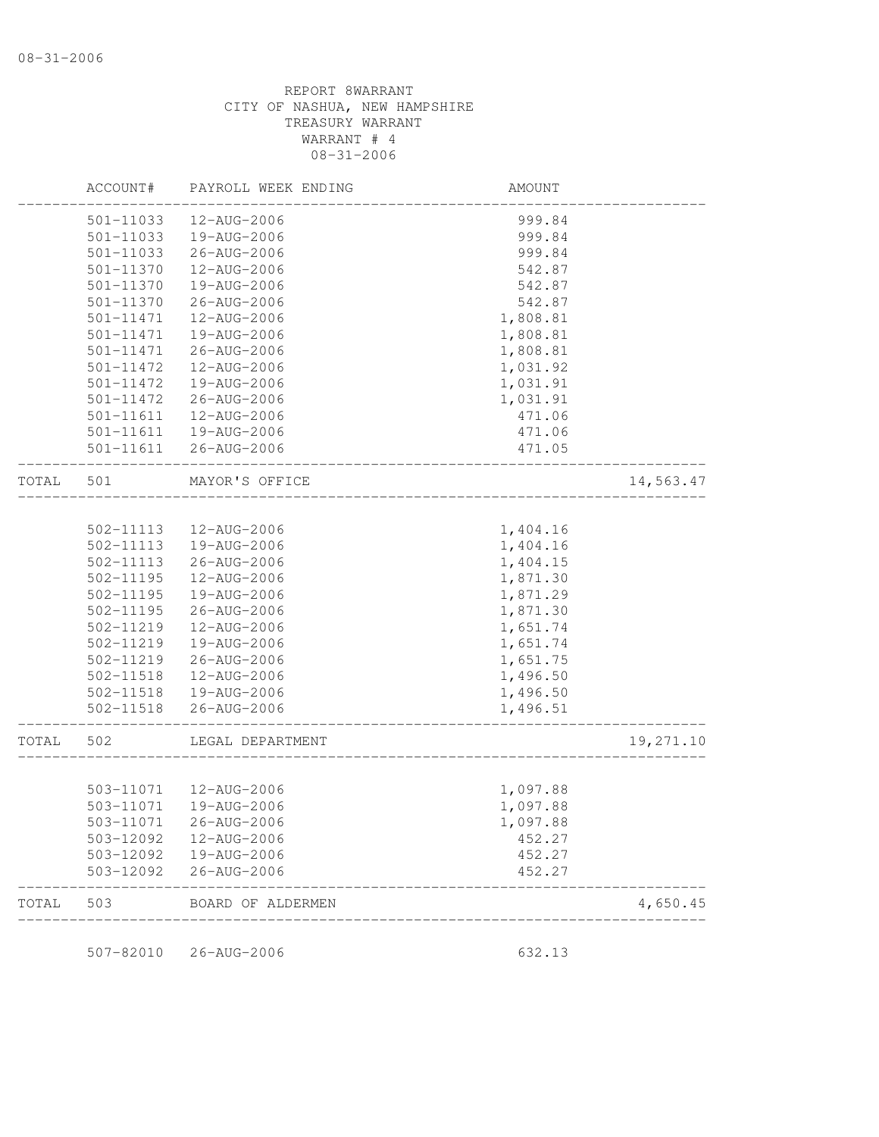|       | ACCOUNT#               | PAYROLL WEEK ENDING                              | AMOUNT                        |           |
|-------|------------------------|--------------------------------------------------|-------------------------------|-----------|
|       | 501-11033              | 12-AUG-2006                                      | 999.84                        |           |
|       | 501-11033              | 19-AUG-2006                                      | 999.84                        |           |
|       | 501-11033              | 26-AUG-2006                                      | 999.84                        |           |
|       | 501-11370              | 12-AUG-2006                                      | 542.87                        |           |
|       | 501-11370              | 19-AUG-2006                                      | 542.87                        |           |
|       | 501-11370              | 26-AUG-2006                                      | 542.87                        |           |
|       | 501-11471              | 12-AUG-2006                                      | 1,808.81                      |           |
|       | 501-11471              | 19-AUG-2006                                      | 1,808.81                      |           |
|       | 501-11471              | 26-AUG-2006                                      | 1,808.81                      |           |
|       | 501-11472              | 12-AUG-2006                                      | 1,031.92                      |           |
|       | 501-11472              | 19-AUG-2006                                      | 1,031.91                      |           |
|       | 501-11472              | 26-AUG-2006                                      | 1,031.91                      |           |
|       | 501-11611              | 12-AUG-2006                                      | 471.06                        |           |
|       | 501-11611              | 19-AUG-2006                                      | 471.06                        |           |
|       |                        | 501-11611  26-AUG-2006                           | 471.05                        |           |
| TOTAL | 501                    | MAYOR'S OFFICE                                   | _____________________________ | 14,563.47 |
|       |                        |                                                  |                               |           |
|       | 502-11113              | 12-AUG-2006                                      | 1,404.16                      |           |
|       | 502-11113              | 19-AUG-2006                                      | 1,404.16                      |           |
|       | 502-11113              | 26-AUG-2006                                      | 1,404.15                      |           |
|       | 502-11195              | 12-AUG-2006                                      | 1,871.30                      |           |
|       | 502-11195              | 19-AUG-2006                                      | 1,871.29                      |           |
|       | 502-11195              | 26-AUG-2006                                      | 1,871.30                      |           |
|       | 502-11219              | 12-AUG-2006                                      | 1,651.74                      |           |
|       | 502-11219              | 19-AUG-2006                                      | 1,651.74                      |           |
|       | 502-11219              | 26-AUG-2006                                      | 1,651.75                      |           |
|       | 502-11518              | 12-AUG-2006                                      | 1,496.50                      |           |
|       | 502-11518              | 19-AUG-2006                                      | 1,496.50                      |           |
|       | 502-11518              | 26-AUG-2006                                      | 1,496.51                      |           |
| TOTAL | 502                    | LEGAL DEPARTMENT                                 |                               | 19,271.10 |
|       |                        |                                                  |                               |           |
|       |                        | 503-11071  12-AUG-2006<br>503-11071  19-AUG-2006 | 1,097.88<br>1,097.88          |           |
|       |                        |                                                  |                               |           |
|       | 503-11071              | 26-AUG-2006                                      | 1,097.88                      |           |
|       | 503-12092              | 12-AUG-2006                                      | 452.27                        |           |
|       | 503-12092<br>503-12092 | 19-AUG-2006<br>26-AUG-2006                       | 452.27<br>452.27              |           |
| TOTAL | 503                    | BOARD OF ALDERMEN                                |                               | 4,650.45  |

507-82010 26-AUG-2006 632.13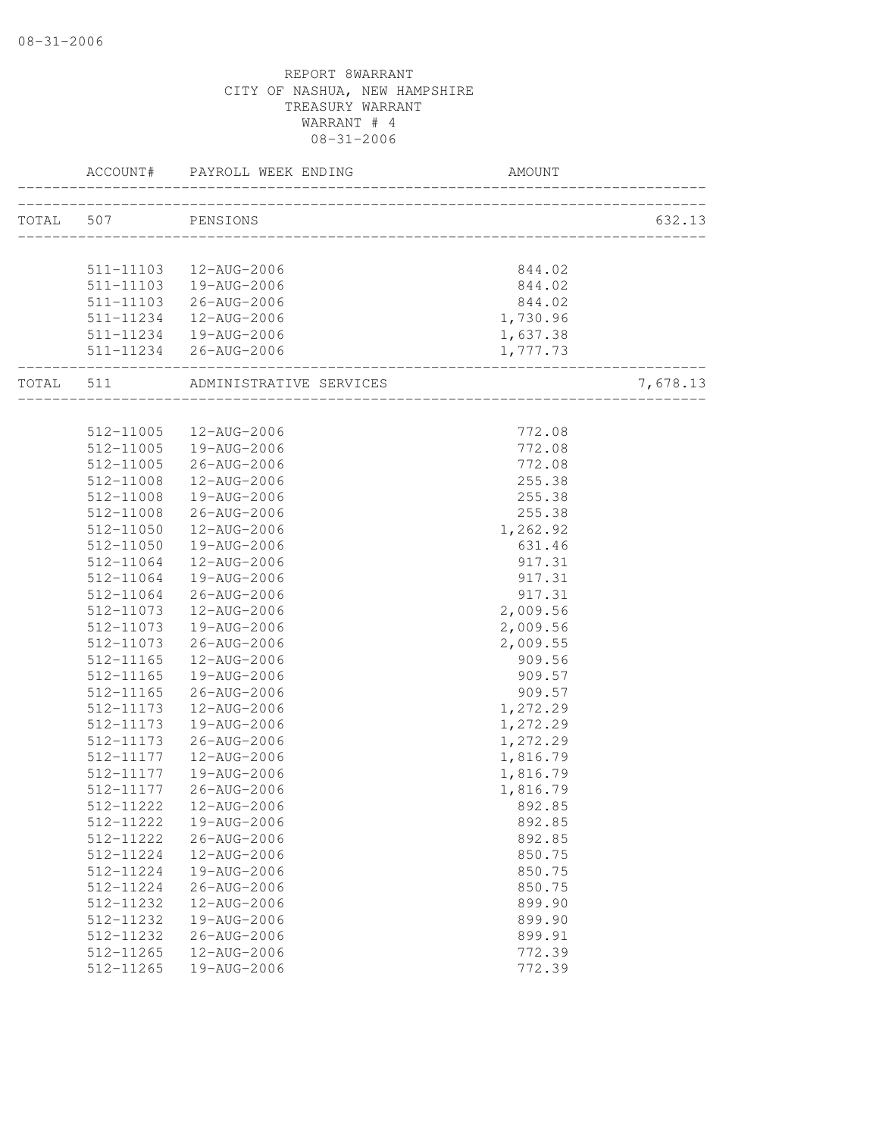|                    | ACCOUNT# PAYROLL WEEK ENDING      | AMOUNT                                |          |
|--------------------|-----------------------------------|---------------------------------------|----------|
| TOTAL 507 PENSIONS |                                   |                                       | 632.13   |
|                    |                                   |                                       |          |
|                    | 511-11103  12-AUG-2006            | 844.02                                |          |
|                    | 511-11103  19-AUG-2006            | 844.02                                |          |
|                    | 511-11103 26-AUG-2006             | 844.02                                |          |
| 511-11234          | 12-AUG-2006                       | 1,730.96                              |          |
|                    | 511-11234  19-AUG-2006            | 1,637.38                              |          |
|                    | 511-11234 26-AUG-2006             | 1,777.73                              |          |
|                    |                                   | . _ _ _ _ _ _ _ _ _ _ _ _ _ _ _ _ _ _ |          |
|                    | TOTAL 511 ADMINISTRATIVE SERVICES |                                       | 7,678.13 |
|                    |                                   |                                       |          |
|                    | 512-11005  12-AUG-2006            | 772.08                                |          |
|                    | 512-11005  19-AUG-2006            | 772.08                                |          |
| 512-11005          | 26-AUG-2006                       | 772.08                                |          |
| 512-11008          | 12-AUG-2006                       | 255.38                                |          |
| 512-11008          | 19-AUG-2006                       | 255.38                                |          |
| 512-11008          | 26-AUG-2006                       | 255.38                                |          |
| 512-11050          | 12-AUG-2006                       | 1,262.92                              |          |
| 512-11050          | 19-AUG-2006                       | 631.46                                |          |
| 512-11064          | 12-AUG-2006                       | 917.31                                |          |
| 512-11064          | 19-AUG-2006                       | 917.31                                |          |
| 512-11064          | 26-AUG-2006                       | 917.31                                |          |
| 512-11073          | 12-AUG-2006                       | 2,009.56                              |          |
| 512-11073          | 19-AUG-2006                       | 2,009.56                              |          |
| 512-11073          | 26-AUG-2006                       | 2,009.55                              |          |
| 512-11165          | 12-AUG-2006                       | 909.56                                |          |
| 512-11165          | 19-AUG-2006                       | 909.57                                |          |
| 512-11165          | 26-AUG-2006                       | 909.57                                |          |
| 512-11173          | 12-AUG-2006                       | 1,272.29                              |          |
| 512-11173          | 19-AUG-2006                       | 1,272.29                              |          |
| 512-11173          | 26-AUG-2006                       | 1,272.29                              |          |
| 512-11177          | 12-AUG-2006                       | 1,816.79                              |          |
| 512-11177          | 19-AUG-2006                       | 1,816.79                              |          |
| 512-11177          | 26-AUG-2006                       | 1,816.79                              |          |
| 512-11222          | 12-AUG-2006                       | 892.85                                |          |
| 512-11222          | 19-AUG-2006                       | 892.85                                |          |
| 512-11222          | $26 - AUG - 2006$                 | 892.85                                |          |
| 512-11224          | 12-AUG-2006                       | 850.75                                |          |
| 512-11224          | 19-AUG-2006                       | 850.75                                |          |
| 512-11224          | 26-AUG-2006                       | 850.75                                |          |
| 512-11232          | 12-AUG-2006                       | 899.90                                |          |
| 512-11232          | 19-AUG-2006                       | 899.90                                |          |
| 512-11232          | 26-AUG-2006                       | 899.91                                |          |
| 512-11265          | 12-AUG-2006                       | 772.39                                |          |
| 512-11265          | 19-AUG-2006                       | 772.39                                |          |
|                    |                                   |                                       |          |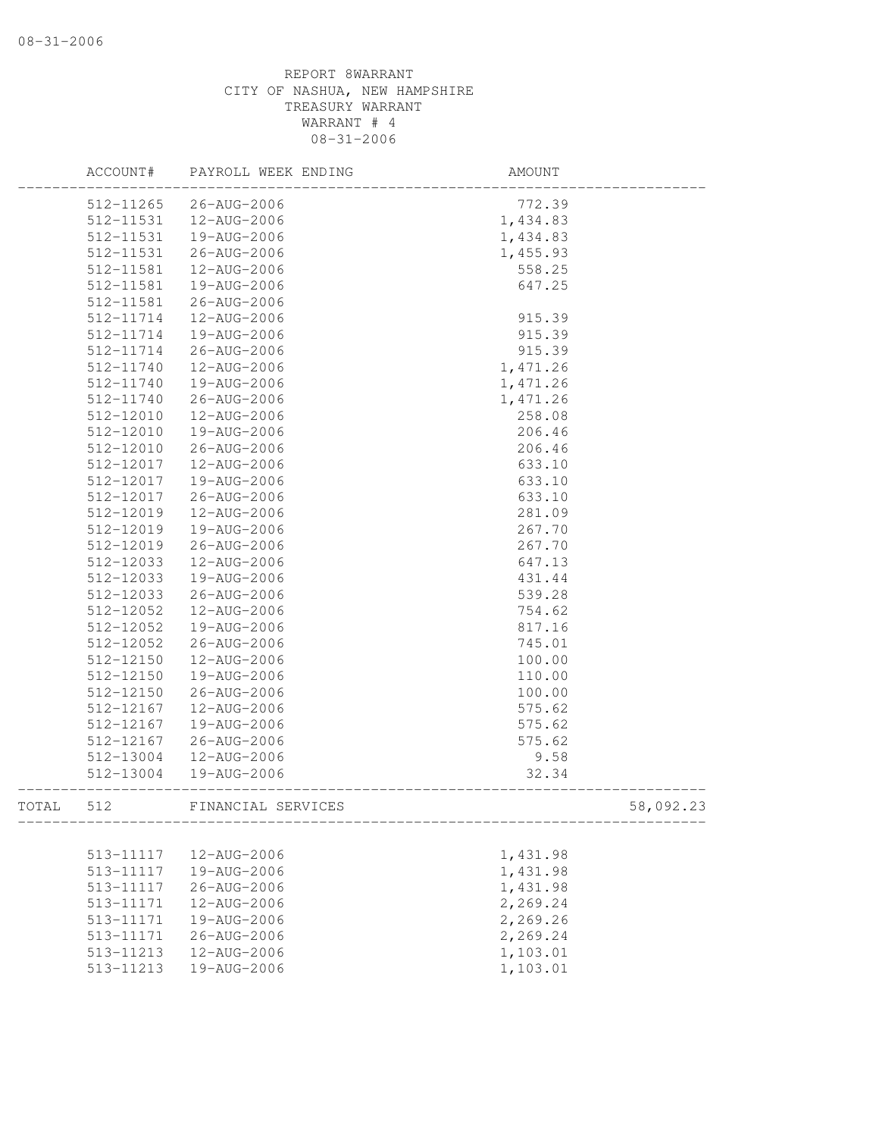|       | ACCOUNT#  | PAYROLL WEEK ENDING | AMOUNT   |           |
|-------|-----------|---------------------|----------|-----------|
|       | 512-11265 | 26-AUG-2006         | 772.39   |           |
|       | 512-11531 | 12-AUG-2006         | 1,434.83 |           |
|       | 512-11531 | 19-AUG-2006         | 1,434.83 |           |
|       | 512-11531 | 26-AUG-2006         | 1,455.93 |           |
|       | 512-11581 | 12-AUG-2006         | 558.25   |           |
|       | 512-11581 | 19-AUG-2006         | 647.25   |           |
|       | 512-11581 | 26-AUG-2006         |          |           |
|       | 512-11714 | 12-AUG-2006         | 915.39   |           |
|       | 512-11714 | 19-AUG-2006         | 915.39   |           |
|       | 512-11714 | 26-AUG-2006         | 915.39   |           |
|       | 512-11740 | 12-AUG-2006         | 1,471.26 |           |
|       | 512-11740 | 19-AUG-2006         | 1,471.26 |           |
|       | 512-11740 | 26-AUG-2006         | 1,471.26 |           |
|       | 512-12010 | 12-AUG-2006         | 258.08   |           |
|       | 512-12010 | 19-AUG-2006         | 206.46   |           |
|       | 512-12010 | 26-AUG-2006         | 206.46   |           |
|       | 512-12017 | 12-AUG-2006         | 633.10   |           |
|       | 512-12017 | 19-AUG-2006         | 633.10   |           |
|       | 512-12017 | 26-AUG-2006         | 633.10   |           |
|       | 512-12019 | 12-AUG-2006         | 281.09   |           |
|       | 512-12019 | 19-AUG-2006         | 267.70   |           |
|       | 512-12019 | 26-AUG-2006         | 267.70   |           |
|       | 512-12033 | 12-AUG-2006         | 647.13   |           |
|       | 512-12033 | 19-AUG-2006         | 431.44   |           |
|       | 512-12033 | 26-AUG-2006         | 539.28   |           |
|       | 512-12052 | 12-AUG-2006         | 754.62   |           |
|       | 512-12052 | 19-AUG-2006         | 817.16   |           |
|       | 512-12052 | 26-AUG-2006         | 745.01   |           |
|       | 512-12150 | 12-AUG-2006         | 100.00   |           |
|       | 512-12150 | 19-AUG-2006         | 110.00   |           |
|       | 512-12150 | 26-AUG-2006         | 100.00   |           |
|       | 512-12167 | 12-AUG-2006         | 575.62   |           |
|       | 512-12167 | 19-AUG-2006         | 575.62   |           |
|       | 512-12167 | 26-AUG-2006         | 575.62   |           |
|       | 512-13004 | 12-AUG-2006         | 9.58     |           |
|       | 512-13004 | 19-AUG-2006         | 32.34    |           |
|       |           |                     |          |           |
| TOTAL | 512       | FINANCIAL SERVICES  |          | 58,092.23 |
|       |           |                     |          |           |
|       | 513-11117 | 12-AUG-2006         | 1,431.98 |           |
|       | 513-11117 | 19-AUG-2006         | 1,431.98 |           |
|       | 513-11117 | 26-AUG-2006         | 1,431.98 |           |
|       | 513-11171 | 12-AUG-2006         | 2,269.24 |           |
|       | 513-11171 | 19-AUG-2006         | 2,269.26 |           |
|       | 513-11171 | 26-AUG-2006         | 2,269.24 |           |
|       | 513-11213 | 12-AUG-2006         | 1,103.01 |           |
|       | 513-11213 | 19-AUG-2006         | 1,103.01 |           |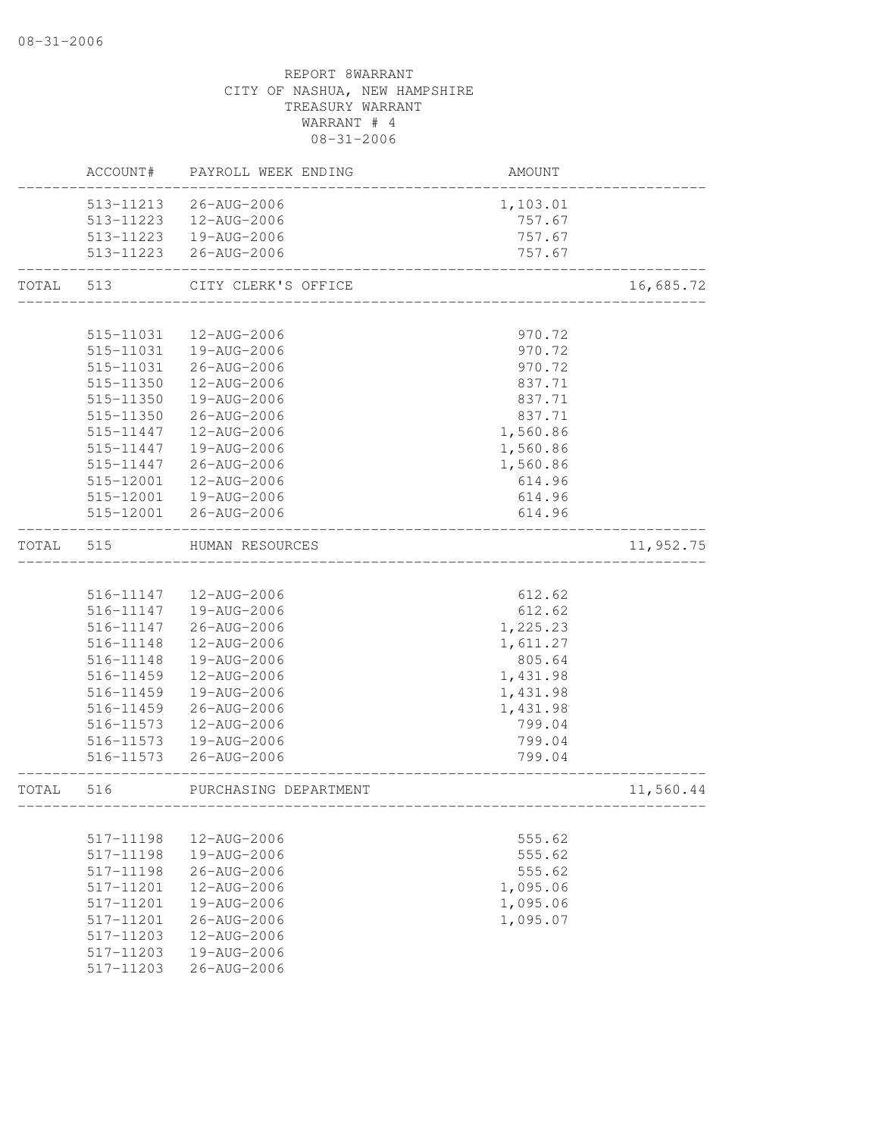|       | ACCOUNT#  | PAYROLL WEEK ENDING   | AMOUNT   |           |
|-------|-----------|-----------------------|----------|-----------|
|       | 513-11213 | 26-AUG-2006           | 1,103.01 |           |
|       | 513-11223 | 12-AUG-2006           | 757.67   |           |
|       | 513-11223 | 19-AUG-2006           | 757.67   |           |
|       | 513-11223 | 26-AUG-2006           | 757.67   |           |
| TOTAL | 513       | CITY CLERK'S OFFICE   |          | 16,685.72 |
|       |           |                       |          |           |
|       | 515-11031 | 12-AUG-2006           | 970.72   |           |
|       | 515-11031 | 19-AUG-2006           | 970.72   |           |
|       | 515-11031 | 26-AUG-2006           | 970.72   |           |
|       | 515-11350 | 12-AUG-2006           | 837.71   |           |
|       | 515-11350 | 19-AUG-2006           | 837.71   |           |
|       | 515-11350 | 26-AUG-2006           | 837.71   |           |
|       | 515-11447 | 12-AUG-2006           | 1,560.86 |           |
|       | 515-11447 | 19-AUG-2006           | 1,560.86 |           |
|       | 515-11447 | 26-AUG-2006           | 1,560.86 |           |
|       | 515-12001 | 12-AUG-2006           | 614.96   |           |
|       | 515-12001 | 19-AUG-2006           | 614.96   |           |
|       | 515-12001 | 26-AUG-2006           | 614.96   |           |
| TOTAL | 515       | HUMAN RESOURCES       |          | 11,952.75 |
|       |           |                       |          |           |
|       | 516-11147 | 12-AUG-2006           | 612.62   |           |
|       | 516-11147 | 19-AUG-2006           | 612.62   |           |
|       | 516-11147 | 26-AUG-2006           | 1,225.23 |           |
|       | 516-11148 | 12-AUG-2006           | 1,611.27 |           |
|       | 516-11148 | 19-AUG-2006           | 805.64   |           |
|       | 516-11459 | 12-AUG-2006           | 1,431.98 |           |
|       | 516-11459 | 19-AUG-2006           | 1,431.98 |           |
|       | 516-11459 | 26-AUG-2006           | 1,431.98 |           |
|       | 516-11573 | 12-AUG-2006           | 799.04   |           |
|       | 516-11573 | 19-AUG-2006           | 799.04   |           |
|       | 516-11573 | 26-AUG-2006           | 799.04   |           |
| TOTAL | 516       | PURCHASING DEPARTMENT |          | 11,560.44 |
|       |           |                       |          |           |
|       | 517-11198 | 12-AUG-2006           | 555.62   |           |
|       | 517-11198 | 19-AUG-2006           | 555.62   |           |
|       | 517-11198 | 26-AUG-2006           | 555.62   |           |
|       | 517-11201 | 12-AUG-2006           | 1,095.06 |           |
|       | 517-11201 | 19-AUG-2006           | 1,095.06 |           |
|       | 517-11201 | 26-AUG-2006           | 1,095.07 |           |
|       | 517-11203 | 12-AUG-2006           |          |           |
|       | 517-11203 | 19-AUG-2006           |          |           |
|       | 517-11203 | 26-AUG-2006           |          |           |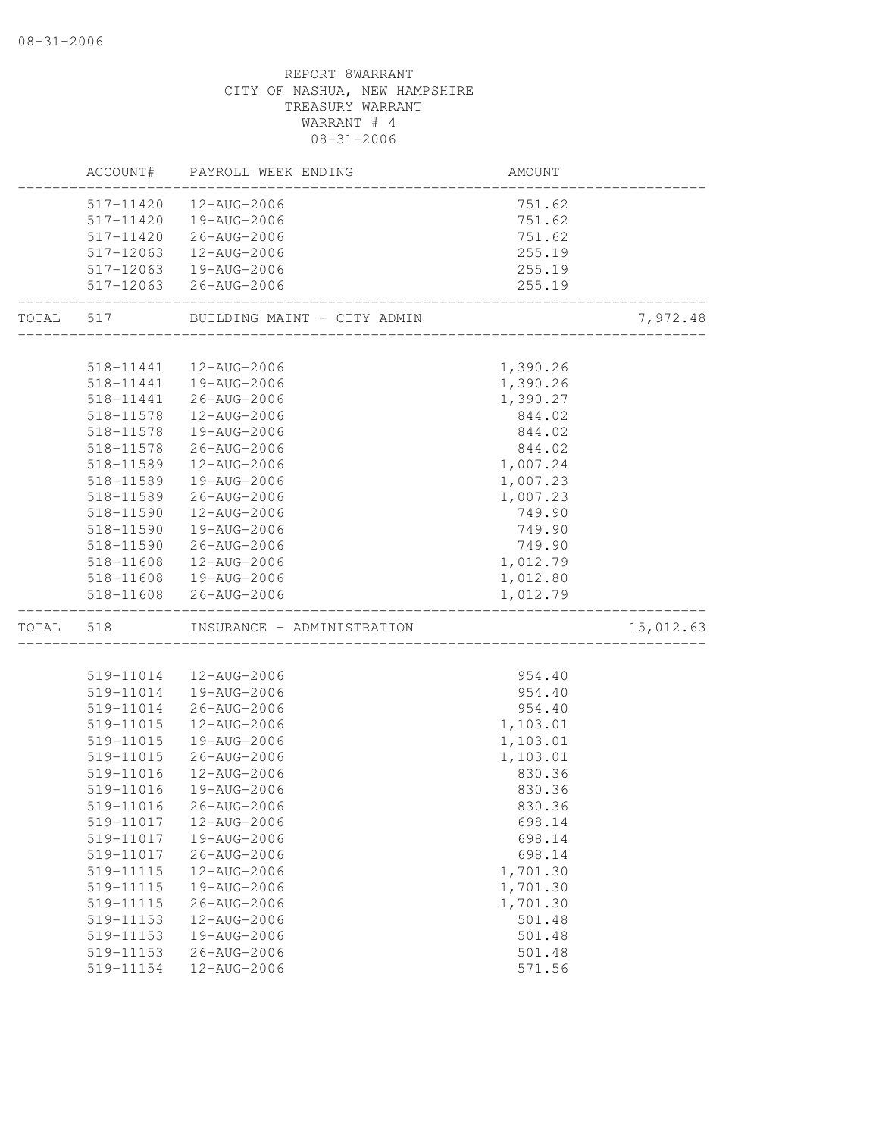# REPORT 8WARRANT CITY OF NASHUA, NEW HAMPSHIRE TREASURY WARRANT WARRANT # 4 08-31-2006 ACCOUNT# PAYROLL WEEK ENDING AMOUNT -------------------------------------------------------------------------------- 517-11420 12-AUG-2006 751.62 517-11420 19-AUG-2006 751.62 517-11420 26-AUG-2006 751.62 517-12063 12-AUG-2006 255.19 517-12063 19-AUG-2006 255.19 517-12063 26-AUG-2006 255.19 -------------------------------------------------------------------------------- TOTAL 517 BUILDING MAINT - CITY ADMIN 7,972.48 -------------------------------------------------------------------------------- 518-11441 12-AUG-2006 1,390.26 518-11441 19-AUG-2006 1,390.26 518-11441 26-AUG-2006 1,390.27 518-11578 12-AUG-2006 844.02 518-11578 19-AUG-2006 844.02 518-11578 26-AUG-2006 844.02 518-11589 12-AUG-2006 1,007.24 518-11589 19-AUG-2006 1,007.23 518-11589 26-AUG-2006 1,007.23 518-11590 12-AUG-2006 749.90 518-11590 19-AUG-2006 749.90 518-11590 26-AUG-2006 749.90 518-11608 12-AUG-2006 518-11608 19-AUG-2006 1,012.80 518-11608 26-AUG-2006 1,012.79 -------------------------------------------------------------------------------- INSURANCE - ADMINISTRATION 15,012.63 -------------------------------------------------------------------------------- 519-11014 12-AUG-2006 954.40 519-11014 19-AUG-2006 954.40 519-11014 26-AUG-2006 954.40 519-11015 12-AUG-2006 1,103.01 519-11015 19-AUG-2006 1,103.01 519-11015 26-AUG-2006 1,103.01 519-11016 12-AUG-2006 830.36 519-11016 19-AUG-2006 830.36 519-11016 26-AUG-2006 830.36 519-11017 12-AUG-2006 698.14 519-11017 19-AUG-2006 698.14 519-11017 26-AUG-2006 698.14 519-11115 12-AUG-2006 1,701.30 519-11115 19-AUG-2006 1,701.30 519-11115 26-AUG-2006 1,701.30 519-11153 12-AUG-2006 501.48 519-11153 19-AUG-2006 501.48 519-11153 26-AUG-2006 501.48 519-11154 12-AUG-2006 571.56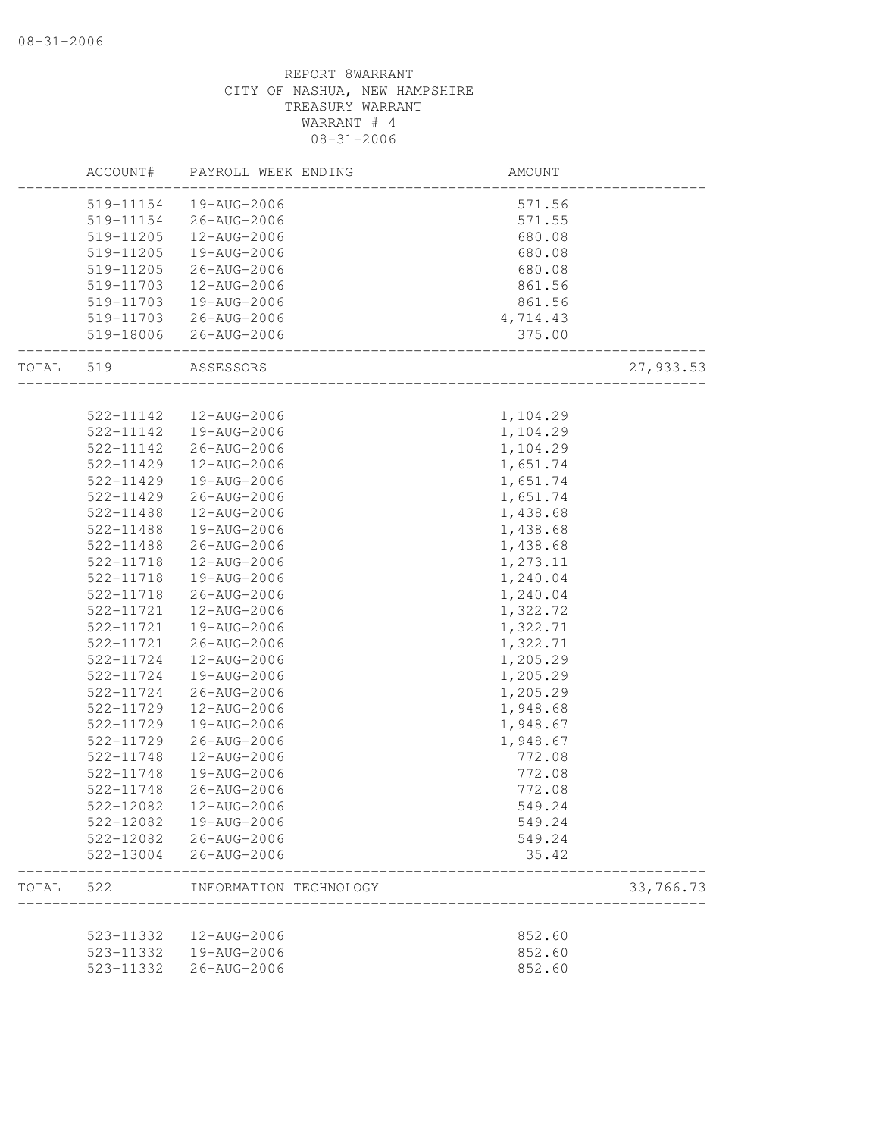|       | ACCOUNT#  | PAYROLL WEEK ENDING                             | AMOUNT   |           |
|-------|-----------|-------------------------------------------------|----------|-----------|
|       | 519-11154 | 19-AUG-2006                                     | 571.56   |           |
|       | 519-11154 | 26-AUG-2006                                     | 571.55   |           |
|       | 519-11205 | 12-AUG-2006                                     | 680.08   |           |
|       | 519-11205 | 19-AUG-2006                                     | 680.08   |           |
|       | 519-11205 | 26-AUG-2006                                     | 680.08   |           |
|       | 519-11703 | 12-AUG-2006                                     | 861.56   |           |
|       | 519-11703 | 19-AUG-2006                                     | 861.56   |           |
|       | 519-11703 | 26-AUG-2006                                     | 4,714.43 |           |
|       | 519-18006 | 26-AUG-2006<br>________________________________ | 375.00   |           |
| TOTAL | 519       | ASSESSORS                                       |          | 27,933.53 |
|       |           |                                                 |          |           |
|       | 522-11142 | 12-AUG-2006                                     | 1,104.29 |           |
|       | 522-11142 | 19-AUG-2006                                     | 1,104.29 |           |
|       | 522-11142 | 26-AUG-2006                                     | 1,104.29 |           |
|       | 522-11429 | 12-AUG-2006                                     | 1,651.74 |           |
|       | 522-11429 | 19-AUG-2006                                     | 1,651.74 |           |
|       | 522-11429 | 26-AUG-2006                                     | 1,651.74 |           |
|       | 522-11488 | 12-AUG-2006                                     | 1,438.68 |           |
|       | 522-11488 | 19-AUG-2006                                     | 1,438.68 |           |
|       | 522-11488 | 26-AUG-2006                                     | 1,438.68 |           |
|       | 522-11718 | 12-AUG-2006                                     | 1,273.11 |           |
|       | 522-11718 | 19-AUG-2006                                     | 1,240.04 |           |
|       | 522-11718 | 26-AUG-2006                                     | 1,240.04 |           |
|       | 522-11721 | 12-AUG-2006                                     | 1,322.72 |           |
|       | 522-11721 | 19-AUG-2006                                     | 1,322.71 |           |
|       | 522-11721 | $26 - AUG - 2006$                               | 1,322.71 |           |
|       | 522-11724 | 12-AUG-2006                                     | 1,205.29 |           |
|       | 522-11724 | 19-AUG-2006                                     | 1,205.29 |           |
|       | 522-11724 | 26-AUG-2006                                     | 1,205.29 |           |
|       | 522-11729 | 12-AUG-2006                                     | 1,948.68 |           |
|       | 522-11729 | 19-AUG-2006                                     | 1,948.67 |           |
|       | 522-11729 | 26-AUG-2006                                     | 1,948.67 |           |
|       | 522-11748 | 12-AUG-2006                                     | 772.08   |           |
|       | 522-11748 | 19-AUG-2006                                     | 772.08   |           |
|       | 522-11748 | 26-AUG-2006                                     | 772.08   |           |
|       | 522-12082 | 12-AUG-2006                                     | 549.24   |           |
|       | 522-12082 | 19-AUG-2006                                     | 549.24   |           |
|       | 522-12082 | 26-AUG-2006                                     | 549.24   |           |
|       |           | 522-13004 26-AUG-2006                           | 35.42    |           |
| TOTAL | 522       | INFORMATION TECHNOLOGY                          |          | 33,766.73 |
|       |           |                                                 |          |           |
|       | 523-11332 | 12-AUG-2006                                     | 852.60   |           |
|       | 523-11332 | 19-AUG-2006                                     | 852.60   |           |
|       | 523-11332 | 26-AUG-2006                                     | 852.60   |           |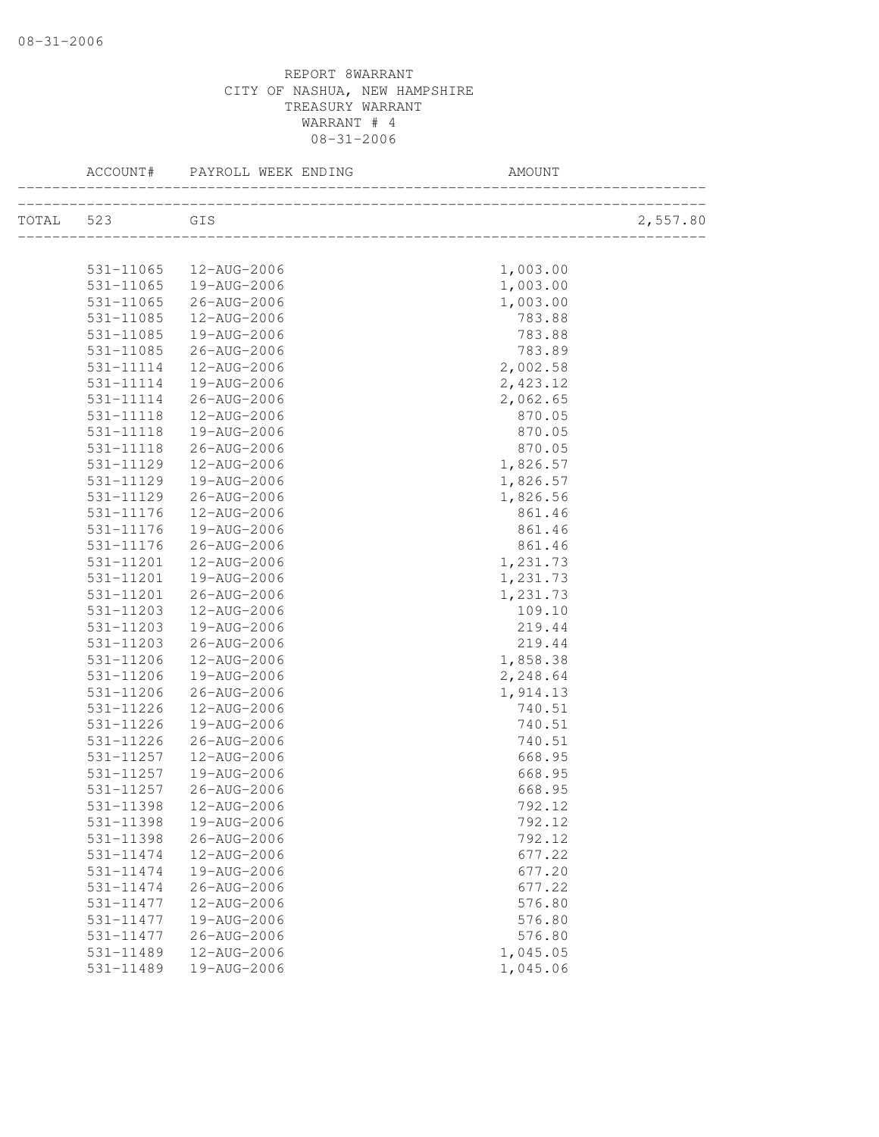|           | ACCOUNT#  | PAYROLL WEEK ENDING      | AMOUNT   |          |
|-----------|-----------|--------------------------|----------|----------|
| TOTAL 523 | GIS       |                          |          | 2,557.80 |
|           |           |                          |          |          |
|           |           | 531-11065  12-AUG-2006   | 1,003.00 |          |
|           | 531-11065 | $19 - \text{AUG} - 2006$ | 1,003.00 |          |
|           | 531-11065 | 26-AUG-2006              | 1,003.00 |          |
|           | 531-11085 | 12-AUG-2006              | 783.88   |          |
|           | 531-11085 | 19-AUG-2006              | 783.88   |          |
|           | 531-11085 | 26-AUG-2006              | 783.89   |          |
|           | 531-11114 | 12-AUG-2006              | 2,002.58 |          |
|           | 531-11114 | 19-AUG-2006              | 2,423.12 |          |
|           | 531-11114 | 26-AUG-2006              | 2,062.65 |          |
|           | 531-11118 | 12-AUG-2006              | 870.05   |          |
|           | 531-11118 | 19-AUG-2006              | 870.05   |          |
|           | 531-11118 | 26-AUG-2006              | 870.05   |          |
|           | 531-11129 | 12-AUG-2006              | 1,826.57 |          |
|           | 531-11129 | 19-AUG-2006              | 1,826.57 |          |
|           | 531-11129 | 26-AUG-2006              | 1,826.56 |          |
|           | 531-11176 | 12-AUG-2006              | 861.46   |          |
|           | 531-11176 | 19-AUG-2006              | 861.46   |          |
|           | 531-11176 | 26-AUG-2006              | 861.46   |          |
|           | 531-11201 | 12-AUG-2006              | 1,231.73 |          |
|           | 531-11201 | 19-AUG-2006              | 1,231.73 |          |
|           | 531-11201 | 26-AUG-2006              | 1,231.73 |          |
|           | 531-11203 | 12-AUG-2006              | 109.10   |          |
|           | 531-11203 | 19-AUG-2006              | 219.44   |          |
|           | 531-11203 | 26-AUG-2006              | 219.44   |          |
|           | 531-11206 | 12-AUG-2006              | 1,858.38 |          |
|           | 531-11206 | 19-AUG-2006              | 2,248.64 |          |
|           | 531-11206 | 26-AUG-2006              | 1,914.13 |          |
|           | 531-11226 | 12-AUG-2006              | 740.51   |          |
|           | 531-11226 | 19-AUG-2006              | 740.51   |          |
|           | 531-11226 | 26-AUG-2006              | 740.51   |          |
|           | 531-11257 | 12-AUG-2006              | 668.95   |          |
|           | 531-11257 | 19-AUG-2006              | 668.95   |          |
|           | 531-11257 | 26-AUG-2006              | 668.95   |          |
|           | 531-11398 | 12-AUG-2006              | 792.12   |          |
|           | 531-11398 | 19-AUG-2006              | 792.12   |          |
|           | 531-11398 | 26-AUG-2006              | 792.12   |          |
|           | 531-11474 | 12-AUG-2006              | 677.22   |          |
|           | 531-11474 | 19-AUG-2006              | 677.20   |          |
|           | 531-11474 | 26-AUG-2006              | 677.22   |          |
|           | 531-11477 | 12-AUG-2006              | 576.80   |          |
|           | 531-11477 | 19-AUG-2006              | 576.80   |          |
|           | 531-11477 | $26 - AUG - 2006$        | 576.80   |          |
|           | 531-11489 | 12-AUG-2006              | 1,045.05 |          |
|           | 531-11489 | 19-AUG-2006              | 1,045.06 |          |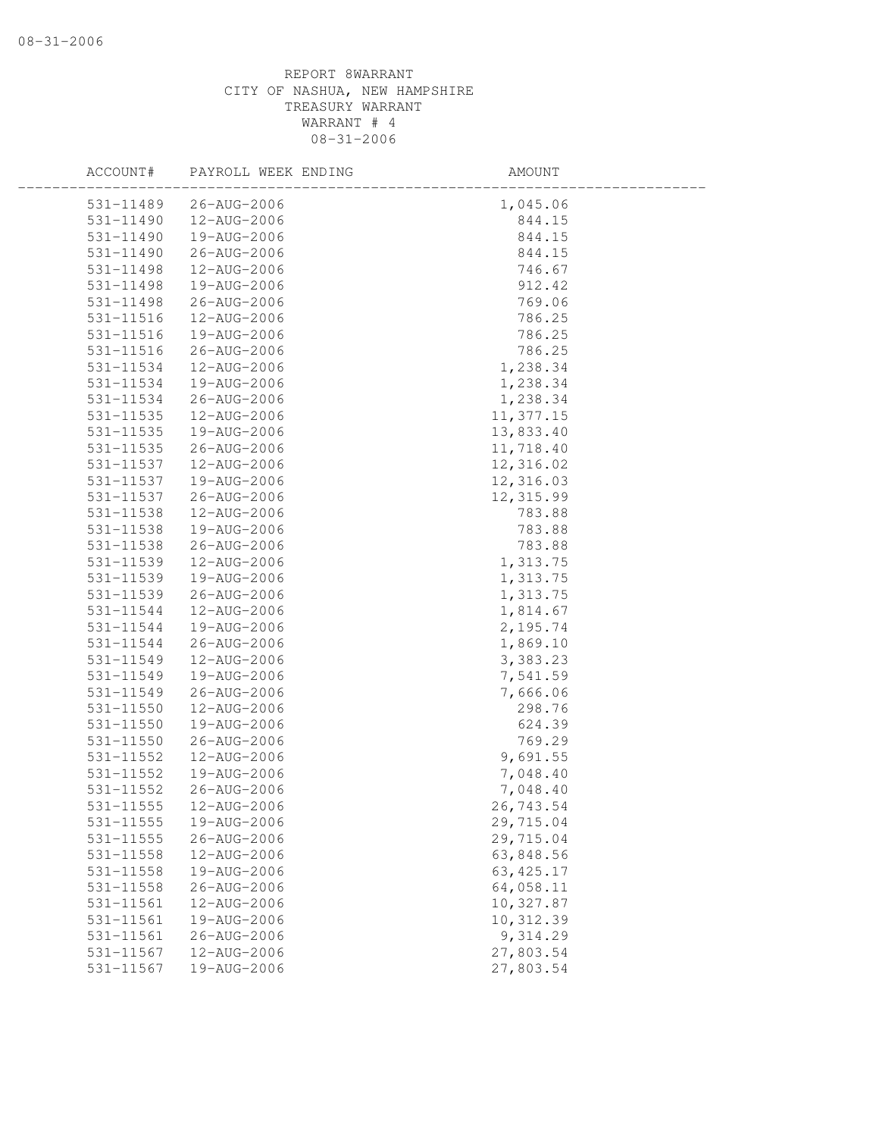| ACCOUNT#      | PAYROLL WEEK ENDING | AMOUNT     |  |
|---------------|---------------------|------------|--|
| 531-11489     | 26-AUG-2006         | 1,045.06   |  |
| $531 - 11490$ | 12-AUG-2006         | 844.15     |  |
| 531-11490     | 19-AUG-2006         | 844.15     |  |
| 531-11490     | 26-AUG-2006         | 844.15     |  |
| 531-11498     | 12-AUG-2006         | 746.67     |  |
| 531-11498     | 19-AUG-2006         | 912.42     |  |
| 531-11498     | 26-AUG-2006         | 769.06     |  |
| 531-11516     | 12-AUG-2006         | 786.25     |  |
| 531-11516     | 19-AUG-2006         | 786.25     |  |
| 531-11516     | 26-AUG-2006         | 786.25     |  |
| 531-11534     | 12-AUG-2006         | 1,238.34   |  |
| 531-11534     | 19-AUG-2006         | 1,238.34   |  |
| 531-11534     | 26-AUG-2006         | 1,238.34   |  |
| 531-11535     | 12-AUG-2006         | 11,377.15  |  |
| 531-11535     | 19-AUG-2006         | 13,833.40  |  |
| 531-11535     | 26-AUG-2006         | 11,718.40  |  |
| 531-11537     | 12-AUG-2006         | 12,316.02  |  |
| 531-11537     | 19-AUG-2006         | 12,316.03  |  |
| 531-11537     | 26-AUG-2006         | 12,315.99  |  |
| 531-11538     | 12-AUG-2006         | 783.88     |  |
| 531-11538     | 19-AUG-2006         | 783.88     |  |
| 531-11538     | 26-AUG-2006         | 783.88     |  |
| 531-11539     | 12-AUG-2006         | 1,313.75   |  |
| 531-11539     | 19-AUG-2006         | 1,313.75   |  |
| 531-11539     | 26-AUG-2006         | 1,313.75   |  |
| 531-11544     | 12-AUG-2006         | 1,814.67   |  |
| 531-11544     | 19-AUG-2006         | 2,195.74   |  |
| 531-11544     | 26-AUG-2006         | 1,869.10   |  |
| 531-11549     | 12-AUG-2006         | 3,383.23   |  |
| 531-11549     | 19-AUG-2006         | 7,541.59   |  |
| 531-11549     | 26-AUG-2006         | 7,666.06   |  |
| 531-11550     | 12-AUG-2006         | 298.76     |  |
| 531-11550     | 19-AUG-2006         | 624.39     |  |
| 531-11550     | 26-AUG-2006         | 769.29     |  |
| 531-11552     | 12-AUG-2006         | 9,691.55   |  |
| 531-11552     | 19-AUG-2006         | 7,048.40   |  |
| 531-11552     | 26-AUG-2006         | 7,048.40   |  |
| 531-11555     | 12-AUG-2006         | 26,743.54  |  |
| 531-11555     | 19-AUG-2006         | 29,715.04  |  |
| 531-11555     | 26-AUG-2006         | 29,715.04  |  |
| 531-11558     | 12-AUG-2006         | 63,848.56  |  |
| 531-11558     | 19-AUG-2006         | 63, 425.17 |  |
| 531-11558     | 26-AUG-2006         | 64,058.11  |  |
| 531-11561     | 12-AUG-2006         | 10,327.87  |  |
| 531-11561     | 19-AUG-2006         | 10,312.39  |  |
| 531-11561     | 26-AUG-2006         | 9,314.29   |  |
| 531-11567     | 12-AUG-2006         | 27,803.54  |  |
| 531-11567     | 19-AUG-2006         | 27,803.54  |  |
|               |                     |            |  |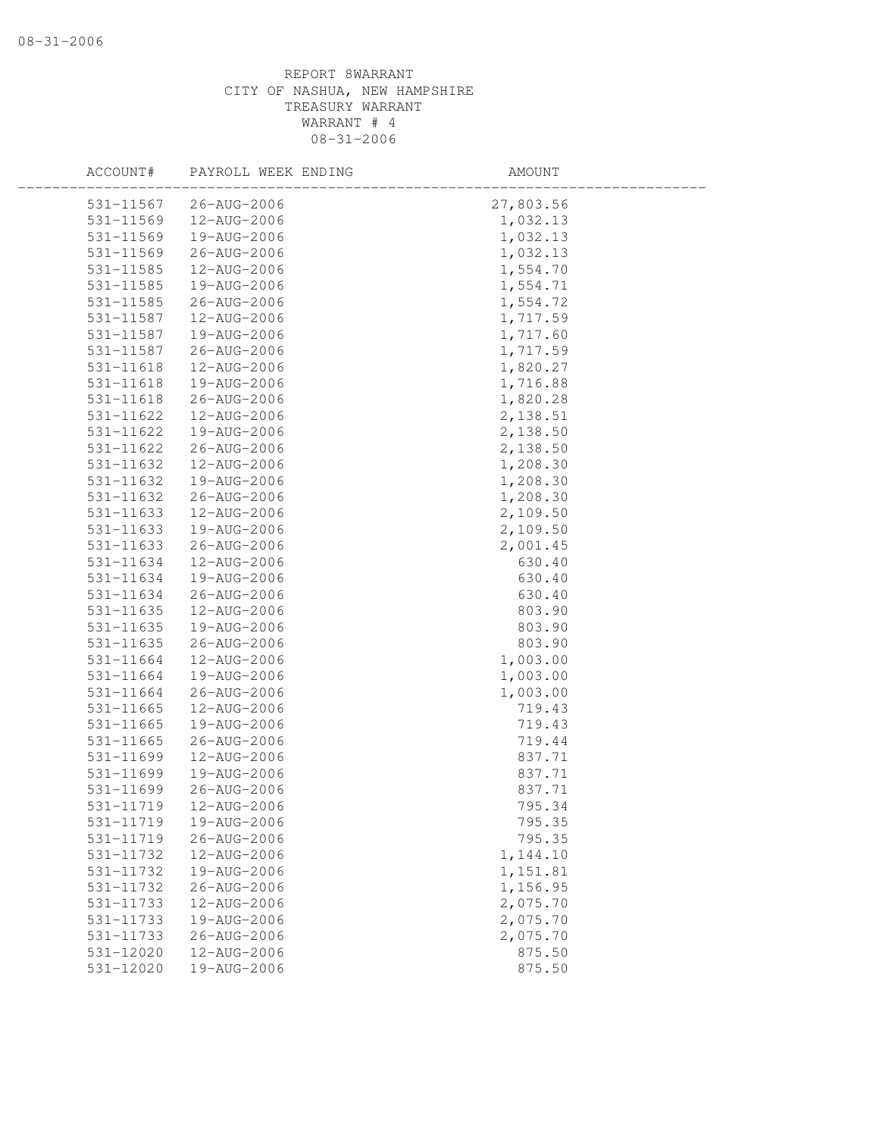| ACCOUNT#  | PAYROLL WEEK ENDING | AMOUNT    |
|-----------|---------------------|-----------|
| 531-11567 | 26-AUG-2006         | 27,803.56 |
| 531-11569 | 12-AUG-2006         | 1,032.13  |
| 531-11569 | 19-AUG-2006         | 1,032.13  |
| 531-11569 | 26-AUG-2006         | 1,032.13  |
| 531-11585 | 12-AUG-2006         | 1,554.70  |
| 531-11585 | 19-AUG-2006         | 1,554.71  |
| 531-11585 | 26-AUG-2006         | 1,554.72  |
| 531-11587 | 12-AUG-2006         | 1,717.59  |
| 531-11587 | 19-AUG-2006         | 1,717.60  |
| 531-11587 | 26-AUG-2006         | 1,717.59  |
| 531-11618 | 12-AUG-2006         | 1,820.27  |
| 531-11618 | 19-AUG-2006         | 1,716.88  |
| 531-11618 | 26-AUG-2006         | 1,820.28  |
| 531-11622 | 12-AUG-2006         | 2,138.51  |
| 531-11622 | 19-AUG-2006         | 2,138.50  |
| 531-11622 | 26-AUG-2006         | 2,138.50  |
| 531-11632 | 12-AUG-2006         | 1,208.30  |
| 531-11632 | 19-AUG-2006         | 1,208.30  |
| 531-11632 | 26-AUG-2006         | 1,208.30  |
| 531-11633 | 12-AUG-2006         | 2,109.50  |
| 531-11633 | 19-AUG-2006         | 2,109.50  |
| 531-11633 | 26-AUG-2006         | 2,001.45  |
| 531-11634 | 12-AUG-2006         | 630.40    |
| 531-11634 | 19-AUG-2006         | 630.40    |
| 531-11634 | 26-AUG-2006         | 630.40    |
| 531-11635 | 12-AUG-2006         | 803.90    |
| 531-11635 | 19-AUG-2006         | 803.90    |
| 531-11635 | 26-AUG-2006         | 803.90    |
| 531-11664 | 12-AUG-2006         | 1,003.00  |
| 531-11664 | 19-AUG-2006         | 1,003.00  |
| 531-11664 | 26-AUG-2006         | 1,003.00  |
| 531-11665 | 12-AUG-2006         | 719.43    |
| 531-11665 | 19-AUG-2006         | 719.43    |
| 531-11665 | 26-AUG-2006         | 719.44    |
| 531-11699 | 12-AUG-2006         | 837.71    |
| 531-11699 | 19-AUG-2006         | 837.71    |
| 531-11699 | 26-AUG-2006         | 837.71    |
| 531-11719 | 12-AUG-2006         | 795.34    |
| 531-11719 | 19-AUG-2006         | 795.35    |
| 531-11719 | 26-AUG-2006         | 795.35    |
| 531-11732 | 12-AUG-2006         | 1,144.10  |
| 531-11732 | 19-AUG-2006         | 1,151.81  |
| 531-11732 | $26 - AUG - 2006$   | 1,156.95  |
| 531-11733 | 12-AUG-2006         | 2,075.70  |
| 531-11733 | 19-AUG-2006         | 2,075.70  |
| 531-11733 | 26-AUG-2006         | 2,075.70  |
| 531-12020 | 12-AUG-2006         | 875.50    |
| 531-12020 | 19-AUG-2006         | 875.50    |
|           |                     |           |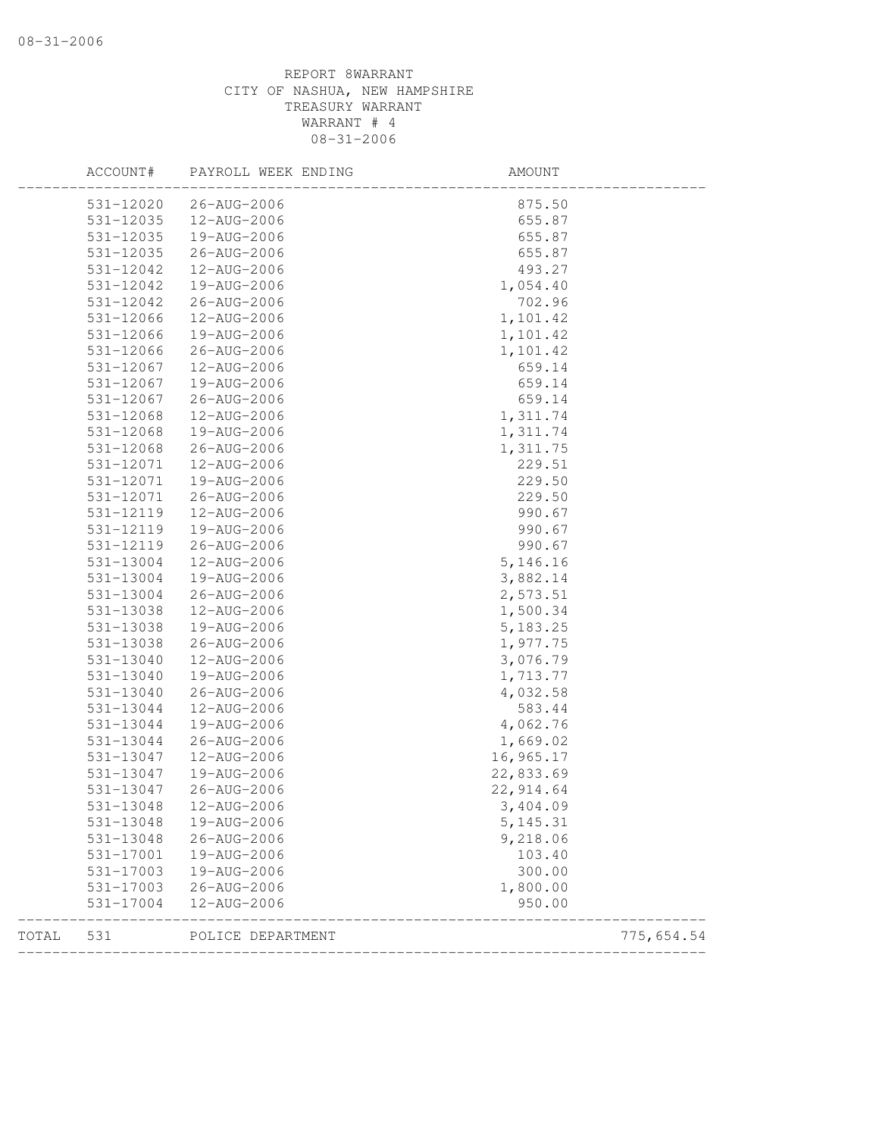| 531-12020<br>26-AUG-2006<br>875.50<br>531-12035<br>12-AUG-2006<br>655.87<br>531-12035<br>19-AUG-2006<br>655.87<br>531-12035<br>655.87<br>26-AUG-2006<br>531-12042<br>12-AUG-2006<br>493.27<br>531-12042<br>19-AUG-2006<br>1,054.40<br>702.96<br>531-12042<br>26-AUG-2006<br>531-12066<br>1,101.42<br>12-AUG-2006<br>531-12066<br>1,101.42<br>19-AUG-2006<br>531-12066<br>26-AUG-2006<br>1,101.42<br>531-12067<br>12-AUG-2006<br>659.14<br>531-12067<br>19-AUG-2006<br>659.14<br>531-12067<br>659.14<br>26-AUG-2006<br>531-12068<br>12-AUG-2006<br>1,311.74<br>531-12068<br>19-AUG-2006<br>1,311.74<br>$531 - 12068$<br>26-AUG-2006<br>1,311.75<br>229.51<br>531-12071<br>12-AUG-2006<br>531-12071<br>229.50<br>19-AUG-2006<br>229.50<br>531-12071<br>26-AUG-2006<br>531-12119<br>12-AUG-2006<br>990.67<br>531-12119<br>19-AUG-2006<br>990.67<br>531-12119<br>990.67<br>26-AUG-2006<br>531-13004<br>12-AUG-2006<br>5, 146. 16<br>531-13004<br>19-AUG-2006<br>3,882.14<br>531-13004<br>26-AUG-2006<br>2,573.51<br>531-13038<br>1,500.34<br>12-AUG-2006<br>531-13038<br>5, 183.25<br>19-AUG-2006<br>1,977.75<br>531-13038<br>26-AUG-2006<br>531-13040<br>12-AUG-2006<br>3,076.79<br>531-13040<br>19-AUG-2006<br>1,713.77<br>531-13040<br>4,032.58<br>26-AUG-2006<br>531-13044<br>12-AUG-2006<br>583.44<br>531-13044<br>4,062.76<br>19-AUG-2006<br>1,669.02<br>531-13044<br>26-AUG-2006<br>16,965.17<br>531-13047<br>12-AUG-2006<br>22,833.69<br>531-13047<br>19-AUG-2006<br>531-13047<br>22, 914.64<br>26-AUG-2006<br>531-13048<br>12-AUG-2006<br>3,404.09<br>531-13048<br>19-AUG-2006<br>5, 145. 31<br>531-13048<br>26-AUG-2006<br>9,218.06<br>531-17001<br>19-AUG-2006<br>103.40<br>531-17003<br>19-AUG-2006<br>300.00<br>531-17003<br>26-AUG-2006<br>1,800.00<br>950.00<br>531-17004<br>12-AUG-2006 |  |
|-----------------------------------------------------------------------------------------------------------------------------------------------------------------------------------------------------------------------------------------------------------------------------------------------------------------------------------------------------------------------------------------------------------------------------------------------------------------------------------------------------------------------------------------------------------------------------------------------------------------------------------------------------------------------------------------------------------------------------------------------------------------------------------------------------------------------------------------------------------------------------------------------------------------------------------------------------------------------------------------------------------------------------------------------------------------------------------------------------------------------------------------------------------------------------------------------------------------------------------------------------------------------------------------------------------------------------------------------------------------------------------------------------------------------------------------------------------------------------------------------------------------------------------------------------------------------------------------------------------------------------------------------------------------------------------------------------------------------------------------------------------------------------------------------------|--|
|                                                                                                                                                                                                                                                                                                                                                                                                                                                                                                                                                                                                                                                                                                                                                                                                                                                                                                                                                                                                                                                                                                                                                                                                                                                                                                                                                                                                                                                                                                                                                                                                                                                                                                                                                                                                     |  |
|                                                                                                                                                                                                                                                                                                                                                                                                                                                                                                                                                                                                                                                                                                                                                                                                                                                                                                                                                                                                                                                                                                                                                                                                                                                                                                                                                                                                                                                                                                                                                                                                                                                                                                                                                                                                     |  |
|                                                                                                                                                                                                                                                                                                                                                                                                                                                                                                                                                                                                                                                                                                                                                                                                                                                                                                                                                                                                                                                                                                                                                                                                                                                                                                                                                                                                                                                                                                                                                                                                                                                                                                                                                                                                     |  |
|                                                                                                                                                                                                                                                                                                                                                                                                                                                                                                                                                                                                                                                                                                                                                                                                                                                                                                                                                                                                                                                                                                                                                                                                                                                                                                                                                                                                                                                                                                                                                                                                                                                                                                                                                                                                     |  |
|                                                                                                                                                                                                                                                                                                                                                                                                                                                                                                                                                                                                                                                                                                                                                                                                                                                                                                                                                                                                                                                                                                                                                                                                                                                                                                                                                                                                                                                                                                                                                                                                                                                                                                                                                                                                     |  |
|                                                                                                                                                                                                                                                                                                                                                                                                                                                                                                                                                                                                                                                                                                                                                                                                                                                                                                                                                                                                                                                                                                                                                                                                                                                                                                                                                                                                                                                                                                                                                                                                                                                                                                                                                                                                     |  |
|                                                                                                                                                                                                                                                                                                                                                                                                                                                                                                                                                                                                                                                                                                                                                                                                                                                                                                                                                                                                                                                                                                                                                                                                                                                                                                                                                                                                                                                                                                                                                                                                                                                                                                                                                                                                     |  |
|                                                                                                                                                                                                                                                                                                                                                                                                                                                                                                                                                                                                                                                                                                                                                                                                                                                                                                                                                                                                                                                                                                                                                                                                                                                                                                                                                                                                                                                                                                                                                                                                                                                                                                                                                                                                     |  |
|                                                                                                                                                                                                                                                                                                                                                                                                                                                                                                                                                                                                                                                                                                                                                                                                                                                                                                                                                                                                                                                                                                                                                                                                                                                                                                                                                                                                                                                                                                                                                                                                                                                                                                                                                                                                     |  |
|                                                                                                                                                                                                                                                                                                                                                                                                                                                                                                                                                                                                                                                                                                                                                                                                                                                                                                                                                                                                                                                                                                                                                                                                                                                                                                                                                                                                                                                                                                                                                                                                                                                                                                                                                                                                     |  |
|                                                                                                                                                                                                                                                                                                                                                                                                                                                                                                                                                                                                                                                                                                                                                                                                                                                                                                                                                                                                                                                                                                                                                                                                                                                                                                                                                                                                                                                                                                                                                                                                                                                                                                                                                                                                     |  |
|                                                                                                                                                                                                                                                                                                                                                                                                                                                                                                                                                                                                                                                                                                                                                                                                                                                                                                                                                                                                                                                                                                                                                                                                                                                                                                                                                                                                                                                                                                                                                                                                                                                                                                                                                                                                     |  |
|                                                                                                                                                                                                                                                                                                                                                                                                                                                                                                                                                                                                                                                                                                                                                                                                                                                                                                                                                                                                                                                                                                                                                                                                                                                                                                                                                                                                                                                                                                                                                                                                                                                                                                                                                                                                     |  |
|                                                                                                                                                                                                                                                                                                                                                                                                                                                                                                                                                                                                                                                                                                                                                                                                                                                                                                                                                                                                                                                                                                                                                                                                                                                                                                                                                                                                                                                                                                                                                                                                                                                                                                                                                                                                     |  |
|                                                                                                                                                                                                                                                                                                                                                                                                                                                                                                                                                                                                                                                                                                                                                                                                                                                                                                                                                                                                                                                                                                                                                                                                                                                                                                                                                                                                                                                                                                                                                                                                                                                                                                                                                                                                     |  |
|                                                                                                                                                                                                                                                                                                                                                                                                                                                                                                                                                                                                                                                                                                                                                                                                                                                                                                                                                                                                                                                                                                                                                                                                                                                                                                                                                                                                                                                                                                                                                                                                                                                                                                                                                                                                     |  |
|                                                                                                                                                                                                                                                                                                                                                                                                                                                                                                                                                                                                                                                                                                                                                                                                                                                                                                                                                                                                                                                                                                                                                                                                                                                                                                                                                                                                                                                                                                                                                                                                                                                                                                                                                                                                     |  |
|                                                                                                                                                                                                                                                                                                                                                                                                                                                                                                                                                                                                                                                                                                                                                                                                                                                                                                                                                                                                                                                                                                                                                                                                                                                                                                                                                                                                                                                                                                                                                                                                                                                                                                                                                                                                     |  |
|                                                                                                                                                                                                                                                                                                                                                                                                                                                                                                                                                                                                                                                                                                                                                                                                                                                                                                                                                                                                                                                                                                                                                                                                                                                                                                                                                                                                                                                                                                                                                                                                                                                                                                                                                                                                     |  |
|                                                                                                                                                                                                                                                                                                                                                                                                                                                                                                                                                                                                                                                                                                                                                                                                                                                                                                                                                                                                                                                                                                                                                                                                                                                                                                                                                                                                                                                                                                                                                                                                                                                                                                                                                                                                     |  |
|                                                                                                                                                                                                                                                                                                                                                                                                                                                                                                                                                                                                                                                                                                                                                                                                                                                                                                                                                                                                                                                                                                                                                                                                                                                                                                                                                                                                                                                                                                                                                                                                                                                                                                                                                                                                     |  |
|                                                                                                                                                                                                                                                                                                                                                                                                                                                                                                                                                                                                                                                                                                                                                                                                                                                                                                                                                                                                                                                                                                                                                                                                                                                                                                                                                                                                                                                                                                                                                                                                                                                                                                                                                                                                     |  |
|                                                                                                                                                                                                                                                                                                                                                                                                                                                                                                                                                                                                                                                                                                                                                                                                                                                                                                                                                                                                                                                                                                                                                                                                                                                                                                                                                                                                                                                                                                                                                                                                                                                                                                                                                                                                     |  |
|                                                                                                                                                                                                                                                                                                                                                                                                                                                                                                                                                                                                                                                                                                                                                                                                                                                                                                                                                                                                                                                                                                                                                                                                                                                                                                                                                                                                                                                                                                                                                                                                                                                                                                                                                                                                     |  |
|                                                                                                                                                                                                                                                                                                                                                                                                                                                                                                                                                                                                                                                                                                                                                                                                                                                                                                                                                                                                                                                                                                                                                                                                                                                                                                                                                                                                                                                                                                                                                                                                                                                                                                                                                                                                     |  |
|                                                                                                                                                                                                                                                                                                                                                                                                                                                                                                                                                                                                                                                                                                                                                                                                                                                                                                                                                                                                                                                                                                                                                                                                                                                                                                                                                                                                                                                                                                                                                                                                                                                                                                                                                                                                     |  |
|                                                                                                                                                                                                                                                                                                                                                                                                                                                                                                                                                                                                                                                                                                                                                                                                                                                                                                                                                                                                                                                                                                                                                                                                                                                                                                                                                                                                                                                                                                                                                                                                                                                                                                                                                                                                     |  |
|                                                                                                                                                                                                                                                                                                                                                                                                                                                                                                                                                                                                                                                                                                                                                                                                                                                                                                                                                                                                                                                                                                                                                                                                                                                                                                                                                                                                                                                                                                                                                                                                                                                                                                                                                                                                     |  |
|                                                                                                                                                                                                                                                                                                                                                                                                                                                                                                                                                                                                                                                                                                                                                                                                                                                                                                                                                                                                                                                                                                                                                                                                                                                                                                                                                                                                                                                                                                                                                                                                                                                                                                                                                                                                     |  |
|                                                                                                                                                                                                                                                                                                                                                                                                                                                                                                                                                                                                                                                                                                                                                                                                                                                                                                                                                                                                                                                                                                                                                                                                                                                                                                                                                                                                                                                                                                                                                                                                                                                                                                                                                                                                     |  |
|                                                                                                                                                                                                                                                                                                                                                                                                                                                                                                                                                                                                                                                                                                                                                                                                                                                                                                                                                                                                                                                                                                                                                                                                                                                                                                                                                                                                                                                                                                                                                                                                                                                                                                                                                                                                     |  |
|                                                                                                                                                                                                                                                                                                                                                                                                                                                                                                                                                                                                                                                                                                                                                                                                                                                                                                                                                                                                                                                                                                                                                                                                                                                                                                                                                                                                                                                                                                                                                                                                                                                                                                                                                                                                     |  |
|                                                                                                                                                                                                                                                                                                                                                                                                                                                                                                                                                                                                                                                                                                                                                                                                                                                                                                                                                                                                                                                                                                                                                                                                                                                                                                                                                                                                                                                                                                                                                                                                                                                                                                                                                                                                     |  |
|                                                                                                                                                                                                                                                                                                                                                                                                                                                                                                                                                                                                                                                                                                                                                                                                                                                                                                                                                                                                                                                                                                                                                                                                                                                                                                                                                                                                                                                                                                                                                                                                                                                                                                                                                                                                     |  |
|                                                                                                                                                                                                                                                                                                                                                                                                                                                                                                                                                                                                                                                                                                                                                                                                                                                                                                                                                                                                                                                                                                                                                                                                                                                                                                                                                                                                                                                                                                                                                                                                                                                                                                                                                                                                     |  |
|                                                                                                                                                                                                                                                                                                                                                                                                                                                                                                                                                                                                                                                                                                                                                                                                                                                                                                                                                                                                                                                                                                                                                                                                                                                                                                                                                                                                                                                                                                                                                                                                                                                                                                                                                                                                     |  |
|                                                                                                                                                                                                                                                                                                                                                                                                                                                                                                                                                                                                                                                                                                                                                                                                                                                                                                                                                                                                                                                                                                                                                                                                                                                                                                                                                                                                                                                                                                                                                                                                                                                                                                                                                                                                     |  |
|                                                                                                                                                                                                                                                                                                                                                                                                                                                                                                                                                                                                                                                                                                                                                                                                                                                                                                                                                                                                                                                                                                                                                                                                                                                                                                                                                                                                                                                                                                                                                                                                                                                                                                                                                                                                     |  |
|                                                                                                                                                                                                                                                                                                                                                                                                                                                                                                                                                                                                                                                                                                                                                                                                                                                                                                                                                                                                                                                                                                                                                                                                                                                                                                                                                                                                                                                                                                                                                                                                                                                                                                                                                                                                     |  |
|                                                                                                                                                                                                                                                                                                                                                                                                                                                                                                                                                                                                                                                                                                                                                                                                                                                                                                                                                                                                                                                                                                                                                                                                                                                                                                                                                                                                                                                                                                                                                                                                                                                                                                                                                                                                     |  |
|                                                                                                                                                                                                                                                                                                                                                                                                                                                                                                                                                                                                                                                                                                                                                                                                                                                                                                                                                                                                                                                                                                                                                                                                                                                                                                                                                                                                                                                                                                                                                                                                                                                                                                                                                                                                     |  |
|                                                                                                                                                                                                                                                                                                                                                                                                                                                                                                                                                                                                                                                                                                                                                                                                                                                                                                                                                                                                                                                                                                                                                                                                                                                                                                                                                                                                                                                                                                                                                                                                                                                                                                                                                                                                     |  |
|                                                                                                                                                                                                                                                                                                                                                                                                                                                                                                                                                                                                                                                                                                                                                                                                                                                                                                                                                                                                                                                                                                                                                                                                                                                                                                                                                                                                                                                                                                                                                                                                                                                                                                                                                                                                     |  |
|                                                                                                                                                                                                                                                                                                                                                                                                                                                                                                                                                                                                                                                                                                                                                                                                                                                                                                                                                                                                                                                                                                                                                                                                                                                                                                                                                                                                                                                                                                                                                                                                                                                                                                                                                                                                     |  |
| TOTAL<br>531<br>POLICE DEPARTMENT<br>775,654.54                                                                                                                                                                                                                                                                                                                                                                                                                                                                                                                                                                                                                                                                                                                                                                                                                                                                                                                                                                                                                                                                                                                                                                                                                                                                                                                                                                                                                                                                                                                                                                                                                                                                                                                                                     |  |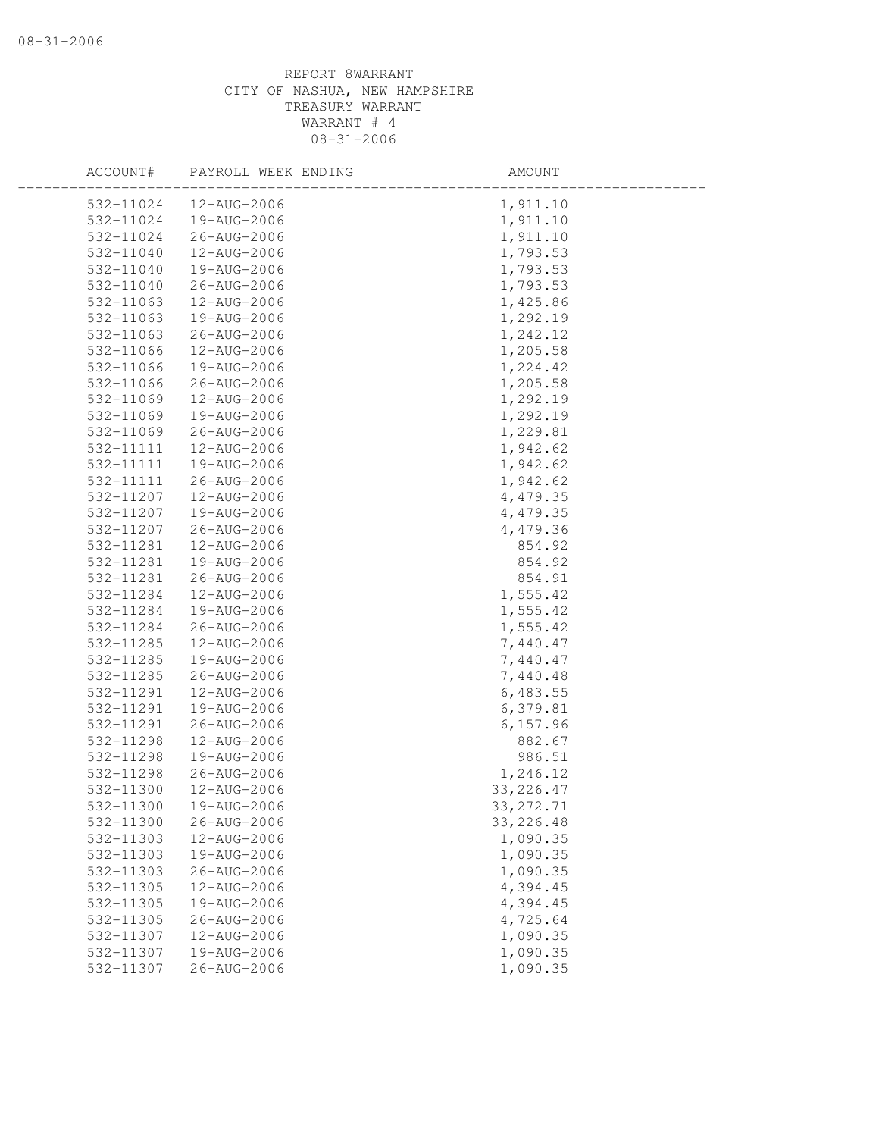| ACCOUNT#  | PAYROLL WEEK ENDING | AMOUNT     |
|-----------|---------------------|------------|
| 532-11024 | 12-AUG-2006         | 1,911.10   |
| 532-11024 | 19-AUG-2006         | 1,911.10   |
| 532-11024 | 26-AUG-2006         | 1,911.10   |
| 532-11040 | 12-AUG-2006         | 1,793.53   |
| 532-11040 | 19-AUG-2006         | 1,793.53   |
| 532-11040 | 26-AUG-2006         | 1,793.53   |
| 532-11063 | 12-AUG-2006         | 1,425.86   |
| 532-11063 | 19-AUG-2006         | 1,292.19   |
| 532-11063 | 26-AUG-2006         | 1,242.12   |
| 532-11066 | 12-AUG-2006         | 1,205.58   |
| 532-11066 | 19-AUG-2006         | 1,224.42   |
| 532-11066 | 26-AUG-2006         | 1,205.58   |
| 532-11069 | 12-AUG-2006         | 1,292.19   |
| 532-11069 | 19-AUG-2006         | 1,292.19   |
| 532-11069 | 26-AUG-2006         | 1,229.81   |
| 532-11111 | 12-AUG-2006         | 1,942.62   |
| 532-11111 | 19-AUG-2006         | 1,942.62   |
| 532-11111 | 26-AUG-2006         | 1,942.62   |
| 532-11207 | 12-AUG-2006         | 4,479.35   |
| 532-11207 | 19-AUG-2006         | 4,479.35   |
| 532-11207 | 26-AUG-2006         | 4,479.36   |
| 532-11281 | 12-AUG-2006         | 854.92     |
| 532-11281 | 19-AUG-2006         | 854.92     |
| 532-11281 | 26-AUG-2006         | 854.91     |
| 532-11284 | 12-AUG-2006         | 1,555.42   |
| 532-11284 | 19-AUG-2006         | 1,555.42   |
| 532-11284 | 26-AUG-2006         | 1,555.42   |
| 532-11285 | 12-AUG-2006         | 7,440.47   |
| 532-11285 | 19-AUG-2006         | 7,440.47   |
| 532-11285 | 26-AUG-2006         | 7,440.48   |
| 532-11291 | 12-AUG-2006         | 6,483.55   |
| 532-11291 | 19-AUG-2006         | 6,379.81   |
| 532-11291 | 26-AUG-2006         | 6, 157.96  |
| 532-11298 | 12-AUG-2006         | 882.67     |
| 532-11298 | 19-AUG-2006         | 986.51     |
| 532-11298 | 26-AUG-2006         | 1,246.12   |
| 532-11300 | 12-AUG-2006         | 33, 226.47 |
| 532-11300 | 19-AUG-2006         | 33, 272.71 |
| 532-11300 | 26-AUG-2006         | 33, 226.48 |
| 532-11303 | 12-AUG-2006         | 1,090.35   |
| 532-11303 | 19-AUG-2006         | 1,090.35   |
| 532-11303 | 26-AUG-2006         | 1,090.35   |
| 532-11305 | 12-AUG-2006         | 4,394.45   |
| 532-11305 | 19-AUG-2006         | 4,394.45   |
| 532-11305 | 26-AUG-2006         | 4,725.64   |
| 532-11307 | 12-AUG-2006         | 1,090.35   |
| 532-11307 | 19-AUG-2006         | 1,090.35   |
| 532-11307 | $26 - AUG - 2006$   | 1,090.35   |
|           |                     |            |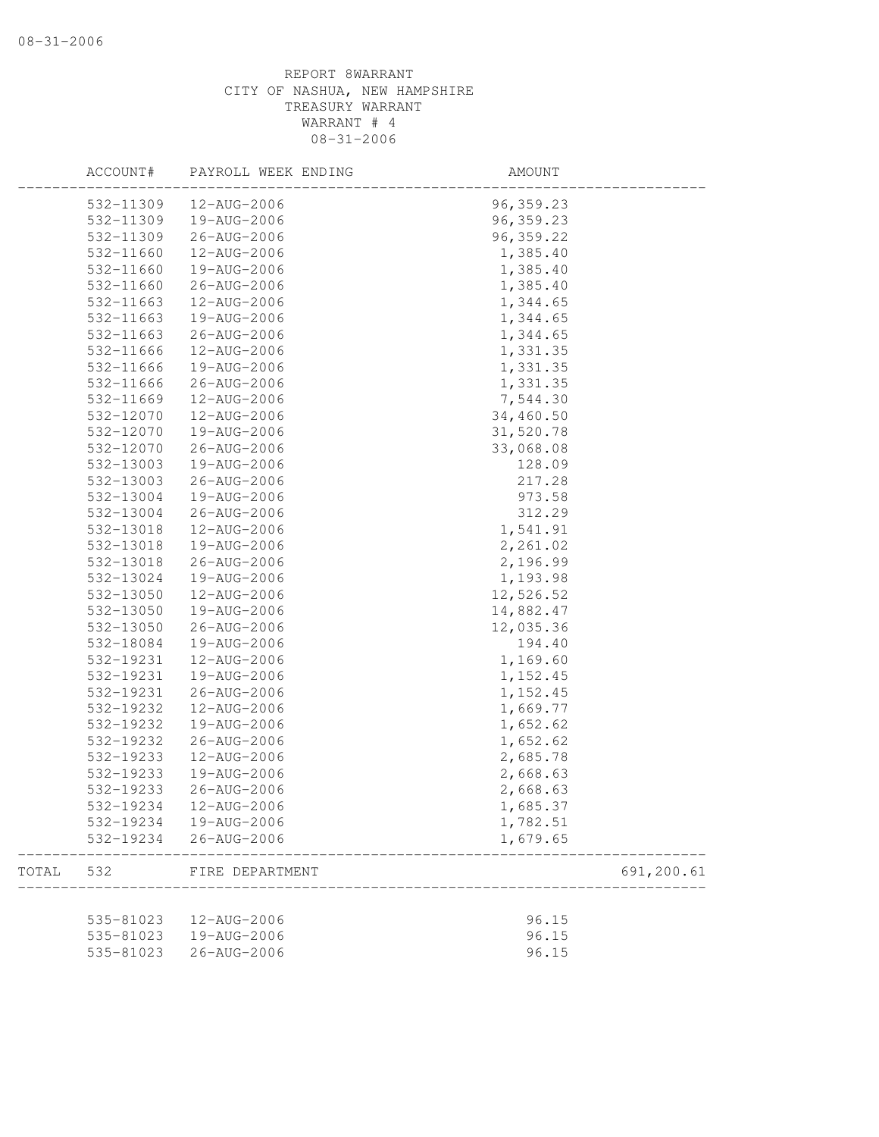|       | ACCOUNT#               | PAYROLL WEEK ENDING        | AMOUNT                 |            |
|-------|------------------------|----------------------------|------------------------|------------|
|       | 532-11309              | 12-AUG-2006                | 96, 359.23             |            |
|       | 532-11309              | 19-AUG-2006                | 96, 359.23             |            |
|       | 532-11309              | 26-AUG-2006                | 96, 359.22             |            |
|       | 532-11660              | 12-AUG-2006                | 1,385.40               |            |
|       | 532-11660              | 19-AUG-2006                | 1,385.40               |            |
|       | 532-11660              | 26-AUG-2006                | 1,385.40               |            |
|       | 532-11663              | 12-AUG-2006                | 1,344.65               |            |
|       | 532-11663              | 19-AUG-2006                | 1,344.65               |            |
|       | 532-11663              | 26-AUG-2006                | 1,344.65               |            |
|       | 532-11666              | 12-AUG-2006                | 1,331.35               |            |
|       | 532-11666              | 19-AUG-2006                | 1,331.35               |            |
|       | 532-11666              | 26-AUG-2006                | 1,331.35               |            |
|       | 532-11669              | 12-AUG-2006                | 7,544.30               |            |
|       | 532-12070              | 12-AUG-2006                | 34,460.50              |            |
|       | 532-12070              | 19-AUG-2006                | 31,520.78              |            |
|       | 532-12070              | 26-AUG-2006                | 33,068.08              |            |
|       | 532-13003              | 19-AUG-2006                | 128.09                 |            |
|       | 532-13003              | 26-AUG-2006                | 217.28                 |            |
|       | 532-13004              | 19-AUG-2006                | 973.58                 |            |
|       | 532-13004              | 26-AUG-2006                | 312.29                 |            |
|       | 532-13018              | 12-AUG-2006                | 1,541.91               |            |
|       | 532-13018              | 19-AUG-2006                | 2,261.02               |            |
|       | 532-13018              | 26-AUG-2006                | 2,196.99               |            |
|       | 532-13024              | 19-AUG-2006                | 1,193.98               |            |
|       | 532-13050              | 12-AUG-2006                | 12,526.52              |            |
|       | 532-13050              | 19-AUG-2006                | 14,882.47<br>12,035.36 |            |
|       | 532-13050<br>532-18084 | 26-AUG-2006<br>19-AUG-2006 | 194.40                 |            |
|       |                        | 12-AUG-2006                | 1,169.60               |            |
|       | 532-19231<br>532-19231 | 19-AUG-2006                | 1,152.45               |            |
|       | 532-19231              | 26-AUG-2006                | 1,152.45               |            |
|       | 532-19232              | 12-AUG-2006                | 1,669.77               |            |
|       | 532-19232              | 19-AUG-2006                | 1,652.62               |            |
|       | 532-19232              | 26-AUG-2006                | 1,652.62               |            |
|       | 532-19233              | 12-AUG-2006                | 2,685.78               |            |
|       | 532-19233              | 19-AUG-2006                | 2,668.63               |            |
|       | 532-19233              | 26-AUG-2006                | 2,668.63               |            |
|       | 532-19234              | 12-AUG-2006                | 1,685.37               |            |
|       | 532-19234              | 19-AUG-2006                | 1,782.51               |            |
|       | 532-19234              | $26 - AUG - 2006$          | 1,679.65               |            |
| TOTAL | 532                    | FIRE DEPARTMENT            |                        | 691,200.61 |
|       |                        |                            |                        |            |
|       | 535-81023              | 12-AUG-2006                | 96.15                  |            |
|       | 535-81023              | 19-AUG-2006                | 96.15                  |            |
|       | 535-81023              | 26-AUG-2006                | 96.15                  |            |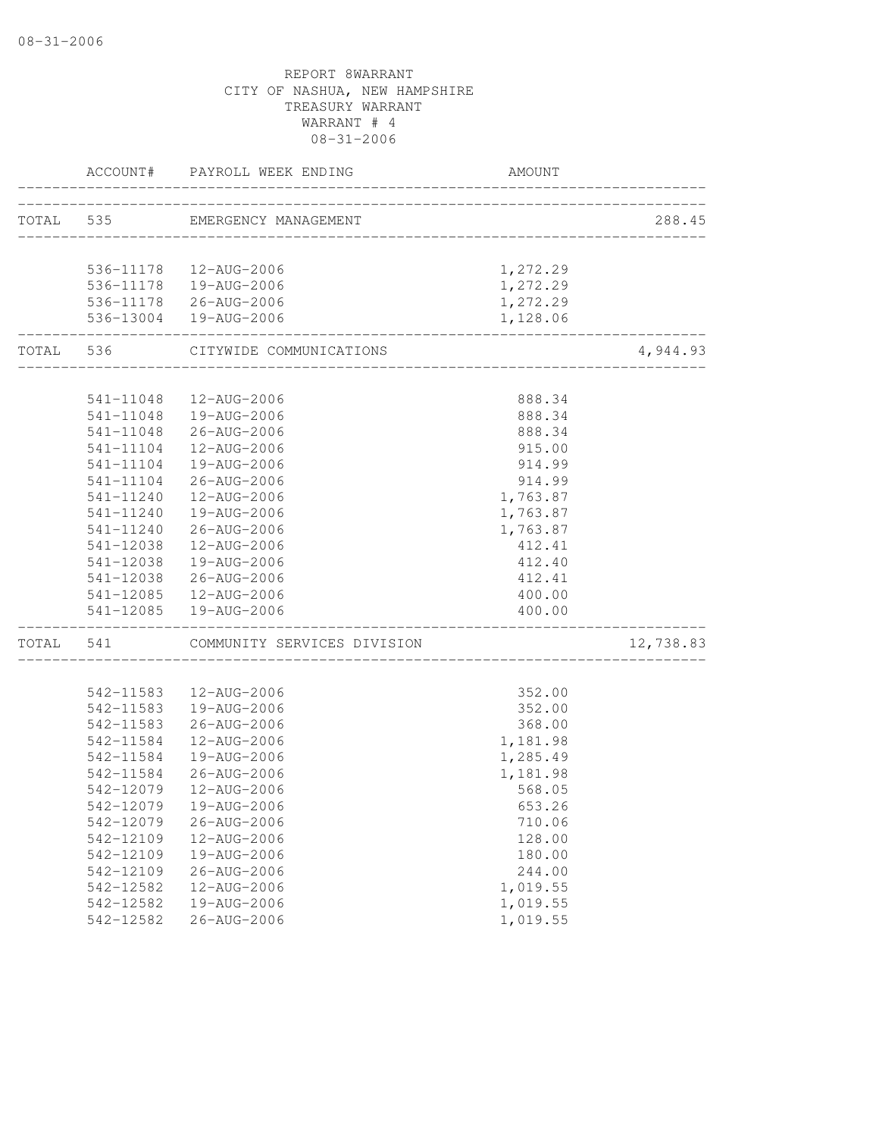|           |                        | ACCOUNT# PAYROLL WEEK ENDING          | AMOUNT                        |           |
|-----------|------------------------|---------------------------------------|-------------------------------|-----------|
|           |                        | TOTAL 535 EMERGENCY MANAGEMENT        |                               | 288.45    |
|           |                        |                                       | ___________________________   |           |
|           |                        | 536-11178  12-AUG-2006                | 1,272.29                      |           |
|           |                        | 536-11178  19-AUG-2006                | 1,272.29                      |           |
|           |                        | 536-11178 26-AUG-2006                 | 1,272.29                      |           |
|           |                        | 536-13004  19-AUG-2006                | 1,128.06<br>_________________ |           |
|           |                        | TOTAL 536 CITYWIDE COMMUNICATIONS     |                               | 4,944.93  |
|           |                        |                                       | 888.34                        |           |
|           | 541-11048              | 12-AUG-2006<br>541-11048  19-AUG-2006 | 888.34                        |           |
|           |                        |                                       |                               |           |
|           |                        | 541-11048 26-AUG-2006                 | 888.34                        |           |
|           | 541-11104              | 12-AUG-2006                           | 915.00                        |           |
|           | 541-11104              | 19-AUG-2006                           | 914.99                        |           |
|           | 541-11104              | 26-AUG-2006                           | 914.99                        |           |
|           | 541-11240              | 12-AUG-2006                           | 1,763.87                      |           |
|           | 541-11240              | 19-AUG-2006                           | 1,763.87                      |           |
|           | 541-11240              | 26-AUG-2006                           | 1,763.87                      |           |
|           | 541-12038              | 12-AUG-2006                           | 412.41                        |           |
|           | 541-12038              | 19-AUG-2006                           | 412.40                        |           |
|           |                        | 541-12038 26-AUG-2006                 | 412.41                        |           |
|           |                        | 541-12085  12-AUG-2006                | 400.00                        |           |
|           |                        | 541-12085  19-AUG-2006                | 400.00                        |           |
| TOTAL 541 |                        | COMMUNITY SERVICES DIVISION           |                               | 12,738.83 |
|           |                        | 542-11583  12-AUG-2006                | 352.00                        |           |
|           |                        | 542-11583  19-AUG-2006                | 352.00                        |           |
|           |                        | 542-11583 26-AUG-2006                 | 368.00                        |           |
|           | 542-11584              | 12-AUG-2006                           | 1,181.98                      |           |
|           | 542-11584              | 19-AUG-2006                           | 1,285.49                      |           |
|           | 542-11584              | 26-AUG-2006                           | 1,181.98                      |           |
|           | 542-12079              | 12-AUG-2006                           | 568.05                        |           |
|           |                        | 542-12079  19-AUG-2006                | 653.26                        |           |
|           |                        |                                       |                               |           |
|           | 542-12079              | 26-AUG-2006                           | 710.06                        |           |
|           | 542-12109<br>542-12109 | 12-AUG-2006                           | 128.00                        |           |
|           |                        | 19-AUG-2006                           | 180.00                        |           |
|           | 542-12109              | $26 - AUG - 2006$                     | 244.00                        |           |
|           | 542-12582              | 12-AUG-2006<br>19-AUG-2006            | 1,019.55                      |           |
|           | 542-12582              |                                       | 1,019.55                      |           |
|           | 542-12582              | 26-AUG-2006                           | 1,019.55                      |           |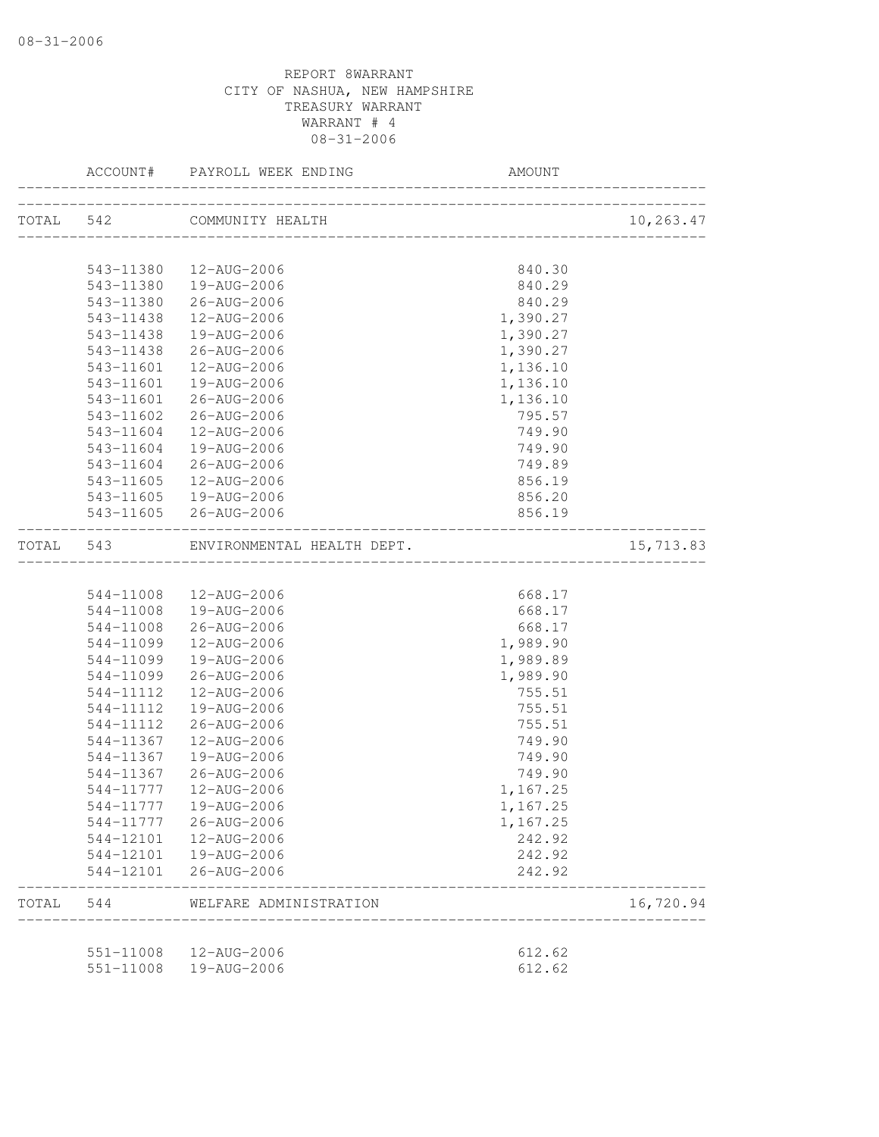|           |           | ACCOUNT# PAYROLL WEEK ENDING | AMOUNT                         |           |
|-----------|-----------|------------------------------|--------------------------------|-----------|
|           |           | TOTAL 542 COMMUNITY HEALTH   |                                | 10,263.47 |
|           |           |                              |                                |           |
|           |           | 543-11380  12-AUG-2006       | 840.30                         |           |
|           |           | 543-11380  19-AUG-2006       | 840.29                         |           |
|           |           | 543-11380 26-AUG-2006        | 840.29                         |           |
|           | 543-11438 | 12-AUG-2006                  | 1,390.27                       |           |
|           | 543-11438 | 19-AUG-2006                  | 1,390.27                       |           |
|           | 543-11438 | 26-AUG-2006                  | 1,390.27                       |           |
|           | 543-11601 | 12-AUG-2006                  | 1,136.10                       |           |
|           | 543-11601 | 19-AUG-2006                  | 1,136.10                       |           |
|           | 543-11601 | 26-AUG-2006                  | 1,136.10                       |           |
|           | 543-11602 | 26-AUG-2006                  | 795.57                         |           |
|           | 543-11604 | 12-AUG-2006                  | 749.90                         |           |
|           | 543-11604 | 19-AUG-2006                  | 749.90                         |           |
|           | 543-11604 | 26-AUG-2006                  | 749.89                         |           |
|           | 543-11605 | 12-AUG-2006                  | 856.19                         |           |
|           |           | 543-11605  19-AUG-2006       | 856.20                         |           |
|           |           | 543-11605 26-AUG-2006        | 856.19                         |           |
| TOTAL 543 |           | ENVIRONMENTAL HEALTH DEPT.   | ______________________________ | 15,713.83 |
|           |           |                              |                                |           |
|           |           | 544-11008  12-AUG-2006       | 668.17                         |           |
|           |           | 544-11008  19-AUG-2006       | 668.17                         |           |
|           | 544-11008 | 26-AUG-2006                  | 668.17                         |           |
|           | 544-11099 | 12-AUG-2006                  | 1,989.90                       |           |
|           | 544-11099 | 19-AUG-2006                  | 1,989.89                       |           |
|           | 544-11099 | 26-AUG-2006                  | 1,989.90                       |           |
|           | 544-11112 | 12-AUG-2006                  | 755.51                         |           |
|           | 544-11112 | 19-AUG-2006                  | 755.51                         |           |
|           | 544-11112 | 26-AUG-2006                  | 755.51                         |           |
|           | 544-11367 | 12-AUG-2006                  | 749.90                         |           |
|           | 544-11367 | 19-AUG-2006                  | 749.90                         |           |
|           | 544-11367 | 26-AUG-2006                  | 749.90                         |           |
|           | 544-11777 | 12-AUG-2006                  | 1,167.25                       |           |
|           |           | 544-11777  19-AUG-2006       | 1,167.25                       |           |
|           | 544-11777 | 26-AUG-2006                  | 1,167.25                       |           |
|           |           | 544-12101  12-AUG-2006       | 242.92                         |           |
|           |           | 544-12101  19-AUG-2006       | 242.92                         |           |
|           | 544-12101 | 26-AUG-2006                  | 242.92                         |           |
| TOTAL     | 544       | WELFARE ADMINISTRATION       |                                | 16,720.94 |
|           |           |                              |                                |           |
|           | 551-11008 | 12-AUG-2006                  | 612.62                         |           |
|           | 551-11008 | 19-AUG-2006                  | 612.62                         |           |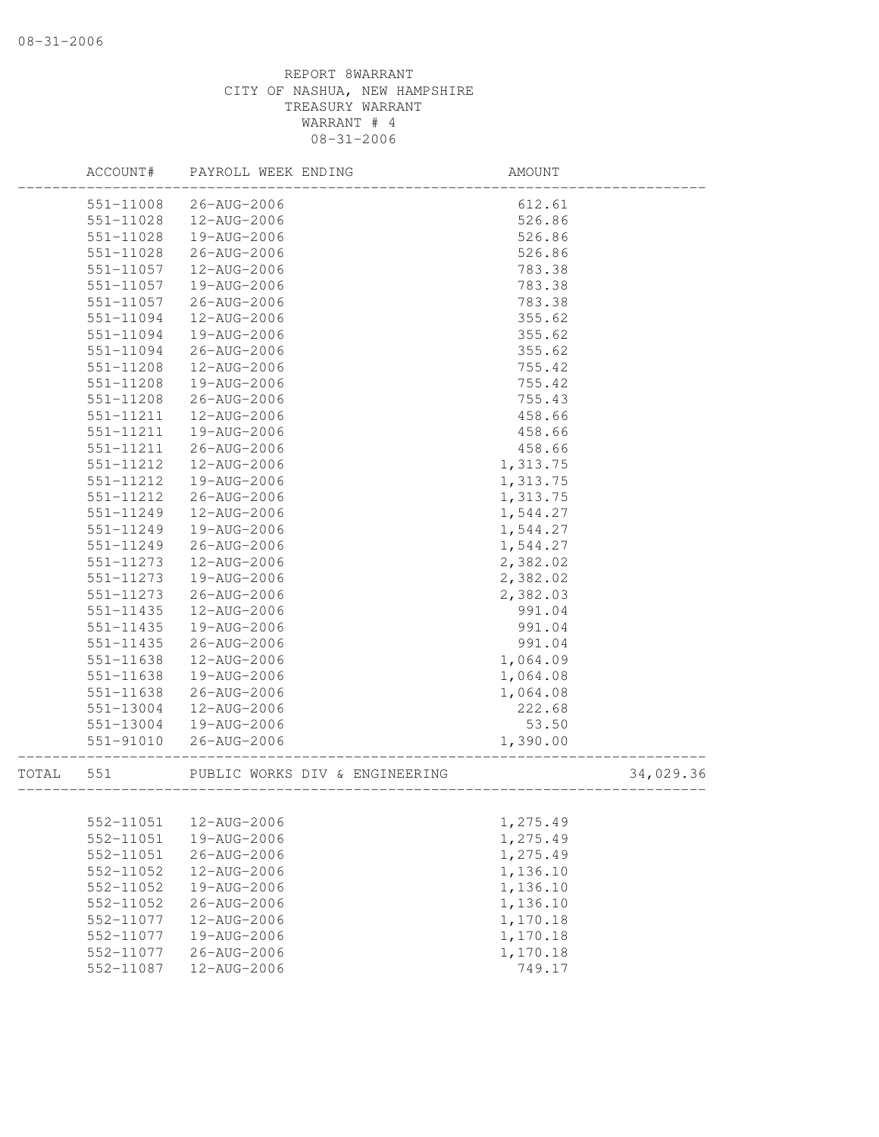|           | ACCOUNT#  | PAYROLL WEEK ENDING            | AMOUNT   |           |
|-----------|-----------|--------------------------------|----------|-----------|
|           | 551-11008 | 26-AUG-2006                    | 612.61   |           |
|           | 551-11028 | 12-AUG-2006                    | 526.86   |           |
|           | 551-11028 | 19-AUG-2006                    | 526.86   |           |
|           | 551-11028 | 26-AUG-2006                    | 526.86   |           |
|           | 551-11057 | 12-AUG-2006                    | 783.38   |           |
|           | 551-11057 | 19-AUG-2006                    | 783.38   |           |
|           | 551-11057 | 26-AUG-2006                    | 783.38   |           |
|           | 551-11094 | 12-AUG-2006                    | 355.62   |           |
|           | 551-11094 | 19-AUG-2006                    | 355.62   |           |
|           | 551-11094 | 26-AUG-2006                    | 355.62   |           |
|           | 551-11208 | 12-AUG-2006                    | 755.42   |           |
|           | 551-11208 | 19-AUG-2006                    | 755.42   |           |
|           | 551-11208 | 26-AUG-2006                    | 755.43   |           |
|           | 551-11211 | 12-AUG-2006                    | 458.66   |           |
|           | 551-11211 | 19-AUG-2006                    | 458.66   |           |
|           | 551-11211 | 26-AUG-2006                    | 458.66   |           |
|           | 551-11212 | 12-AUG-2006                    | 1,313.75 |           |
|           | 551-11212 | 19-AUG-2006                    | 1,313.75 |           |
|           | 551-11212 | 26-AUG-2006                    | 1,313.75 |           |
|           | 551-11249 | 12-AUG-2006                    | 1,544.27 |           |
|           | 551-11249 | 19-AUG-2006                    | 1,544.27 |           |
|           | 551-11249 | 26-AUG-2006                    | 1,544.27 |           |
|           | 551-11273 | 12-AUG-2006                    | 2,382.02 |           |
|           | 551-11273 | 19-AUG-2006                    | 2,382.02 |           |
|           | 551-11273 | 26-AUG-2006                    | 2,382.03 |           |
|           | 551-11435 | 12-AUG-2006                    | 991.04   |           |
|           | 551-11435 | 19-AUG-2006                    | 991.04   |           |
|           | 551-11435 | 26-AUG-2006                    | 991.04   |           |
|           | 551-11638 | 12-AUG-2006                    | 1,064.09 |           |
|           | 551-11638 | 19-AUG-2006                    | 1,064.08 |           |
|           | 551-11638 | 26-AUG-2006                    | 1,064.08 |           |
|           | 551-13004 | 12-AUG-2006                    | 222.68   |           |
|           | 551-13004 | 19-AUG-2006                    | 53.50    |           |
|           | 551-91010 | 26-AUG-2006                    | 1,390.00 |           |
| TOTAL 551 |           | PUBLIC WORKS DIV & ENGINEERING |          | 34,029.36 |
|           |           |                                |          |           |
|           | 552-11051 | 12-AUG-2006                    | 1,275.49 |           |
|           | 552-11051 | 19-AUG-2006                    | 1,275.49 |           |
|           | 552-11051 | 26-AUG-2006                    | 1,275.49 |           |
|           | 552-11052 | 12-AUG-2006                    | 1,136.10 |           |
|           | 552-11052 | 19-AUG-2006                    | 1,136.10 |           |
|           | 552-11052 | $26 - AUG - 2006$              | 1,136.10 |           |
|           | 552-11077 | 12-AUG-2006                    | 1,170.18 |           |
|           | 552-11077 | 19-AUG-2006                    | 1,170.18 |           |
|           | 552-11077 | 26-AUG-2006                    | 1,170.18 |           |
|           | 552-11087 | 12-AUG-2006                    | 749.17   |           |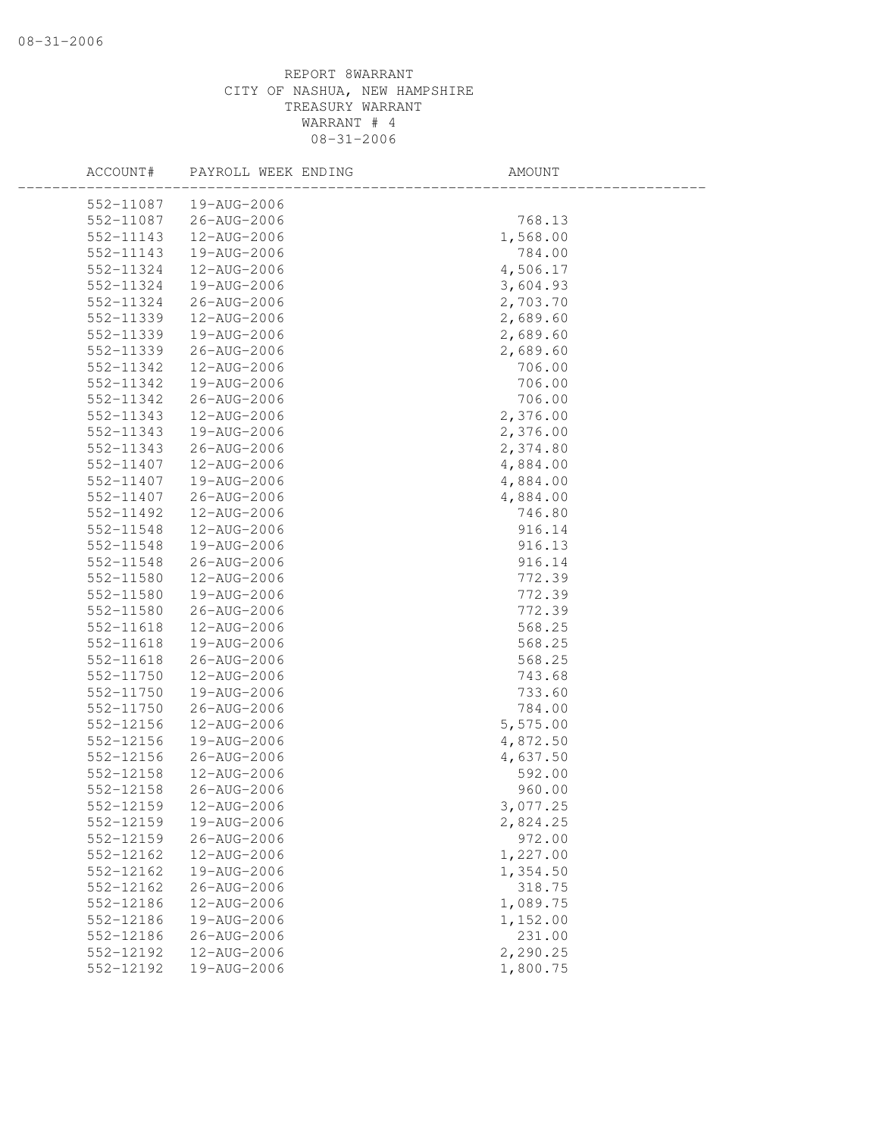| ACCOUNT#  | PAYROLL WEEK ENDING | AMOUNT   |  |
|-----------|---------------------|----------|--|
| 552-11087 | 19-AUG-2006         |          |  |
| 552-11087 | 26-AUG-2006         | 768.13   |  |
| 552-11143 | 12-AUG-2006         | 1,568.00 |  |
| 552-11143 | 19-AUG-2006         | 784.00   |  |
| 552-11324 | 12-AUG-2006         | 4,506.17 |  |
| 552-11324 | 19-AUG-2006         | 3,604.93 |  |
| 552-11324 | 26-AUG-2006         | 2,703.70 |  |
| 552-11339 | 12-AUG-2006         | 2,689.60 |  |
| 552-11339 | 19-AUG-2006         | 2,689.60 |  |
| 552-11339 | 26-AUG-2006         | 2,689.60 |  |
| 552-11342 | 12-AUG-2006         | 706.00   |  |
| 552-11342 | 19-AUG-2006         | 706.00   |  |
| 552-11342 | 26-AUG-2006         | 706.00   |  |
| 552-11343 | 12-AUG-2006         | 2,376.00 |  |
| 552-11343 | 19-AUG-2006         | 2,376.00 |  |
| 552-11343 | 26-AUG-2006         | 2,374.80 |  |
| 552-11407 | 12-AUG-2006         | 4,884.00 |  |
| 552-11407 | 19-AUG-2006         | 4,884.00 |  |
| 552-11407 | 26-AUG-2006         | 4,884.00 |  |
| 552-11492 | 12-AUG-2006         | 746.80   |  |
| 552-11548 | 12-AUG-2006         | 916.14   |  |
| 552-11548 | 19-AUG-2006         | 916.13   |  |
| 552-11548 | 26-AUG-2006         | 916.14   |  |
| 552-11580 | 12-AUG-2006         | 772.39   |  |
| 552-11580 | 19-AUG-2006         | 772.39   |  |
| 552-11580 | 26-AUG-2006         | 772.39   |  |
| 552-11618 | 12-AUG-2006         | 568.25   |  |
| 552-11618 | 19-AUG-2006         | 568.25   |  |
| 552-11618 | 26-AUG-2006         | 568.25   |  |
| 552-11750 | 12-AUG-2006         | 743.68   |  |
| 552-11750 | 19-AUG-2006         | 733.60   |  |
| 552-11750 | 26-AUG-2006         | 784.00   |  |
| 552-12156 | 12-AUG-2006         | 5,575.00 |  |
| 552-12156 | 19-AUG-2006         | 4,872.50 |  |
| 552-12156 | 26-AUG-2006         | 4,637.50 |  |
| 552-12158 | 12-AUG-2006         | 592.00   |  |
| 552-12158 | 26-AUG-2006         | 960.00   |  |
| 552-12159 | 12-AUG-2006         | 3,077.25 |  |
| 552-12159 | 19-AUG-2006         | 2,824.25 |  |
| 552-12159 | 26-AUG-2006         | 972.00   |  |
| 552-12162 | 12-AUG-2006         | 1,227.00 |  |
| 552-12162 | 19-AUG-2006         | 1,354.50 |  |
| 552-12162 | $26 - AUG - 2006$   | 318.75   |  |
| 552-12186 | 12-AUG-2006         | 1,089.75 |  |
| 552-12186 | 19-AUG-2006         | 1,152.00 |  |
| 552-12186 | $26 - AUG - 2006$   | 231.00   |  |
| 552-12192 | 12-AUG-2006         | 2,290.25 |  |
| 552-12192 | 19-AUG-2006         | 1,800.75 |  |
|           |                     |          |  |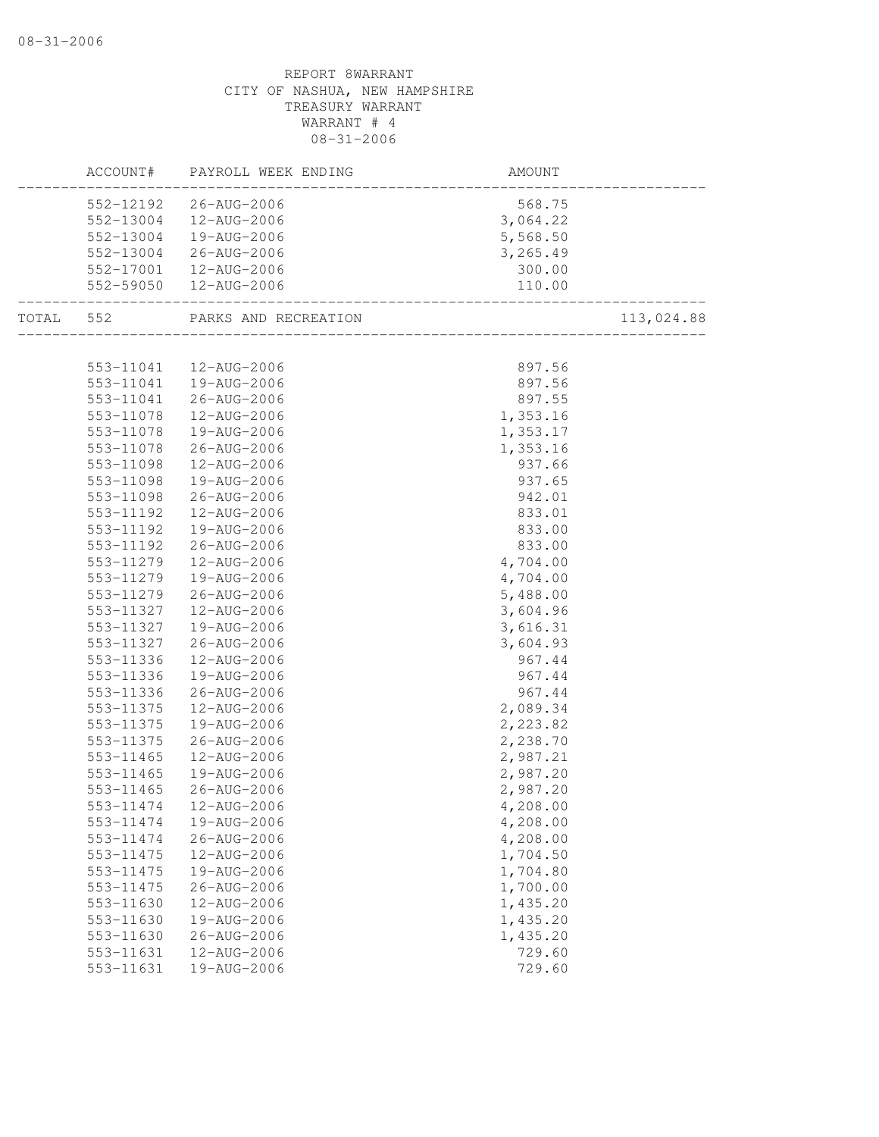|           |           | ACCOUNT# PAYROLL WEEK ENDING | __________________<br>AMOUNT       |            |
|-----------|-----------|------------------------------|------------------------------------|------------|
|           |           | 552-12192 26-AUG-2006        | 568.75                             |            |
|           | 552-13004 | 12-AUG-2006                  | 3,064.22                           |            |
|           | 552-13004 | 19-AUG-2006                  | 5,568.50                           |            |
|           |           | 552-13004 26-AUG-2006        | 3,265.49                           |            |
|           |           | 552-17001  12-AUG-2006       | 300.00                             |            |
|           |           | 552-59050  12-AUG-2006       | 110.00<br>________________________ |            |
| TOTAL 552 |           | PARKS AND RECREATION         |                                    | 113,024.88 |
|           |           |                              |                                    |            |
|           |           | 553-11041  12-AUG-2006       | 897.56                             |            |
|           |           | 553-11041  19-AUG-2006       | 897.56                             |            |
|           |           | 553-11041 26-AUG-2006        | 897.55                             |            |
|           | 553-11078 | 12-AUG-2006                  | 1,353.16                           |            |
|           | 553-11078 | 19-AUG-2006                  | 1,353.17                           |            |
|           | 553-11078 | 26-AUG-2006                  | 1,353.16                           |            |
|           | 553-11098 | 12-AUG-2006                  | 937.66                             |            |
|           | 553-11098 | 19-AUG-2006                  | 937.65                             |            |
|           | 553-11098 | 26-AUG-2006                  | 942.01                             |            |
|           | 553-11192 | 12-AUG-2006                  | 833.01                             |            |
|           | 553-11192 | 19-AUG-2006                  | 833.00                             |            |
|           | 553-11192 | 26-AUG-2006                  | 833.00                             |            |
|           | 553-11279 | 12-AUG-2006                  | 4,704.00                           |            |
|           | 553-11279 | 19-AUG-2006                  | 4,704.00                           |            |
|           | 553-11279 | 26-AUG-2006                  | 5,488.00                           |            |
|           | 553-11327 | 12-AUG-2006                  | 3,604.96                           |            |
|           | 553-11327 | 19-AUG-2006                  | 3,616.31                           |            |
|           | 553-11327 | 26-AUG-2006                  | 3,604.93                           |            |
|           | 553-11336 | 12-AUG-2006                  | 967.44                             |            |
|           | 553-11336 | 19-AUG-2006                  | 967.44                             |            |
|           | 553-11336 | 26-AUG-2006                  | 967.44                             |            |
|           | 553-11375 | 12-AUG-2006                  | 2,089.34                           |            |
|           | 553-11375 | 19-AUG-2006                  | 2,223.82                           |            |
|           | 553-11375 | 26-AUG-2006                  | 2,238.70                           |            |
|           | 553-11465 | 12-AUG-2006                  | 2,987.21                           |            |
|           | 553-11465 | 19-AUG-2006                  | 2,987.20                           |            |
|           | 553-11465 | 26-AUG-2006                  | 2,987.20                           |            |
|           |           | 553-11474   12-AUG-2006      | 4,208.00                           |            |
|           | 553-11474 | 19-AUG-2006                  | 4,208.00                           |            |
|           | 553-11474 | 26-AUG-2006                  | 4,208.00                           |            |
|           | 553-11475 | 12-AUG-2006                  | 1,704.50                           |            |
|           | 553-11475 | 19-AUG-2006                  | 1,704.80                           |            |
|           | 553-11475 | 26-AUG-2006                  | 1,700.00                           |            |
|           | 553-11630 | 12-AUG-2006                  | 1,435.20                           |            |
|           | 553-11630 | 19-AUG-2006                  | 1,435.20                           |            |
|           | 553-11630 | $26 - AUG - 2006$            | 1,435.20                           |            |
|           | 553-11631 | 12-AUG-2006                  | 729.60                             |            |
|           | 553-11631 | 19-AUG-2006                  | 729.60                             |            |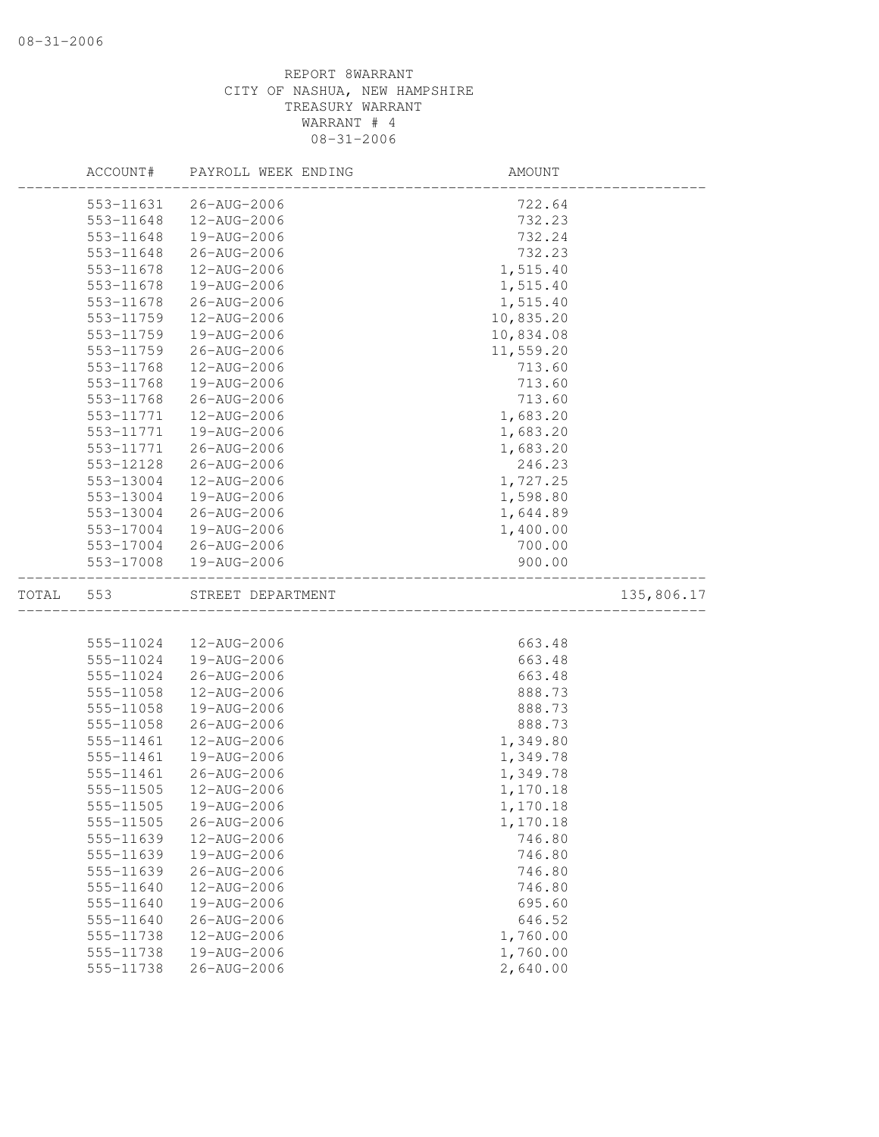|       | ACCOUNT#               | PAYROLL WEEK ENDING              | AMOUNT               |            |
|-------|------------------------|----------------------------------|----------------------|------------|
|       | 553-11631              | 26-AUG-2006                      | 722.64               |            |
|       | 553-11648              | 12-AUG-2006                      | 732.23               |            |
|       | 553-11648              | 19-AUG-2006                      | 732.24               |            |
|       | 553-11648              | 26-AUG-2006                      | 732.23               |            |
|       | 553-11678              | 12-AUG-2006                      | 1,515.40             |            |
|       | 553-11678              | 19-AUG-2006                      | 1,515.40             |            |
|       | 553-11678              | 26-AUG-2006                      | 1,515.40             |            |
|       | 553-11759              | 12-AUG-2006                      | 10,835.20            |            |
|       | 553-11759              | 19-AUG-2006                      | 10,834.08            |            |
|       | 553-11759              | 26-AUG-2006                      | 11,559.20            |            |
|       | 553-11768              | 12-AUG-2006                      | 713.60               |            |
|       | 553-11768              | 19-AUG-2006                      | 713.60               |            |
|       | 553-11768              | 26-AUG-2006                      | 713.60               |            |
|       | 553-11771              | 12-AUG-2006                      | 1,683.20             |            |
|       | 553-11771              | 19-AUG-2006                      | 1,683.20             |            |
|       | 553-11771              | 26-AUG-2006                      | 1,683.20             |            |
|       | 553-12128              | 26-AUG-2006                      | 246.23               |            |
|       | 553-13004              | 12-AUG-2006                      | 1,727.25             |            |
|       | 553-13004              | 19-AUG-2006                      | 1,598.80             |            |
|       | 553-13004              | 26-AUG-2006                      | 1,644.89             |            |
|       | 553-17004              | 19-AUG-2006                      | 1,400.00             |            |
|       | 553-17004              | 26-AUG-2006                      | 700.00               |            |
|       | 553-17008              | 19-AUG-2006                      | 900.00               |            |
| TOTAL | 553                    | STREET DEPARTMENT                |                      | 135,806.17 |
|       |                        |                                  |                      |            |
|       | 555-11024              | 12-AUG-2006                      | 663.48               |            |
|       | 555-11024              | 19-AUG-2006                      | 663.48               |            |
|       | 555-11024              | 26-AUG-2006                      | 663.48               |            |
|       | 555-11058              | 12-AUG-2006                      | 888.73               |            |
|       | 555-11058              | 19-AUG-2006                      | 888.73               |            |
|       | 555-11058              | 26-AUG-2006                      | 888.73               |            |
|       | 555-11461              | 12-AUG-2006                      | 1,349.80             |            |
|       | 555-11461              | 19-AUG-2006                      | 1,349.78             |            |
|       | 555-11461              | 26-AUG-2006                      | 1,349.78             |            |
|       | 555-11505              | 12-AUG-2006                      | 1,170.18             |            |
|       | 555-11505              | 19-AUG-2006                      | 1,170.18             |            |
|       | 555-11505              | 26-AUG-2006                      | 1,170.18             |            |
|       | 555-11639              | 12-AUG-2006                      | 746.80               |            |
|       | 555-11639              | 19-AUG-2006                      | 746.80               |            |
|       | 555-11639              | 26-AUG-2006                      | 746.80               |            |
|       | 555-11640              | 12-AUG-2006                      | 746.80               |            |
|       | 555-11640              | 19-AUG-2006                      | 695.60               |            |
|       | 555-11640              | 26-AUG-2006                      | 646.52               |            |
|       |                        |                                  |                      |            |
|       |                        |                                  |                      |            |
|       | 555-11738              | 12-AUG-2006                      | 1,760.00             |            |
|       | 555-11738<br>555-11738 | 19-AUG-2006<br>$26 - AUG - 2006$ | 1,760.00<br>2,640.00 |            |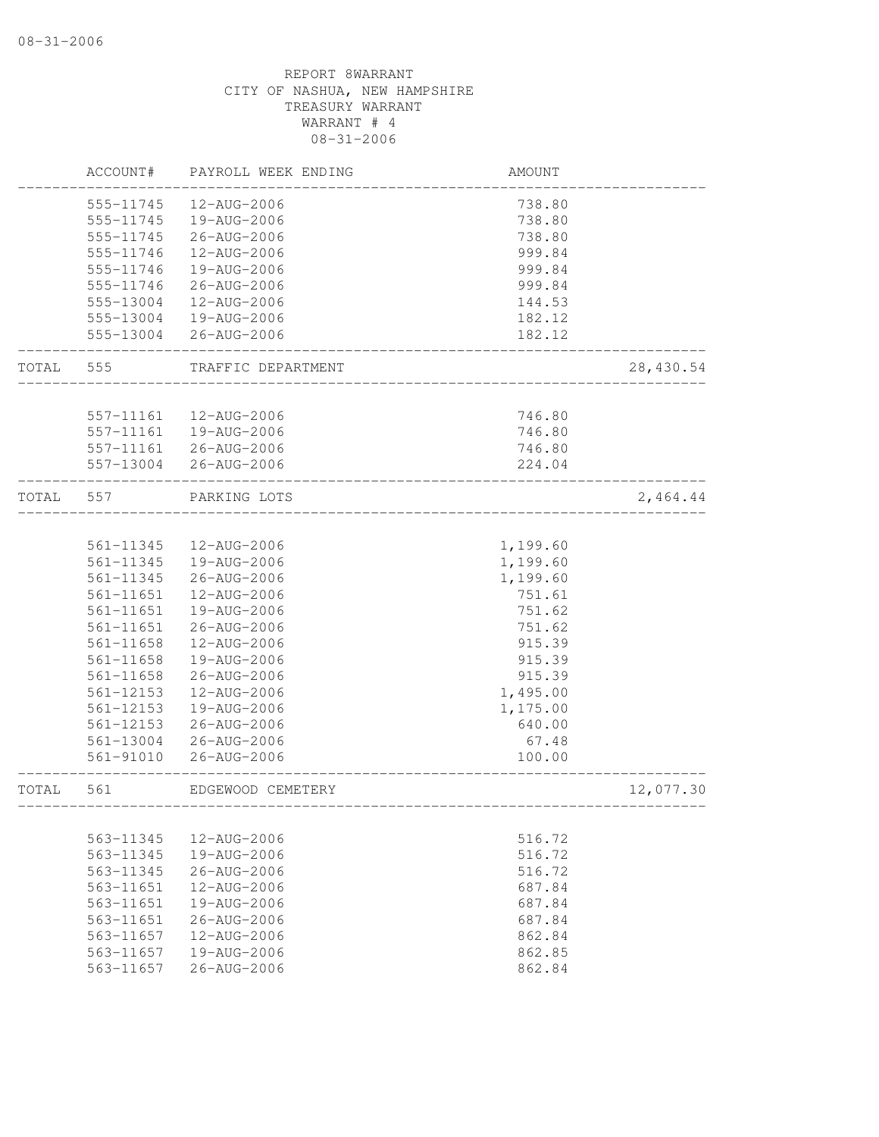|       | ACCOUNT#               | PAYROLL WEEK ENDING        | AMOUNT                          |            |
|-------|------------------------|----------------------------|---------------------------------|------------|
|       | 555-11745              | 12-AUG-2006                | 738.80                          |            |
|       | 555-11745              | 19-AUG-2006                | 738.80                          |            |
|       | 555-11745              | 26-AUG-2006                | 738.80                          |            |
|       | 555-11746              | 12-AUG-2006                | 999.84                          |            |
|       | 555-11746              | 19-AUG-2006                | 999.84                          |            |
|       | 555-11746              | 26-AUG-2006                | 999.84                          |            |
|       | 555-13004              | 12-AUG-2006                | 144.53                          |            |
|       | 555-13004              | 19-AUG-2006                | 182.12                          |            |
|       | 555-13004              | 26-AUG-2006                | 182.12                          |            |
| TOTAL | 555                    | TRAFFIC DEPARTMENT         |                                 | 28, 430.54 |
|       |                        |                            |                                 |            |
|       | 557-11161              | 12-AUG-2006                | 746.80                          |            |
|       | 557-11161              | 19-AUG-2006                | 746.80                          |            |
|       | 557-11161<br>557-13004 | 26-AUG-2006<br>26-AUG-2006 | 746.80<br>224.04                |            |
| TOTAL | 557                    | PARKING LOTS               |                                 | 2,464.44   |
|       |                        |                            |                                 |            |
|       | 561-11345              | 12-AUG-2006                | 1,199.60                        |            |
|       | 561-11345              | 19-AUG-2006                | 1,199.60                        |            |
|       | 561-11345              | 26-AUG-2006                | 1,199.60                        |            |
|       | 561-11651              | 12-AUG-2006                | 751.61                          |            |
|       | 561-11651              | 19-AUG-2006                | 751.62                          |            |
|       | 561-11651              | 26-AUG-2006                | 751.62                          |            |
|       | 561-11658              | 12-AUG-2006                | 915.39                          |            |
|       | 561-11658              | 19-AUG-2006                | 915.39                          |            |
|       | 561-11658              | 26-AUG-2006                | 915.39                          |            |
|       | 561-12153              | 12-AUG-2006                | 1,495.00                        |            |
|       | 561-12153              | 19-AUG-2006                | 1,175.00                        |            |
|       | 561-12153              | 26-AUG-2006                | 640.00                          |            |
|       | 561-13004              | 26-AUG-2006                | 67.48                           |            |
|       | 561-91010              | 26-AUG-2006                | 100.00                          |            |
| TOTAL | 561                    | EDGEWOOD CEMETERY          | _______________________________ | 12,077.30  |
|       |                        |                            |                                 |            |
|       | 563-11345              | 12-AUG-2006                | 516.72                          |            |
|       | 563-11345              | 19-AUG-2006                | 516.72                          |            |
|       | 563-11345              | 26-AUG-2006                | 516.72                          |            |
|       | 563-11651              | 12-AUG-2006                | 687.84                          |            |
|       | 563-11651              | $19 - \text{AUG} - 2006$   | 687.84                          |            |
|       | 563-11651              | $26 - \text{AUG} - 2006$   | 687.84                          |            |
|       | 563-11657              | 12-AUG-2006                | 862.84                          |            |
|       | 563-11657              | 19-AUG-2006                | 862.85                          |            |
|       | 563-11657              | 26-AUG-2006                | 862.84                          |            |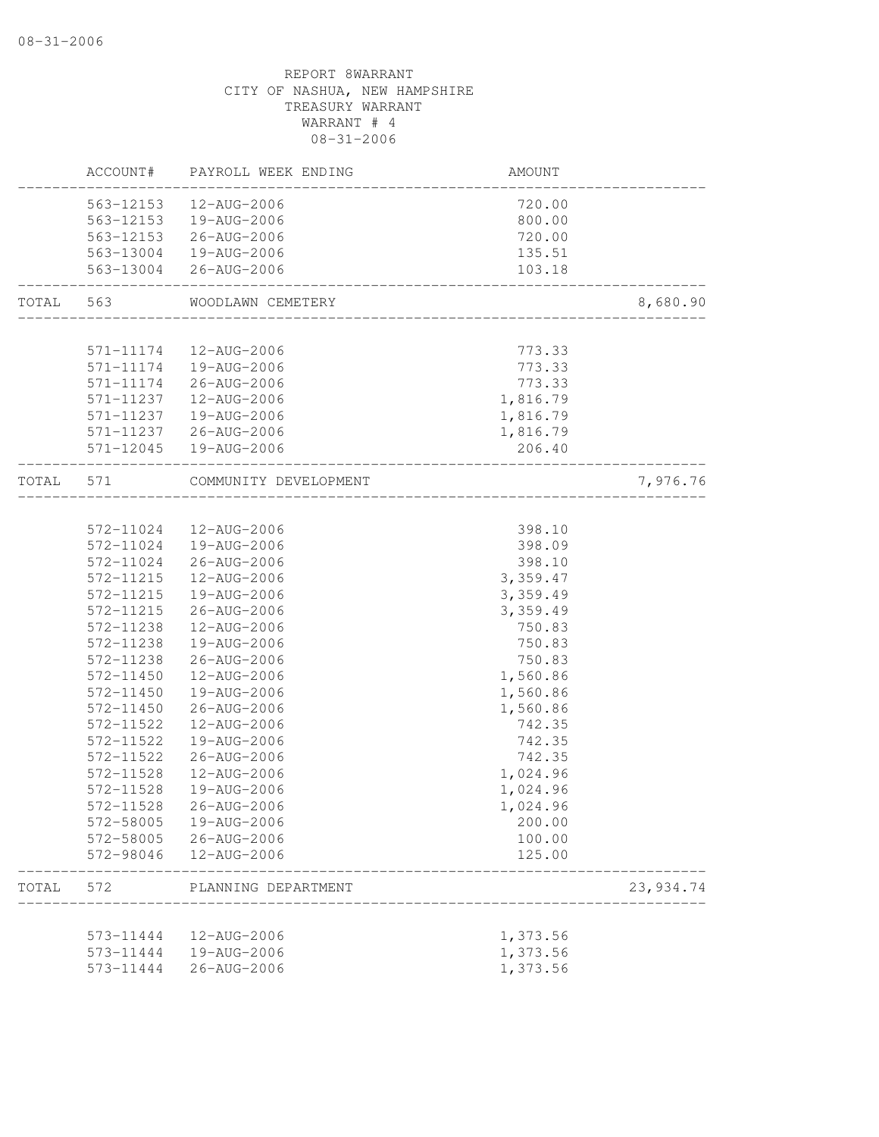|           |                        | ACCOUNT# PAYROLL WEEK ENDING                    | AMOUNT             |            |
|-----------|------------------------|-------------------------------------------------|--------------------|------------|
|           | 563-12153              | 12-AUG-2006                                     | 720.00             |            |
|           |                        | 563-12153  19-AUG-2006                          | 800.00             |            |
|           |                        | 563-12153 26-AUG-2006                           | 720.00             |            |
|           |                        | 563-13004  19-AUG-2006                          | 135.51             |            |
|           |                        | 563-13004 26-AUG-2006                           | 103.18             |            |
| TOTAL 563 |                        | WOODLAWN CEMETERY                               |                    | 8,680.90   |
|           |                        |                                                 |                    |            |
|           | 571-11174<br>571-11174 | 12-AUG-2006<br>19-AUG-2006                      | 773.33<br>773.33   |            |
|           |                        | 571-11174 26-AUG-2006                           | 773.33             |            |
|           |                        |                                                 |                    |            |
|           | 571-11237              | 12-AUG-2006                                     | 1,816.79           |            |
|           | 571-11237              | 19-AUG-2006                                     | 1,816.79           |            |
|           |                        | 571-11237 26-AUG-2006<br>571-12045  19-AUG-2006 | 1,816.79<br>206.40 |            |
| TOTAL 571 |                        | COMMUNITY DEVELOPMENT                           |                    | 7,976.76   |
|           |                        |                                                 | _________________  |            |
|           | 572-11024              | 12-AUG-2006                                     | 398.10             |            |
|           | 572-11024              | 19-AUG-2006                                     | 398.09             |            |
|           | 572-11024              | 26-AUG-2006                                     | 398.10             |            |
|           | 572-11215              | 12-AUG-2006                                     | 3,359.47           |            |
|           | 572-11215              | 19-AUG-2006                                     | 3,359.49           |            |
|           | 572-11215              | 26-AUG-2006                                     | 3,359.49           |            |
|           | 572-11238              | 12-AUG-2006                                     | 750.83             |            |
|           | 572-11238              | 19-AUG-2006                                     | 750.83             |            |
|           | 572-11238              | 26-AUG-2006                                     | 750.83             |            |
|           | 572-11450              | 12-AUG-2006                                     | 1,560.86           |            |
|           | 572-11450              | 19-AUG-2006                                     | 1,560.86           |            |
|           | 572-11450              | 26-AUG-2006                                     | 1,560.86           |            |
|           | 572-11522              | 12-AUG-2006                                     | 742.35             |            |
|           | 572-11522              | 19-AUG-2006                                     | 742.35             |            |
|           | 572-11522              | 26-AUG-2006                                     | 742.35             |            |
|           | 572-11528              | 12-AUG-2006                                     | 1,024.96           |            |
|           | 572-11528              | 19-AUG-2006                                     | 1,024.96           |            |
|           | 572-11528              | 26-AUG-2006                                     | 1,024.96           |            |
|           |                        | 572-58005  19-AUG-2006                          | 200.00             |            |
|           |                        | 572-58005 26-AUG-2006                           | 100.00             |            |
|           |                        | 572-98046  12-AUG-2006                          | 125.00             |            |
| TOTAL     | 572                    | PLANNING DEPARTMENT<br>-------------------      |                    | 23, 934.74 |
|           |                        |                                                 |                    |            |
|           |                        | 573-11444  12-AUG-2006                          | 1,373.56           |            |
|           |                        | 573-11444   19-AUG-2006                         | 1,373.56           |            |
|           | 573-11444              | 26-AUG-2006                                     | 1,373.56           |            |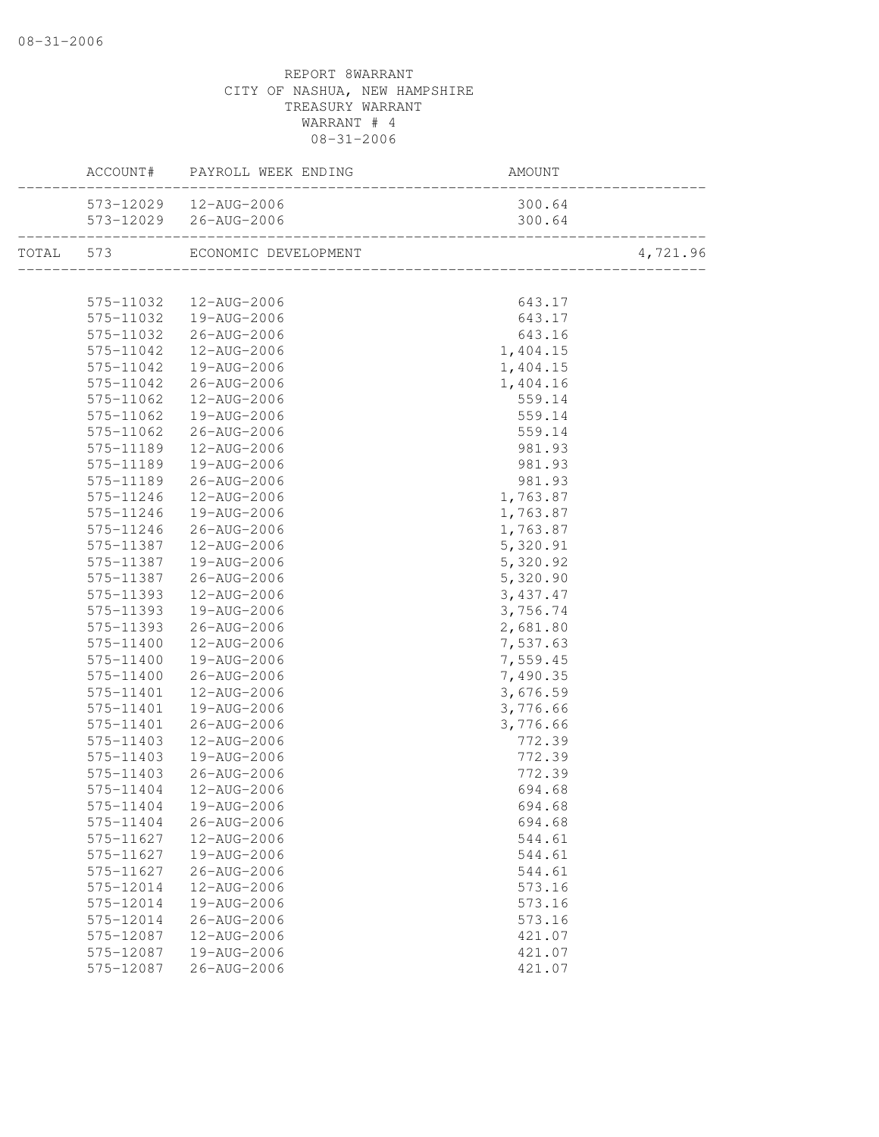|           | ACCOUNT# PAYROLL WEEK ENDING   | AMOUNT<br>--------------------------- |                           |
|-----------|--------------------------------|---------------------------------------|---------------------------|
|           | 573-12029  12-AUG-2006         | 300.64                                |                           |
|           |                                | 300.64                                | 64<br>___________________ |
|           | TOTAL 573 ECONOMIC DEVELOPMENT |                                       | 4,721.96                  |
|           |                                |                                       |                           |
|           | 575-11032  12-AUG-2006         | 643.17                                |                           |
|           | 575-11032  19-AUG-2006         | 643.17                                |                           |
|           | 575-11032 26-AUG-2006          | 643.16                                |                           |
| 575-11042 | 12-AUG-2006                    | 1,404.15                              |                           |
| 575-11042 | 19-AUG-2006                    | 1,404.15                              |                           |
| 575-11042 | 26-AUG-2006                    | 1,404.16                              |                           |
| 575-11062 | 12-AUG-2006                    | 559.14                                |                           |
| 575-11062 | 19-AUG-2006                    | 559.14                                |                           |
| 575-11062 | 26-AUG-2006                    | 559.14                                |                           |
| 575-11189 | 12-AUG-2006                    | 981.93                                |                           |
| 575-11189 | 19-AUG-2006                    | 981.93                                |                           |
| 575-11189 | 26-AUG-2006                    | 981.93                                |                           |
| 575-11246 | 12-AUG-2006                    | 1,763.87                              |                           |
| 575-11246 | 19-AUG-2006                    | 1,763.87                              |                           |
| 575-11246 | 26-AUG-2006                    | 1,763.87                              |                           |
| 575-11387 | 12-AUG-2006                    | 5,320.91                              |                           |
| 575-11387 | 19-AUG-2006                    | 5,320.92                              |                           |
| 575-11387 | 26-AUG-2006                    | 5,320.90                              |                           |
| 575-11393 | 12-AUG-2006                    | 3,437.47                              |                           |
| 575-11393 | 19-AUG-2006                    | 3,756.74                              |                           |
| 575-11393 | 26-AUG-2006                    | 2,681.80                              |                           |
| 575-11400 | 12-AUG-2006                    | 7,537.63                              |                           |
| 575-11400 | 19-AUG-2006                    | 7,559.45                              |                           |
| 575-11400 | 26-AUG-2006                    | 7,490.35                              |                           |
| 575-11401 | 12-AUG-2006                    | 3,676.59                              |                           |
| 575-11401 | 19-AUG-2006                    | 3,776.66                              |                           |
| 575-11401 | 26-AUG-2006                    | 3,776.66                              |                           |
| 575-11403 | 12-AUG-2006                    | 772.39                                |                           |
| 575-11403 | 19-AUG-2006                    | 772.39                                |                           |
| 575-11403 | 26-AUG-2006                    | 772.39                                |                           |
| 575-11404 | 12-AUG-2006                    | 694.68                                |                           |
|           | 575-11404  19-AUG-2006         | 694.68                                |                           |
| 575-11404 | 26-AUG-2006                    | 694.68                                |                           |
| 575-11627 | 12-AUG-2006                    | 544.61                                |                           |
| 575-11627 | 19-AUG-2006                    | 544.61                                |                           |
| 575-11627 | 26-AUG-2006                    | 544.61                                |                           |
| 575-12014 | 12-AUG-2006                    | 573.16                                |                           |
| 575-12014 | 19-AUG-2006                    | 573.16                                |                           |
| 575-12014 | 26-AUG-2006                    | 573.16                                |                           |
| 575-12087 | 12-AUG-2006                    | 421.07                                |                           |
| 575-12087 | 19-AUG-2006                    | 421.07                                |                           |
| 575-12087 | 26-AUG-2006                    | 421.07                                |                           |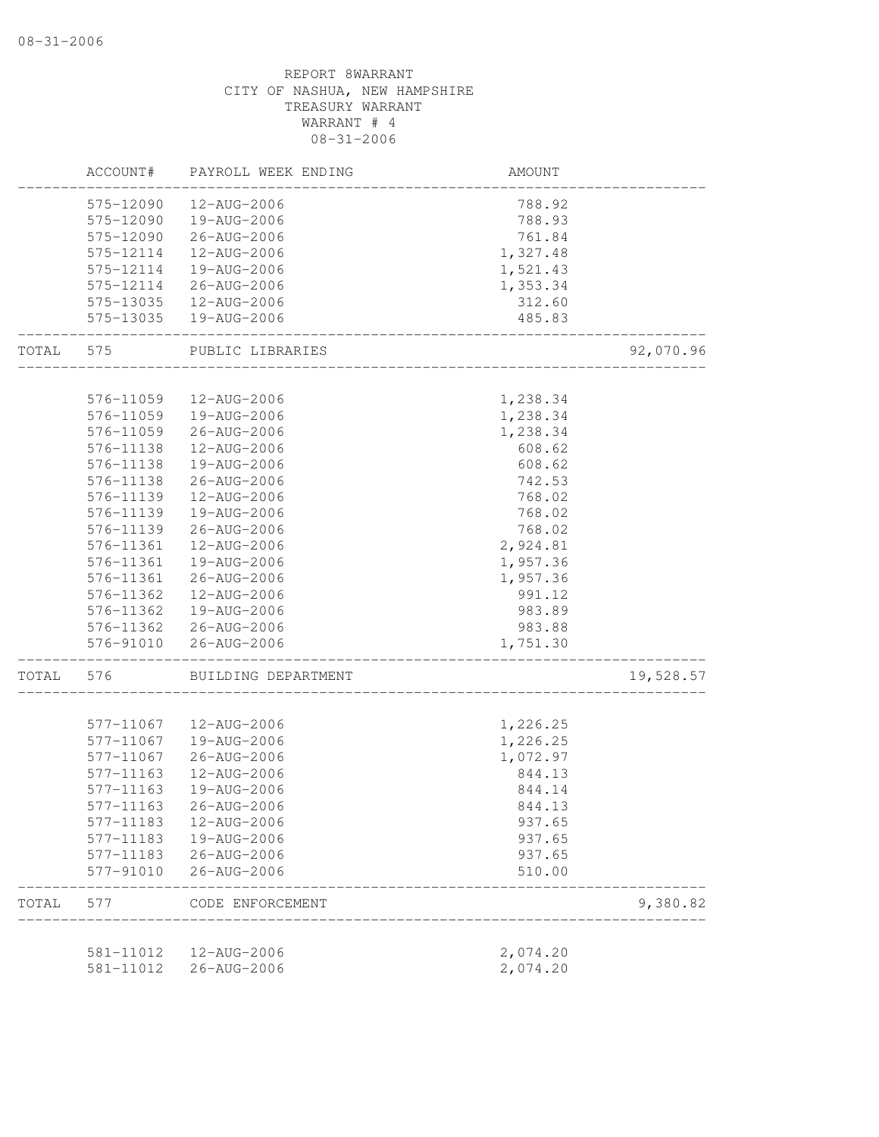|       | ACCOUNT#               | PAYROLL WEEK ENDING        | AMOUNT           |           |
|-------|------------------------|----------------------------|------------------|-----------|
|       | 575-12090              | 12-AUG-2006                | 788.92           |           |
|       | 575-12090              | 19-AUG-2006                | 788.93           |           |
|       | 575-12090              | 26-AUG-2006                | 761.84           |           |
|       | 575-12114              | 12-AUG-2006                | 1,327.48         |           |
|       | 575-12114              | 19-AUG-2006                | 1,521.43         |           |
|       | 575-12114              | 26-AUG-2006                | 1,353.34         |           |
|       | 575-13035              | 12-AUG-2006                | 312.60           |           |
|       | 575-13035              | 19-AUG-2006                | 485.83           |           |
| TOTAL | 575                    | PUBLIC LIBRARIES           |                  | 92,070.96 |
|       |                        |                            |                  |           |
|       | 576-11059              | 12-AUG-2006                | 1,238.34         |           |
|       | 576-11059              | 19-AUG-2006                | 1,238.34         |           |
|       | 576-11059              | 26-AUG-2006                | 1,238.34         |           |
|       | 576-11138              | 12-AUG-2006                | 608.62           |           |
|       | 576-11138              | 19-AUG-2006                | 608.62           |           |
|       | 576-11138              | 26-AUG-2006                | 742.53           |           |
|       | 576-11139              | 12-AUG-2006                | 768.02           |           |
|       | 576-11139              | 19-AUG-2006                | 768.02           |           |
|       | 576-11139              | 26-AUG-2006                | 768.02           |           |
|       | 576-11361              | 12-AUG-2006                | 2,924.81         |           |
|       | 576-11361              | 19-AUG-2006                | 1,957.36         |           |
|       | 576-11361              | 26-AUG-2006                | 1,957.36         |           |
|       | 576-11362              | 12-AUG-2006                | 991.12           |           |
|       | 576-11362              | 19-AUG-2006                | 983.89           |           |
|       | 576-11362              | 26-AUG-2006                | 983.88           |           |
|       | 576-91010              | 26-AUG-2006                | 1,751.30         |           |
| TOTAL | 576                    | BUILDING DEPARTMENT        |                  | 19,528.57 |
|       |                        |                            |                  |           |
|       | 577-11067<br>577-11067 | 12-AUG-2006                | 1,226.25         |           |
|       | 577-11067              | 19-AUG-2006                | 1,226.25         |           |
|       |                        | 26-AUG-2006                | 1,072.97         |           |
|       | 577-11163              | 12-AUG-2006                | 844.13           |           |
|       | 577-11163              | 19-AUG-2006                | 844.14           |           |
|       | 577-11163              | 26-AUG-2006                | 844.13           |           |
|       | 577-11183              | 12-AUG-2006                | 937.65           |           |
|       | 577-11183              | 19-AUG-2006                | 937.65           |           |
|       | 577-11183<br>577-91010 | 26-AUG-2006<br>26-AUG-2006 | 937.65<br>510.00 |           |
| TOTAL | 577                    | CODE ENFORCEMENT           |                  | 9,380.82  |
|       |                        |                            |                  |           |
|       | 581-11012              | 12-AUG-2006                | 2,074.20         |           |
|       | 581-11012              | 26-AUG-2006                | 2,074.20         |           |
|       |                        |                            |                  |           |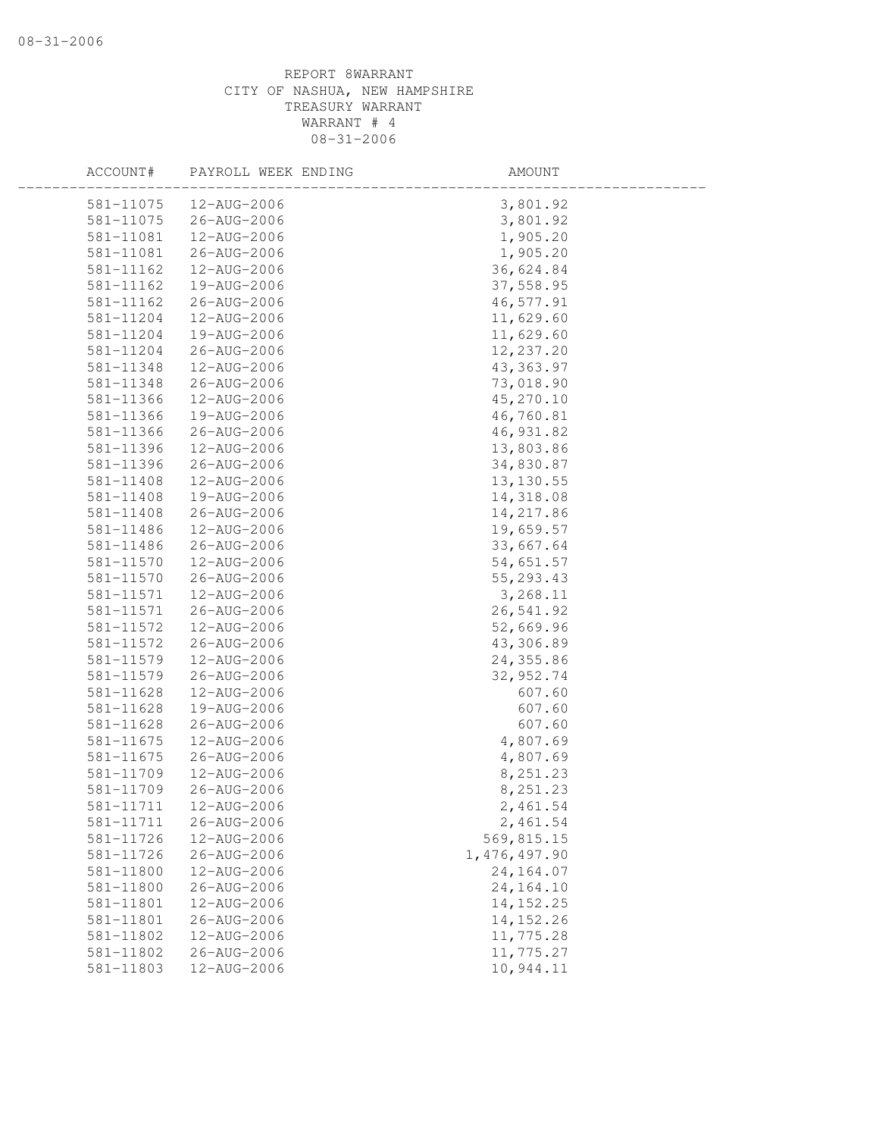| ACCOUNT#      | PAYROLL WEEK ENDING | AMOUNT         |  |
|---------------|---------------------|----------------|--|
| 581-11075     | 12-AUG-2006         | 3,801.92       |  |
| 581-11075     | 26-AUG-2006         | 3,801.92       |  |
| 581-11081     | 12-AUG-2006         | 1,905.20       |  |
| 581-11081     | 26-AUG-2006         | 1,905.20       |  |
| 581-11162     | 12-AUG-2006         | 36,624.84      |  |
| 581-11162     | 19-AUG-2006         | 37,558.95      |  |
| 581-11162     | 26-AUG-2006         | 46,577.91      |  |
| 581-11204     | 12-AUG-2006         | 11,629.60      |  |
| 581-11204     | 19-AUG-2006         | 11,629.60      |  |
| 581-11204     | 26-AUG-2006         | 12,237.20      |  |
| 581-11348     | 12-AUG-2006         | 43, 363.97     |  |
| 581-11348     | 26-AUG-2006         | 73,018.90      |  |
| 581-11366     | 12-AUG-2006         | 45,270.10      |  |
| 581-11366     | 19-AUG-2006         | 46,760.81      |  |
| 581-11366     | 26-AUG-2006         | 46, 931.82     |  |
| 581-11396     | 12-AUG-2006         | 13,803.86      |  |
| 581-11396     | 26-AUG-2006         | 34,830.87      |  |
| 581-11408     | 12-AUG-2006         | 13, 130.55     |  |
| 581-11408     | 19-AUG-2006         | 14,318.08      |  |
| $581 - 11408$ | 26-AUG-2006         | 14,217.86      |  |
| 581-11486     | 12-AUG-2006         | 19,659.57      |  |
| 581-11486     | 26-AUG-2006         | 33,667.64      |  |
| 581-11570     | 12-AUG-2006         | 54,651.57      |  |
| 581-11570     | 26-AUG-2006         | 55, 293.43     |  |
| 581-11571     | 12-AUG-2006         | 3,268.11       |  |
| 581-11571     | 26-AUG-2006         | 26,541.92      |  |
| 581-11572     | 12-AUG-2006         | 52,669.96      |  |
| 581-11572     | 26-AUG-2006         | 43,306.89      |  |
| 581-11579     | 12-AUG-2006         | 24,355.86      |  |
| 581-11579     | 26-AUG-2006         | 32, 952.74     |  |
| 581-11628     | 12-AUG-2006         | 607.60         |  |
| 581-11628     | 19-AUG-2006         | 607.60         |  |
| 581-11628     | 26-AUG-2006         | 607.60         |  |
| 581-11675     | 12-AUG-2006         | 4,807.69       |  |
| 581-11675     | 26-AUG-2006         | 4,807.69       |  |
| 581-11709     | 12-AUG-2006         | 8,251.23       |  |
| 581-11709     | 26-AUG-2006         | 8,251.23       |  |
| 581-11711     | 12-AUG-2006         | 2,461.54       |  |
| 581-11711     | 26-AUG-2006         | 2,461.54       |  |
| 581-11726     | 12-AUG-2006         | 569,815.15     |  |
| 581-11726     | $26 - AUG - 2006$   | 1, 476, 497.90 |  |
| 581-11800     | 12-AUG-2006         | 24, 164.07     |  |
| 581-11800     | $26 - AUG - 2006$   | 24, 164. 10    |  |
| 581-11801     | 12-AUG-2006         | 14, 152. 25    |  |
| 581-11801     | 26-AUG-2006         | 14, 152.26     |  |
| 581-11802     | 12-AUG-2006         | 11,775.28      |  |
| 581-11802     | 26-AUG-2006         | 11,775.27      |  |
| 581-11803     | 12-AUG-2006         | 10,944.11      |  |
|               |                     |                |  |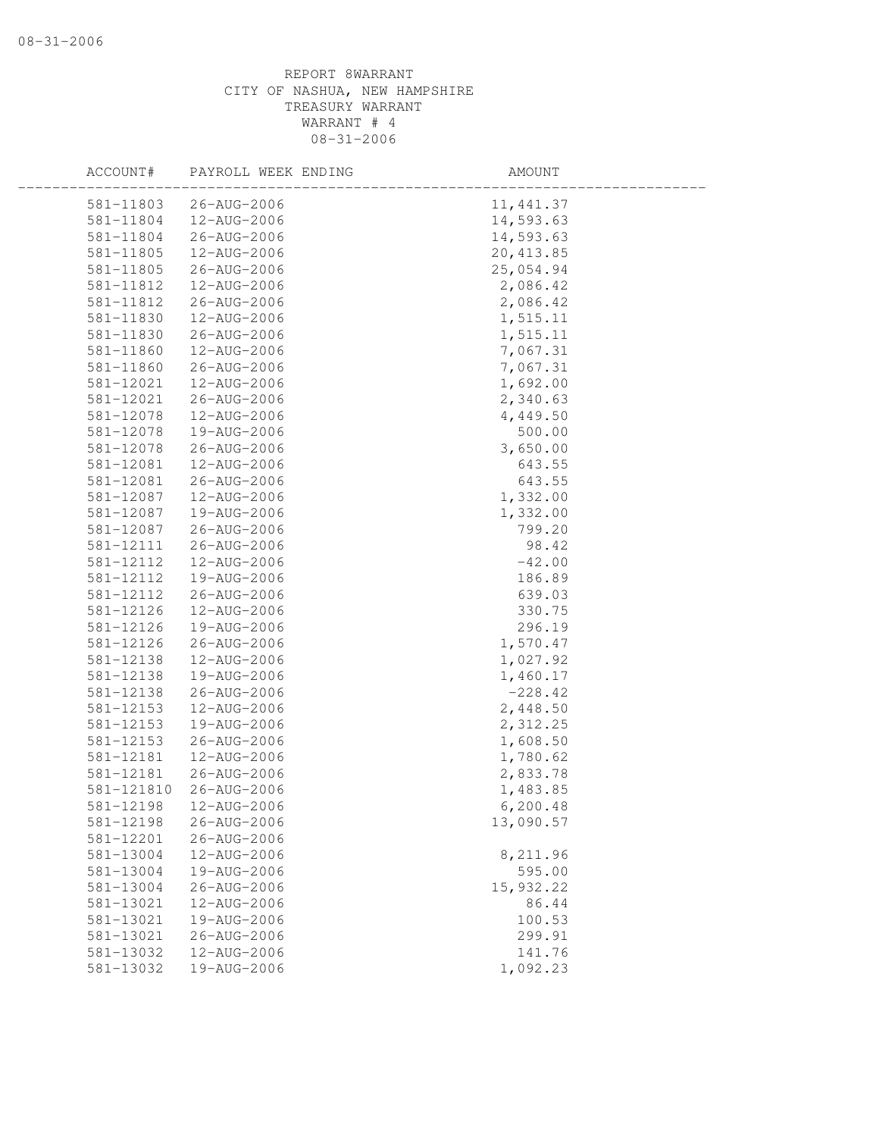| ACCOUNT#   | PAYROLL WEEK ENDING | AMOUNT     |  |
|------------|---------------------|------------|--|
| 581-11803  | 26-AUG-2006         | 11, 441.37 |  |
| 581-11804  | 12-AUG-2006         | 14,593.63  |  |
| 581-11804  | 26-AUG-2006         | 14,593.63  |  |
| 581-11805  | 12-AUG-2006         | 20, 413.85 |  |
| 581-11805  | 26-AUG-2006         | 25,054.94  |  |
| 581-11812  | 12-AUG-2006         | 2,086.42   |  |
| 581-11812  | 26-AUG-2006         | 2,086.42   |  |
| 581-11830  | 12-AUG-2006         | 1,515.11   |  |
| 581-11830  | 26-AUG-2006         | 1,515.11   |  |
| 581-11860  | 12-AUG-2006         | 7,067.31   |  |
| 581-11860  | 26-AUG-2006         | 7,067.31   |  |
| 581-12021  | 12-AUG-2006         | 1,692.00   |  |
| 581-12021  | 26-AUG-2006         | 2,340.63   |  |
| 581-12078  | 12-AUG-2006         | 4,449.50   |  |
| 581-12078  | 19-AUG-2006         | 500.00     |  |
| 581-12078  | 26-AUG-2006         | 3,650.00   |  |
| 581-12081  | 12-AUG-2006         | 643.55     |  |
| 581-12081  | 26-AUG-2006         | 643.55     |  |
| 581-12087  | 12-AUG-2006         | 1,332.00   |  |
| 581-12087  | 19-AUG-2006         | 1,332.00   |  |
| 581-12087  | 26-AUG-2006         | 799.20     |  |
| 581-12111  | 26-AUG-2006         | 98.42      |  |
| 581-12112  | 12-AUG-2006         | $-42.00$   |  |
| 581-12112  | 19-AUG-2006         | 186.89     |  |
| 581-12112  | 26-AUG-2006         | 639.03     |  |
| 581-12126  | 12-AUG-2006         | 330.75     |  |
| 581-12126  | 19-AUG-2006         | 296.19     |  |
| 581-12126  | 26-AUG-2006         | 1,570.47   |  |
| 581-12138  | 12-AUG-2006         | 1,027.92   |  |
| 581-12138  | 19-AUG-2006         | 1,460.17   |  |
| 581-12138  | 26-AUG-2006         | $-228.42$  |  |
| 581-12153  | 12-AUG-2006         | 2,448.50   |  |
| 581-12153  | 19-AUG-2006         | 2,312.25   |  |
| 581-12153  | 26-AUG-2006         | 1,608.50   |  |
| 581-12181  | 12-AUG-2006         | 1,780.62   |  |
| 581-12181  | 26-AUG-2006         | 2,833.78   |  |
| 581-121810 | 26-AUG-2006         | 1,483.85   |  |
| 581-12198  | 12-AUG-2006         | 6,200.48   |  |
| 581-12198  | $26 - AUG - 2006$   | 13,090.57  |  |
| 581-12201  | 26-AUG-2006         |            |  |
| 581-13004  | 12-AUG-2006         | 8,211.96   |  |
| 581-13004  | 19-AUG-2006         | 595.00     |  |
| 581-13004  | $26 - AUG - 2006$   | 15,932.22  |  |
| 581-13021  | 12-AUG-2006         | 86.44      |  |
| 581-13021  | 19-AUG-2006         | 100.53     |  |
| 581-13021  | $26 - AUG - 2006$   | 299.91     |  |
| 581-13032  | 12-AUG-2006         | 141.76     |  |
| 581-13032  | 19-AUG-2006         | 1,092.23   |  |
|            |                     |            |  |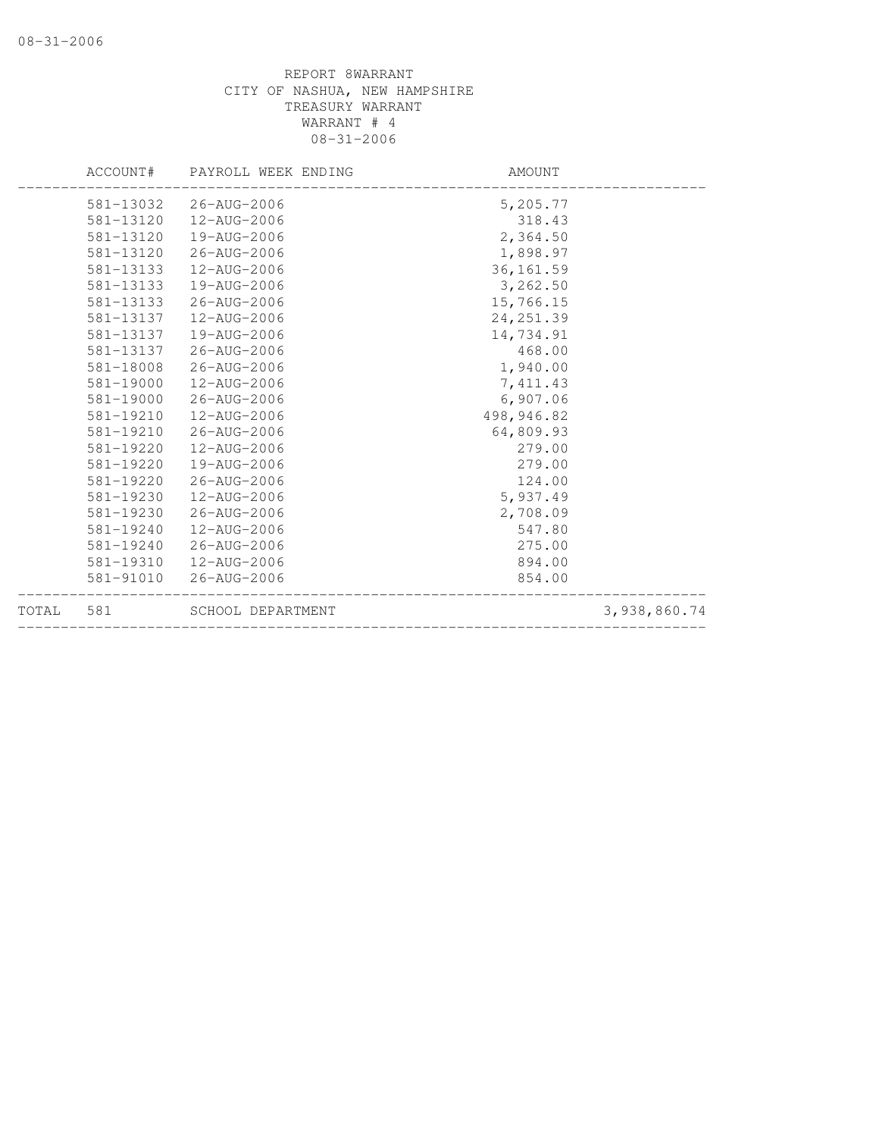|           |           | ACCOUNT# PAYROLL WEEK ENDING | AMOUNT     |              |
|-----------|-----------|------------------------------|------------|--------------|
|           |           | 581-13032 26-AUG-2006        | 5,205.77   |              |
|           |           | 581-13120  12-AUG-2006       | 318.43     |              |
|           | 581-13120 | 19-AUG-2006                  | 2,364.50   |              |
|           | 581-13120 | 26-AUG-2006                  | 1,898.97   |              |
|           | 581-13133 | 12-AUG-2006                  | 36, 161.59 |              |
|           | 581-13133 | 19-AUG-2006                  | 3,262.50   |              |
|           | 581-13133 | 26-AUG-2006                  | 15,766.15  |              |
|           | 581-13137 | 12-AUG-2006                  | 24, 251.39 |              |
|           | 581-13137 | 19-AUG-2006                  | 14,734.91  |              |
|           |           | 581-13137 26-AUG-2006        | 468.00     |              |
|           | 581-18008 | 26-AUG-2006                  | 1,940.00   |              |
|           | 581-19000 | 12-AUG-2006                  | 7,411.43   |              |
|           | 581-19000 | 26-AUG-2006                  | 6,907.06   |              |
|           | 581-19210 | 12-AUG-2006                  | 498,946.82 |              |
|           | 581-19210 | 26-AUG-2006                  | 64,809.93  |              |
|           | 581-19220 | 12-AUG-2006                  | 279.00     |              |
|           | 581-19220 | 19-AUG-2006                  | 279.00     |              |
|           | 581-19220 | 26-AUG-2006                  | 124.00     |              |
|           | 581-19230 | 12-AUG-2006                  | 5,937.49   |              |
|           | 581-19230 | 26-AUG-2006                  | 2,708.09   |              |
|           | 581-19240 | 12-AUG-2006                  | 547.80     |              |
|           | 581-19240 | 26-AUG-2006                  | 275.00     |              |
|           | 581-19310 | 12-AUG-2006                  | 894.00     |              |
|           | 581-91010 | 26-AUG-2006                  | 854.00     |              |
| TOTAL 581 |           | SCHOOL DEPARTMENT            |            | 3,938,860.74 |
|           |           |                              |            |              |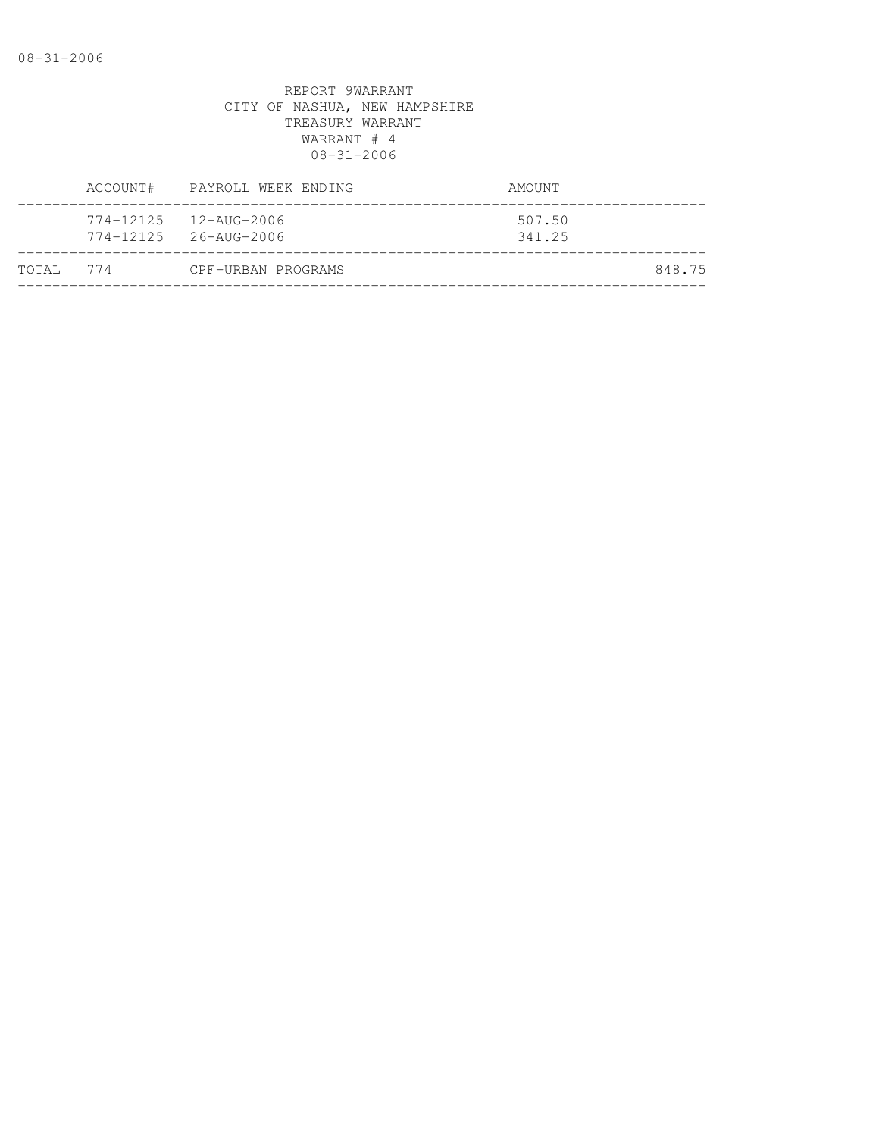|           | ACCOUNT# PAYROLL WEEK ENDING                                                                     | AMOUNT           |        |
|-----------|--------------------------------------------------------------------------------------------------|------------------|--------|
|           | $774 - 12125$ $12 - \text{AUG} - 2006$<br>$774 - 12125$ $26 - \text{A} \text{U} \text{G} - 2006$ | 507.50<br>341.25 |        |
| TOTAL 774 | CPF-URBAN PROGRAMS                                                                               |                  | 848.75 |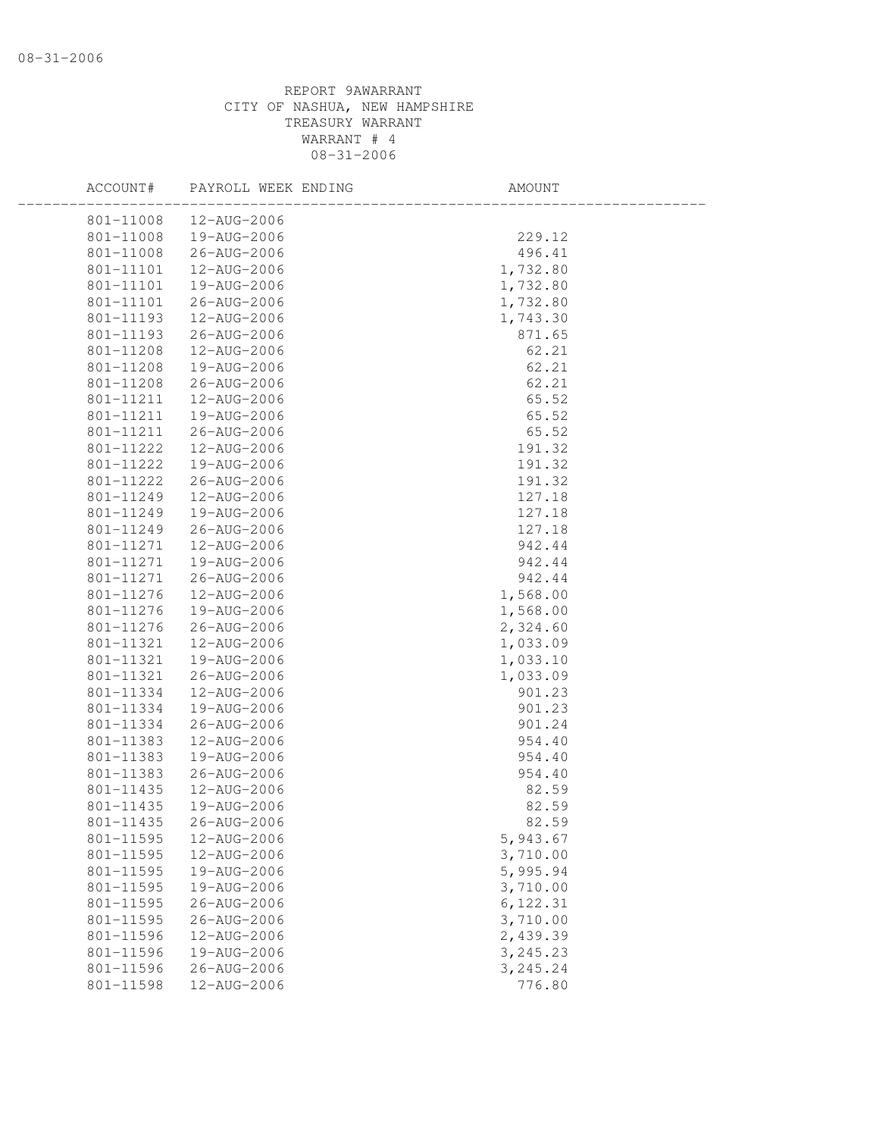| ACCOUNT#  | PAYROLL WEEK ENDING | AMOUNT    |  |
|-----------|---------------------|-----------|--|
| 801-11008 | 12-AUG-2006         |           |  |
| 801-11008 | 19-AUG-2006         | 229.12    |  |
| 801-11008 | 26-AUG-2006         | 496.41    |  |
| 801-11101 | 12-AUG-2006         | 1,732.80  |  |
| 801-11101 | 19-AUG-2006         | 1,732.80  |  |
| 801-11101 | 26-AUG-2006         | 1,732.80  |  |
| 801-11193 | 12-AUG-2006         | 1,743.30  |  |
| 801-11193 | 26-AUG-2006         | 871.65    |  |
| 801-11208 | 12-AUG-2006         | 62.21     |  |
| 801-11208 | 19-AUG-2006         | 62.21     |  |
| 801-11208 | 26-AUG-2006         | 62.21     |  |
| 801-11211 | 12-AUG-2006         | 65.52     |  |
| 801-11211 | 19-AUG-2006         | 65.52     |  |
| 801-11211 | 26-AUG-2006         | 65.52     |  |
| 801-11222 | 12-AUG-2006         | 191.32    |  |
| 801-11222 | 19-AUG-2006         | 191.32    |  |
| 801-11222 | 26-AUG-2006         | 191.32    |  |
| 801-11249 | 12-AUG-2006         | 127.18    |  |
| 801-11249 | 19-AUG-2006         | 127.18    |  |
| 801-11249 | 26-AUG-2006         | 127.18    |  |
| 801-11271 | 12-AUG-2006         | 942.44    |  |
| 801-11271 | 19-AUG-2006         | 942.44    |  |
| 801-11271 | 26-AUG-2006         | 942.44    |  |
| 801-11276 | 12-AUG-2006         | 1,568.00  |  |
| 801-11276 | 19-AUG-2006         | 1,568.00  |  |
| 801-11276 | 26-AUG-2006         | 2,324.60  |  |
| 801-11321 | 12-AUG-2006         | 1,033.09  |  |
| 801-11321 | 19-AUG-2006         | 1,033.10  |  |
| 801-11321 | 26-AUG-2006         | 1,033.09  |  |
| 801-11334 | 12-AUG-2006         | 901.23    |  |
| 801-11334 | 19-AUG-2006         | 901.23    |  |
| 801-11334 | 26-AUG-2006         | 901.24    |  |
| 801-11383 | 12-AUG-2006         | 954.40    |  |
| 801-11383 | 19-AUG-2006         | 954.40    |  |
| 801-11383 | 26-AUG-2006         | 954.40    |  |
| 801-11435 | 12-AUG-2006         | 82.59     |  |
| 801-11435 | 19-AUG-2006         | 82.59     |  |
| 801-11435 | 26-AUG-2006         | 82.59     |  |
| 801-11595 | 12-AUG-2006         | 5,943.67  |  |
| 801-11595 | 12-AUG-2006         | 3,710.00  |  |
| 801-11595 | 19-AUG-2006         | 5,995.94  |  |
| 801-11595 | 19-AUG-2006         | 3,710.00  |  |
| 801-11595 | 26-AUG-2006         | 6, 122.31 |  |
| 801-11595 | 26-AUG-2006         | 3,710.00  |  |
| 801-11596 | 12-AUG-2006         | 2,439.39  |  |
| 801-11596 | 19-AUG-2006         | 3,245.23  |  |
| 801-11596 | 26-AUG-2006         | 3,245.24  |  |
| 801-11598 | 12-AUG-2006         | 776.80    |  |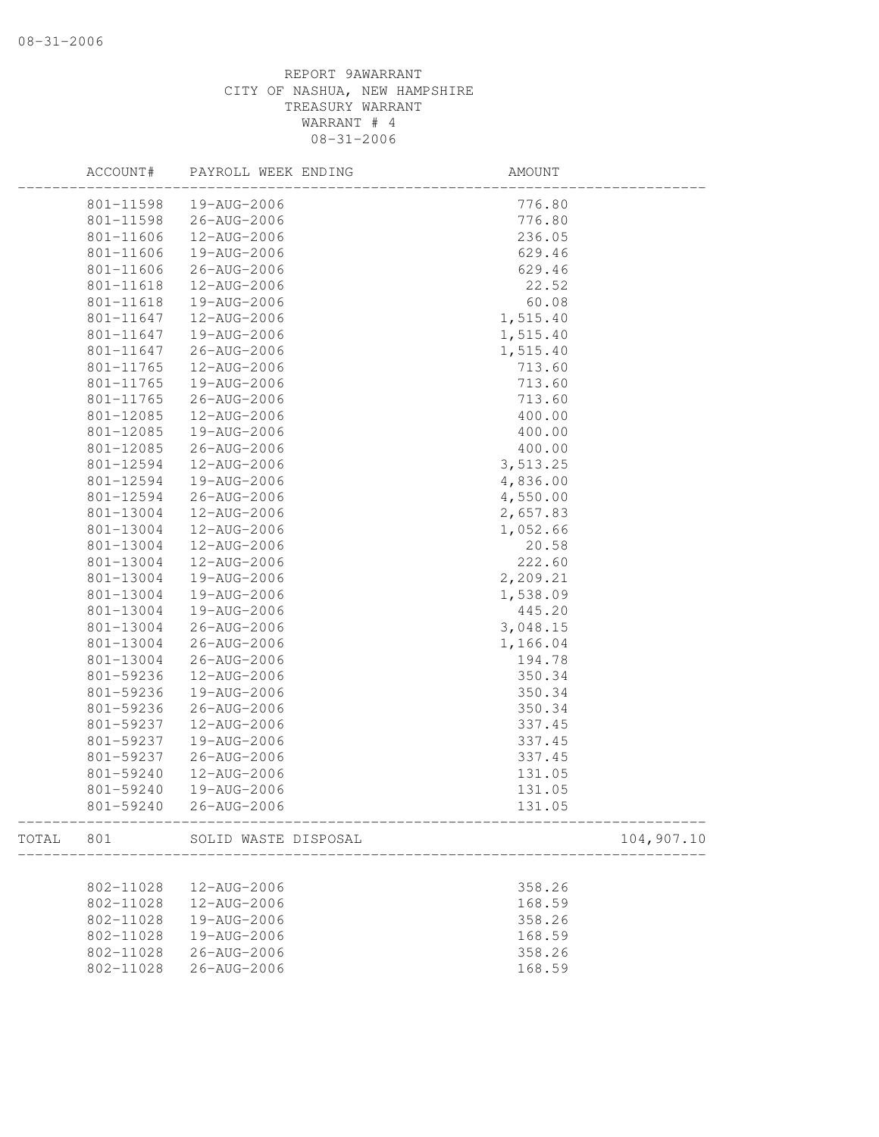|           | ACCOUNT#  | PAYROLL WEEK ENDING  | AMOUNT   |            |
|-----------|-----------|----------------------|----------|------------|
|           | 801-11598 | 19-AUG-2006          | 776.80   |            |
|           | 801-11598 | 26-AUG-2006          | 776.80   |            |
|           | 801-11606 | 12-AUG-2006          | 236.05   |            |
|           | 801-11606 | 19-AUG-2006          | 629.46   |            |
|           | 801-11606 | 26-AUG-2006          | 629.46   |            |
|           | 801-11618 | 12-AUG-2006          | 22.52    |            |
|           | 801-11618 | 19-AUG-2006          | 60.08    |            |
|           | 801-11647 | 12-AUG-2006          | 1,515.40 |            |
|           | 801-11647 | 19-AUG-2006          | 1,515.40 |            |
|           | 801-11647 | 26-AUG-2006          | 1,515.40 |            |
|           | 801-11765 | 12-AUG-2006          | 713.60   |            |
|           | 801-11765 | 19-AUG-2006          | 713.60   |            |
|           | 801-11765 | 26-AUG-2006          | 713.60   |            |
|           | 801-12085 | 12-AUG-2006          | 400.00   |            |
|           | 801-12085 | 19-AUG-2006          | 400.00   |            |
|           | 801-12085 | 26-AUG-2006          | 400.00   |            |
|           | 801-12594 | 12-AUG-2006          | 3,513.25 |            |
|           | 801-12594 | 19-AUG-2006          | 4,836.00 |            |
|           | 801-12594 | 26-AUG-2006          | 4,550.00 |            |
|           | 801-13004 | 12-AUG-2006          | 2,657.83 |            |
|           | 801-13004 | 12-AUG-2006          | 1,052.66 |            |
|           | 801-13004 | 12-AUG-2006          | 20.58    |            |
|           | 801-13004 | 12-AUG-2006          | 222.60   |            |
|           | 801-13004 | 19-AUG-2006          | 2,209.21 |            |
|           | 801-13004 | 19-AUG-2006          | 1,538.09 |            |
|           | 801-13004 | 19-AUG-2006          | 445.20   |            |
|           | 801-13004 | 26-AUG-2006          | 3,048.15 |            |
|           | 801-13004 | 26-AUG-2006          | 1,166.04 |            |
|           | 801-13004 | 26-AUG-2006          | 194.78   |            |
|           | 801-59236 | 12-AUG-2006          | 350.34   |            |
|           | 801-59236 | 19-AUG-2006          | 350.34   |            |
|           | 801-59236 | 26-AUG-2006          | 350.34   |            |
|           | 801-59237 | 12-AUG-2006          | 337.45   |            |
|           | 801-59237 | 19-AUG-2006          | 337.45   |            |
|           | 801-59237 | 26-AUG-2006          | 337.45   |            |
|           | 801-59240 | 12-AUG-2006          | 131.05   |            |
|           | 801-59240 | 19-AUG-2006          | 131.05   |            |
|           | 801-59240 | 26-AUG-2006          | 131.05   |            |
| TOTAL 801 |           | SOLID WASTE DISPOSAL |          | 104,907.10 |
|           |           |                      |          |            |
|           | 802-11028 | 12-AUG-2006          | 358.26   |            |
|           | 802-11028 | 12-AUG-2006          | 168.59   |            |
|           | 802-11028 | 19-AUG-2006          | 358.26   |            |
|           | 802-11028 | 19-AUG-2006          | 168.59   |            |
|           | 802-11028 | 26-AUG-2006          | 358.26   |            |
|           | 802-11028 | 26-AUG-2006          | 168.59   |            |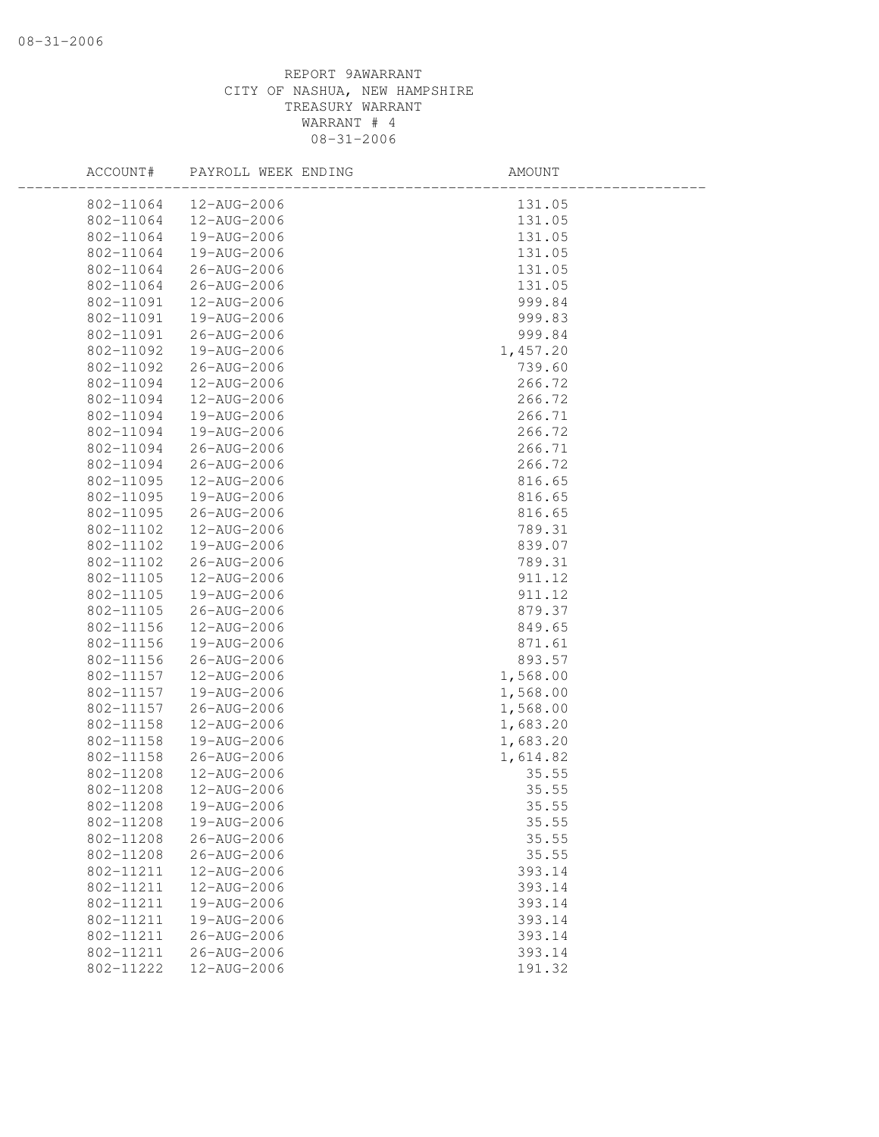| ACCOUNT#  | PAYROLL WEEK ENDING | AMOUNT   |
|-----------|---------------------|----------|
| 802-11064 | 12-AUG-2006         | 131.05   |
| 802-11064 | 12-AUG-2006         | 131.05   |
| 802-11064 | 19-AUG-2006         | 131.05   |
| 802-11064 | 19-AUG-2006         | 131.05   |
| 802-11064 | 26-AUG-2006         | 131.05   |
| 802-11064 | 26-AUG-2006         | 131.05   |
| 802-11091 | 12-AUG-2006         | 999.84   |
| 802-11091 | 19-AUG-2006         | 999.83   |
| 802-11091 | 26-AUG-2006         | 999.84   |
| 802-11092 | 19-AUG-2006         | 1,457.20 |
| 802-11092 | 26-AUG-2006         | 739.60   |
| 802-11094 | 12-AUG-2006         | 266.72   |
| 802-11094 | 12-AUG-2006         | 266.72   |
| 802-11094 | 19-AUG-2006         | 266.71   |
| 802-11094 | 19-AUG-2006         | 266.72   |
| 802-11094 | 26-AUG-2006         | 266.71   |
| 802-11094 | 26-AUG-2006         | 266.72   |
| 802-11095 | 12-AUG-2006         | 816.65   |
| 802-11095 | 19-AUG-2006         | 816.65   |
| 802-11095 | 26-AUG-2006         | 816.65   |
| 802-11102 | 12-AUG-2006         | 789.31   |
| 802-11102 | 19-AUG-2006         | 839.07   |
| 802-11102 | 26-AUG-2006         | 789.31   |
| 802-11105 | 12-AUG-2006         | 911.12   |
| 802-11105 | 19-AUG-2006         | 911.12   |
| 802-11105 | 26-AUG-2006         | 879.37   |
| 802-11156 | 12-AUG-2006         | 849.65   |
| 802-11156 | 19-AUG-2006         | 871.61   |
| 802-11156 | 26-AUG-2006         | 893.57   |
| 802-11157 | 12-AUG-2006         | 1,568.00 |
| 802-11157 | 19-AUG-2006         | 1,568.00 |
| 802-11157 | 26-AUG-2006         | 1,568.00 |
| 802-11158 | 12-AUG-2006         | 1,683.20 |
| 802-11158 | 19-AUG-2006         | 1,683.20 |
| 802-11158 | 26-AUG-2006         | 1,614.82 |
| 802-11208 | 12-AUG-2006         | 35.55    |
| 802-11208 | 12-AUG-2006         | 35.55    |
| 802-11208 | 19-AUG-2006         | 35.55    |
| 802-11208 | 19-AUG-2006         | 35.55    |
| 802-11208 | $26 - AUG - 2006$   | 35.55    |
| 802-11208 | $26 - AUG - 2006$   | 35.55    |
| 802-11211 | 12-AUG-2006         | 393.14   |
| 802-11211 | 12-AUG-2006         | 393.14   |
| 802-11211 | 19-AUG-2006         | 393.14   |
| 802-11211 | 19-AUG-2006         | 393.14   |
| 802-11211 | $26 - AUG - 2006$   | 393.14   |
| 802-11211 | 26-AUG-2006         | 393.14   |
| 802-11222 | 12-AUG-2006         | 191.32   |
|           |                     |          |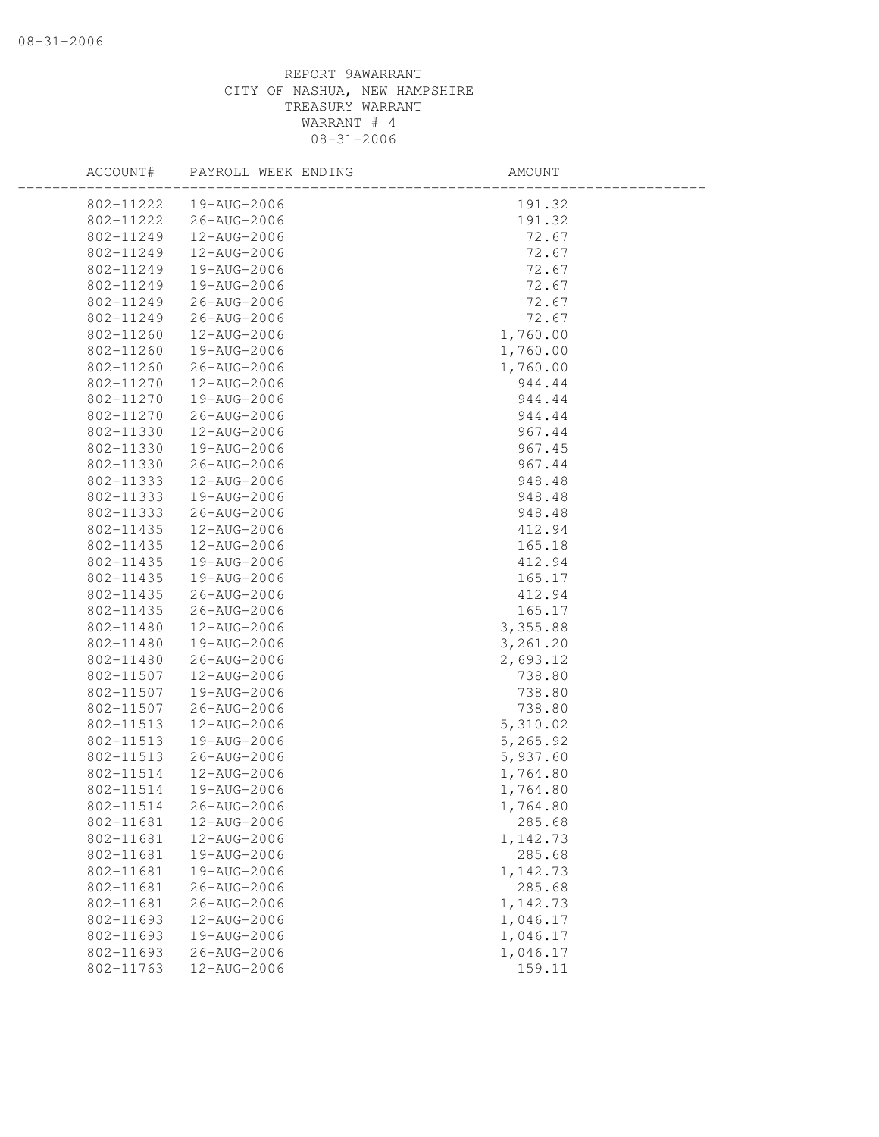| ACCOUNT#  | PAYROLL WEEK ENDING | AMOUNT   |  |
|-----------|---------------------|----------|--|
| 802-11222 | 19-AUG-2006         | 191.32   |  |
| 802-11222 | 26-AUG-2006         | 191.32   |  |
| 802-11249 | 12-AUG-2006         | 72.67    |  |
| 802-11249 | 12-AUG-2006         | 72.67    |  |
| 802-11249 | 19-AUG-2006         | 72.67    |  |
| 802-11249 | 19-AUG-2006         | 72.67    |  |
| 802-11249 | 26-AUG-2006         | 72.67    |  |
| 802-11249 | 26-AUG-2006         | 72.67    |  |
| 802-11260 | 12-AUG-2006         | 1,760.00 |  |
| 802-11260 | 19-AUG-2006         | 1,760.00 |  |
| 802-11260 | 26-AUG-2006         | 1,760.00 |  |
| 802-11270 | 12-AUG-2006         | 944.44   |  |
| 802-11270 | 19-AUG-2006         | 944.44   |  |
| 802-11270 | 26-AUG-2006         | 944.44   |  |
| 802-11330 | 12-AUG-2006         | 967.44   |  |
| 802-11330 | 19-AUG-2006         | 967.45   |  |
| 802-11330 | 26-AUG-2006         | 967.44   |  |
| 802-11333 | 12-AUG-2006         | 948.48   |  |
| 802-11333 | 19-AUG-2006         | 948.48   |  |
| 802-11333 | 26-AUG-2006         | 948.48   |  |
| 802-11435 | 12-AUG-2006         | 412.94   |  |
| 802-11435 | 12-AUG-2006         | 165.18   |  |
| 802-11435 | 19-AUG-2006         | 412.94   |  |
| 802-11435 | 19-AUG-2006         | 165.17   |  |
| 802-11435 | 26-AUG-2006         | 412.94   |  |
| 802-11435 | 26-AUG-2006         | 165.17   |  |
| 802-11480 | 12-AUG-2006         | 3,355.88 |  |
| 802-11480 | 19-AUG-2006         | 3,261.20 |  |
| 802-11480 | 26-AUG-2006         | 2,693.12 |  |
| 802-11507 | 12-AUG-2006         | 738.80   |  |
| 802-11507 | 19-AUG-2006         | 738.80   |  |
| 802-11507 | 26-AUG-2006         | 738.80   |  |
| 802-11513 | 12-AUG-2006         | 5,310.02 |  |
| 802-11513 | 19-AUG-2006         | 5,265.92 |  |
| 802-11513 | 26-AUG-2006         | 5,937.60 |  |
| 802-11514 | 12-AUG-2006         | 1,764.80 |  |
| 802-11514 | 19-AUG-2006         | 1,764.80 |  |
| 802-11514 | 26-AUG-2006         | 1,764.80 |  |
| 802-11681 | 12-AUG-2006         | 285.68   |  |
| 802-11681 | 12-AUG-2006         | 1,142.73 |  |
| 802-11681 | 19-AUG-2006         | 285.68   |  |
| 802-11681 | 19-AUG-2006         | 1,142.73 |  |
| 802-11681 | 26-AUG-2006         | 285.68   |  |
| 802-11681 | 26-AUG-2006         | 1,142.73 |  |
| 802-11693 | 12-AUG-2006         | 1,046.17 |  |
| 802-11693 | 19-AUG-2006         | 1,046.17 |  |
| 802-11693 | 26-AUG-2006         | 1,046.17 |  |
| 802-11763 | 12-AUG-2006         | 159.11   |  |
|           |                     |          |  |